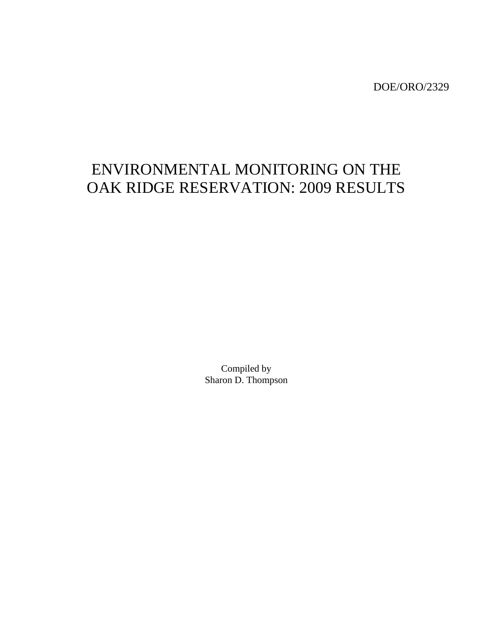DOE/ORO/2329

# ENVIRONMENTAL MONITORING ON THE OAK RIDGE RESERVATION: 2009 RESULTS

Compiled by Sharon D. Thompson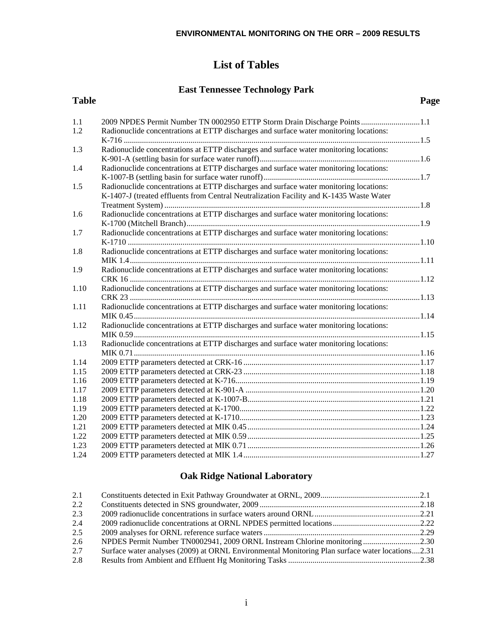# **List of Tables**

# **East Tennessee Technology Park**

| <b>Table</b> |                                                                                         | Page |
|--------------|-----------------------------------------------------------------------------------------|------|
| 1.1          | 2009 NPDES Permit Number TN 0002950 ETTP Storm Drain Discharge Points 1.1               |      |
| 1.2          | Radionuclide concentrations at ETTP discharges and surface water monitoring locations:  |      |
|              |                                                                                         |      |
| 1.3          | Radionuclide concentrations at ETTP discharges and surface water monitoring locations:  |      |
| 1.4          | Radionuclide concentrations at ETTP discharges and surface water monitoring locations:  |      |
|              |                                                                                         |      |
| 1.5          | Radionuclide concentrations at ETTP discharges and surface water monitoring locations:  |      |
|              | K-1407-J (treated effluents from Central Neutralization Facility and K-1435 Waste Water |      |
|              |                                                                                         |      |
| 1.6          | Radionuclide concentrations at ETTP discharges and surface water monitoring locations:  |      |
|              |                                                                                         |      |
| 1.7          | Radionuclide concentrations at ETTP discharges and surface water monitoring locations:  |      |
|              |                                                                                         |      |
| 1.8          | Radionuclide concentrations at ETTP discharges and surface water monitoring locations:  |      |
|              |                                                                                         |      |
| 1.9          | Radionuclide concentrations at ETTP discharges and surface water monitoring locations:  |      |
|              |                                                                                         |      |
| 1.10         | Radionuclide concentrations at ETTP discharges and surface water monitoring locations:  |      |
|              |                                                                                         |      |
| 1.11         | Radionuclide concentrations at ETTP discharges and surface water monitoring locations:  |      |
|              |                                                                                         |      |
| 1.12         | Radionuclide concentrations at ETTP discharges and surface water monitoring locations:  |      |
|              |                                                                                         |      |
| 1.13         | Radionuclide concentrations at ETTP discharges and surface water monitoring locations:  |      |
|              |                                                                                         |      |
| 1.14         |                                                                                         |      |
| 1.15         |                                                                                         |      |
| 1.16         |                                                                                         |      |
| 1.17         |                                                                                         |      |
| 1.18         |                                                                                         |      |
| 1.19         |                                                                                         |      |
| 1.20         |                                                                                         |      |
| 1.21         |                                                                                         |      |
| 1.22         |                                                                                         |      |
| 1.23         |                                                                                         |      |
| 1.24         |                                                                                         |      |

# **Oak Ridge National Laboratory**

| 2.1 |                                                                                                 |  |
|-----|-------------------------------------------------------------------------------------------------|--|
| 2.2 |                                                                                                 |  |
| 2.3 |                                                                                                 |  |
| 2.4 |                                                                                                 |  |
| 2.5 |                                                                                                 |  |
| 2.6 | NPDES Permit Number TN0002941, 2009 ORNL Instream Chlorine monitoring2.30                       |  |
| 2.7 | Surface water analyses (2009) at ORNL Environmental Monitoring Plan surface water locations2.31 |  |
| 2.8 |                                                                                                 |  |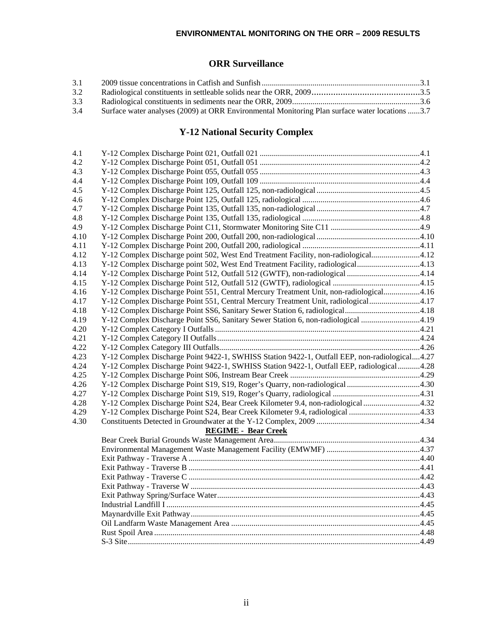# **ORR Surveillance**

| 3.1 |                                                                                                |  |
|-----|------------------------------------------------------------------------------------------------|--|
| 3.2 |                                                                                                |  |
| 3.3 |                                                                                                |  |
| 3.4 | Surface water analyses (2009) at ORR Environmental Monitoring Plan surface water locations 3.7 |  |

# **Y-12 National Security Complex**

| 4.1  |                                                                                               |  |
|------|-----------------------------------------------------------------------------------------------|--|
| 4.2  |                                                                                               |  |
| 4.3  |                                                                                               |  |
| 4.4  |                                                                                               |  |
| 4.5  |                                                                                               |  |
| 4.6  |                                                                                               |  |
| 4.7  |                                                                                               |  |
| 4.8  |                                                                                               |  |
| 4.9  |                                                                                               |  |
| 4.10 |                                                                                               |  |
| 4.11 |                                                                                               |  |
| 4.12 | Y-12 Complex Discharge point 502, West End Treatment Facility, non-radiological4.12           |  |
| 4.13 | Y-12 Complex Discharge point 502, West End Treatment Facility, radiological4.13               |  |
| 4.14 | Y-12 Complex Discharge Point 512, Outfall 512 (GWTF), non-radiological 4.14                   |  |
| 4.15 |                                                                                               |  |
| 4.16 | Y-12 Complex Discharge Point 551, Central Mercury Treatment Unit, non-radiological4.16        |  |
| 4.17 | Y-12 Complex Discharge Point 551, Central Mercury Treatment Unit, radiological4.17            |  |
| 4.18 |                                                                                               |  |
| 4.19 | Y-12 Complex Discharge Point SS6, Sanitary Sewer Station 6, non-radiological 4.19             |  |
| 4.20 |                                                                                               |  |
| 4.21 |                                                                                               |  |
| 4.22 |                                                                                               |  |
| 4.23 | Y-12 Complex Discharge Point 9422-1, SWHISS Station 9422-1, Outfall EEP, non-radiological4.27 |  |
| 4.24 | Y-12 Complex Discharge Point 9422-1, SWHISS Station 9422-1, Outfall EEP, radiological 4.28    |  |
| 4.25 |                                                                                               |  |
| 4.26 |                                                                                               |  |
| 4.27 |                                                                                               |  |
| 4.28 | Y-12 Complex Discharge Point S24, Bear Creek Kilometer 9.4, non-radiological 4.32             |  |
| 4.29 | Y-12 Complex Discharge Point S24, Bear Creek Kilometer 9.4, radiological 4.33                 |  |
| 4.30 |                                                                                               |  |
|      | <b>REGIME - Bear Creek</b>                                                                    |  |
|      |                                                                                               |  |
|      |                                                                                               |  |
|      |                                                                                               |  |
|      |                                                                                               |  |
|      |                                                                                               |  |
|      |                                                                                               |  |
|      |                                                                                               |  |
|      |                                                                                               |  |
|      |                                                                                               |  |
|      |                                                                                               |  |
|      |                                                                                               |  |
|      |                                                                                               |  |
|      |                                                                                               |  |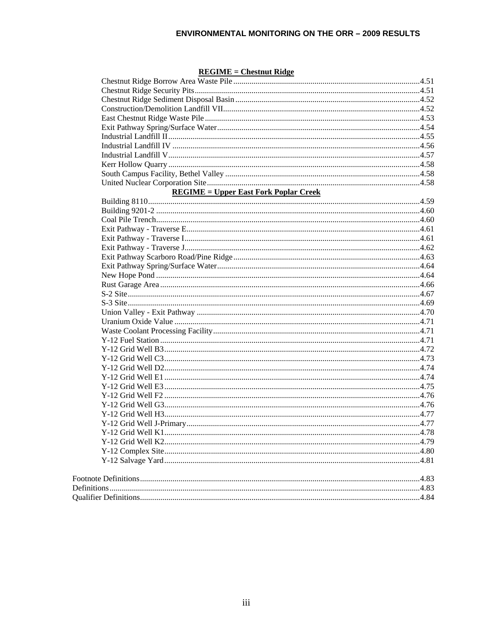#### $REGIME = Chestnut Ridge$

| <b>REGIME</b> = Upper East Fork Poplar Creek |  |
|----------------------------------------------|--|
|                                              |  |
|                                              |  |
|                                              |  |
|                                              |  |
|                                              |  |
|                                              |  |
|                                              |  |
|                                              |  |
|                                              |  |
|                                              |  |
|                                              |  |
|                                              |  |
|                                              |  |
|                                              |  |
|                                              |  |
|                                              |  |
|                                              |  |
|                                              |  |
|                                              |  |
|                                              |  |
|                                              |  |
|                                              |  |
|                                              |  |
|                                              |  |
|                                              |  |
|                                              |  |
|                                              |  |
|                                              |  |
|                                              |  |
|                                              |  |
|                                              |  |
|                                              |  |
|                                              |  |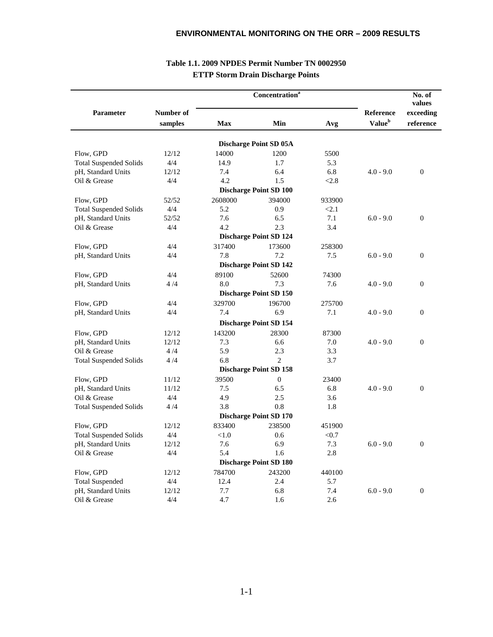|                               |                      |            | Concentration <sup>a</sup>    |        | No. of<br>values                       |                        |  |
|-------------------------------|----------------------|------------|-------------------------------|--------|----------------------------------------|------------------------|--|
| <b>Parameter</b>              | Number of<br>samples | <b>Max</b> | Min                           | Avg    | <b>Reference</b><br>Value <sup>b</sup> | exceeding<br>reference |  |
|                               |                      |            | <b>Discharge Point SD 05A</b> |        |                                        |                        |  |
| Flow, GPD                     | 12/12                | 14000      | 1200                          | 5500   |                                        |                        |  |
| <b>Total Suspended Solids</b> | 4/4                  | 14.9       | 1.7                           | 5.3    |                                        |                        |  |
| pH, Standard Units            | 12/12                | 7.4        | 6.4                           | 6.8    | $4.0 - 9.0$                            | $\mathbf{0}$           |  |
| Oil & Grease                  | 4/4                  | 4.2        | 1.5                           | < 2.8  |                                        |                        |  |
|                               |                      |            | <b>Discharge Point SD 100</b> |        |                                        |                        |  |
| Flow, GPD                     | 52/52                | 2608000    | 394000                        | 933900 |                                        |                        |  |
| <b>Total Suspended Solids</b> | 4/4                  | 5.2        | 0.9                           | < 2.1  |                                        |                        |  |
| pH, Standard Units            | 52/52                | 7.6        | 6.5                           | 7.1    | $6.0 - 9.0$                            | $\boldsymbol{0}$       |  |
| Oil & Grease                  | 4/4                  | 4.2        | 2.3                           | 3.4    |                                        |                        |  |
|                               |                      |            | <b>Discharge Point SD 124</b> |        |                                        |                        |  |
|                               | 4/4                  | 317400     | 173600                        | 258300 |                                        |                        |  |
| Flow, GPD                     |                      |            |                               |        |                                        |                        |  |
| pH, Standard Units            | 4/4                  | 7.8        | 7.2                           | 7.5    | $6.0 - 9.0$                            | $\theta$               |  |
|                               |                      |            | <b>Discharge Point SD 142</b> |        |                                        |                        |  |
| Flow, GPD                     | 4/4                  | 89100      | 52600                         | 74300  |                                        |                        |  |
| pH, Standard Units            | 4/4                  | 8.0        | 7.3                           | 7.6    | $4.0 - 9.0$                            | $\overline{0}$         |  |
|                               |                      |            | <b>Discharge Point SD 150</b> |        |                                        |                        |  |
| Flow, GPD                     | 4/4                  | 329700     | 196700                        | 275700 |                                        |                        |  |
| pH, Standard Units            | 4/4                  | 7.4        | 6.9                           | 7.1    | $4.0 - 9.0$                            | $\Omega$               |  |
|                               |                      |            | <b>Discharge Point SD 154</b> |        |                                        |                        |  |
| Flow, GPD                     | 12/12                | 143200     | 28300                         | 87300  |                                        |                        |  |
| pH, Standard Units            | 12/12                | 7.3        | 6.6                           | 7.0    | $4.0 - 9.0$                            | $\overline{0}$         |  |
| Oil & Grease                  | 4/4                  | 5.9        | 2.3                           | 3.3    |                                        |                        |  |
| <b>Total Suspended Solids</b> | 4/4                  | 6.8        | $\overline{2}$                | 3.7    |                                        |                        |  |
|                               |                      |            | <b>Discharge Point SD 158</b> |        |                                        |                        |  |
| Flow, GPD                     | 11/12                | 39500      | $\Omega$                      | 23400  |                                        |                        |  |
| pH, Standard Units            | 11/12                | 7.5        | 6.5                           | 6.8    | $4.0 - 9.0$                            | $\Omega$               |  |
| Oil & Grease                  | 4/4                  | 4.9        | 2.5                           | 3.6    |                                        |                        |  |
| <b>Total Suspended Solids</b> | 4/4                  | 3.8        | 0.8                           | 1.8    |                                        |                        |  |
|                               |                      |            | <b>Discharge Point SD 170</b> |        |                                        |                        |  |
| Flow, GPD                     | 12/12                | 833400     | 238500                        | 451900 |                                        |                        |  |
| <b>Total Suspended Solids</b> | 4/4                  | < 1.0      | 0.6                           | < 0.7  |                                        |                        |  |
| pH, Standard Units            | 12/12                | 7.6        | 6.9                           | 7.3    | $6.0 - 9.0$                            | $\theta$               |  |
| Oil & Grease                  | 4/4                  | 5.4        | 1.6                           | 2.8    |                                        |                        |  |
|                               |                      |            | <b>Discharge Point SD 180</b> |        |                                        |                        |  |
|                               |                      | 784700     | 243200                        |        |                                        |                        |  |
| Flow, GPD                     | 12/12                |            |                               | 440100 |                                        |                        |  |
| <b>Total Suspended</b>        | 4/4                  | 12.4       | 2.4                           | 5.7    |                                        |                        |  |
| pH, Standard Units            | 12/12                | 7.7        | 6.8                           | 7.4    | $6.0 - 9.0$                            | $\overline{0}$         |  |
| Oil & Grease                  | 4/4                  | 4.7        | 1.6                           | 2.6    |                                        |                        |  |

### **Table 1.1. 2009 NPDES Permit Number TN 0002950 ETTP Storm Drain Discharge Points**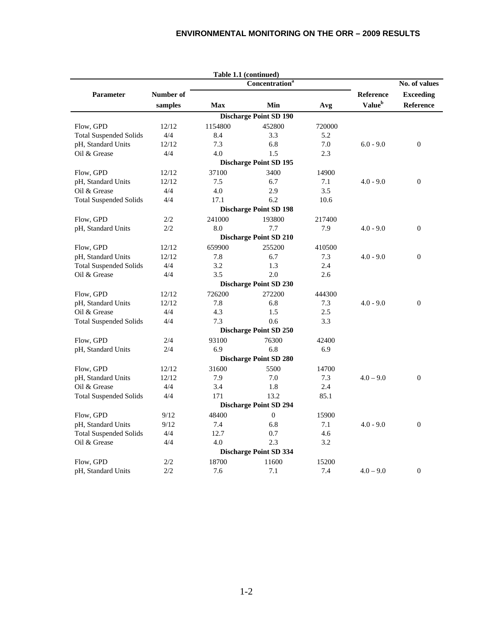|                               |           |            | Table 1.1 (continued)         |        |                    |                  |
|-------------------------------|-----------|------------|-------------------------------|--------|--------------------|------------------|
|                               |           |            | Concentration <sup>a</sup>    |        |                    | No. of values    |
| <b>Parameter</b>              | Number of |            |                               |        | Reference          | <b>Exceeding</b> |
|                               | samples   | <b>Max</b> | Min                           | Avg    | Value <sup>b</sup> | Reference        |
|                               |           |            | <b>Discharge Point SD 190</b> |        |                    |                  |
| Flow, GPD                     | 12/12     | 1154800    | 452800                        | 720000 |                    |                  |
| <b>Total Suspended Solids</b> | 4/4       | 8.4        | 3.3                           | 5.2    |                    |                  |
| pH, Standard Units            | 12/12     | 7.3        | 6.8                           | 7.0    | $6.0 - 9.0$        | $\overline{0}$   |
| Oil & Grease                  | 4/4       | 4.0        | 1.5                           | 2.3    |                    |                  |
|                               |           |            | <b>Discharge Point SD 195</b> |        |                    |                  |
| Flow, GPD                     | 12/12     | 37100      | 3400                          | 14900  |                    |                  |
| pH, Standard Units            | 12/12     | 7.5        | 6.7                           | 7.1    | $4.0 - 9.0$        | $\Omega$         |
| Oil & Grease                  | 4/4       | 4.0        | 2.9                           | 3.5    |                    |                  |
| <b>Total Suspended Solids</b> | 4/4       | 17.1       | 6.2                           | 10.6   |                    |                  |
|                               |           |            | <b>Discharge Point SD 198</b> |        |                    |                  |
| Flow, GPD                     | 2/2       | 241000     | 193800                        | 217400 |                    |                  |
| pH, Standard Units            | 2/2       | 8.0        | 7.7                           | 7.9    | $4.0 - 9.0$        | $\mathbf{0}$     |
|                               |           |            | <b>Discharge Point SD 210</b> |        |                    |                  |
| Flow, GPD                     | 12/12     | 659900     | 255200                        | 410500 |                    |                  |
| pH, Standard Units            | 12/12     | 7.8        | 6.7                           | 7.3    | $4.0 - 9.0$        | $\mathbf{0}$     |
| <b>Total Suspended Solids</b> | 4/4       | 3.2        | 1.3                           | 2.4    |                    |                  |
| Oil & Grease                  | 4/4       | 3.5        | 2.0                           | 2.6    |                    |                  |
|                               |           |            | <b>Discharge Point SD 230</b> |        |                    |                  |
| Flow, GPD                     | 12/12     | 726200     | 272200                        | 444300 |                    |                  |
| pH, Standard Units            | 12/12     | 7.8        | 6.8                           | 7.3    | $4.0 - 9.0$        | $\theta$         |
| Oil & Grease                  | 4/4       | 4.3        | 1.5                           | 2.5    |                    |                  |
| <b>Total Suspended Solids</b> | 4/4       | 7.3        | 0.6                           | 3.3    |                    |                  |
|                               |           |            | <b>Discharge Point SD 250</b> |        |                    |                  |
| Flow, GPD                     | 2/4       | 93100      | 76300                         | 42400  |                    |                  |
| pH, Standard Units            | 2/4       | 6.9        | 6.8                           | 6.9    |                    |                  |
|                               |           |            | <b>Discharge Point SD 280</b> |        |                    |                  |
| Flow, GPD                     | 12/12     | 31600      | 5500                          | 14700  |                    |                  |
| pH, Standard Units            | 12/12     | 7.9        | 7.0                           | 7.3    | $4.0 - 9.0$        | $\theta$         |
| Oil & Grease                  | 4/4       | 3.4        | 1.8                           | 2.4    |                    |                  |
| <b>Total Suspended Solids</b> | 4/4       | 171        | 13.2                          | 85.1   |                    |                  |
|                               |           |            | <b>Discharge Point SD 294</b> |        |                    |                  |
| Flow, GPD                     | 9/12      | 48400      | $\Omega$                      | 15900  |                    |                  |
| pH, Standard Units            | 9/12      | 7.4        | 6.8                           | 7.1    | $4.0 - 9.0$        | $\theta$         |
| <b>Total Suspended Solids</b> | 4/4       | 12.7       | 0.7                           | 4.6    |                    |                  |
| Oil & Grease                  | 4/4       | 4.0        | 2.3                           | 3.2    |                    |                  |
|                               |           |            | <b>Discharge Point SD 334</b> |        |                    |                  |
| Flow, GPD                     | 2/2       | 18700      | 11600                         | 15200  |                    |                  |
| pH, Standard Units            | 2/2       | 7.6        | 7.1                           | 7.4    | $4.0 - 9.0$        | $\theta$         |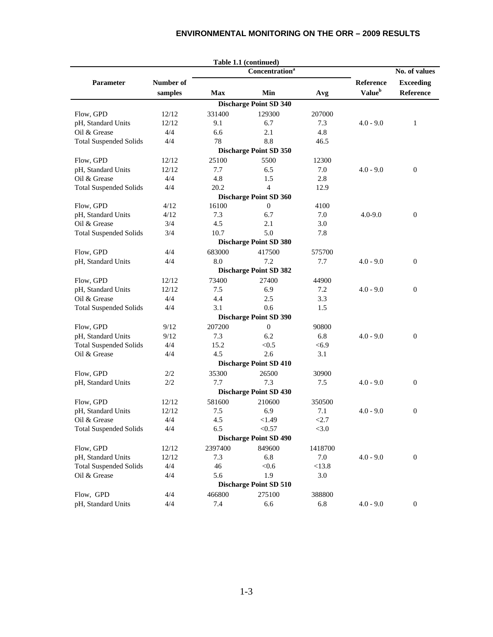|                               |              |            | Table 1.1 (continued)             |         |                    |                  |
|-------------------------------|--------------|------------|-----------------------------------|---------|--------------------|------------------|
|                               |              |            | <b>Concentration</b> <sup>a</sup> |         |                    | No. of values    |
| Parameter                     | Number of    |            |                                   |         | Reference          | <b>Exceeding</b> |
|                               | samples      | <b>Max</b> | Min                               | Avg     | Value <sup>b</sup> | Reference        |
|                               |              |            | <b>Discharge Point SD 340</b>     |         |                    |                  |
| Flow, GPD                     | 12/12        | 331400     | 129300                            | 207000  |                    |                  |
| pH, Standard Units            | 12/12        | 9.1        | 6.7                               | 7.3     | $4.0 - 9.0$        | $\mathbf{1}$     |
| Oil & Grease                  | 4/4          | 6.6        | 2.1                               | 4.8     |                    |                  |
| <b>Total Suspended Solids</b> | 4/4          | 78         | 8.8                               | 46.5    |                    |                  |
|                               |              |            | <b>Discharge Point SD 350</b>     |         |                    |                  |
| Flow, GPD                     | 12/12        | 25100      | 5500                              | 12300   |                    |                  |
| pH, Standard Units            | 12/12        | 7.7        | 6.5                               | 7.0     | $4.0 - 9.0$        | $\mathbf{0}$     |
| Oil & Grease                  | 4/4          | 4.8        | 1.5                               | 2.8     |                    |                  |
| <b>Total Suspended Solids</b> | 4/4          | 20.2       | $\overline{4}$                    | 12.9    |                    |                  |
|                               |              |            | <b>Discharge Point SD 360</b>     |         |                    |                  |
| Flow, GPD                     | 4/12         | 16100      | $\overline{0}$                    | 4100    |                    |                  |
| pH, Standard Units            | 4/12         | 7.3        | 6.7                               | 7.0     | $4.0 - 9.0$        | $\mathbf{0}$     |
| Oil & Grease                  | 3/4          | 4.5        | 2.1                               | 3.0     |                    |                  |
| <b>Total Suspended Solids</b> | 3/4          | 10.7       | 5.0                               | 7.8     |                    |                  |
|                               |              |            | <b>Discharge Point SD 380</b>     |         |                    |                  |
| Flow, GPD                     | 4/4          | 683000     | 417500                            | 575700  |                    |                  |
|                               | 4/4          | 8.0        | 7.2                               | 7.7     | $4.0 - 9.0$        | $\mathbf{0}$     |
| pH, Standard Units            |              |            |                                   |         |                    |                  |
|                               |              |            | <b>Discharge Point SD 382</b>     |         |                    |                  |
| Flow, GPD                     | 12/12        | 73400      | 27400                             | 44900   |                    |                  |
| pH, Standard Units            | 12/12        | 7.5        | 6.9                               | 7.2     | $4.0 - 9.0$        | $\mathbf{0}$     |
| Oil & Grease                  | 4/4          | 4.4        | 2.5                               | 3.3     |                    |                  |
| <b>Total Suspended Solids</b> | 4/4          | 3.1        | 0.6                               | 1.5     |                    |                  |
|                               |              |            | <b>Discharge Point SD 390</b>     |         |                    |                  |
| Flow, GPD                     | 9/12         | 207200     | $\boldsymbol{0}$                  | 90800   |                    |                  |
| pH, Standard Units            | 9/12         | 7.3        | 6.2                               | 6.8     | $4.0 - 9.0$        | $\mathbf{0}$     |
| <b>Total Suspended Solids</b> | 4/4          | 15.2       | < 0.5                             | < 6.9   |                    |                  |
| Oil & Grease                  | 4/4          | 4.5        | 2.6                               | 3.1     |                    |                  |
|                               |              |            | <b>Discharge Point SD 410</b>     |         |                    |                  |
| Flow, GPD                     | 2/2          | 35300      | 26500                             | 30900   |                    |                  |
| pH, Standard Units            | 2/2          | 7.7        | 7.3                               | 7.5     | $4.0 - 9.0$        | $\mathbf{0}$     |
|                               |              |            | <b>Discharge Point SD 430</b>     |         |                    |                  |
| Flow, GPD                     | 12/12        | 581600     | 210600                            | 350500  |                    |                  |
| pH, Standard Units            | 12/12        | 7.5        | 6.9                               | 7.1     | $4.0 - 9.0$        | $\mathbf{0}$     |
| Oil & Grease                  | 4/4          | 4.5        | < 1.49                            | <2.7    |                    |                  |
| <b>Total Suspended Solids</b> | 4/4          | 6.5        | < 0.57                            | <3.0    |                    |                  |
|                               |              |            | <b>Discharge Point SD 490</b>     |         |                    |                  |
| Flow, GPD                     | 12/12        | 2397400    | 849600                            | 1418700 |                    |                  |
|                               |              | 7.3        | 6.8                               | 7.0     |                    |                  |
| pH, Standard Units            | 12/12<br>4/4 | 46         |                                   |         | $4.0 - 9.0$        | $\boldsymbol{0}$ |
| <b>Total Suspended Solids</b> |              |            | < 0.6                             | <13.8   |                    |                  |
| Oil & Grease                  | 4/4          | 5.6        | 1.9                               | 3.0     |                    |                  |
|                               |              |            | <b>Discharge Point SD 510</b>     |         |                    |                  |
| Flow, GPD                     | 4/4          | 466800     | 275100                            | 388800  |                    |                  |
| pH, Standard Units            | 4/4          | 7.4        | 6.6                               | 6.8     | $4.0 - 9.0$        | $\mathbf{0}$     |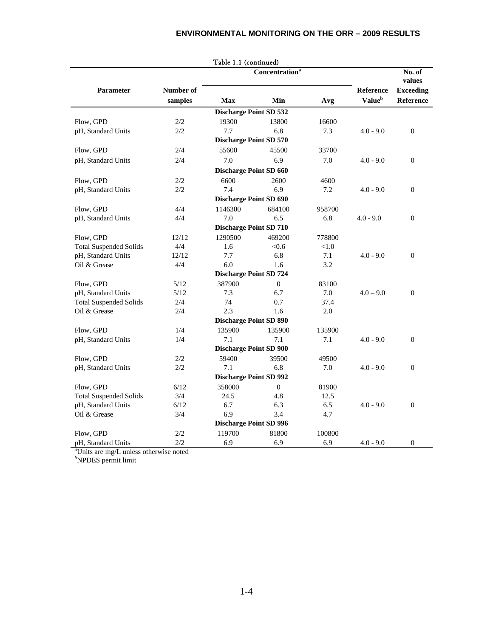|                               |                            | Table 1.1 (continued)         |              |        |                           |                  |  |
|-------------------------------|----------------------------|-------------------------------|--------------|--------|---------------------------|------------------|--|
|                               | Concentration <sup>a</sup> |                               |              |        |                           |                  |  |
| <b>Parameter</b>              | Number of                  |                               |              |        | <b>Reference</b>          | <b>Exceeding</b> |  |
|                               | samples                    | <b>Max</b>                    | Min          | Avg    | <b>Value</b> <sup>b</sup> | Reference        |  |
|                               |                            | <b>Discharge Point SD 532</b> |              |        |                           |                  |  |
| Flow, GPD                     | 2/2                        | 19300                         | 13800        | 16600  |                           |                  |  |
| pH, Standard Units            | 2/2                        | 7.7                           | 6.8          | 7.3    | $4.0 - 9.0$               | $\theta$         |  |
|                               |                            | <b>Discharge Point SD 570</b> |              |        |                           |                  |  |
| Flow, GPD                     | 2/4                        | 55600                         | 45500        | 33700  |                           |                  |  |
| pH, Standard Units            | 2/4                        | 7.0                           | 6.9          | 7.0    | $4.0 - 9.0$               | $\theta$         |  |
|                               |                            | <b>Discharge Point SD 660</b> |              |        |                           |                  |  |
| Flow, GPD                     | 2/2                        | 6600                          | 2600         | 4600   |                           |                  |  |
| pH, Standard Units            | 2/2                        | 7.4                           | 6.9          | 7.2    | $4.0 - 9.0$               | $\theta$         |  |
|                               |                            | <b>Discharge Point SD 690</b> |              |        |                           |                  |  |
| Flow, GPD                     | 4/4                        | 1146300                       | 684100       | 958700 |                           |                  |  |
| pH, Standard Units            | 4/4                        | 7.0                           | 6.5          | 6.8    | $4.0 - 9.0$               | $\Omega$         |  |
|                               |                            | <b>Discharge Point SD 710</b> |              |        |                           |                  |  |
| Flow, GPD                     | 12/12                      | 1290500                       | 469200       | 778800 |                           |                  |  |
| <b>Total Suspended Solids</b> | 4/4                        | 1.6                           | < 0.6        | < 1.0  |                           |                  |  |
| pH, Standard Units            | 12/12                      | 7.7                           | 6.8          | 7.1    | $4.0 - 9.0$               | $\theta$         |  |
| Oil & Grease                  | 4/4                        | 6.0                           | 1.6          | 3.2    |                           |                  |  |
|                               |                            | <b>Discharge Point SD 724</b> |              |        |                           |                  |  |
| Flow, GPD                     | 5/12                       | 387900                        | $\theta$     | 83100  |                           |                  |  |
| pH, Standard Units            | 5/12                       | 7.3                           | 6.7          | 7.0    | $4.0 - 9.0$               | $\theta$         |  |
| <b>Total Suspended Solids</b> | 2/4                        | 74                            | 0.7          | 37.4   |                           |                  |  |
| Oil & Grease                  | 2/4                        | 2.3                           | 1.6          | 2.0    |                           |                  |  |
|                               |                            | <b>Discharge Point SD 890</b> |              |        |                           |                  |  |
| Flow, GPD                     | 1/4                        | 135900                        | 135900       | 135900 |                           |                  |  |
| pH, Standard Units            | 1/4                        | 7.1                           | 7.1          | 7.1    | $4.0 - 9.0$               | $\theta$         |  |
|                               |                            | <b>Discharge Point SD 900</b> |              |        |                           |                  |  |
| Flow, GPD                     | 2/2                        | 59400                         | 39500        | 49500  |                           |                  |  |
| pH, Standard Units            | 2/2                        | 7.1                           | 6.8          | 7.0    | $4.0 - 9.0$               | $\theta$         |  |
|                               |                            | <b>Discharge Point SD 992</b> |              |        |                           |                  |  |
| Flow, GPD                     | 6/12                       | 358000                        | $\mathbf{0}$ | 81900  |                           |                  |  |
| <b>Total Suspended Solids</b> | 3/4                        | 24.5                          | 4.8          | 12.5   |                           |                  |  |
| pH, Standard Units            | 6/12                       | 6.7                           | 6.3          | 6.5    | $4.0 - 9.0$               | $\theta$         |  |
| Oil & Grease                  | 3/4                        | 6.9                           | 3.4          | 4.7    |                           |                  |  |
|                               |                            | <b>Discharge Point SD 996</b> |              |        |                           |                  |  |
| Flow, GPD                     | 2/2                        | 119700                        | 81800        | 100800 |                           |                  |  |
| pH, Standard Units            | 2/2                        | 6.9                           | 6.9          | 6.9    | $4.0 - 9.0$               | $\theta$         |  |

|  | Table 11 (continued) |  |
|--|----------------------|--|

*a* Units are mg/L unless otherwise noted *b* NPDES permit limit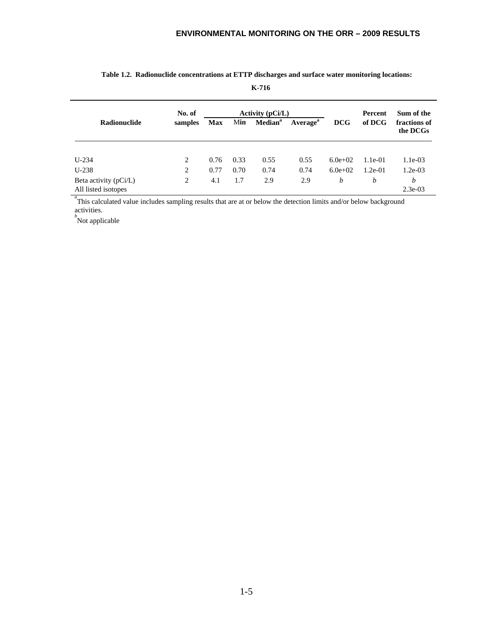|                                              | No. of  | Activity $(pCi/L)$ |      |                     |                      |                  | Percent   | Sum of the               |  |
|----------------------------------------------|---------|--------------------|------|---------------------|----------------------|------------------|-----------|--------------------------|--|
| <b>Radionuclide</b>                          | samples | Max                | Min  | Median <sup>a</sup> | Average <sup>a</sup> | <b>DCG</b>       | of DCG    | fractions of<br>the DCGs |  |
|                                              |         |                    |      |                     |                      |                  |           |                          |  |
| $U-234$                                      | 2       | 0.76               | 0.33 | 0.55                | 0.55                 | $6.0e+02$        | $1.1e-01$ | $1.1e-03$                |  |
| $U-238$                                      | 2       | 0.77               | 0.70 | 0.74                | 0.74                 | $6.0e+02$        | $1.2e-01$ | $1.2e-03$                |  |
| Beta activity (pCi/L)<br>All listed isotopes | 2       | 4.1                | 1.7  | 2.9                 | 2.9                  | $\boldsymbol{b}$ | b         | b<br>$2.3e-03$           |  |

#### **Table 1.2. Radionuclide concentrations at ETTP discharges and surface water monitoring locations:**

**K-716**

<sup>a</sup> This calculated value includes sampling results that are at or below the detection limits and/or below background activities.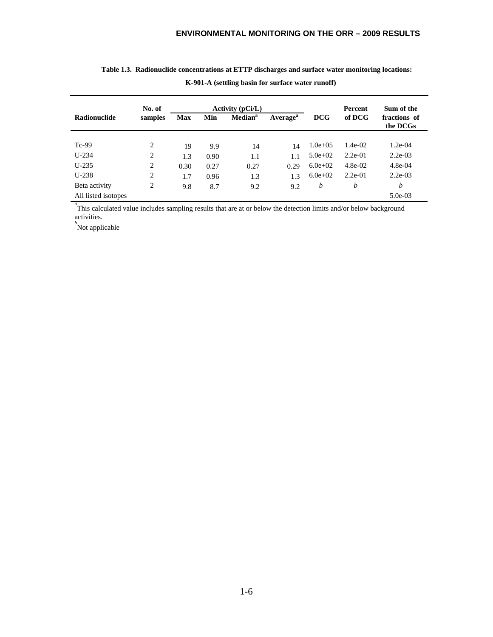|                     | No. of  |            |      | <b>Activity (pCi/L)</b> |                      |              | <b>Percent</b> | Sum of the               |
|---------------------|---------|------------|------|-------------------------|----------------------|--------------|----------------|--------------------------|
| <b>Radionuclide</b> | samples | <b>Max</b> | Min  | Median <sup>a</sup>     | Average <sup>a</sup> | <b>DCG</b>   | of DCG         | fractions of<br>the DCGs |
|                     |         |            |      |                         |                      |              |                |                          |
| $Tc-99$             | 2       | 19         | 9.9  | 14                      | 14                   | $1.0e + 0.5$ | $1.4e-02$      | $1.2e-04$                |
| $U-234$             | 2       | 1.3        | 0.90 | 1.1                     | 1.1                  | $5.0e + 02$  | $2.2e-01$      | $2.2e-03$                |
| $U-235$             | 2       | 0.30       | 0.27 | 0.27                    | 0.29                 | $6.0e+02$    | $4.8e-02$      | $4.8e-04$                |
| $U-238$             | 2       | 1.7        | 0.96 | 1.3                     | 1.3                  | $6.0e+02$    | $2.2e-01$      | $2.2e-03$                |
| Beta activity       | 2       | 9.8        | 8.7  | 9.2                     | 9.2                  | b            | b              | h                        |
| All listed isotopes |         |            |      |                         |                      |              |                | $5.0e-03$                |

| Table 1.3. Radionuclide concentrations at ETTP discharges and surface water monitoring locations: |
|---------------------------------------------------------------------------------------------------|
| K-901-A (settling basin for surface water runoff)                                                 |

<sup>a</sup> This calculated value includes sampling results that are at or below the detection limits and/or below background activities. *b* Not applicable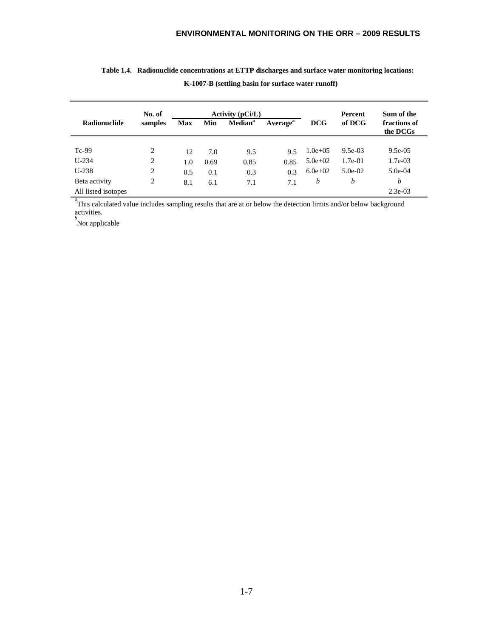|                     | No. of  |            |      | Activity $(pCi/L)$         |                      |              | <b>Percent</b> | Sum of the               |
|---------------------|---------|------------|------|----------------------------|----------------------|--------------|----------------|--------------------------|
| <b>Radionuclide</b> | samples | <b>Max</b> | Min  | <b>Median</b> <sup>a</sup> | Average <sup>a</sup> | <b>DCG</b>   | of DCG         | fractions of<br>the DCGs |
|                     |         |            |      |                            |                      |              |                |                          |
| $Tc-99$             | 2       | 12         | 7.0  | 9.5                        | 9.5                  | $1.0e + 0.5$ | $9.5e-03$      | $9.5e-0.5$               |
| $U-234$             | 2       | 1.0        | 0.69 | 0.85                       | 0.85                 | $5.0e + 02$  | $1.7e-01$      | 1.7e-03                  |
| $U-238$             | 2       | 0.5        | 0.1  | 0.3                        | 0.3                  | $6.0e+02$    | $5.0e-02$      | $5.0e-04$                |
| Beta activity       | 2       | 8.1        | 6.1  | 7.1                        | 7.1                  | b            | b              | b                        |
| All listed isotopes |         |            |      |                            |                      |              |                | $2.3e-03$                |

| Table 1.4. Radionuclide concentrations at ETTP discharges and surface water monitoring locations: |
|---------------------------------------------------------------------------------------------------|
| K-1007-B (settling basin for surface water runoff)                                                |

<sup>a</sup> This calculated value includes sampling results that are at or below the detection limits and/or below background activities. *b* Not applicable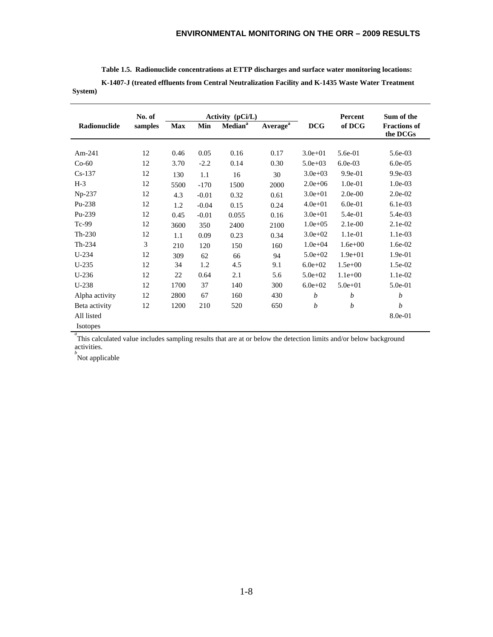| Table 1.5. Radionuclide concentrations at ETTP discharges and surface water monitoring locations: |
|---------------------------------------------------------------------------------------------------|
| K-1407-J (treated effluents from Central Neutralization Facility and K-1435 Waste Water Treatment |

| vstem) |
|--------|
|--------|

|                 | No. of  |            |         | Activity (pCi/L)          |                             |                  | Percent     | Sum of the                      |
|-----------------|---------|------------|---------|---------------------------|-----------------------------|------------------|-------------|---------------------------------|
| Radionuclide    | samples | <b>Max</b> | Min     | <b>Median<sup>a</sup></b> | <b>Average</b> <sup>a</sup> | <b>DCG</b>       | of DCG      | <b>Fractions of</b><br>the DCGs |
|                 |         |            |         |                           |                             |                  |             |                                 |
| Am-241          | 12      | 0.46       | 0.05    | 0.16                      | 0.17                        | $3.0e + 01$      | 5.6e-01     | 5.6e-03                         |
| $Co-60$         | 12      | 3.70       | $-2.2$  | 0.14                      | 0.30                        | $5.0e + 03$      | $6.0e-03$   | $6.0e-0.5$                      |
| $Cs-137$        | 12      | 130        | 1.1     | 16                        | 30                          | $3.0e + 03$      | $9.9e-01$   | $9.9e-03$                       |
| $H-3$           | 12      | 5500       | $-170$  | 1500                      | 2000                        | $2.0e + 06$      | 1.0e-01     | $1.0e-03$                       |
| Np-237          | 12      | 4.3        | $-0.01$ | 0.32                      | 0.61                        | $3.0e + 01$      | $2.0e-00$   | $2.0e-02$                       |
| Pu-238          | 12      | 1.2        | $-0.04$ | 0.15                      | 0.24                        | $4.0e + 01$      | $6.0e-01$   | $6.1e-03$                       |
| Pu-239          | 12      | 0.45       | $-0.01$ | 0.055                     | 0.16                        | $3.0e + 01$      | 5.4e-01     | 5.4e-03                         |
| $Tc-99$         | 12      | 3600       | 350     | 2400                      | 2100                        | $1.0e + 0.5$     | $2.1e-00$   | $2.1e-02$                       |
| $Th-230$        | 12      | 1.1        | 0.09    | 0.23                      | 0.34                        | $3.0e + 02$      | 1.1e-01     | 1.1e-03                         |
| Th-234          | 3       | 210        | 120     | 150                       | 160                         | $1.0e + 04$      | $1.6e + 00$ | 1.6e-02                         |
| $U-234$         | 12      | 309        | 62      | 66                        | 94                          | $5.0e + 02$      | $1.9e + 01$ | 1.9e-01                         |
| $U-235$         | 12      | 34         | 1.2     | 4.5                       | 9.1                         | $6.0e + 02$      | $1.5e+00$   | $1.5e-02$                       |
| $U-236$         | 12      | 22         | 0.64    | 2.1                       | 5.6                         | $5.0e + 02$      | $1.1e+00$   | $1.1e-02$                       |
| $U-238$         | 12      | 1700       | 37      | 140                       | 300                         | $6.0e + 02$      | $5.0e + 01$ | 5.0e-01                         |
| Alpha activity  | 12      | 2800       | 67      | 160                       | 430                         | $\boldsymbol{b}$ | b           | $\boldsymbol{b}$                |
| Beta activity   | 12      | 1200       | 210     | 520                       | 650                         | b                | b           | $\boldsymbol{b}$                |
| All listed      |         |            |         |                           |                             |                  |             | 8.0e-01                         |
| <b>Isotopes</b> |         |            |         |                           |                             |                  |             |                                 |

<sup>a</sup> This calculated value includes sampling results that are at or below the detection limits and/or below background activities.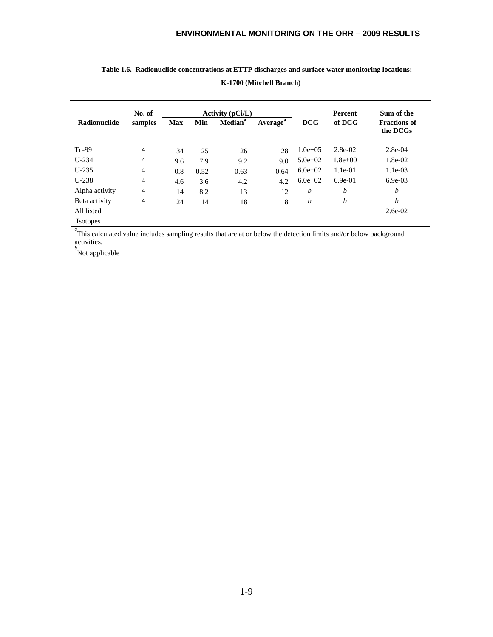|                     | No. of         |            |      | <b>Activity (pCi/L)</b> |                      |              | <b>Percent</b> | Sum of the                      |
|---------------------|----------------|------------|------|-------------------------|----------------------|--------------|----------------|---------------------------------|
| <b>Radionuclide</b> | samples        | <b>Max</b> | Min  | Median <sup>a</sup>     | Average <sup>a</sup> | <b>DCG</b>   | of DCG         | <b>Fractions of</b><br>the DCGs |
|                     |                |            |      |                         |                      |              |                |                                 |
| $Tc-99$             | $\overline{4}$ | 34         | 25   | 26                      | 28                   | $1.0e + 0.5$ | $2.8e-02$      | $2.8e-04$                       |
| $U-234$             | $\overline{4}$ | 9.6        | 7.9  | 9.2                     | 9.0                  | $5.0e + 02$  | $1.8e + 00$    | $1.8e-02$                       |
| $U-235$             | $\overline{4}$ | 0.8        | 0.52 | 0.63                    | 0.64                 | $6.0e+02$    | $1.1e-01$      | $1.1e-03$                       |
| $U-238$             | $\overline{4}$ | 4.6        | 3.6  | 4.2                     | 4.2                  | $6.0e + 02$  | $6.9e-01$      | $6.9e-03$                       |
| Alpha activity      | $\overline{4}$ | 14         | 8.2  | 13                      | 12                   | b            | b              | b                               |
| Beta activity       | 4              | 24         | 14   | 18                      | 18                   | b            | b              | b                               |
| All listed          |                |            |      |                         |                      |              |                | $2.6e-02$                       |
| <b>Isotopes</b>     |                |            |      |                         |                      |              |                |                                 |

### **Table 1.6. Radionuclide concentrations at ETTP discharges and surface water monitoring locations: K-1700 (Mitchell Branch)**

<sup>a</sup>This calculated value includes sampling results that are at or below the detection limits and/or below background activities.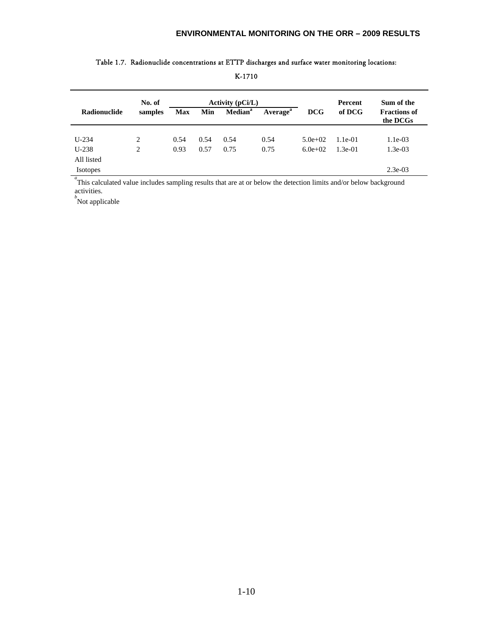|                 | No. of  |            |      | Activity $(pCi/L)$  |                             |             | Percent   | Sum of the                      |
|-----------------|---------|------------|------|---------------------|-----------------------------|-------------|-----------|---------------------------------|
| Radionuclide    | samples | <b>Max</b> | Min  | Median <sup>a</sup> | <b>Average</b> <sup>a</sup> | <b>DCG</b>  | of DCG    | <b>Fractions of</b><br>the DCGs |
|                 |         |            |      |                     |                             |             |           |                                 |
| $U-234$         | 2       | 0.54       | 0.54 | 0.54                | 0.54                        | $5.0e + 02$ | $1.1e-01$ | $1.1e-03$                       |
| $U-238$         | 2       | 0.93       | 0.57 | 0.75                | 0.75                        | $6.0e+02$   | $1.3e-01$ | $1.3e-03$                       |
| All listed      |         |            |      |                     |                             |             |           |                                 |
| <b>Isotopes</b> |         |            |      |                     |                             |             |           | $2.3e-03$                       |

#### Table 1.7. Radionuclide concentrations at ETTP discharges and surface water monitoring locations:

K-1710

<sup>a</sup>This calculated value includes sampling results that are at or below the detection limits and/or below background activities.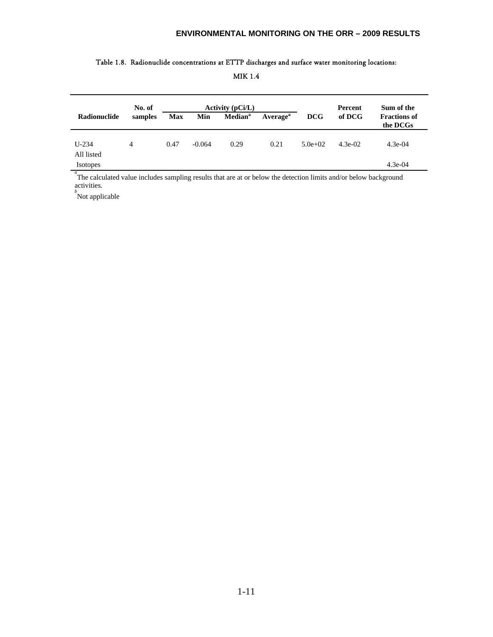# **No. of Activity (pCi/L) Percent Sum of the**  Radionuclide samples Max Min Median<sup>a</sup> Average<sup>a</sup> DCG of DCG Fractions of **the DCGs** U-234 4 0.47 -0.064 0.29 0.21 5.0e+02 4.3e-02 4.3e-04 All listed Isotopes 4.3e-04

#### Table 1.8. Radionuclide concentrations at ETTP discharges and surface water monitoring locations:

MIK 1.4

<sup>*a*</sup> The calculated value includes sampling results that are at or below the detection limits and/or below background activities.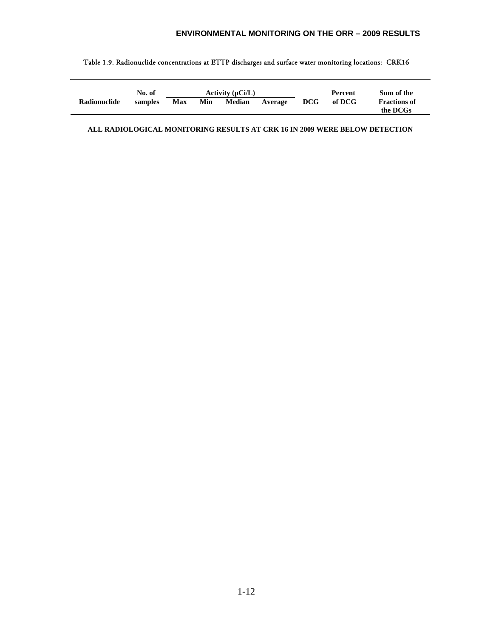|              | No. of  |            |     | Activity $(pCi/L)$ |         |     | Percent | Sum of the                      |
|--------------|---------|------------|-----|--------------------|---------|-----|---------|---------------------------------|
| Radionuclide | samples | <b>Max</b> | Min | Median             | Average | DCG | of DCG  | <b>Fractions of</b><br>the DCGs |

#### Table 1.9. Radionuclide concentrations at ETTP discharges and surface water monitoring locations: CRK16

**ALL RADIOLOGICAL MONITORING RESULTS AT CRK 16 IN 2009 WERE BELOW DETECTION**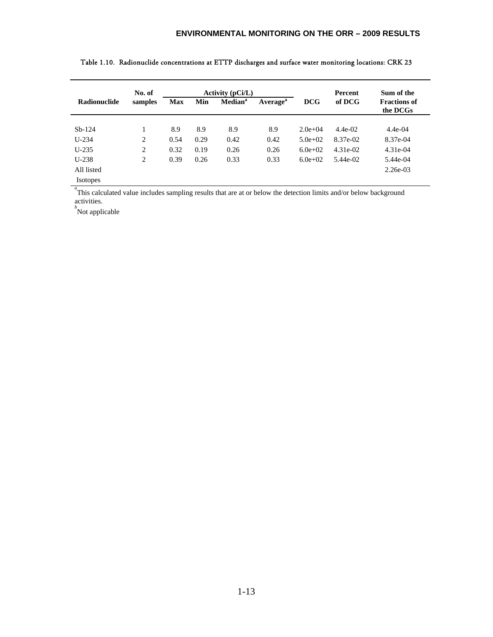|                     | No. of  |            |      | Activity $(pCi/L)$  |                      |             | Percent   | Sum of the                      |
|---------------------|---------|------------|------|---------------------|----------------------|-------------|-----------|---------------------------------|
| <b>Radionuclide</b> | samples | <b>Max</b> | Min  | Median <sup>a</sup> | Average <sup>a</sup> | DCG         | of DCG    | <b>Fractions of</b><br>the DCGs |
|                     |         |            |      |                     |                      |             |           |                                 |
| $Sb-124$            |         | 8.9        | 8.9  | 8.9                 | 8.9                  | $2.0e+04$   | $4.4e-02$ | $4.4e-04$                       |
| $U-234$             | 2       | 0.54       | 0.29 | 0.42                | 0.42                 | $5.0e+02$   | 8.37e-02  | 8.37e-04                        |
| $U-235$             | 2       | 0.32       | 0.19 | 0.26                | 0.26                 | $6.0e + 02$ | 4.31e-02  | $4.31e-04$                      |
| $U-238$             | 2       | 0.39       | 0.26 | 0.33                | 0.33                 | $6.0e+02$   | 5.44e-02  | 5.44e-04                        |
| All listed          |         |            |      |                     |                      |             |           | $2.26e-03$                      |
| <b>Isotopes</b>     |         |            |      |                     |                      |             |           |                                 |

Table 1.10. Radionuclide concentrations at ETTP discharges and surface water monitoring locations: CRK 23

<sup>a</sup> This calculated value includes sampling results that are at or below the detection limits and/or below background activities.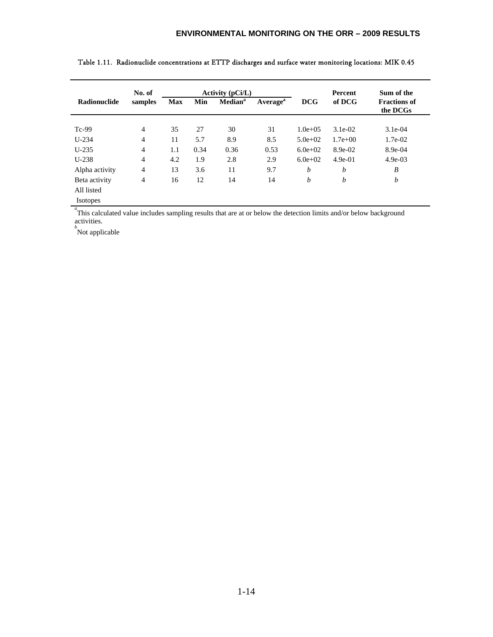|                | No. of         |            |      | Activity $(pCi/L)$         |                      |              | <b>Percent</b> | Sum of the                      |
|----------------|----------------|------------|------|----------------------------|----------------------|--------------|----------------|---------------------------------|
| Radionuclide   | samples        | <b>Max</b> | Min  | <b>Median</b> <sup>a</sup> | Average <sup>a</sup> | <b>DCG</b>   | of DCG         | <b>Fractions of</b><br>the DCGs |
|                |                |            |      |                            |                      |              |                |                                 |
| $Tc-99$        | $\overline{4}$ | 35         | 27   | 30                         | 31                   | $1.0e + 0.5$ | $3.1e-02$      | $3.1e-04$                       |
| $U-234$        | $\overline{4}$ | 11         | 5.7  | 8.9                        | 8.5                  | $5.0e+02$    | $1.7e + 00$    | $1.7e-02$                       |
| $U-235$        | $\overline{4}$ | 1.1        | 0.34 | 0.36                       | 0.53                 | $6.0e+02$    | 8.9e-02        | 8.9e-04                         |
| $U-238$        | $\overline{4}$ | 4.2        | 1.9  | 2.8                        | 2.9                  | $6.0e+02$    | $4.9e-01$      | $4.9e-03$                       |
| Alpha activity | $\overline{4}$ | 13         | 3.6  | 11                         | 9.7                  | b            | b              | B                               |
| Beta activity  | $\overline{4}$ | 16         | 12   | 14                         | 14                   | b            | b              | $\boldsymbol{b}$                |
| All listed     |                |            |      |                            |                      |              |                |                                 |
| Isotopes       |                |            |      |                            |                      |              |                |                                 |

Table 1.11. Radionuclide concentrations at ETTP discharges and surface water monitoring locations: MIK 0.45

<sup>a</sup>This calculated value includes sampling results that are at or below the detection limits and/or below background activities.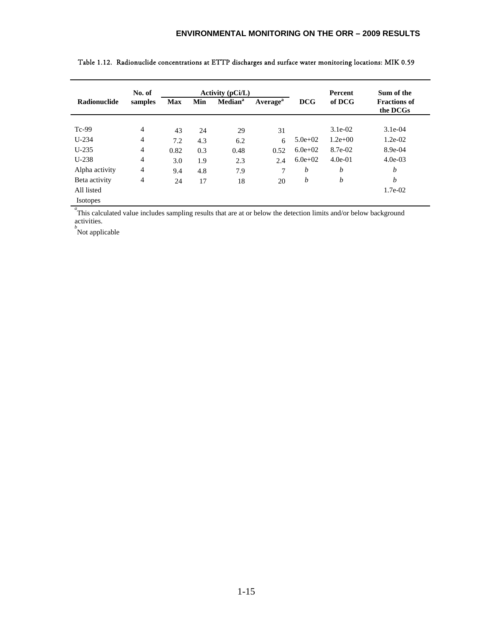|                 | No. of         |            |     | <b>Activity (pCi/L)</b>    |                      |             | Percent     | Sum of the                      |
|-----------------|----------------|------------|-----|----------------------------|----------------------|-------------|-------------|---------------------------------|
| Radionuclide    | samples        | <b>Max</b> | Min | <b>Median</b> <sup>a</sup> | Average <sup>a</sup> | <b>DCG</b>  | of DCG      | <b>Fractions of</b><br>the DCGs |
|                 |                |            |     |                            |                      |             |             |                                 |
| $Tc-99$         | $\overline{4}$ | 43         | 24  | 29                         | 31                   |             | $3.1e-02$   | $3.1e-04$                       |
| $U-234$         | $\overline{4}$ | 7.2        | 4.3 | 6.2                        | 6                    | $5.0e + 02$ | $1.2e + 00$ | $1.2e-02$                       |
| $U-235$         | $\overline{4}$ | 0.82       | 0.3 | 0.48                       | 0.52                 | $6.0e + 02$ | 8.7e-02     | 8.9e-04                         |
| $U-238$         | $\overline{4}$ | 3.0        | 1.9 | 2.3                        | 2.4                  | $6.0e+02$   | $4.0e-01$   | $4.0e-03$                       |
| Alpha activity  | $\overline{4}$ | 9.4        | 4.8 | 7.9                        | 7                    | b           | b           | b                               |
| Beta activity   | 4              | 24         | 17  | 18                         | 20                   | b           | b           | b                               |
| All listed      |                |            |     |                            |                      |             |             | 1.7e-02                         |
| <b>Isotopes</b> |                |            |     |                            |                      |             |             |                                 |

Table 1.12. Radionuclide concentrations at ETTP discharges and surface water monitoring locations: MIK 0.59

<sup>a</sup>This calculated value includes sampling results that are at or below the detection limits and/or below background activities.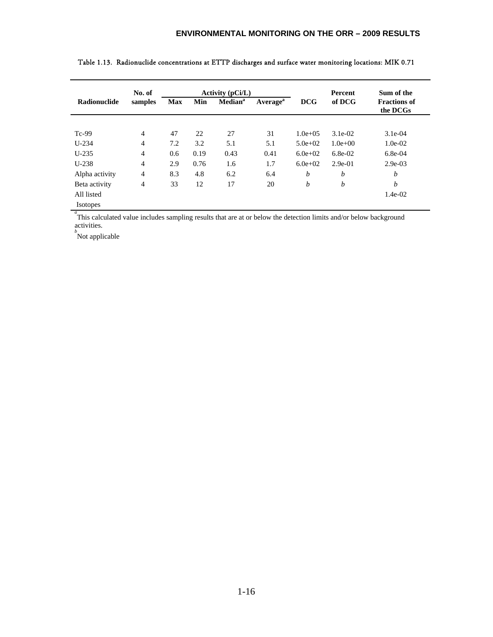| No. of         |            |      |                            |                      |                  | Percent     | Sum of the                      |
|----------------|------------|------|----------------------------|----------------------|------------------|-------------|---------------------------------|
| samples        | <b>Max</b> | Min  | <b>Median</b> <sup>a</sup> | Average <sup>a</sup> | <b>DCG</b>       | of DCG      | <b>Fractions of</b><br>the DCGs |
|                |            |      |                            |                      |                  |             |                                 |
| $\overline{4}$ | 47         | 22   | 27                         | 31                   | $1.0e + 0.5$     | $3.1e-02$   | $3.1e-04$                       |
| $\overline{4}$ | 7.2        | 3.2  | 5.1                        | 5.1                  | $5.0e + 02$      | $1.0e + 00$ | $1.0e-02$                       |
| $\overline{4}$ | 0.6        | 0.19 | 0.43                       | 0.41                 | $6.0e + 02$      | $6.8e-02$   | $6.8e-04$                       |
| $\overline{4}$ | 2.9        | 0.76 | 1.6                        | 1.7                  | $6.0e+02$        | $2.9e-01$   | $2.9e-03$                       |
| $\overline{4}$ | 8.3        | 4.8  | 6.2                        | 6.4                  | b                | b           | b                               |
| 4              | 33         | 12   | 17                         | 20                   | b                | b           | b                               |
|                |            |      |                            |                      |                  |             | $1.4e-02$                       |
|                |            |      |                            |                      |                  |             |                                 |
|                |            |      |                            |                      | Activity (pCi/L) |             |                                 |

Table 1.13. Radionuclide concentrations at ETTP discharges and surface water monitoring locations: MIK 0.71

<sup>a</sup> This calculated value includes sampling results that are at or below the detection limits and/or below background activities. *b* Not applicable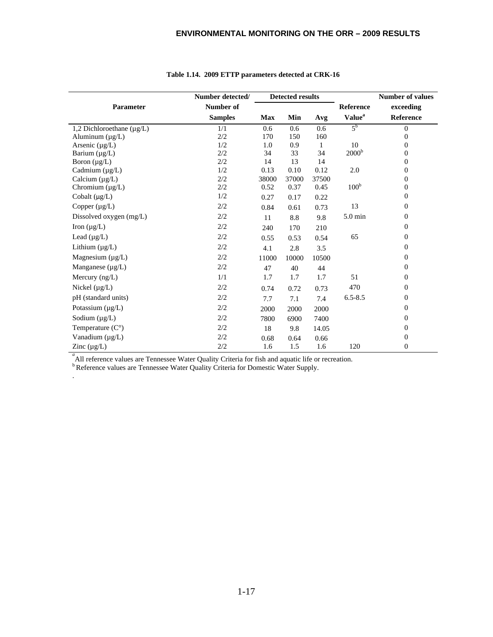|                                | Number detected/ |            | <b>Detected results</b> |       |                           | <b>Number of values</b> |
|--------------------------------|------------------|------------|-------------------------|-------|---------------------------|-------------------------|
| Parameter                      | Number of        |            |                         |       | <b>Reference</b>          | exceeding               |
|                                | <b>Samples</b>   | <b>Max</b> | Min                     | Avg   | <b>Value</b> <sup>a</sup> | Reference               |
| 1,2 Dichloroethane $(\mu g/L)$ | 1/1              | 0.6        | 0.6                     | 0.6   | 5 <sup>b</sup>            | $\overline{0}$          |
| Aluminum $(\mu g/L)$           | 2/2              | 170        | 150                     | 160   |                           | $\overline{0}$          |
| Arsenic $(\mu g/L)$            | 1/2              | 1.0        | 0.9                     | 1     | 10                        | $\boldsymbol{0}$        |
| Barium $(\mu g/L)$             | 2/2              | 34         | 33                      | 34    | 2000 <sup>b</sup>         | $\mathbf{0}$            |
| Boron $(\mu g/L)$              | 2/2              | 14         | 13                      | 14    |                           | $\boldsymbol{0}$        |
| Cadmium $(\mu g/L)$            | 1/2              | 0.13       | 0.10                    | 0.12  | 2.0                       | 0                       |
| Calcium $(\mu g/L)$            | 2/2              | 38000      | 37000                   | 37500 |                           | $\boldsymbol{0}$        |
| Chromium $(\mu g/L)$           | 2/2              | 0.52       | 0.37                    | 0.45  | 100 <sup>b</sup>          | $\boldsymbol{0}$        |
| Cobalt $(\mu g/L)$             | 1/2              | 0.27       | 0.17                    | 0.22  |                           | $\boldsymbol{0}$        |
| Copper $(\mu g/L)$             | 2/2              | 0.84       | 0.61                    | 0.73  | 13                        | $\boldsymbol{0}$        |
| Dissolved oxygen $(mg/L)$      | 2/2              | 11         | 8.8                     | 9.8   | 5.0 min                   | $\boldsymbol{0}$        |
| Iron $(\mu g/L)$               | 2/2              | 240        | 170                     | 210   |                           | $\boldsymbol{0}$        |
| Lead $(\mu g/L)$               | 2/2              | 0.55       | 0.53                    | 0.54  | 65                        | $\boldsymbol{0}$        |
| Lithium $(\mu g/L)$            | 2/2              | 4.1        | 2.8                     | 3.5   |                           | $\boldsymbol{0}$        |
| Magnesium $(\mu g/L)$          | 2/2              | 11000      | 10000                   | 10500 |                           | $\boldsymbol{0}$        |
| Manganese $(\mu g/L)$          | 2/2              | 47         | 40                      | 44    |                           | $\boldsymbol{0}$        |
| Mercury $(ng/L)$               | 1/1              | 1.7        | 1.7                     | 1.7   | 51                        | $\boldsymbol{0}$        |
| Nickel $(\mu g/L)$             | 2/2              | 0.74       | 0.72                    | 0.73  | 470                       | $\boldsymbol{0}$        |
| pH (standard units)            | 2/2              | 7.7        | 7.1                     | 7.4   | $6.5 - 8.5$               | $\boldsymbol{0}$        |
| Potassium $(\mu g/L)$          | 2/2              | 2000       | 2000                    | 2000  |                           | $\boldsymbol{0}$        |
| Sodium $(\mu g/L)$             | 2/2              | 7800       | 6900                    | 7400  |                           | $\boldsymbol{0}$        |
| Temperature $(C^{\circ})$      | 2/2              | 18         | 9.8                     | 14.05 |                           | $\boldsymbol{0}$        |
| Vanadium (µg/L)                | 2/2              | 0.68       | 0.64                    | 0.66  |                           | $\boldsymbol{0}$        |
| Zinc $(\mu g/L)$               | 2/2              | 1.6        | 1.5                     | 1.6   | 120                       | $\overline{0}$          |

#### **Table 1.14. 2009 ETTP parameters detected at CRK-16**

<sup>*a*</sup> All reference values are Tennessee Water Quality Criteria for fish and aquatic life or recreation.

<sup>b</sup> Reference values are Tennessee Water Quality Criteria for Domestic Water Supply.

.

 $\overline{a}$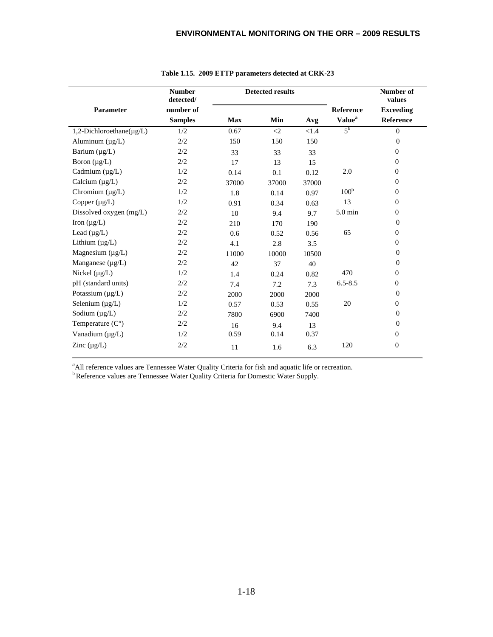|                                | <b>Number</b><br>detected/ |            | <b>Detected results</b> |       |                           | Number of<br>values |
|--------------------------------|----------------------------|------------|-------------------------|-------|---------------------------|---------------------|
| Parameter                      | number of                  |            |                         |       | Reference                 | <b>Exceeding</b>    |
|                                | <b>Samples</b>             | <b>Max</b> | Min                     | Avg   | <b>Value</b> <sup>a</sup> | Reference           |
| 1,2-Dichloroethane( $\mu$ g/L) | 1/2                        | 0.67       | $\langle 2 \rangle$     | < 1.4 | $5^{\rm b}$               | $\mathbf{0}$        |
| Aluminum $(\mu g/L)$           | 2/2                        | 150        | 150                     | 150   |                           | $\Omega$            |
| Barium $(\mu g/L)$             | 2/2                        | 33         | 33                      | 33    |                           | $\overline{0}$      |
| Boron $(\mu g/L)$              | 2/2                        | 17         | 13                      | 15    |                           | $\mathbf{0}$        |
| Cadmium $(\mu g/L)$            | 1/2                        | 0.14       | 0.1                     | 0.12  | 2.0                       | $\overline{0}$      |
| Calcium $(\mu g/L)$            | 2/2                        | 37000      | 37000                   | 37000 |                           | $\mathbf{0}$        |
| Chromium $(\mu g/L)$           | 1/2                        | 1.8        | 0.14                    | 0.97  | 100 <sup>b</sup>          | $\overline{0}$      |
| Copper $(\mu g/L)$             | 1/2                        | 0.91       | 0.34                    | 0.63  | 13                        | $\mathbf{0}$        |
| Dissolved oxygen (mg/L)        | 2/2                        | 10         | 9.4                     | 9.7   | 5.0 min                   | $\overline{0}$      |
| Iron $(\mu g/L)$               | 2/2                        | 210        | 170                     | 190   |                           | $\overline{0}$      |
| Lead $(\mu g/L)$               | $2/2$                      | 0.6        | 0.52                    | 0.56  | 65                        | $\overline{0}$      |
| Lithium $(\mu g/L)$            | 2/2                        | 4.1        | 2.8                     | 3.5   |                           | $\overline{0}$      |
| Magnesium $(\mu g/L)$          | 2/2                        | 11000      | 10000                   | 10500 |                           | $\mathbf{0}$        |
| Manganese $(\mu g/L)$          | 2/2                        | 42         | 37                      | 40    |                           | $\overline{0}$      |
| Nickel $(\mu g/L)$             | 1/2                        | 1.4        | 0.24                    | 0.82  | 470                       | $\mathbf{0}$        |
| pH (standard units)            | 2/2                        | 7.4        | 7.2                     | 7.3   | $6.5 - 8.5$               | $\overline{0}$      |
| Potassium $(\mu g/L)$          | 2/2                        | 2000       | 2000                    | 2000  |                           | $\mathbf{0}$        |
| Selenium $(\mu g/L)$           | 1/2                        | 0.57       | 0.53                    | 0.55  | 20                        | $\overline{0}$      |
| Sodium $(\mu g/L)$             | 2/2                        | 7800       | 6900                    | 7400  |                           | $\Omega$            |
| Temperature $(C^{\circ})$      | 2/2                        | 16         | 9.4                     | 13    |                           | $\overline{0}$      |
| Vanadium (µg/L)                | 1/2                        | 0.59       | 0.14                    | 0.37  |                           | $\mathbf{0}$        |
| Zinc $(\mu g/L)$               | 2/2                        | 11         | 1.6                     | 6.3   | 120                       | $\boldsymbol{0}$    |

#### **Table 1.15. 2009 ETTP parameters detected at CRK-23**

<sup>a</sup> All reference values are Tennessee Water Quality Criteria for fish and aquatic life or recreation.

<sup>b</sup> Reference values are Tennessee Water Quality Criteria for Domestic Water Supply.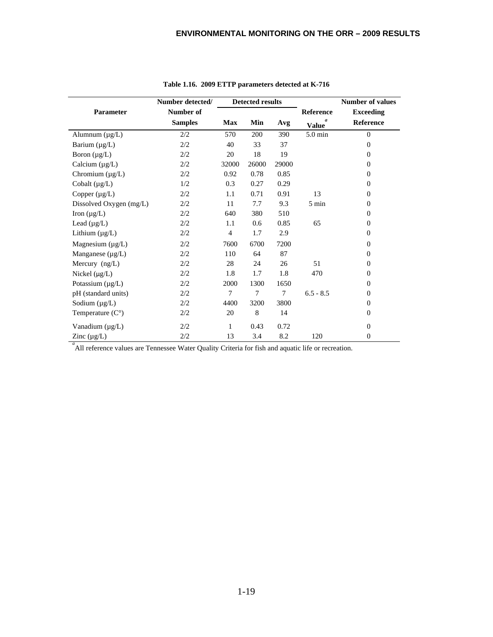|                           | Number detected/ |                | <b>Detected results</b> |       |                 | <b>Number of values</b> |  |
|---------------------------|------------------|----------------|-------------------------|-------|-----------------|-------------------------|--|
| Parameter                 | Number of        |                |                         |       | Reference       | <b>Exceeding</b>        |  |
|                           | <b>Samples</b>   | <b>Max</b>     | Min                     | Avg   | <b>Value</b>    | <b>Reference</b>        |  |
| Alumnum $(\mu g/L)$       | 2/2              | 570            | 200                     | 390   | 5.0 min         | $\Omega$                |  |
| Barium $(\mu g/L)$        | 2/2              | 40             | 33                      | 37    |                 | $\Omega$                |  |
| Boron $(\mu g/L)$         | 2/2              | 20             | 18                      | 19    |                 | $\mathbf{0}$            |  |
| Calcium $(\mu g/L)$       | 2/2              | 32000          | 26000                   | 29000 |                 | $\Omega$                |  |
| Chromium (µg/L)           | 2/2              | 0.92           | 0.78                    | 0.85  |                 | $\Omega$                |  |
| Cobalt $(\mu g/L)$        | 1/2              | 0.3            | 0.27                    | 0.29  |                 | $\Omega$                |  |
| Copper $(\mu g/L)$        | 2/2              | 1.1            | 0.71                    | 0.91  | 13              | $\Omega$                |  |
| Dissolved Oxygen (mg/L)   | 2/2              | 11             | 7.7                     | 9.3   | $5 \text{ min}$ | $\mathbf{0}$            |  |
| Iron $(\mu g/L)$          | 2/2              | 640            | 380                     | 510   |                 | $\Omega$                |  |
| Lead $(\mu g/L)$          | 2/2              | 1.1            | 0.6                     | 0.85  | 65              | $\Omega$                |  |
| Lithium $(\mu g/L)$       | 2/2              | $\overline{4}$ | 1.7                     | 2.9   |                 | $\mathbf{0}$            |  |
| Magnesium $(\mu g/L)$     | 2/2              | 7600           | 6700                    | 7200  |                 | $\mathbf{0}$            |  |
| Manganese $(\mu g/L)$     | 2/2              | 110            | 64                      | 87    |                 | $\Omega$                |  |
| Mercury $(ng/L)$          | 2/2              | 28             | 24                      | 26    | 51              | $\Omega$                |  |
| Nickel $(\mu g/L)$        | 2/2              | 1.8            | 1.7                     | 1.8   | 470             | $\mathbf{0}$            |  |
| Potassium $(\mu g/L)$     | 2/2              | 2000           | 1300                    | 1650  |                 | $\Omega$                |  |
| pH (standard units)       | 2/2              | 7              | 7                       | 7     | $6.5 - 8.5$     | $\mathbf{0}$            |  |
| Sodium $(\mu g/L)$        | 2/2              | 4400           | 3200                    | 3800  |                 | $\Omega$                |  |
| Temperature $(C^{\circ})$ | 2/2              | 20             | 8                       | 14    |                 | $\mathbf{0}$            |  |
| Vanadium (µg/L)           | 2/2              | 1              | 0.43                    | 0.72  |                 | $\mathbf{0}$            |  |
| Zinc $(\mu g/L)$          | 2/2              | 13             | 3.4                     | 8.2   | 120             | $\mathbf{0}$            |  |

**Table 1.16. 2009 ETTP parameters detected at K-716**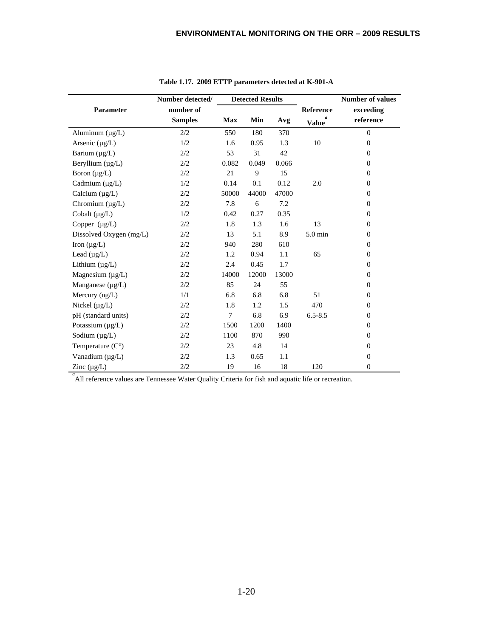|                           | Number detected/ |            | <b>Detected Results</b> |       |                   | <b>Number of values</b> |
|---------------------------|------------------|------------|-------------------------|-------|-------------------|-------------------------|
| Parameter                 | number of        |            |                         |       | <b>Reference</b>  | exceeding               |
|                           | <b>Samples</b>   | <b>Max</b> | Min                     | Avg   | a<br><b>Value</b> | reference               |
| Aluminum (µg/L)           | 2/2              | 550        | 180                     | 370   |                   | $\mathbf{0}$            |
| Arsenic $(\mu g/L)$       | 1/2              | 1.6        | 0.95                    | 1.3   | 10                | $\theta$                |
| Barium $(\mu g/L)$        | 2/2              | 53         | 31                      | 42    |                   | $\theta$                |
| Beryllium $(\mu g/L)$     | 2/2              | 0.082      | 0.049                   | 0.066 |                   | $\Omega$                |
| Boron $(\mu g/L)$         | 2/2              | 21         | 9                       | 15    |                   | $\mathbf{0}$            |
| Cadmium $(\mu g/L)$       | 1/2              | 0.14       | 0.1                     | 0.12  | 2.0               | $\theta$                |
| Calcium $(\mu g/L)$       | 2/2              | 50000      | 44000                   | 47000 |                   | $\Omega$                |
| Chromium $(\mu g/L)$      | 2/2              | 7.8        | 6                       | 7.2   |                   | $\mathbf{0}$            |
| Cobalt $(\mu g/L)$        | 1/2              | 0.42       | 0.27                    | 0.35  |                   | $\theta$                |
| Copper $(\mu g/L)$        | 2/2              | 1.8        | 1.3                     | 1.6   | 13                | $\theta$                |
| Dissolved Oxygen (mg/L)   | 2/2              | 13         | 5.1                     | 8.9   | $5.0 \text{ min}$ | $\mathbf{0}$            |
| Iron $(\mu g/L)$          | 2/2              | 940        | 280                     | 610   |                   | $\Omega$                |
| Lead $(\mu g/L)$          | 2/2              | 1.2        | 0.94                    | 1.1   | 65                | $\theta$                |
| Lithium $(\mu g/L)$       | 2/2              | 2.4        | 0.45                    | 1.7   |                   | $\mathbf{0}$            |
| Magnesium $(\mu g/L)$     | $2/2$            | 14000      | 12000                   | 13000 |                   | $\theta$                |
| Manganese (µg/L)          | 2/2              | 85         | 24                      | 55    |                   | $\theta$                |
| Mercury $(ng/L)$          | 1/1              | 6.8        | 6.8                     | 6.8   | 51                | $\theta$                |
| Nickel $(\mu g/L)$        | 2/2              | 1.8        | 1.2                     | 1.5   | 470               | $\mathbf{0}$            |
| pH (standard units)       | 2/2              | 7          | 6.8                     | 6.9   | $6.5 - 8.5$       | $\theta$                |
| Potassium $(\mu g/L)$     | 2/2              | 1500       | 1200                    | 1400  |                   | $\theta$                |
| Sodium $(\mu g/L)$        | 2/2              | 1100       | 870                     | 990   |                   | $\Omega$                |
| Temperature $(C^{\circ})$ | 2/2              | 23         | 4.8                     | 14    |                   | $\mathbf{0}$            |
| Vanadium (µg/L)           | 2/2              | 1.3        | 0.65                    | 1.1   |                   | $\theta$                |
| Zinc $(\mu g/L)$          | 2/2              | 19         | 16                      | 18    | 120               | $\theta$                |

**Table 1.17. 2009 ETTP parameters detected at K-901-A**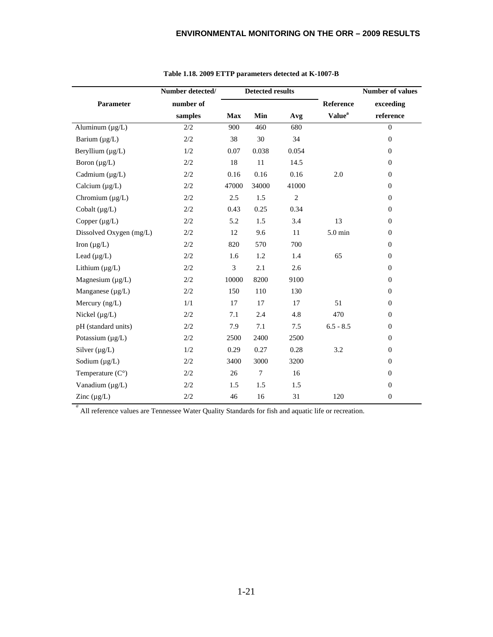|                           | Number detected/ |            | <b>Detected results</b> |       |                           | <b>Number of values</b> |
|---------------------------|------------------|------------|-------------------------|-------|---------------------------|-------------------------|
| Parameter                 | number of        |            |                         |       | <b>Reference</b>          | exceeding               |
|                           | samples          | <b>Max</b> | Min                     | Avg   | <b>Value</b> <sup>a</sup> | reference               |
| Aluminum $(\mu g/L)$      | $2/2$            | 900        | 460                     | 680   |                           | $\mathbf{0}$            |
| Barium $(\mu g/L)$        | $2/2$            | 38         | 30                      | 34    |                           | $\boldsymbol{0}$        |
| Beryllium (µg/L)          | 1/2              | 0.07       | 0.038                   | 0.054 |                           | $\mathbf{0}$            |
| Boron $(\mu g/L)$         | $2/2$            | 18         | 11                      | 14.5  |                           | $\boldsymbol{0}$        |
| Cadmium $(\mu g/L)$       | 2/2              | 0.16       | 0.16                    | 0.16  | 2.0                       | $\theta$                |
| Calcium $(\mu g/L)$       | 2/2              | 47000      | 34000                   | 41000 |                           | $\mathbf{0}$            |
| Chromium $(\mu g/L)$      | 2/2              | 2.5        | 1.5                     | 2     |                           | $\theta$                |
| Cobalt $(\mu g/L)$        | 2/2              | 0.43       | 0.25                    | 0.34  |                           | $\mathbf{0}$            |
| Copper $(\mu g/L)$        | $2/2$            | 5.2        | 1.5                     | 3.4   | 13                        | $\mathbf{0}$            |
| Dissolved Oxygen (mg/L)   | $2/2$            | 12         | 9.6                     | 11    | $5.0 \text{ min}$         | $\mathbf{0}$            |
| Iron $(\mu g/L)$          | 2/2              | 820        | 570                     | 700   |                           | $\mathbf{0}$            |
| Lead $(\mu g/L)$          | $2/2$            | 1.6        | 1.2                     | 1.4   | 65                        | $\theta$                |
| Lithium $(\mu g/L)$       | 2/2              | 3          | 2.1                     | 2.6   |                           | $\overline{0}$          |
| Magnesium (µg/L)          | 2/2              | 10000      | 8200                    | 9100  |                           | $\mathbf{0}$            |
| Manganese $(\mu g/L)$     | 2/2              | 150        | 110                     | 130   |                           | $\overline{0}$          |
| Mercury $(ng/L)$          | 1/1              | 17         | 17                      | 17    | 51                        | $\overline{0}$          |
| Nickel $(\mu g/L)$        | $2/2$            | 7.1        | 2.4                     | 4.8   | 470                       | $\mathbf{0}$            |
| pH (standard units)       | $2/2$            | 7.9        | 7.1                     | $7.5$ | $6.5 - 8.5$               | $\boldsymbol{0}$        |
| Potassium $(\mu g/L)$     | 2/2              | 2500       | 2400                    | 2500  |                           | $\mathbf{0}$            |
| Silver $(\mu g/L)$        | 1/2              | 0.29       | 0.27                    | 0.28  | 3.2                       | $\theta$                |
| Sodium $(\mu g/L)$        | $2/2$            | 3400       | 3000                    | 3200  |                           | $\mathbf{0}$            |
| Temperature $(C^{\circ})$ | 2/2              | 26         | 7                       | 16    |                           | $\theta$                |
| Vanadium (µg/L)           | 2/2              | 1.5        | 1.5                     | 1.5   |                           | $\mathbf{0}$            |
| Zinc $(\mu g/L)$          | 2/2              | 46         | 16                      | 31    | 120                       | $\mathbf{0}$            |

#### **Table 1.18. 2009 ETTP parameters detected at K-1007-B**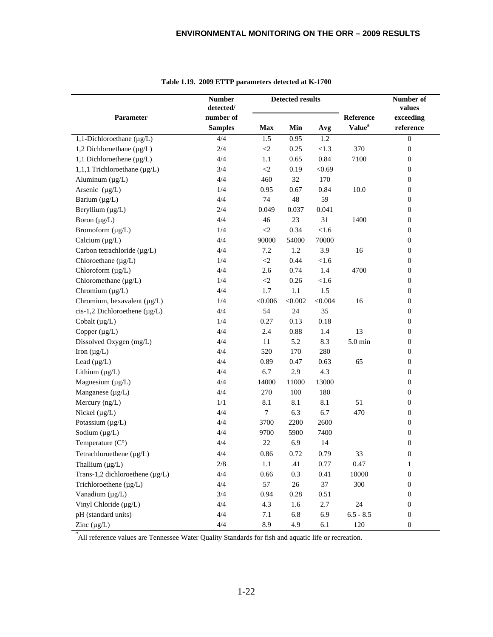|                                      | <b>Number</b><br>detected/ |             | <b>Detected results</b> |         |                           | Number of<br>values |
|--------------------------------------|----------------------------|-------------|-------------------------|---------|---------------------------|---------------------|
| Parameter                            | number of                  |             |                         |         | Reference                 | exceeding           |
|                                      | <b>Samples</b>             | <b>Max</b>  | Min                     | Avg     | <b>Value</b> <sup>a</sup> | reference           |
| 1,1-Dichloroethane $(\mu g/L)$       | 4/4                        | 1.5         | 0.95                    | 1.2     |                           | $\boldsymbol{0}$    |
| 1,2 Dichloroethane $(\mu g/L)$       | 2/4                        | $\langle 2$ | 0.25                    | < 1.3   | 370                       | $\boldsymbol{0}$    |
| 1,1 Dichloroethene $(\mu g/L)$       | 4/4                        | 1.1         | 0.65                    | 0.84    | 7100                      | $\boldsymbol{0}$    |
| 1,1,1 Trichloroethane (µg/L)         | 3/4                        | $\langle 2$ | 0.19                    | < 0.69  |                           | $\boldsymbol{0}$    |
| Aluminum $(\mu g/L)$                 | 4/4                        | 460         | 32                      | 170     |                           | $\boldsymbol{0}$    |
| Arsenic $(\mu g/L)$                  | 1/4                        | 0.95        | 0.67                    | 0.84    | 10.0                      | $\boldsymbol{0}$    |
| Barium $(\mu g/L)$                   | 4/4                        | 74          | 48                      | 59      |                           | $\boldsymbol{0}$    |
| Beryllium (µg/L)                     | 2/4                        | 0.049       | 0.037                   | 0.041   |                           | $\boldsymbol{0}$    |
| Boron $(\mu g/L)$                    | 4/4                        | 46          | 23                      | 31      | 1400                      | $\boldsymbol{0}$    |
| Bromoform (µg/L)                     | 1/4                        | $\leq$      | 0.34                    | $<1.6$  |                           | $\boldsymbol{0}$    |
| Calcium $(\mu g/L)$                  | 4/4                        | 90000       | 54000                   | 70000   |                           | $\boldsymbol{0}$    |
| Carbon tetrachloride (µg/L)          | 4/4                        | 7.2         | 1.2                     | 3.9     | 16                        | $\boldsymbol{0}$    |
| Chloroethane (µg/L)                  | 1/4                        | $\langle 2$ | 0.44                    | $<1.6$  |                           | $\boldsymbol{0}$    |
| Chloroform (µg/L)                    | 4/4                        | 2.6         | 0.74                    | 1.4     | 4700                      | $\boldsymbol{0}$    |
| Chloromethane $(\mu g/L)$            | 1/4                        | $\langle 2$ | 0.26                    | $<1.6$  |                           | $\boldsymbol{0}$    |
| Chromium $(\mu g/L)$                 | 4/4                        | 1.7         | 1.1                     | 1.5     |                           | $\boldsymbol{0}$    |
| Chromium, hexavalent $(\mu g/L)$     | 1/4                        | < 0.006     | < 0.002                 | < 0.004 | 16                        | $\boldsymbol{0}$    |
| cis-1,2 Dichloroethene (µg/L)        | 4/4                        | 54          | 24                      | 35      |                           | $\boldsymbol{0}$    |
| Cobalt $(\mu g/L)$                   | 1/4                        | 0.27        | 0.13                    | 0.18    |                           | $\boldsymbol{0}$    |
| Copper $(\mu g/L)$                   | 4/4                        | 2.4         | 0.88                    | 1.4     | 13                        | $\boldsymbol{0}$    |
| Dissolved Oxygen (mg/L)              | 4/4                        | 11          | 5.2                     | 8.3     | $5.0$ min                 | $\boldsymbol{0}$    |
| Iron $(\mu g/L)$                     | 4/4                        | 520         | 170                     | 280     |                           | $\boldsymbol{0}$    |
| Lead $(\mu g/L)$                     | 4/4                        | 0.89        | 0.47                    | 0.63    | 65                        | $\boldsymbol{0}$    |
| Lithium $(\mu g/L)$                  | 4/4                        | 6.7         | 2.9                     | 4.3     |                           | $\boldsymbol{0}$    |
| Magnesium $(\mu g/L)$                | 4/4                        | 14000       | 11000                   | 13000   |                           | $\boldsymbol{0}$    |
| Manganese (µg/L)                     | 4/4                        | 270         | 100                     | 180     |                           | $\boldsymbol{0}$    |
| Mercury (ng/L)                       | 1/1                        | 8.1         | 8.1                     | 8.1     | 51                        | $\boldsymbol{0}$    |
| Nickel $(\mu g/L)$                   | 4/4                        | $\tau$      | 6.3                     | 6.7     | 470                       | $\boldsymbol{0}$    |
| Potassium (µg/L)                     | 4/4                        | 3700        | 2200                    | 2600    |                           | $\boldsymbol{0}$    |
| Sodium $(\mu g/L)$                   | 4/4                        | 9700        | 5900                    | 7400    |                           | $\boldsymbol{0}$    |
| Temperature $(C^{\circ})$            | 4/4                        | 22          | 6.9                     | 14      |                           | $\boldsymbol{0}$    |
| Tetrachloroethene (µg/L)             | 4/4                        | 0.86        | 0.72                    | 0.79    | 33                        | 0                   |
| Thallium $(\mu g/L)$                 | $2/8$                      | $1.1\,$     | .41                     | 0.77    | 0.47                      | $\mathbf{1}$        |
| Trans-1,2 dichloroethene $(\mu g/L)$ | 4/4                        | 0.66        | 0.3                     | 0.41    | 10000                     | $\boldsymbol{0}$    |
| Trichloroethene (µg/L)               | 4/4                        | 57          | $26\,$                  | 37      | 300                       | $\boldsymbol{0}$    |
| Vanadium (µg/L)                      | 3/4                        | 0.94        | $0.28\,$                | 0.51    |                           | $\boldsymbol{0}$    |
| Vinyl Chloride (µg/L)                | 4/4                        | 4.3         | 1.6                     | 2.7     | 24                        | $\boldsymbol{0}$    |
| pH (standard units)                  | 4/4                        | 7.1         | 6.8                     | 6.9     | $6.5 - 8.5$               | $\boldsymbol{0}$    |
| Zinc $(\mu g/L)$                     | 4/4                        | 8.9         | 4.9                     | 6.1     | 120                       | $\boldsymbol{0}$    |

| Table 1.19. 2009 ETTP parameters detected at K-1700 |  |  |  |  |
|-----------------------------------------------------|--|--|--|--|
|-----------------------------------------------------|--|--|--|--|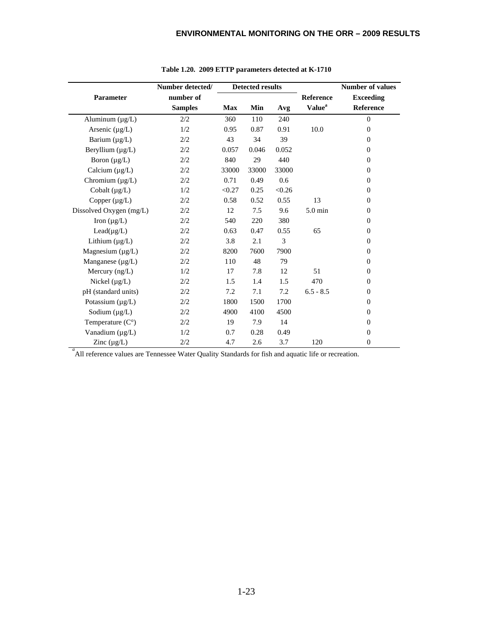|                           | Number detected/ | <b>Detected results</b> |       |        | <b>Number of values</b>   |                  |
|---------------------------|------------------|-------------------------|-------|--------|---------------------------|------------------|
| Parameter                 | number of        |                         |       |        | <b>Reference</b>          | <b>Exceeding</b> |
|                           | <b>Samples</b>   | <b>Max</b>              | Min   | Avg    | <b>Value</b> <sup>a</sup> | <b>Reference</b> |
| Aluminum $(\mu g/L)$      | 2/2              | 360                     | 110   | 240    |                           | $\theta$         |
| Arsenic $(\mu g/L)$       | 1/2              | 0.95                    | 0.87  | 0.91   | 10.0                      | $\Omega$         |
| Barium $(\mu g/L)$        | 2/2              | 43                      | 34    | 39     |                           | $\Omega$         |
| Beryllium $(\mu g/L)$     | 2/2              | 0.057                   | 0.046 | 0.052  |                           | $\Omega$         |
| Boron $(\mu g/L)$         | 2/2              | 840                     | 29    | 440    |                           | $\Omega$         |
| Calcium $(\mu g/L)$       | 2/2              | 33000                   | 33000 | 33000  |                           | $\mathbf{0}$     |
| Chromium $(\mu g/L)$      | 2/2              | 0.71                    | 0.49  | 0.6    |                           | $\Omega$         |
| Cobalt $(\mu g/L)$        | 1/2              | < 0.27                  | 0.25  | < 0.26 |                           | $\Omega$         |
| Copper $(\mu g/L)$        | 2/2              | 0.58                    | 0.52  | 0.55   | 13                        | $\Omega$         |
| Dissolved Oxygen (mg/L)   | 2/2              | 12                      | 7.5   | 9.6    | $5.0 \text{ min}$         | $\mathbf{0}$     |
| Iron $(\mu g/L)$          | 2/2              | 540                     | 220   | 380    |                           | $\Omega$         |
| $Lead(\mu g/L)$           | 2/2              | 0.63                    | 0.47  | 0.55   | 65                        | $\mathbf{0}$     |
| Lithium $(\mu g/L)$       | 2/2              | 3.8                     | 2.1   | 3      |                           | $\Omega$         |
| Magnesium $(\mu g/L)$     | 2/2              | 8200                    | 7600  | 7900   |                           | $\Omega$         |
| Manganese $(\mu g/L)$     | 2/2              | 110                     | 48    | 79     |                           | $\Omega$         |
| Mercury $(ng/L)$          | 1/2              | 17                      | 7.8   | 12     | 51                        | $\Omega$         |
| Nickel $(\mu g/L)$        | 2/2              | 1.5                     | 1.4   | 1.5    | 470                       | $\mathbf{0}$     |
| pH (standard units)       | 2/2              | 7.2                     | 7.1   | 7.2    | $6.5 - 8.5$               | $\Omega$         |
| Potassium $(\mu g/L)$     | 2/2              | 1800                    | 1500  | 1700   |                           | $\Omega$         |
| Sodium $(\mu g/L)$        | 2/2              | 4900                    | 4100  | 4500   |                           | $\Omega$         |
| Temperature $(C^{\circ})$ | 2/2              | 19                      | 7.9   | 14     |                           | $\Omega$         |
| Vanadium (µg/L)           | 1/2              | 0.7                     | 0.28  | 0.49   |                           | $\mathbf{0}$     |
| Zinc $(\mu g/L)$          | 2/2              | 4.7                     | 2.6   | 3.7    | 120                       | 0                |

**Table 1.20. 2009 ETTP parameters detected at K-1710**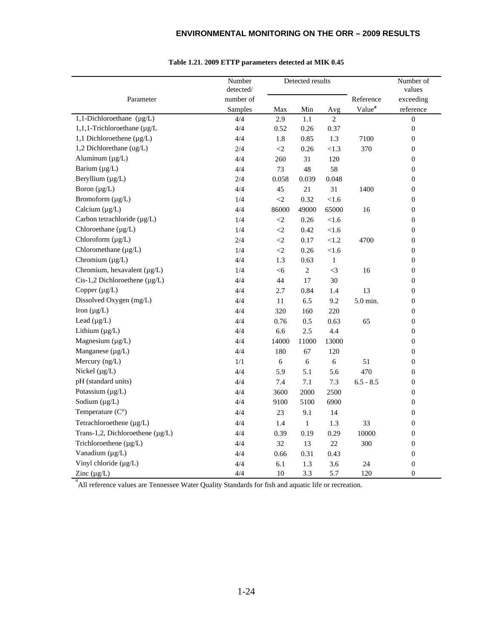|                                       | Number<br>detected/ |          | Detected results |                |                    | Number of<br>values |
|---------------------------------------|---------------------|----------|------------------|----------------|--------------------|---------------------|
| Parameter                             | number of           |          |                  |                | Reference          | exceeding           |
|                                       | Samples             | Max      | Min              | Avg            | Value <sup>a</sup> | reference           |
| 1,1-Dichloroethane $(\mu g/L)$        | 4/4                 | 2.9      | 1.1              | $\overline{2}$ |                    | $\overline{0}$      |
| 1,1,1-Trichloroethane (µg/L           | 4/4                 | 0.52     | 0.26             | 0.37           |                    | $\boldsymbol{0}$    |
| 1,1 Dichloroethene $(\mu g/L)$        | 4/4                 | 1.8      | 0.85             | 1.3            | 7100               | $\boldsymbol{0}$    |
| 1,2 Dichlorethane (ug/L)              | 2/4                 | $\leq$ 2 | 0.26             | < 1.3          | 370                | $\boldsymbol{0}$    |
| Aluminum $(\mu g/L)$                  | 4/4                 | 260      | 31               | 120            |                    | $\boldsymbol{0}$    |
| Barium $(\mu g/L)$                    | 4/4                 | 73       | 48               | 58             |                    | $\overline{0}$      |
| Beryllium (µg/L)                      | 2/4                 | 0.058    | 0.039            | 0.048          |                    | $\boldsymbol{0}$    |
| Boron $(\mu g/L)$                     | 4/4                 | 45       | 21               | 31             | 1400               | $\boldsymbol{0}$    |
| Bromoform (µg/L)                      | 1/4                 | $\leq$ 2 | 0.32             | < 1.6          |                    | $\boldsymbol{0}$    |
| Calcium $(\mu g/L)$                   | 4/4                 | 86000    | 49000            | 65000          | 16                 | $\boldsymbol{0}$    |
| Carbon tetrachloride (µg/L)           | 1/4                 | $\leq$ 2 | 0.26             | < 1.6          |                    | $\boldsymbol{0}$    |
| Chloroethane (µg/L)                   | 1/4                 | $\leq$ 2 | 0.42             | < 1.6          |                    | $\boldsymbol{0}$    |
| Chloroform (µg/L)                     | 2/4                 | $\leq$ 2 | 0.17             | $<1.2\,$       | 4700               | $\boldsymbol{0}$    |
| Chloromethane (µg/L)                  | 1/4                 | $<\!\!2$ | 0.26             | $<1.6$         |                    | $\boldsymbol{0}$    |
| Chromium $(\mu g/L)$                  | 4/4                 | 1.3      | 0.63             | $\mathbf{1}$   |                    | $\boldsymbol{0}$    |
| Chromium, hexavalent (µg/L)           | 1/4                 | <6       | $\boldsymbol{2}$ | $<3\,$         | 16                 | $\boldsymbol{0}$    |
| $Cis-1,2$ Dichloroethene ( $\mu$ g/L) | 4/4                 | 44       | 17               | 30             |                    | $\boldsymbol{0}$    |
| Copper $(\mu g/L)$                    | 4/4                 | 2.7      | 0.84             | 1.4            | 13                 | $\boldsymbol{0}$    |
| Dissolved Oxygen (mg/L)               | 4/4                 | $11\,$   | 6.5              | 9.2            | 5.0 min.           | $\boldsymbol{0}$    |
| Iron $(\mu g/L)$                      | 4/4                 | 320      | 160              | 220            |                    | $\boldsymbol{0}$    |
| Lead $(\mu g/L)$                      | 4/4                 | 0.76     | 0.5              | 0.63           | 65                 | $\boldsymbol{0}$    |
| Lithium (µg/L)                        | 4/4                 | 6.6      | 2.5              | 4.4            |                    | $\boldsymbol{0}$    |
| Magnesium $(\mu g/L)$                 | 4/4                 | 14000    | 11000            | 13000          |                    | $\overline{0}$      |
| Manganese $(\mu g/L)$                 | 4/4                 | 180      | 67               | 120            |                    | $\boldsymbol{0}$    |
| Mercury (ng/L)                        | 1/1                 | 6        | 6                | $\sqrt{6}$     | 51                 | $\boldsymbol{0}$    |
| Nickel $(\mu g/L)$                    | 4/4                 | 5.9      | 5.1              | 5.6            | 470                | $\overline{0}$      |
| pH (standard units)                   | 4/4                 | 7.4      | 7.1              | 7.3            | $6.5 - 8.5$        | $\boldsymbol{0}$    |
| Potassium (µg/L)                      | 4/4                 | 3600     | 2000             | 2500           |                    | $\boldsymbol{0}$    |
| Sodium $(\mu g/L)$                    | 4/4                 | 9100     | 5100             | 6900           |                    | $\boldsymbol{0}$    |
| Temperature $(C^{\circ})$             | 4/4                 | 23       | 9.1              | 14             |                    | $\boldsymbol{0}$    |
| Tetrachloroethene (µg/L)              | 4/4                 | 1.4      | $\mathbf{1}$     | 1.3            | 33                 | $\boldsymbol{0}$    |
| Trans-1,2, Dichloroethene (µg/L)      | 4/4                 | 0.39     | 0.19             | 0.29           | 10000              | $\boldsymbol{0}$    |
| Trichloroethene (µg/L)                | 4/4                 | 32       | 13               | 22             | 300                | $\boldsymbol{0}$    |
| Vanadium (µg/L)                       | 4/4                 | 0.66     | 0.31             | 0.43           |                    | $\boldsymbol{0}$    |
| Vinyl chloride (µg/L)                 | 4/4                 | 6.1      | 1.3              | 3.6            | 24                 | $\boldsymbol{0}$    |
| Zinc $(\mu g/L)$                      | 4/4                 | 10       | 3.3              | 5.7            | 120                | $\overline{0}$      |

#### **Table 1.21. 2009 ETTP parameters detected at MIK 0.45**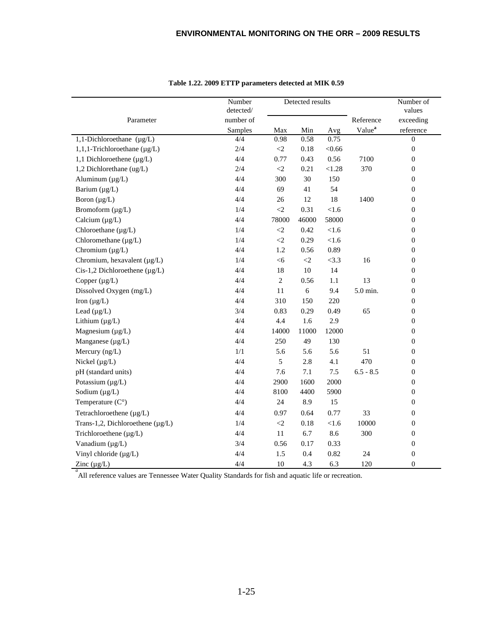|                                         | Number<br>Detected results<br>detected/ |                     |          |         |                    | Number of<br>values |
|-----------------------------------------|-----------------------------------------|---------------------|----------|---------|--------------------|---------------------|
| Parameter                               | number of                               |                     |          |         | Reference          | exceeding           |
|                                         | Samples                                 | Max                 | Min      | Avg     | Value <sup>a</sup> | reference           |
| 1,1-Dichloroethane $(\mu g/L)$          | 4/4                                     | 0.98                | 0.58     | 0.75    |                    | $\Omega$            |
| $1, 1, 1$ -Trichloroethane ( $\mu$ g/L) | 2/4                                     | $\langle 2 \rangle$ | 0.18     | < 0.66  |                    | $\mathbf{0}$        |
| 1,1 Dichloroethene $(\mu g/L)$          | 4/4                                     | 0.77                | 0.43     | 0.56    | 7100               | $\overline{0}$      |
| 1,2 Dichlorethane (ug/L)                | 2/4                                     | $\langle 2$         | 0.21     | < 1.28  | 370                | $\boldsymbol{0}$    |
| Aluminum $(\mu g/L)$                    | 4/4                                     | 300                 | 30       | 150     |                    | $\boldsymbol{0}$    |
| Barium (µg/L)                           | 4/4                                     | 69                  | 41       | 54      |                    | $\boldsymbol{0}$    |
| Boron $(\mu g/L)$                       | 4/4                                     | 26                  | 12       | 18      | 1400               | $\boldsymbol{0}$    |
| Bromoform (µg/L)                        | 1/4                                     | $\langle 2$         | 0.31     | < 1.6   |                    | $\boldsymbol{0}$    |
| Calcium $(\mu g/L)$                     | 4/4                                     | 78000               | 46000    | 58000   |                    | $\boldsymbol{0}$    |
| Chloroethane (µg/L)                     | 1/4                                     | $<\!\!2$            | 0.42     | $<1.6$  |                    | $\boldsymbol{0}$    |
| Chloromethane (µg/L)                    | 1/4                                     | $<\!\!2$            | 0.29     | $<1.6$  |                    | $\boldsymbol{0}$    |
| Chromium $(\mu g/L)$                    | 4/4                                     | 1.2                 | 0.56     | 0.89    |                    | $\boldsymbol{0}$    |
| Chromium, hexavalent (µg/L)             | 1/4                                     | <6                  | $\leq$ 2 | <3.3    | 16                 | $\boldsymbol{0}$    |
| Cis-1,2 Dichloroethene $(\mu g/L)$      | 4/4                                     | 18                  | $10\,$   | 14      |                    | $\overline{0}$      |
| Copper $(\mu g/L)$                      | 4/4                                     | $\sqrt{2}$          | 0.56     | $1.1\,$ | 13                 | $\boldsymbol{0}$    |
| Dissolved Oxygen (mg/L)                 | 4/4                                     | 11                  | 6        | 9.4     | 5.0 min.           | $\boldsymbol{0}$    |
| Iron $(\mu g/L)$                        | 4/4                                     | 310                 | 150      | 220     |                    | $\boldsymbol{0}$    |
| Lead $(\mu g/L)$                        | 3/4                                     | 0.83                | 0.29     | 0.49    | 65                 | $\overline{0}$      |
| Lithium $(\mu g/L)$                     | 4/4                                     | 4.4                 | 1.6      | 2.9     |                    | $\overline{0}$      |
| Magnesium (µg/L)                        | 4/4                                     | 14000               | 11000    | 12000   |                    | $\boldsymbol{0}$    |
| Manganese (µg/L)                        | 4/4                                     | 250                 | 49       | 130     |                    | $\overline{0}$      |
| Mercury (ng/L)                          | 1/1                                     | 5.6                 | 5.6      | 5.6     | 51                 | $\overline{0}$      |
| Nickel $(\mu g/L)$                      | 4/4                                     | 5                   | 2.8      | 4.1     | 470                | $\overline{0}$      |
| pH (standard units)                     | 4/4                                     | 7.6                 | 7.1      | 7.5     | $6.5 - 8.5$        | $\overline{0}$      |
| Potassium (µg/L)                        | 4/4                                     | 2900                | 1600     | 2000    |                    | $\boldsymbol{0}$    |
| Sodium $(\mu g/L)$                      | 4/4                                     | 8100                | 4400     | 5900    |                    | $\boldsymbol{0}$    |
| Temperature $(C^{\circ})$               | 4/4                                     | 24                  | 8.9      | 15      |                    | $\boldsymbol{0}$    |
| Tetrachloroethene (µg/L)                | 4/4                                     | 0.97                | 0.64     | 0.77    | 33                 | $\overline{0}$      |
| Trans-1,2, Dichloroethene $(\mu g/L)$   | 1/4                                     | $<\!\!2$            | 0.18     | < 1.6   | 10000              | $\overline{0}$      |
| Trichloroethene (µg/L)                  | 4/4                                     | 11                  | 6.7      | 8.6     | 300                | $\boldsymbol{0}$    |
| Vanadium (µg/L)                         | 3/4                                     | 0.56                | 0.17     | 0.33    |                    | $\boldsymbol{0}$    |
| Vinyl chloride (µg/L)                   | 4/4                                     | 1.5                 | 0.4      | 0.82    | 24                 | $\boldsymbol{0}$    |
| Zinc $(\mu g/L)$                        | 4/4                                     | 10                  | 4.3      | 6.3     | 120                | $\mathbf{0}$        |

**Table 1.22. 2009 ETTP parameters detected at MIK 0.59**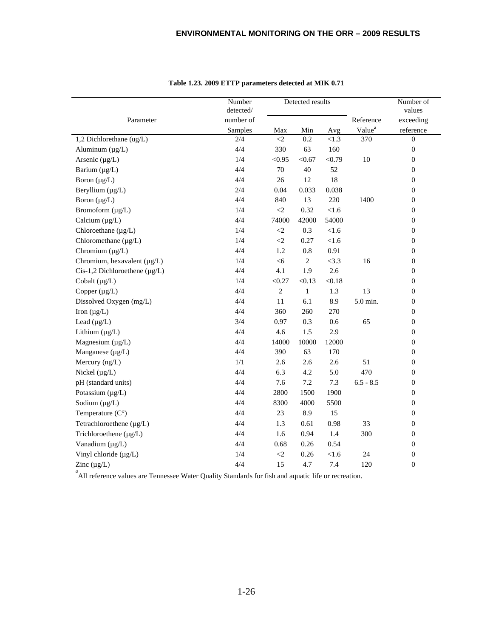|                                                                                                     | Number<br>detected/ |             | Detected results |        |                    | Number of<br>values |
|-----------------------------------------------------------------------------------------------------|---------------------|-------------|------------------|--------|--------------------|---------------------|
| Parameter                                                                                           | number of           |             |                  |        | Reference          | exceeding           |
|                                                                                                     | Samples             | Max         | Min              | Avg    | Value <sup>a</sup> | reference           |
| 1,2 Dichlorethane (ug/L)                                                                            | 2/4                 | $\leq$      | 0.2              | < 1.3  | 370                | $\overline{0}$      |
| Aluminum $(\mu g/L)$                                                                                | 4/4                 | 330         | 63               | 160    |                    | $\boldsymbol{0}$    |
| Arsenic $(\mu g/L)$                                                                                 | 1/4                 | < 0.95      | < 0.67           | < 0.79 | 10                 | $\boldsymbol{0}$    |
| Barium $(\mu g/L)$                                                                                  | 4/4                 | 70          | 40               | 52     |                    | $\boldsymbol{0}$    |
| Boron $(\mu g/L)$                                                                                   | 4/4                 | 26          | 12               | 18     |                    | $\overline{0}$      |
| Beryllium $(\mu g/L)$                                                                               | 2/4                 | 0.04        | 0.033            | 0.038  |                    | $\boldsymbol{0}$    |
| Boron $(\mu g/L)$                                                                                   | 4/4                 | 840         | 13               | 220    | 1400               | $\boldsymbol{0}$    |
| Bromoform (µg/L)                                                                                    | 1/4                 | $\leq$      | 0.32             | < 1.6  |                    | $\boldsymbol{0}$    |
| Calcium $(\mu g/L)$                                                                                 | 4/4                 | 74000       | 42000            | 54000  |                    | $\boldsymbol{0}$    |
| Chloroethane (µg/L)                                                                                 | 1/4                 | $\leq$ 2    | 0.3              | $<1.6$ |                    | $\theta$            |
| Chloromethane (µg/L)                                                                                | 1/4                 | $\langle 2$ | 0.27             | $<1.6$ |                    | $\boldsymbol{0}$    |
| Chromium $(\mu g/L)$                                                                                | 4/4                 | 1.2         | $0.8\,$          | 0.91   |                    | $\boldsymbol{0}$    |
| Chromium, hexavalent (µg/L)                                                                         | 1/4                 | $<$ 6       | $\mathbf{2}$     | <3.3   | 16                 | $\boldsymbol{0}$    |
| $Cis-1,2$ Dichloroethene ( $\mu$ g/L)                                                               | 4/4                 | 4.1         | 1.9              | 2.6    |                    | $\boldsymbol{0}$    |
| Cobalt $(\mu g/L)$                                                                                  | 1/4                 | < 0.27      | < 0.13           | < 0.18 |                    | $\boldsymbol{0}$    |
| Copper $(\mu g/L)$                                                                                  | 4/4                 | $\sqrt{2}$  | $\mathbf{1}$     | 1.3    | 13                 | $\boldsymbol{0}$    |
| Dissolved Oxygen (mg/L)                                                                             | 4/4                 | 11          | 6.1              | 8.9    | 5.0 min.           | $\boldsymbol{0}$    |
| Iron $(\mu g/L)$                                                                                    | 4/4                 | 360         | 260              | 270    |                    | $\theta$            |
| Lead $(\mu g/L)$                                                                                    | 3/4                 | 0.97        | 0.3              | 0.6    | 65                 | $\theta$            |
| Lithium $(\mu g/L)$                                                                                 | 4/4                 | 4.6         | 1.5              | 2.9    |                    | $\boldsymbol{0}$    |
| Magnesium $(\mu g/L)$                                                                               | 4/4                 | 14000       | 10000            | 12000  |                    | $\boldsymbol{0}$    |
| Manganese $(\mu g/L)$                                                                               | 4/4                 | 390         | 63               | 170    |                    | $\boldsymbol{0}$    |
| Mercury (ng/L)                                                                                      | 1/1                 | 2.6         | 2.6              | 2.6    | 51                 | $\boldsymbol{0}$    |
| Nickel $(\mu g/L)$                                                                                  | 4/4                 | 6.3         | 4.2              | 5.0    | 470                | $\boldsymbol{0}$    |
| pH (standard units)                                                                                 | 4/4                 | 7.6         | 7.2              | 7.3    | $6.5 - 8.5$        | $\boldsymbol{0}$    |
| Potassium $(\mu g/L)$                                                                               | 4/4                 | 2800        | 1500             | 1900   |                    | $\boldsymbol{0}$    |
| Sodium $(\mu g/L)$                                                                                  | 4/4                 | 8300        | 4000             | 5500   |                    | $\boldsymbol{0}$    |
| Temperature $(C^{\circ})$                                                                           | 4/4                 | 23          | 8.9              | 15     |                    | $\boldsymbol{0}$    |
| Tetrachloroethene $(\mu g/L)$                                                                       | 4/4                 | 1.3         | 0.61             | 0.98   | 33                 | $\boldsymbol{0}$    |
| Trichloroethene (µg/L)                                                                              | 4/4                 | 1.6         | 0.94             | 1.4    | 300                | $\boldsymbol{0}$    |
| Vanadium (µg/L)                                                                                     | 4/4                 | 0.68        | 0.26             | 0.54   |                    | $\boldsymbol{0}$    |
| Vinyl chloride (µg/L)                                                                               | 1/4                 | $<\!\!2$    | 0.26             | $<1.6$ | 24                 | $\boldsymbol{0}$    |
| Zinc $(\mu g/L)$                                                                                    | 4/4                 | 15          | 4.7              | 7.4    | 120                | $\overline{0}$      |
| All reference values are Tennessee Water Quality Standards for fish and aquatic life or recreation. |                     |             |                  |        |                    |                     |

**Table 1.23. 2009 ETTP parameters detected at MIK 0.71**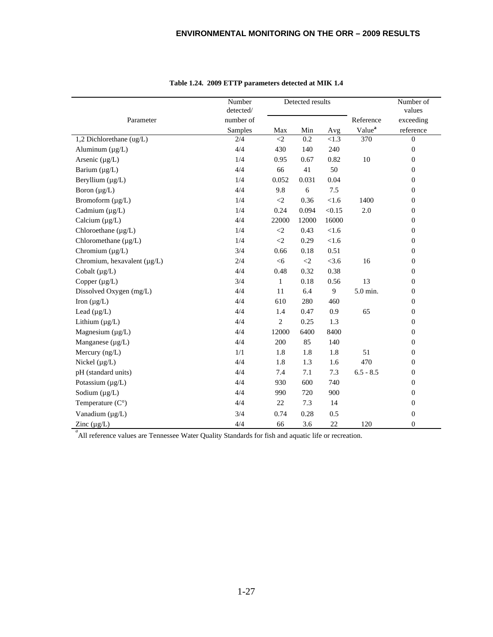|                                  | Number<br>detected/ |                | Detected results    |         |                    | Number of<br>values |
|----------------------------------|---------------------|----------------|---------------------|---------|--------------------|---------------------|
| Parameter                        | number of           |                |                     |         | Reference          | exceeding           |
|                                  | Samples             | Max            | Min                 | Avg     | Value <sup>a</sup> | reference           |
| 1,2 Dichlorethane (ug/L)         | 2/4                 | $\leq$         | 0.2                 | < 1.3   | 370                | $\mathbf{0}$        |
| Aluminum $(\mu g/L)$             | 4/4                 | 430            | 140                 | 240     |                    | $\overline{0}$      |
| Arsenic $(\mu g/L)$              | 1/4                 | 0.95           | 0.67                | 0.82    | 10                 | $\overline{0}$      |
| Barium $(\mu g/L)$               | 4/4                 | 66             | 41                  | 50      |                    | $\overline{0}$      |
| Beryllium (µg/L)                 | 1/4                 | 0.052          | 0.031               | 0.04    |                    | $\overline{0}$      |
| Boron $(\mu g/L)$                | 4/4                 | 9.8            | 6                   | 7.5     |                    | $\overline{0}$      |
| Bromoform (µg/L)                 | 1/4                 | $\leq$         | 0.36                | < 1.6   | 1400               | $\boldsymbol{0}$    |
| Cadmium (µg/L)                   | 1/4                 | 0.24           | 0.094               | < 0.15  | $2.0\,$            | $\overline{0}$      |
| Calcium $(\mu g/L)$              | 4/4                 | 22000          | 12000               | 16000   |                    | $\mathbf{0}$        |
| Chloroethane $(\mu g/L)$         | 1/4                 | $\leq$         | 0.43                | < 1.6   |                    | $\boldsymbol{0}$    |
| Chloromethane $(\mu g/L)$        | 1/4                 | $\leq$ 2       | 0.29                | < 1.6   |                    | $\overline{0}$      |
| Chromium $(\mu g/L)$             | 3/4                 | 0.66           | 0.18                | 0.51    |                    | $\boldsymbol{0}$    |
| Chromium, hexavalent $(\mu g/L)$ | 2/4                 | <6             | $\langle 2 \rangle$ | $<$ 3.6 | 16                 | $\overline{0}$      |
| Cobalt (µg/L)                    | 4/4                 | 0.48           | 0.32                | 0.38    |                    | $\boldsymbol{0}$    |
| Copper $(\mu g/L)$               | 3/4                 | $\mathbf{1}$   | 0.18                | 0.56    | 13                 | $\boldsymbol{0}$    |
| Dissolved Oxygen (mg/L)          | 4/4                 | 11             | 6.4                 | 9       | 5.0 min.           | $\mathbf{0}$        |
| Iron $(\mu g/L)$                 | 4/4                 | 610            | 280                 | 460     |                    | $\mathbf{0}$        |
| Lead $(\mu g/L)$                 | 4/4                 | 1.4            | 0.47                | 0.9     | 65                 | $\boldsymbol{0}$    |
| Lithium $(\mu g/L)$              | 4/4                 | $\overline{c}$ | 0.25                | 1.3     |                    | $\boldsymbol{0}$    |
| Magnesium $(\mu g/L)$            | 4/4                 | 12000          | 6400                | 8400    |                    | $\overline{0}$      |
| Manganese (µg/L)                 | 4/4                 | 200            | 85                  | 140     |                    | $\boldsymbol{0}$    |
| Mercury $(ng/L)$                 | 1/1                 | 1.8            | 1.8                 | 1.8     | 51                 | $\overline{0}$      |
| Nickel $(\mu g/L)$               | 4/4                 | 1.8            | 1.3                 | 1.6     | 470                | $\boldsymbol{0}$    |
| pH (standard units)              | 4/4                 | 7.4            | 7.1                 | 7.3     | $6.5 - 8.5$        | $\overline{0}$      |
| Potassium (µg/L)                 | 4/4                 | 930            | 600                 | 740     |                    | $\boldsymbol{0}$    |
| Sodium $(\mu g/L)$               | 4/4                 | 990            | 720                 | 900     |                    | $\overline{0}$      |
| Temperature $(C^{\circ})$        | 4/4                 | 22             | 7.3                 | 14      |                    | $\overline{0}$      |
| Vanadium (µg/L)                  | 3/4                 | 0.74           | 0.28                | 0.5     |                    | $\boldsymbol{0}$    |
| Zinc $(\mu g/L)$                 | 4/4                 | 66             | 3.6                 | 22      | 120                | $\overline{0}$      |

|  |  | Table 1.24. 2009 ETTP parameters detected at MIK 1.4 |
|--|--|------------------------------------------------------|
|--|--|------------------------------------------------------|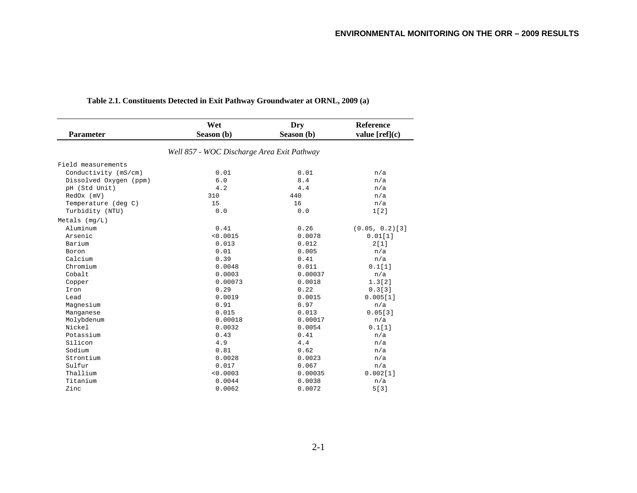|                        | Wet                                        | Dry        | <b>Reference</b>  |
|------------------------|--------------------------------------------|------------|-------------------|
| <b>Parameter</b>       | Season (b)                                 | Season (b) | value $[ref](c)$  |
|                        | Well 857 - WOC Discharge Area Exit Pathway |            |                   |
| Field measurements     |                                            |            |                   |
| Conductivity (mS/cm)   | 0.01                                       | 0.01       | n/a               |
| Dissolved Oxygen (ppm) | 6.0                                        | 8.4        | n/a               |
| pH (Std Unit)          | 4.2                                        | 4.4        | n/a               |
| RedOx (mV)             | 310                                        | 440        | n/a               |
| Temperature (deg C)    | 15                                         | 16         | n/a               |
| Turbidity (NTU)        | 0.0                                        | 0.0        | 1[2]              |
| Metals $(mq/L)$        |                                            |            |                   |
| Aluminum               | 0.41                                       | 0.26       | $(0.05, 0.2)$ [3] |
| Arsenic                | < 0.0015                                   | 0.0078     | 0.01[1]           |
| Barium                 | 0.013                                      | 0.012      | 2[1]              |
| Boron                  | 0.01                                       | 0.005      | n/a               |
| Calcium                | 0.39                                       | 0.41       | n/a               |
| Chromium               | 0.0048                                     | 0.011      | 0.1[1]            |
| Cobalt                 | 0.0003                                     | 0.00037    | n/a               |
| Copper                 | 0.00073                                    | 0.0018     | 1.3[2]            |
| Iron                   | 0.29                                       | 0.22       | 0.3[3]            |
| Lead                   | 0.0019                                     | 0.0015     | 0.005[1]          |
| Magnesium              | 0.91                                       | 0.97       | n/a               |
| Manganese              | 0.015                                      | 0.013      | 0.05[3]           |
| Molybdenum             | 0.00018                                    | 0.00017    | n/a               |
| Nickel                 | 0.0032                                     | 0.0054     | 0.1[1]            |
| Potassium              | 0.43                                       | 0.41       | n/a               |
| Silicon                | 4.9                                        | 4.4        | n/a               |
| Sodium                 | 0.81                                       | 0.62       | n/a               |
| Strontium              | 0.0028                                     | 0.0023     | n/a               |
| Sulfur                 | 0.017                                      | 0.067      | n/a               |
| Thallium               | < 0.0003                                   | 0.00035    | 0.002[1]          |
| Titanium               | 0.0044                                     | 0.0038     | n/a               |
| Zinc                   | 0.0062                                     | 0.0072     | 5[3]              |

#### **Table 2.1. Constituents Detected in Exit Pathway Groundwater at ORNL, 2009 (a)**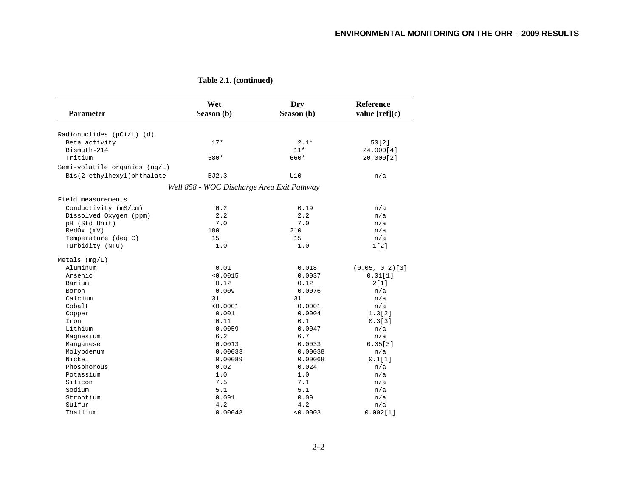|                               | Wet                                        | Dry        | <b>Reference</b>  |
|-------------------------------|--------------------------------------------|------------|-------------------|
| <b>Parameter</b>              | Season (b)                                 | Season (b) | value $[ref](c)$  |
| Radionuclides (pCi/L) (d)     |                                            |            |                   |
| Beta activity                 | $17*$                                      | $2.1*$     | 50[2]             |
| Bismuth-214                   |                                            | $11*$      | 24,000[4]         |
| Tritium                       | 580*                                       | 660*       | 20,000[2]         |
| Semi-volatile organics (ug/L) |                                            |            |                   |
| Bis(2-ethylhexyl)phthalate    | BJ2.3                                      | U10        | n/a               |
|                               | Well 858 - WOC Discharge Area Exit Pathway |            |                   |
|                               |                                            |            |                   |
| Field measurements            |                                            |            |                   |
| Conductivity (mS/cm)          | 0.2                                        | 0.19       | n/a               |
| Dissolved Oxygen (ppm)        | 2.2                                        | 2.2        | n/a               |
| pH (Std Unit)                 | 7.0                                        | 7.0        | n/a               |
| RedOx (mV)                    | 180                                        | 210        | n/a               |
| Temperature (deg C)           | 15                                         | 15         | n/a               |
| Turbidity (NTU)               | 1.0                                        | 1.0        | 1[2]              |
| $Metals$ (mg/L)               |                                            |            |                   |
| Aluminum                      | 0.01                                       | 0.018      | $(0.05, 0.2)$ [3] |
| Arsenic                       | < 0.0015                                   | 0.0037     | 0.01[1]           |
| Barium                        | 0.12                                       | 0.12       | 2[1]              |
| Boron                         | 0.009                                      | 0.0076     | n/a               |
| Calcium                       | 31                                         | 31         | n/a               |
| Cobalt                        | < 0.0001                                   | 0.0001     | n/a               |
| Copper                        | 0.001                                      | 0.0004     | 1.3[2]            |
| Iron                          | 0.11                                       | 0.1        | 0.3[3]            |
| Lithium                       | 0.0059                                     | 0.0047     | n/a               |
| Magnesium                     | 6.2                                        | 6.7        | n/a               |
| Manganese                     | 0.0013                                     | 0.0033     | 0.05[3]           |
| Molybdenum                    | 0.00033                                    | 0.00038    | n/a               |
| Nickel                        | 0.00089                                    | 0.00068    | 0.1[1]            |
| Phosphorous                   | 0.02                                       | 0.024      | n/a               |
| Potassium                     | 1.0                                        | 1.0        | n/a               |
| Silicon                       | 7.5                                        | 7.1        | n/a               |
| Sodium                        | 5.1                                        | 5.1        | n/a               |
| Strontium                     | 0.091                                      | 0.09       | n/a               |
| Sulfur                        | 4.2                                        | 4.2        | n/a               |
| Thallium                      | 0.00048                                    | < 0.0003   | 0.002[1]          |

#### **Table 2.1. (continued)**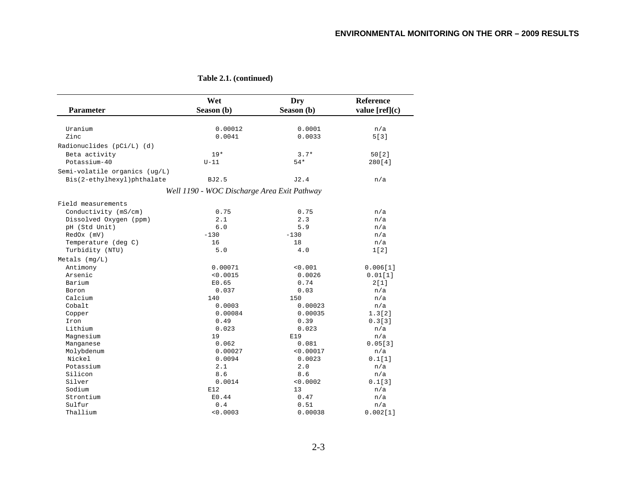|                               | Wet                                         | Dry        | <b>Reference</b> |
|-------------------------------|---------------------------------------------|------------|------------------|
| <b>Parameter</b>              | Season (b)                                  | Season (b) | value [ref](c)   |
| Uranium                       | 0.00012                                     | 0.0001     | n/a              |
| Zinc                          | 0.0041                                      | 0.0033     | 5[3]             |
| Radionuclides (pCi/L) (d)     |                                             |            |                  |
| Beta activity                 | $19*$                                       | $3.7*$     | 50[2]            |
| Potassium-40                  | $U-11$                                      | $54*$      | 280[4]           |
| Semi-volatile organics (ug/L) |                                             |            |                  |
| Bis(2-ethylhexyl)phthalate    | <b>BJ2.5</b>                                | J2.4       | n/a              |
|                               |                                             |            |                  |
|                               | Well 1190 - WOC Discharge Area Exit Pathway |            |                  |
| Field measurements            |                                             |            |                  |
| Conductivity (mS/cm)          | 0.75                                        | 0.75       | n/a              |
| Dissolved Oxygen (ppm)        | 2.1                                         | 2.3        | n/a              |
| pH (Std Unit)                 | $6.0$                                       | 5.9        | n/a              |
| RedOx (mV)                    | $-130$                                      | $-130$     | n/a              |
| Temperature (deg C)           | 16                                          | 18         | n/a              |
| Turbidity (NTU)               | 5.0                                         | 4.0        | 1[2]             |
| Metals $(mq/L)$               |                                             |            |                  |
| Antimony                      | 0.00071                                     | < 0.001    | 0.006[1]         |
| Arsenic                       | < 0.0015                                    | 0.0026     | 0.01[1]          |
| Barium                        | E0.65                                       | 0.74       | 2[1]             |
| Boron                         | 0.037                                       | 0.03       | n/a              |
| Calcium                       | 140                                         | 150        | n/a              |
| Cobalt                        | 0.0003                                      | 0.00023    | n/a              |
| Copper                        | 0.00084                                     | 0.00035    | 1.3[2]           |
| Iron                          | 0.49                                        | 0.39       | 0.3[3]           |
| Lithium                       | 0.023                                       | 0.023      | n/a              |
| Magnesium                     | 19                                          | E19        | n/a              |
| Manganese                     | 0.062                                       | 0.081      | 0.05[3]          |
| Molybdenum                    | 0.00027                                     | < 0.00017  | n/a              |
| Nickel                        | 0.0094                                      | 0.0023     | 0.1[1]           |
| Potassium                     | 2.1                                         | 2.0        | n/a              |
| Silicon                       | 8.6                                         | 8.6        | n/a              |
| Silver                        | 0.0014                                      | < 0.0002   | 0.1[3]           |
| Sodium                        | E12                                         | 13         | n/a              |
| Strontium                     | E0.44                                       | 0.47       | n/a              |
| Sulfur                        | 0.4                                         | 0.51       | n/a              |
| Thallium                      | < 0.0003                                    | 0.00038    | 0.002[1]         |

**Table 2.1. (continued)**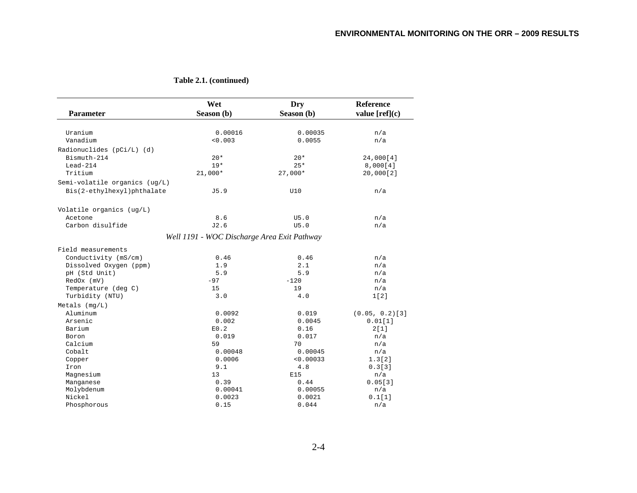| Parameter                     | Wet<br>Season (b)                           | Dry<br>Season (b) | <b>Reference</b><br>value $[ref](c)$ |
|-------------------------------|---------------------------------------------|-------------------|--------------------------------------|
|                               |                                             |                   |                                      |
| Uranium                       | 0.00016                                     | 0.00035           | n/a                                  |
| Vanadium                      | < 0.003                                     | 0.0055            | n/a                                  |
| Radionuclides (pCi/L) (d)     |                                             |                   |                                      |
| Bismuth-214                   | $20*$                                       | $20*$             | 24,000[4]                            |
| $Lead-214$                    | $19*$                                       | $25*$             | 8,000[4]                             |
| Tritium                       | $21,000*$                                   | $27,000*$         | 20,000[2]                            |
| Semi-volatile organics (ug/L) |                                             |                   |                                      |
|                               | J5.9                                        | U10               | n/a                                  |
| Bis(2-ethylhexyl)phthalate    |                                             |                   |                                      |
| Volatile organics (ug/L)      |                                             |                   |                                      |
| Acetone                       | 8.6                                         | U5.0              | n/a                                  |
| Carbon disulfide              | J2.6                                        | U5.0              | n/a                                  |
|                               | Well 1191 - WOC Discharge Area Exit Pathway |                   |                                      |
|                               |                                             |                   |                                      |
| Field measurements            |                                             |                   |                                      |
| Conductivity (mS/cm)          | 0.46                                        | 0.46              | n/a                                  |
| Dissolved Oxygen (ppm)        | 1.9                                         | 2.1               | n/a                                  |
| pH (Std Unit)                 | 5.9                                         | 5.9               | n/a                                  |
| RedOx (mV)                    | $-97$                                       | $-120$            | n/a                                  |
| Temperature (deg C)           | 15                                          | 19                | n/a                                  |
| Turbidity (NTU)               | 3.0                                         | 4.0               | 1[2]                                 |
| $Metals$ (mg/L)               |                                             |                   |                                      |
| Aluminum                      | 0.0092                                      | 0.019             | $(0.05, 0.2)$ [3]                    |
| Arsenic                       | 0.002                                       | 0.0045            | 0.01[1]                              |
| Barium                        | E0.2                                        | 0.16              | 2[1]                                 |
| Boron                         | 0.019                                       | 0.017             | n/a                                  |
| Calcium                       | 59                                          | 70                | n/a                                  |
| Cobalt                        | 0.00048                                     | 0.00045           | n/a                                  |
| Copper                        | 0.0006                                      | < 0.00033         | 1.3[2]                               |
| Iron                          | 9.1                                         | 4.8               | 0.3[3]                               |
| Magnesium                     | 13                                          | E15               | n/a                                  |
| Manganese                     | 0.39                                        | 0.44              | 0.05[3]                              |
| Molybdenum                    | 0.00041                                     | 0.00055           | n/a                                  |
| Nickel                        | 0.0023                                      | 0.0021            | 0.1[1]                               |
| Phosphorous                   | 0.15                                        | 0.044             | n/a                                  |

**Table 2.1. (continued)**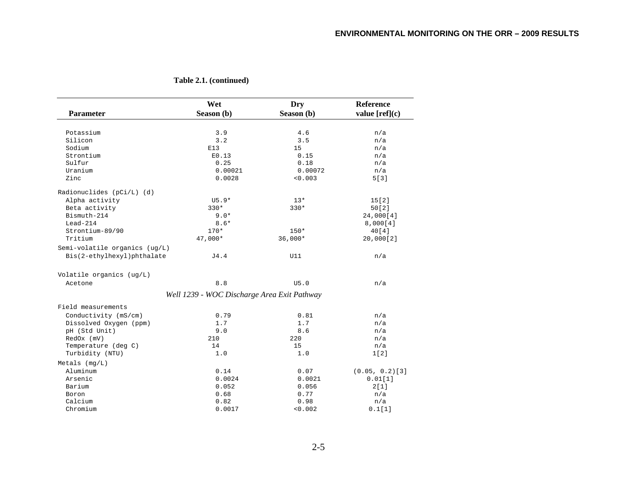| Parameter                     | Wet<br>Season (b)                           | Dry<br>Season (b) | <b>Reference</b><br>value $[ref](c)$ |
|-------------------------------|---------------------------------------------|-------------------|--------------------------------------|
|                               |                                             |                   |                                      |
| Potassium                     | 3.9                                         | 4.6               | n/a                                  |
| Silicon                       | 3.2                                         | 3.5               | n/a                                  |
| Sodium                        | E13                                         | 15                | n/a                                  |
| Strontium                     | E0.13                                       | 0.15              | n/a                                  |
| Sulfur                        | 0.25                                        | 0.18              | n/a                                  |
| Uranium                       | 0.00021                                     | 0.00072           | n/a                                  |
| Zinc                          | 0.0028                                      | < 0.003           | 5[3]                                 |
| Radionuclides (pCi/L) (d)     |                                             |                   |                                      |
| Alpha activity                | $U5.9*$                                     | $13*$             | 15[2]                                |
| Beta activity                 | $330*$                                      | $330*$            | 50[2]                                |
| Bismuth-214                   | $9.0*$                                      |                   | 24,000[4]                            |
| $Lead-214$                    | $8.6*$                                      |                   | 8,000[4]                             |
| Strontium-89/90               | $170*$                                      | $150*$            | 40[4]                                |
| Tritium                       | 47,000*                                     | $36,000*$         | 20,000[2]                            |
| Semi-volatile organics (ug/L) |                                             |                   |                                      |
| Bis(2-ethylhexyl)phthalate    | J4.4                                        | U11               | n/a                                  |
| Volatile organics (ug/L)      |                                             |                   |                                      |
| Acetone                       | 8.8                                         | U5.0              | n/a                                  |
|                               | Well 1239 - WOC Discharge Area Exit Pathway |                   |                                      |
| Field measurements            |                                             |                   |                                      |
| Conductivity (mS/cm)          | 0.79                                        | 0.81              | n/a                                  |
| Dissolved Oxygen (ppm)        | 1.7                                         | 1.7               | n/a                                  |
| pH (Std Unit)                 | 9.0                                         | 8.6               | n/a                                  |
| RedOx (mV)                    | 210                                         | 220               | n/a                                  |
| Temperature (deg C)           | 14                                          | 15                | n/a                                  |
| Turbidity (NTU)               | 1.0                                         | 1.0               | 1[2]                                 |
| Metals $(mq/L)$               |                                             |                   |                                      |
| Aluminum                      | 0.14                                        | 0.07              | $(0.05, 0.2)$ [3]                    |
| Arsenic                       | 0.0024                                      | 0.0021            | 0.01[1]                              |
| Barium                        | 0.052                                       | 0.056             | 2[1]                                 |
| Boron                         | 0.68                                        | 0.77              | n/a                                  |
| Calcium                       | 0.82                                        | 0.98              | n/a                                  |
| Chromium                      | 0.0017                                      | < 0.002           | 0.1[1]                               |

**Table 2.1. (continued)**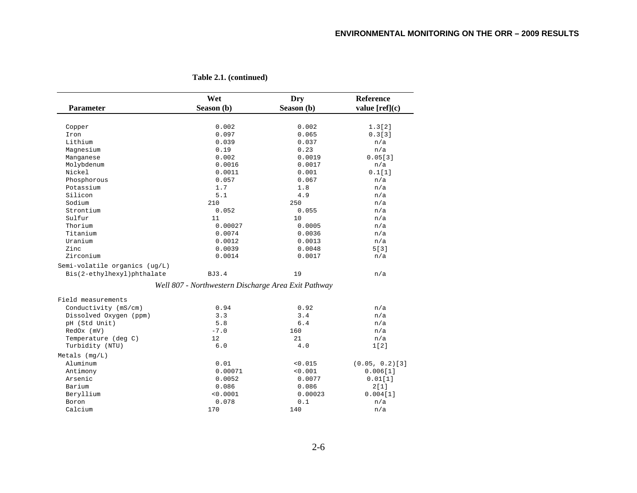| <b>Parameter</b>              | Wet<br>Season (b)                                   | Dry<br>Season (b) | Reference<br>value [ref](c) |
|-------------------------------|-----------------------------------------------------|-------------------|-----------------------------|
|                               |                                                     |                   |                             |
| Copper                        | 0.002                                               | 0.002             | 1.3[2]                      |
| Iron                          | 0.097                                               | 0.065             | 0.3[3]                      |
| Lithium                       | 0.039                                               | 0.037             | n/a                         |
| Magnesium                     | 0.19                                                | 0.23              | n/a                         |
| Manganese                     | 0.002                                               | 0.0019            | 0.05[3]                     |
| Molybdenum                    | 0.0016                                              | 0.0017            | n/a                         |
| Nickel                        | 0.0011                                              | 0.001             | 0.1[1]                      |
| Phosphorous                   | 0.057                                               | 0.067             | n/a                         |
| Potassium                     | 1.7                                                 | 1.8               | n/a                         |
| Silicon                       | 5.1                                                 | 4.9               | n/a                         |
| Sodium                        | 210                                                 | 250               | n/a                         |
| Strontium                     | 0.052                                               | 0.055             | n/a                         |
| Sulfur                        | 11                                                  | 10                | n/a                         |
| Thorium                       | 0.00027                                             | 0.0005            | n/a                         |
| Titanium                      | 0.0074                                              | 0.0036            | n/a                         |
| Uranium                       | 0.0012                                              | 0.0013            | n/a                         |
| Zinc                          | 0.0039                                              | 0.0048            | 5[3]                        |
| Zirconium                     | 0.0014                                              | 0.0017            | n/a                         |
| Semi-volatile organics (ug/L) |                                                     |                   |                             |
|                               |                                                     | 19                |                             |
| Bis(2-ethylhexyl)phthalate    | <b>BJ3.4</b>                                        |                   | n/a                         |
|                               | Well 807 - Northwestern Discharge Area Exit Pathway |                   |                             |
| Field measurements            |                                                     |                   |                             |
| Conductivity (mS/cm)          | 0.94                                                | 0.92              | n/a                         |
| Dissolved Oxygen (ppm)        | 3.3                                                 | 3.4               | n/a                         |
| pH (Std Unit)                 | 5.8                                                 | 6.4               | n/a                         |
| RedOx (mV)                    | $-7.0$                                              | 160               | n/a                         |
| Temperature (deg C)           | 12                                                  | 21                | n/a                         |
| Turbidity (NTU)               | 6.0                                                 | 4.0               | 1[2]                        |
| Metals $(mq/L)$               |                                                     |                   |                             |
| Aluminum                      | 0.01                                                | < 0.015           | $(0.05, 0.2)$ [3]           |
| Antimony                      | 0.00071                                             | < 0.001           | 0.006[1]                    |
| Arsenic                       | 0.0052                                              | 0.0077            | 0.01[1]                     |
| Barium                        | 0.086                                               | 0.086             | 2[1]                        |
| Beryllium                     | < 0.0001                                            | 0.00023           | 0.004[1]                    |
| Boron                         | 0.078                                               | 0.1               | n/a                         |
| Calcium                       | 170                                                 | 140               | n/a                         |

**Table 2.1. (continued)**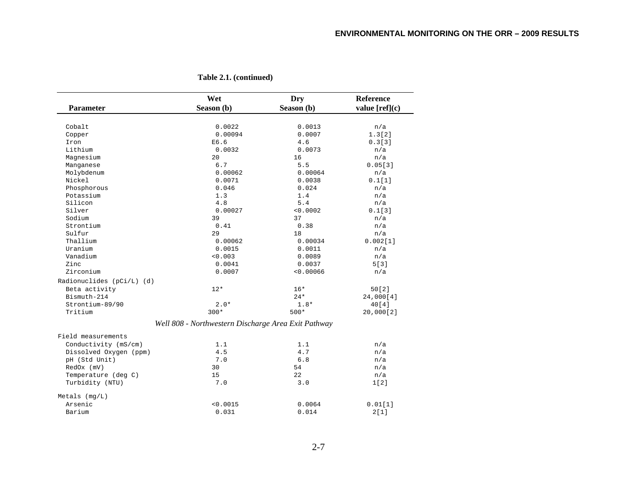|                                        | Wet                                                 | Dry        | <b>Reference</b> |
|----------------------------------------|-----------------------------------------------------|------------|------------------|
| <b>Parameter</b>                       | Season (b)                                          | Season (b) | value $[ref](c)$ |
|                                        |                                                     |            |                  |
| Cobalt                                 | 0.0022                                              | 0.0013     | n/a              |
| Copper                                 | 0.00094                                             | 0.0007     | 1.3[2]           |
| Iron                                   | E6.6                                                | 4.6        | 0.3[3]           |
| Lithium                                | 0.0032                                              | 0.0073     | n/a              |
| Magnesium                              | 20                                                  | 16         | n/a              |
| Manganese                              | 6.7                                                 | 5.5        | 0.05[3]          |
| Molybdenum                             | 0.00062                                             | 0.00064    | n/a              |
| Nickel                                 | 0.0071                                              | 0.0038     | 0.1[1]           |
| Phosphorous                            | 0.046                                               | 0.024      | n/a              |
| Potassium                              | 1.3                                                 | 1.4        | n/a              |
| Silicon                                | 4.8                                                 | 5.4        | n/a              |
| Silver                                 | 0.00027                                             | < 0.0002   | 0.1[3]           |
| Sodium                                 | 39                                                  | 37         | n/a              |
| Strontium                              | 0.41                                                | 0.38       | n/a              |
| Sulfur                                 | 29                                                  | 18         | n/a              |
| Thallium                               | 0.00062                                             | 0.00034    | 0.002[1]         |
| Uranium                                | 0.0015                                              | 0.0011     | n/a              |
| Vanadium                               | < 0.003                                             | 0.0089     | n/a              |
| Zinc                                   | 0.0041                                              | 0.0037     | 5[3]             |
| Zirconium                              | 0.0007                                              | < 0.00066  | n/a              |
| Radionuclides (pCi/L) (d)              |                                                     |            |                  |
| Beta activity                          | $12*$                                               | $16*$      | 50[2]            |
| Bismuth-214                            |                                                     | $24*$      | 24,000[4]        |
| Strontium-89/90                        | $2.0*$                                              | $1.8*$     | 40[4]            |
| Tritium                                | $300*$                                              | $500*$     | 20,000[2]        |
|                                        | Well 808 - Northwestern Discharge Area Exit Pathway |            |                  |
| Field measurements                     |                                                     |            |                  |
| Conductivity (mS/cm)                   | 1.1                                                 | 1.1        | n/a              |
| Dissolved Oxygen (ppm)                 | 4.5                                                 | 4.7        | n/a              |
| pH (Std Unit)                          | 7.0                                                 | 6.8        | n/a              |
| RedOx (mV)                             | 30                                                  | 54         |                  |
|                                        | 15                                                  |            | n/a              |
| Temperature (deg C)<br>Turbidity (NTU) | 7.0                                                 | 22<br>3.0  | n/a              |
|                                        |                                                     |            | 1[2]             |
| $Metals$ ( $mq/L$ )                    |                                                     |            |                  |
| Arsenic                                | < 0.0015                                            | 0.0064     | 0.01[1]          |
| Barium                                 | 0.031                                               | 0.014      | 2[1]             |

**Table 2.1. (continued)**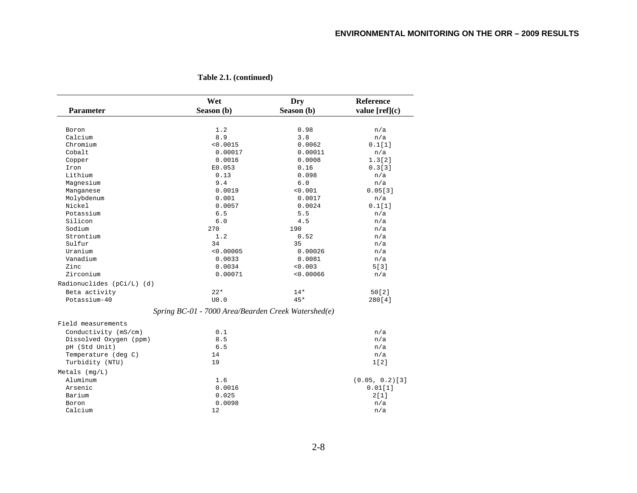| <b>Parameter</b>          | Wet<br>Season (b)                                   | Dry<br>Season (b) | Reference<br>value $[ref](c)$ |
|---------------------------|-----------------------------------------------------|-------------------|-------------------------------|
|                           |                                                     |                   |                               |
| Boron                     | 1.2                                                 | 0.98              | n/a                           |
| Calcium                   | 8.9                                                 | 3.8               | n/a                           |
| Chromium                  | < 0.0015                                            | 0.0062            | 0.1[1]                        |
| Cobalt                    | 0.00017                                             | 0.00011           | n/a                           |
| Copper                    | 0.0016                                              | 0.0008            | 1.3[2]                        |
| Iron                      | E0.053                                              | 0.16              | 0.3[3]                        |
| Lithium                   | 0.13                                                | 0.098             | n/a                           |
| Magnesium                 | 9.4                                                 | 6.0               | n/a                           |
| Manganese                 | 0.0019                                              | < 0.001           | 0.05[3]                       |
| Molybdenum                | 0.001                                               | 0.0017            | n/a                           |
| Nickel                    | 0.0057                                              | 0.0024            | 0.1[1]                        |
| Potassium                 | 6.5                                                 | 5.5               | n/a                           |
| Silicon                   | 6.0                                                 | 4.5               | n/a                           |
| Sodium                    | 270                                                 | 190               | n/a                           |
| Strontium                 | 1.2                                                 | 0.52              | n/a                           |
| Sulfur                    | 34                                                  | 35                | n/a                           |
| Uranium                   | < 0.00005                                           | 0.00026           | n/a                           |
| Vanadium                  | 0.0033                                              | 0.0081            | n/a                           |
| Zinc                      | 0.0034                                              | < 0.003           | 5 [ 3 ]                       |
| Zirconium                 | 0.00071                                             | < 0.00066         | n/a                           |
| Radionuclides (pCi/L) (d) |                                                     |                   |                               |
| Beta activity             | $22*$                                               | $14*$             | 50[2]                         |
| Potassium-40              | U0.0                                                | $45*$             | 280[4]                        |
|                           | Spring BC-01 - 7000 Area/Bearden Creek Watershed(e) |                   |                               |
| Field measurements        |                                                     |                   |                               |
| Conductivity (mS/cm)      | 0.1                                                 |                   | n/a                           |
| Dissolved Oxygen (ppm)    | 8.5                                                 |                   | n/a                           |
| pH (Std Unit)             | 6.5                                                 |                   | n/a                           |
| Temperature (deg C)       | 14                                                  |                   | n/a                           |
| Turbidity (NTU)           | 19                                                  |                   | 1[2]                          |
| Metals $(mq/L)$           |                                                     |                   |                               |
| Aluminum                  | 1.6                                                 |                   | $(0.05, 0.2)$ [3]             |
| Arsenic                   | 0.0016                                              |                   | 0.01[1]                       |
| Barium                    |                                                     |                   | 2[1]                          |
|                           | 0.025                                               |                   | n/a                           |
| Boron                     | 0.0098                                              |                   |                               |
| Calcium                   | 12                                                  |                   | n/a                           |

**Table 2.1. (continued)**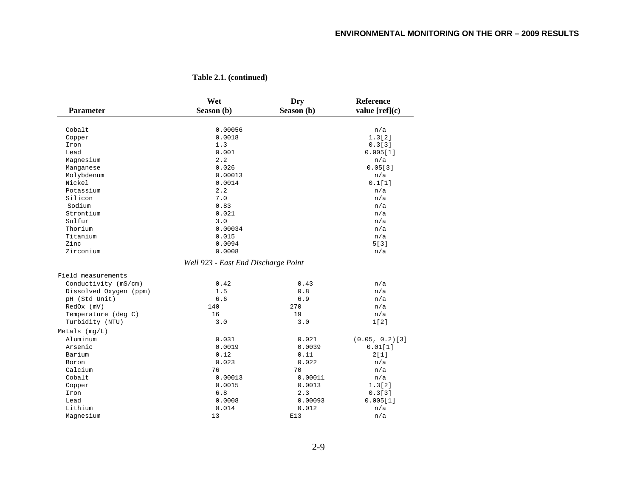| Parameter              | Wet<br>Season (b)                   | <b>Dry</b><br>Season (b) | Reference<br>value $[ref](c)$ |
|------------------------|-------------------------------------|--------------------------|-------------------------------|
|                        |                                     |                          |                               |
| Cobalt                 | 0.00056                             |                          | n/a                           |
| Copper                 | 0.0018                              |                          | 1.3[2]                        |
| Iron                   | 1.3                                 |                          | 0.3[3]                        |
| Lead                   | 0.001                               |                          | 0.005[1]                      |
| Magnesium              | 2.2                                 |                          | n/a                           |
| Manganese              | 0.026                               |                          | 0.05[3]                       |
| Molybdenum             | 0.00013                             |                          | n/a                           |
| Nickel                 | 0.0014                              |                          | 0.1[1]                        |
| Potassium              | 2.2                                 |                          | n/a                           |
| Silicon                | 7.0                                 |                          | n/a                           |
| Sodium                 | 0.83                                |                          | n/a                           |
| Strontium              | 0.021                               |                          | n/a                           |
| Sulfur                 | 3.0                                 |                          | n/a                           |
| Thorium                | 0.00034                             |                          | n/a                           |
| Titanium               | 0.015                               |                          | n/a                           |
| Zinc                   | 0.0094                              |                          | 5[3]                          |
| Zirconium              | 0.0008                              |                          | n/a                           |
|                        | Well 923 - East End Discharge Point |                          |                               |
| Field measurements     |                                     |                          |                               |
| Conductivity (mS/cm)   | 0.42                                | 0.43                     | n/a                           |
| Dissolved Oxygen (ppm) | 1.5                                 | 0.8                      | n/a                           |
| pH (Std Unit)          | 6.6                                 | 6.9                      | n/a                           |
| RedOx (mV)             | 140                                 | 270                      | n/a                           |
| Temperature (deg C)    | 16                                  | 19                       | n/a                           |
| Turbidity (NTU)        | 3.0                                 | 3.0                      | 1[2]                          |
| Metals $(mq/L)$        |                                     |                          |                               |
| Aluminum               | 0.031                               | 0.021                    | $(0.05, 0.2)$ [3]             |
| Arsenic                | 0.0019                              | 0.0039                   | 0.01[1]                       |
| Barium                 | 0.12                                | 0.11                     | 2[1]                          |
| Boron                  | 0.023                               | 0.022                    | n/a                           |
| Calcium                | 76                                  | 70                       | n/a                           |
| Cobalt                 | 0.00013                             | 0.00011                  | n/a                           |
| Copper                 | 0.0015                              | 0.0013                   | 1.3[2]                        |
| Iron                   | 6.8                                 | 2.3                      | 0.3[3]                        |
| Lead                   | 0.0008                              | 0.00093                  | 0.005[1]                      |
| Lithium                | 0.014                               | 0.012                    | n/a                           |
| Magnesium              | 13                                  | E13                      | n/a                           |

**Table 2.1. (continued)**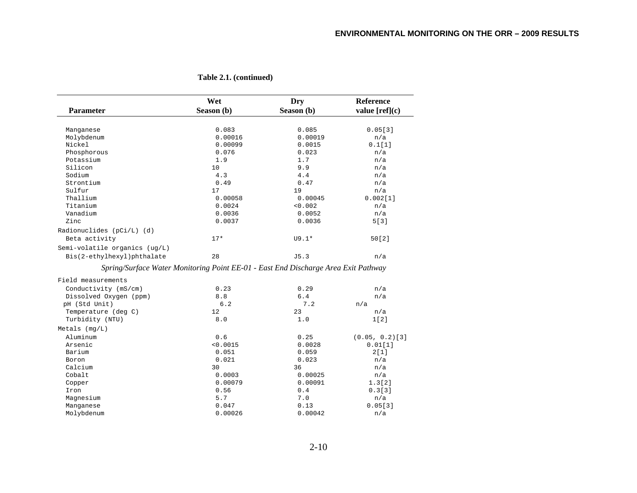| <b>Parameter</b>                                                                   | Wet<br>Season (b) | Dry<br>Season (b) | <b>Reference</b><br>value $[ref](c)$ |
|------------------------------------------------------------------------------------|-------------------|-------------------|--------------------------------------|
|                                                                                    |                   |                   |                                      |
| Manganese                                                                          | 0.083             | 0.085             | 0.05[3]                              |
| Molybdenum                                                                         | 0.00016           | 0.00019           | n/a                                  |
| Nickel                                                                             | 0.00099           | 0.0015            | 0.1[1]                               |
| Phosphorous                                                                        | 0.076             | 0.023             | n/a                                  |
| Potassium                                                                          | 1.9               | 1.7               | n/a                                  |
| Silicon                                                                            | 10                | 9.9               | n/a                                  |
| Sodium                                                                             | 4.3               | 4.4               | n/a                                  |
| Strontium                                                                          | 0.49              | 0.47              | n/a                                  |
| Sulfur                                                                             | 17                | 19                | n/a                                  |
| Thallium                                                                           | 0.00058           | 0.00045           | 0.002[1]                             |
| Titanium                                                                           | 0.0024            | < 0.002           | n/a                                  |
| Vanadium                                                                           | 0.0036            | 0.0052            | n/a                                  |
| Zinc                                                                               | 0.0037            | 0.0036            | 5[3]                                 |
| Radionuclides (pCi/L) (d)                                                          |                   |                   |                                      |
| Beta activity                                                                      | $17*$             | $U9.1*$           | 50[2]                                |
| Semi-volatile organics (ug/L)                                                      |                   |                   |                                      |
| Bis(2-ethylhexyl)phthalate                                                         | 28                | J5.3              | n/a                                  |
| Spring/Surface Water Monitoring Point EE-01 - East End Discharge Area Exit Pathway |                   |                   |                                      |
| Field measurements                                                                 |                   |                   |                                      |
| Conductivity (mS/cm)                                                               | 0.23              | 0.29              | n/a                                  |
| Dissolved Oxygen (ppm)                                                             | 8.8               | 6.4               | n/a                                  |
| pH (Std Unit)                                                                      | 6.2               | 7.2               | n/a                                  |
| Temperature (deg C)                                                                | 12                | 23                | n/a                                  |
| Turbidity (NTU)                                                                    | 8.0               | 1.0               | 1[2]                                 |
| Metals $(mq/L)$                                                                    |                   |                   |                                      |
| Aluminum                                                                           | 0.6               | 0.25              | $(0.05, 0.2)$ [3]                    |
| Arsenic                                                                            | < 0.0015          | 0.0028            | 0.01[1]                              |
| Barium                                                                             | 0.051             | 0.059             | 2[1]                                 |
| Boron                                                                              | 0.021             | 0.023             | n/a                                  |
| Calcium                                                                            | 30                | 36                | n/a                                  |
| Cobalt                                                                             | 0.0003            | 0.00025           | n/a                                  |
| Copper                                                                             | 0.00079           | 0.00091           | 1.3[2]                               |
| Iron                                                                               | 0.56              | 0.4               | 0.3[3]                               |
| Magnesium                                                                          | 5.7               | 7.0               | n/a                                  |
| Manganese                                                                          | 0.047             | 0.13              | 0.05[3]                              |
| Molybdenum                                                                         | 0.00026           | 0.00042           | n/a                                  |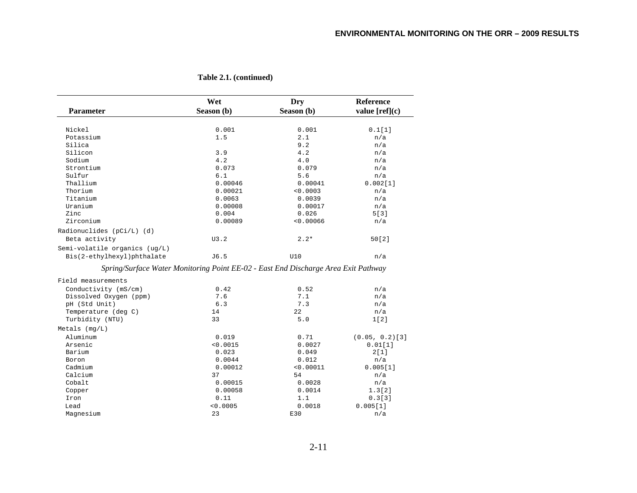| <b>Parameter</b>                                                                   | Wet<br>Season (b) | Dry<br>Season (b) | Reference<br>value $[ref](c)$ |
|------------------------------------------------------------------------------------|-------------------|-------------------|-------------------------------|
|                                                                                    |                   |                   |                               |
| Nickel                                                                             | 0.001             | 0.001             | 0.1[1]                        |
| Potassium                                                                          | 1.5               | 2.1               | n/a                           |
| Silica                                                                             |                   | 9.2               | n/a                           |
| Silicon                                                                            | 3.9               | 4.2               | n/a                           |
| Sodium                                                                             | 4.2               | 4.0               | n/a                           |
| Strontium                                                                          | 0.073             | 0.079             | n/a                           |
| Sulfur                                                                             | 6.1               | 5.6               | n/a                           |
| Thallium                                                                           | 0.00046           | 0.00041           | 0.002[1]                      |
| Thorium                                                                            | 0.00021           | < 0.0003          | n/a                           |
| Titanium                                                                           | 0.0063            | 0.0039            | n/a                           |
| Uranium                                                                            | 0.00008           | 0.00017           | n/a                           |
| Zinc                                                                               | 0.004             | 0.026             | 5[3]                          |
| Zirconium                                                                          | 0.00089           | < 0.00066         | n/a                           |
| Radionuclides (pCi/L) (d)                                                          |                   |                   |                               |
| Beta activity                                                                      | U3.2              | $2.2*$            | 50[2]                         |
| Semi-volatile organics (ug/L)                                                      |                   |                   |                               |
| Bis(2-ethylhexyl)phthalate                                                         | J6.5              | U10               | n/a                           |
| Spring/Surface Water Monitoring Point EE-02 - East End Discharge Area Exit Pathway |                   |                   |                               |
| Field measurements                                                                 |                   |                   |                               |
| Conductivity (mS/cm)                                                               | 0.42              | 0.52              | n/a                           |
| Dissolved Oxygen (ppm)                                                             | 7.6               | 7.1               | n/a                           |
| pH (Std Unit)                                                                      | 6.3               | 7.3               | n/a                           |
| Temperature (deg C)                                                                | 14                | 22                | n/a                           |
| Turbidity (NTU)                                                                    | 33                | 5.0               | 1[2]                          |
| Metals $(mq/L)$                                                                    |                   |                   |                               |
| Aluminum                                                                           | 0.019             | 0.71              | $(0.05, 0.2)$ [3]             |
| Arsenic                                                                            | < 0.0015          | 0.0027            | 0.01[1]                       |
| Barium                                                                             | 0.023             | 0.049             | 2[1]                          |
| Boron                                                                              | 0.0044            | 0.012             | n/a                           |
| Cadmium                                                                            | 0.00012           | < 0.00011         | 0.005[1]                      |
| Calcium                                                                            | 37                | 54                | n/a                           |
| Cobalt                                                                             | 0.00015           | 0.0028            | n/a                           |
| Copper                                                                             | 0.00058           | 0.0014            | 1.3[2]                        |
| Iron                                                                               | 0.11              | 1.1               | 0.3[3]                        |
| Lead                                                                               | < 0.0005          | 0.0018            | 0.005[1]                      |
| Magnesium                                                                          | 23                | E30               | n/a                           |

**Table 2.1. (continued)**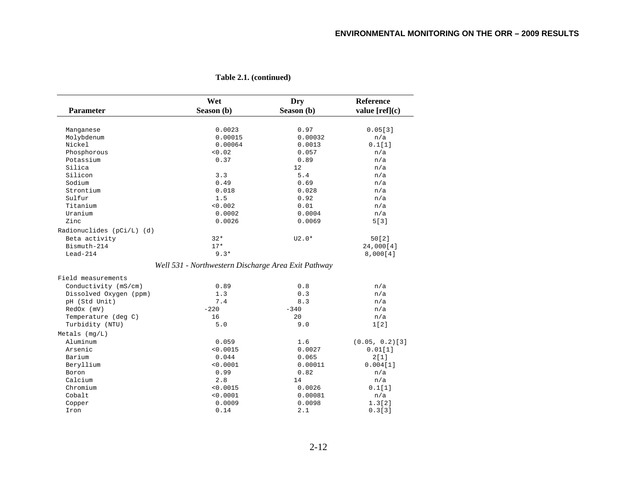|                           | Wet                                                 | Dry        | Reference         |
|---------------------------|-----------------------------------------------------|------------|-------------------|
| Parameter                 | Season (b)                                          | Season (b) | value $[ref](c)$  |
|                           |                                                     |            |                   |
| Manganese                 | 0.0023                                              | 0.97       | 0.05[3]           |
| Molybdenum                | 0.00015                                             | 0.00032    | n/a               |
| Nickel                    | 0.00064                                             | 0.0013     | 0.1[1]            |
| Phosphorous               | < 0.02                                              | 0.057      | n/a               |
| Potassium                 | 0.37                                                | 0.89       | n/a               |
| Silica                    |                                                     | 12         | n/a               |
| Silicon                   | 3.3                                                 | 5.4        | n/a               |
| Sodium                    | 0.49                                                | 0.69       | n/a               |
| Strontium                 | 0.018                                               | 0.028      | n/a               |
| Sulfur                    | 1.5                                                 | 0.92       | n/a               |
| Titanium                  | < 0.002                                             | 0.01       | n/a               |
| Uranium                   | 0.0002                                              | 0.0004     | n/a               |
| Zinc                      | 0.0026                                              | 0.0069     | 5[3]              |
| Radionuclides (pCi/L) (d) |                                                     |            |                   |
| Beta activity             | $32*$                                               | $U2.0*$    | 50[2]             |
| Bismuth-214               | $17*$                                               |            | 24,000[4]         |
| $Lead-214$                | $9.3*$                                              |            | 8,000[4]          |
|                           | Well 531 - Northwestern Discharge Area Exit Pathway |            |                   |
|                           |                                                     |            |                   |
| Field measurements        |                                                     |            |                   |
| Conductivity (mS/cm)      | 0.89                                                | 0.8        | n/a               |
| Dissolved Oxygen (ppm)    | 1.3                                                 | 0.3        | n/a               |
| pH (Std Unit)             | 7.4                                                 | 8.3        | n/a               |
| RedOx (mV)                | $-220$                                              | $-340$     | n/a               |
| Temperature (deg C)       | 16                                                  | 20         | n/a               |
| Turbidity (NTU)           | 5.0                                                 | 9.0        | 1[2]              |
| Metals $(mq/L)$           |                                                     |            |                   |
| Aluminum                  | 0.059                                               | 1.6        | $(0.05, 0.2)$ [3] |
| Arsenic                   | < 0.0015                                            | 0.0027     | 0.01[1]           |
| Barium                    | 0.044                                               | 0.065      | 2[1]              |
| Beryllium                 | < 0.0001                                            | 0.00011    | 0.004[1]          |
| Boron                     | 0.99                                                | 0.82       | n/a               |
| Calcium                   | 2.8                                                 | 14         | n/a               |
| Chromium                  | < 0.0015                                            | 0.0026     | 0.1[1]            |
| Cobalt                    | < 0.0001                                            | 0.00081    | n/a               |
| Copper                    | 0.0009                                              | 0.0098     | 1.3[2]            |
| Iron                      | 0.14                                                | 2.1        | 0.3[3]            |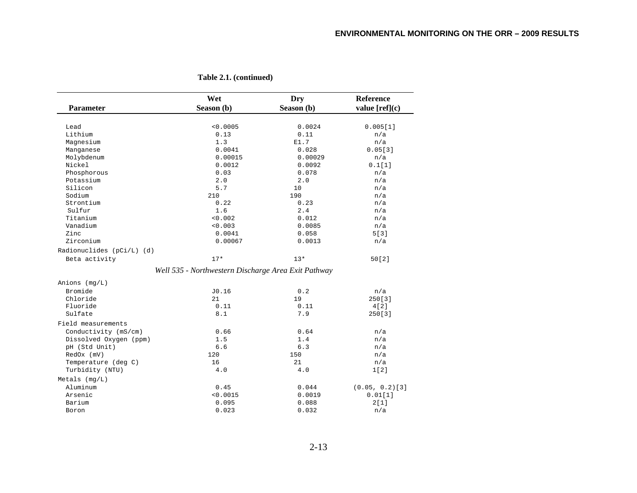| <b>Parameter</b>          | Wet<br>Season (b)                                   | Dry<br>Season (b) | Reference<br>value $[ref](c)$ |
|---------------------------|-----------------------------------------------------|-------------------|-------------------------------|
|                           |                                                     |                   |                               |
| Lead                      | < 0.0005                                            | 0.0024            | 0.005[1]                      |
| Lithium                   | 0.13                                                | 0.11              | n/a                           |
| Magnesium                 | 1.3                                                 | E1.7              | n/a                           |
| Manganese                 | 0.0041                                              | 0.028             | 0.05[3]                       |
| Molybdenum                | 0.00015                                             | 0.00029           | n/a                           |
| Nickel                    | 0.0012                                              | 0.0092            | 0.1[1]                        |
| Phosphorous               | 0.03                                                | 0.078             | n/a                           |
| Potassium                 | 2.0                                                 | 2.0               | n/a                           |
| Silicon                   | 5.7                                                 | 10                | n/a                           |
| Sodium                    | 210                                                 | 190               | n/a                           |
| Strontium                 | 0.22                                                | 0.23              | n/a                           |
| Sulfur                    | 1.6                                                 | 2.4               | n/a                           |
| Titanium                  | < 0.002                                             | 0.012             | n/a                           |
| Vanadium                  | < 0.003                                             | 0.0085            | n/a                           |
| Zinc                      | 0.0041                                              | 0.058             | 5[3]                          |
| Zirconium                 | 0.00067                                             | 0.0013            | n/a                           |
| Radionuclides (pCi/L) (d) |                                                     |                   |                               |
| Beta activity             | $17*$                                               | $13*$             | 50[2]                         |
|                           | Well 535 - Northwestern Discharge Area Exit Pathway |                   |                               |
| Anions $(mq/L)$           |                                                     |                   |                               |
| Bromide                   | J0.16                                               | 0.2               | n/a                           |
| Chloride                  | 21                                                  | 19                | 250[3]                        |
| Fluoride                  | 0.11                                                | 0.11              | 4[2]                          |
| Sulfate                   | 8.1                                                 | 7.9               | 250[3]                        |
| Field measurements        |                                                     |                   |                               |
| Conductivity (mS/cm)      | 0.66                                                | 0.64              | n/a                           |
| Dissolved Oxygen (ppm)    | 1.5                                                 | 1.4               | n/a                           |
| pH (Std Unit)             | 6.6                                                 | 6.3               | n/a                           |
| RedOx (mV)                | 120                                                 | 150               | n/a                           |
| Temperature (deg C)       | 16                                                  | 21                | n/a                           |
| Turbidity (NTU)           | 4.0                                                 | 4.0               | 1[2]                          |
| Metals $(mq/L)$           |                                                     |                   |                               |
| Aluminum                  | 0.45                                                | 0.044             | $(0.05, 0.2)$ [3]             |
| Arsenic                   | < 0.0015                                            | 0.0019            | 0.01[1]                       |
| Barium                    | 0.095                                               | 0.088             | 2[1]                          |
| Boron                     | 0.023                                               | 0.032             | n/a                           |

**Table 2.1. (continued)**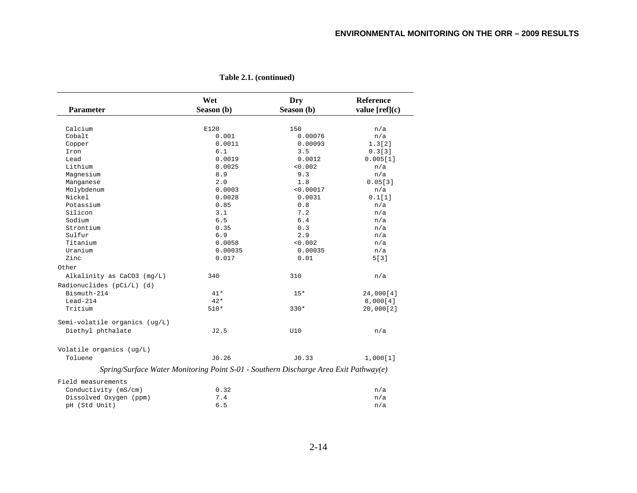|                                                                                      | Wet        | Dry        | Reference        |
|--------------------------------------------------------------------------------------|------------|------------|------------------|
| <b>Parameter</b>                                                                     | Season (b) | Season (b) | value $[ref](c)$ |
|                                                                                      |            |            |                  |
| Calcium                                                                              | E120       | 150        | n/a              |
| Cobalt                                                                               | 0.001      | 0.00076    | n/a              |
| Copper                                                                               | 0.0011     | 0.00093    | 1.3[2]           |
| Iron                                                                                 | 6.1        | 3.5        | 0.3[3]           |
| Lead                                                                                 | 0.0019     | 0.0012     | 0.005[1]         |
| Lithium                                                                              | 0.0025     | < 0.002    | n/a              |
| Magnesium                                                                            | 8.9        | 9.3        | n/a              |
| Manganese                                                                            | 2.0        | 1.8        | 0.05[3]          |
| Molybdenum                                                                           | 0.0003     | < 0.00017  | n/a              |
| Nickel                                                                               | 0.0028     | 0.0031     | 0.1[1]           |
| Potassium                                                                            | 0.85       | 0.8        | n/a              |
| Silicon                                                                              | 3.1        | 7.2        | n/a              |
| Sodium                                                                               | 6.5        | 6.4        | n/a              |
| Strontium                                                                            | 0.35       | 0.3        | n/a              |
| Sulfur                                                                               | 6.9        | 2.9        | n/a              |
| Titanium                                                                             | 0.0058     | < 0.002    | n/a              |
| Uranium                                                                              | 0.00035    | 0.00035    | n/a              |
| Zinc                                                                                 | 0.017      | 0.01       | 5[3]             |
| Other                                                                                |            |            |                  |
| Alkalinity as CaCO3 (mg/L)                                                           | 340        | 310        | n/a              |
| Radionuclides (pCi/L) (d)                                                            |            |            |                  |
| Bismuth-214                                                                          | $41*$      | $15*$      | 24,000[4]        |
| $Lead-214$                                                                           | $42*$      |            | 8,000[4]         |
| Tritium                                                                              | $510*$     | $330*$     | 20,000[2]        |
| Semi-volatile organics (ug/L)                                                        |            |            |                  |
| Diethyl phthalate                                                                    | J2.5       | U10        | n/a              |
|                                                                                      |            |            |                  |
| Volatile organics (ug/L)                                                             |            |            |                  |
| Toluene                                                                              | J0.26      | J0.33      | 1,000[1]         |
| Spring/Surface Water Monitoring Point S-01 - Southern Discharge Area Exit Pathway(e) |            |            |                  |
| Field measurements                                                                   |            |            |                  |
| Conductivity (mS/cm)                                                                 | 0.32       |            | n/a              |
| Dissolved Oxygen (ppm)                                                               | 7.4        |            | n/a              |
| pH (Std Unit)                                                                        | 6.5        |            | n/a              |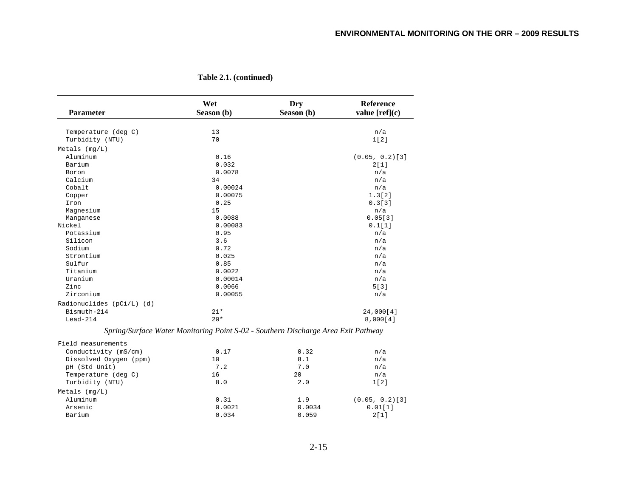| 13<br>Temperature (deg C)<br>n/a<br>Turbidity (NTU)<br>70<br>1[2]<br>Metals $(mq/L)$<br>Aluminum<br>0.16<br>Barium<br>0.032<br>2[1]<br>0.0078<br>n/a<br>Boron<br>Calcium<br>34<br>n/a<br>Cobalt<br>0.00024<br>n/a<br>0.00075<br>Copper<br>0.25<br>0.3[3]<br>Iron<br>15<br>Magnesium<br>n/a<br>0.0088<br>Manganese<br>Nickel<br>0.00083<br>Potassium<br>0.95<br>n/a<br>Silicon<br>3.6<br>n/a<br>Sodium<br>0.72<br>n/a<br>0.025<br>Strontium<br>n/a<br>Sulfur<br>0.85<br>n/a<br>Titanium<br>0.0022<br>n/a<br>Uranium<br>0.00014<br>n/a<br>Zinc<br>5[3]<br>0.0066<br>Zirconium<br>0.00055<br>n/a<br>Radionuclides (pCi/L) (d)<br>Bismuth-214<br>$21*$<br>$20*$<br>$Lead-214$<br>Spring/Surface Water Monitoring Point S-02 - Southern Discharge Area Exit Pathway<br>Field measurements<br>Conductivity (mS/cm)<br>0.32<br>0.17<br>n/a<br>Dissolved Oxygen (ppm)<br>10<br>8.1<br>n/a<br>pH (Std Unit)<br>7.2<br>7.0<br>n/a<br>16<br>20<br>Temperature (deg C)<br>n/a<br>Turbidity (NTU)<br>8.0<br>2.0<br>1[2]<br>Metals $(mq/L)$<br>Aluminum<br>0.31<br>$(0.05, 0.2)$ [3]<br>1.9 |           | Wet        | Dry        | <b>Reference</b>  |
|-------------------------------------------------------------------------------------------------------------------------------------------------------------------------------------------------------------------------------------------------------------------------------------------------------------------------------------------------------------------------------------------------------------------------------------------------------------------------------------------------------------------------------------------------------------------------------------------------------------------------------------------------------------------------------------------------------------------------------------------------------------------------------------------------------------------------------------------------------------------------------------------------------------------------------------------------------------------------------------------------------------------------------------------------------------------------------|-----------|------------|------------|-------------------|
|                                                                                                                                                                                                                                                                                                                                                                                                                                                                                                                                                                                                                                                                                                                                                                                                                                                                                                                                                                                                                                                                               | Parameter | Season (b) | Season (b) | value $[ref](c)$  |
|                                                                                                                                                                                                                                                                                                                                                                                                                                                                                                                                                                                                                                                                                                                                                                                                                                                                                                                                                                                                                                                                               |           |            |            |                   |
|                                                                                                                                                                                                                                                                                                                                                                                                                                                                                                                                                                                                                                                                                                                                                                                                                                                                                                                                                                                                                                                                               |           |            |            |                   |
|                                                                                                                                                                                                                                                                                                                                                                                                                                                                                                                                                                                                                                                                                                                                                                                                                                                                                                                                                                                                                                                                               |           |            |            |                   |
|                                                                                                                                                                                                                                                                                                                                                                                                                                                                                                                                                                                                                                                                                                                                                                                                                                                                                                                                                                                                                                                                               |           |            |            |                   |
|                                                                                                                                                                                                                                                                                                                                                                                                                                                                                                                                                                                                                                                                                                                                                                                                                                                                                                                                                                                                                                                                               |           |            |            | $(0.05, 0.2)$ [3] |
|                                                                                                                                                                                                                                                                                                                                                                                                                                                                                                                                                                                                                                                                                                                                                                                                                                                                                                                                                                                                                                                                               |           |            |            |                   |
|                                                                                                                                                                                                                                                                                                                                                                                                                                                                                                                                                                                                                                                                                                                                                                                                                                                                                                                                                                                                                                                                               |           |            |            |                   |
|                                                                                                                                                                                                                                                                                                                                                                                                                                                                                                                                                                                                                                                                                                                                                                                                                                                                                                                                                                                                                                                                               |           |            |            |                   |
|                                                                                                                                                                                                                                                                                                                                                                                                                                                                                                                                                                                                                                                                                                                                                                                                                                                                                                                                                                                                                                                                               |           |            |            |                   |
|                                                                                                                                                                                                                                                                                                                                                                                                                                                                                                                                                                                                                                                                                                                                                                                                                                                                                                                                                                                                                                                                               |           |            |            | 1.3[2]            |
|                                                                                                                                                                                                                                                                                                                                                                                                                                                                                                                                                                                                                                                                                                                                                                                                                                                                                                                                                                                                                                                                               |           |            |            |                   |
|                                                                                                                                                                                                                                                                                                                                                                                                                                                                                                                                                                                                                                                                                                                                                                                                                                                                                                                                                                                                                                                                               |           |            |            |                   |
|                                                                                                                                                                                                                                                                                                                                                                                                                                                                                                                                                                                                                                                                                                                                                                                                                                                                                                                                                                                                                                                                               |           |            |            | 0.05[3]           |
|                                                                                                                                                                                                                                                                                                                                                                                                                                                                                                                                                                                                                                                                                                                                                                                                                                                                                                                                                                                                                                                                               |           |            |            | 0.1[1]            |
|                                                                                                                                                                                                                                                                                                                                                                                                                                                                                                                                                                                                                                                                                                                                                                                                                                                                                                                                                                                                                                                                               |           |            |            |                   |
|                                                                                                                                                                                                                                                                                                                                                                                                                                                                                                                                                                                                                                                                                                                                                                                                                                                                                                                                                                                                                                                                               |           |            |            |                   |
|                                                                                                                                                                                                                                                                                                                                                                                                                                                                                                                                                                                                                                                                                                                                                                                                                                                                                                                                                                                                                                                                               |           |            |            |                   |
|                                                                                                                                                                                                                                                                                                                                                                                                                                                                                                                                                                                                                                                                                                                                                                                                                                                                                                                                                                                                                                                                               |           |            |            |                   |
|                                                                                                                                                                                                                                                                                                                                                                                                                                                                                                                                                                                                                                                                                                                                                                                                                                                                                                                                                                                                                                                                               |           |            |            |                   |
|                                                                                                                                                                                                                                                                                                                                                                                                                                                                                                                                                                                                                                                                                                                                                                                                                                                                                                                                                                                                                                                                               |           |            |            |                   |
|                                                                                                                                                                                                                                                                                                                                                                                                                                                                                                                                                                                                                                                                                                                                                                                                                                                                                                                                                                                                                                                                               |           |            |            |                   |
|                                                                                                                                                                                                                                                                                                                                                                                                                                                                                                                                                                                                                                                                                                                                                                                                                                                                                                                                                                                                                                                                               |           |            |            |                   |
|                                                                                                                                                                                                                                                                                                                                                                                                                                                                                                                                                                                                                                                                                                                                                                                                                                                                                                                                                                                                                                                                               |           |            |            |                   |
|                                                                                                                                                                                                                                                                                                                                                                                                                                                                                                                                                                                                                                                                                                                                                                                                                                                                                                                                                                                                                                                                               |           |            |            |                   |
|                                                                                                                                                                                                                                                                                                                                                                                                                                                                                                                                                                                                                                                                                                                                                                                                                                                                                                                                                                                                                                                                               |           |            |            | 24,000[4]         |
|                                                                                                                                                                                                                                                                                                                                                                                                                                                                                                                                                                                                                                                                                                                                                                                                                                                                                                                                                                                                                                                                               |           |            |            | 8,000[4]          |
|                                                                                                                                                                                                                                                                                                                                                                                                                                                                                                                                                                                                                                                                                                                                                                                                                                                                                                                                                                                                                                                                               |           |            |            |                   |
|                                                                                                                                                                                                                                                                                                                                                                                                                                                                                                                                                                                                                                                                                                                                                                                                                                                                                                                                                                                                                                                                               |           |            |            |                   |
|                                                                                                                                                                                                                                                                                                                                                                                                                                                                                                                                                                                                                                                                                                                                                                                                                                                                                                                                                                                                                                                                               |           |            |            |                   |
|                                                                                                                                                                                                                                                                                                                                                                                                                                                                                                                                                                                                                                                                                                                                                                                                                                                                                                                                                                                                                                                                               |           |            |            |                   |
|                                                                                                                                                                                                                                                                                                                                                                                                                                                                                                                                                                                                                                                                                                                                                                                                                                                                                                                                                                                                                                                                               |           |            |            |                   |
|                                                                                                                                                                                                                                                                                                                                                                                                                                                                                                                                                                                                                                                                                                                                                                                                                                                                                                                                                                                                                                                                               |           |            |            |                   |
|                                                                                                                                                                                                                                                                                                                                                                                                                                                                                                                                                                                                                                                                                                                                                                                                                                                                                                                                                                                                                                                                               |           |            |            |                   |
|                                                                                                                                                                                                                                                                                                                                                                                                                                                                                                                                                                                                                                                                                                                                                                                                                                                                                                                                                                                                                                                                               |           |            |            |                   |
|                                                                                                                                                                                                                                                                                                                                                                                                                                                                                                                                                                                                                                                                                                                                                                                                                                                                                                                                                                                                                                                                               |           |            |            |                   |
|                                                                                                                                                                                                                                                                                                                                                                                                                                                                                                                                                                                                                                                                                                                                                                                                                                                                                                                                                                                                                                                                               | Arsenic   | 0.0021     | 0.0034     | 0.01[1]           |

Barium 0.034 0.059 2[1]

**Table 2.1. (continued)**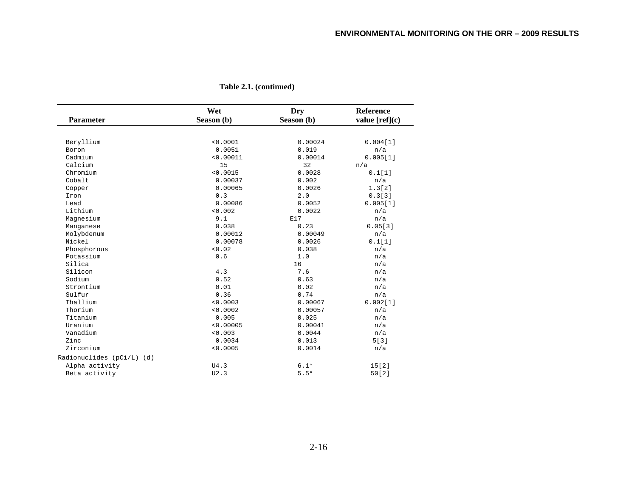| <b>Parameter</b><br>Season (b)<br>Season (b)<br>< 0.0001<br>0.00024<br>Beryllium<br>0.019<br>Boron<br>0.0051<br>n/a<br>Cadmium<br>< 0.00011<br>0.00014<br>15<br>32<br>Calcium<br>n/a<br>Chromium<br>< 0.0015<br>0.0028<br>0.1[1]<br>Cobalt<br>0.00037<br>0.002<br>n/a<br>0.00065<br>0.0026<br>1.3[2]<br>Copper<br>0.3<br>2.0<br>Iron<br>Lead<br>0.00086<br>0.0052<br>< 0.002<br>Lithium<br>0.0022<br>n/a<br>Magnesium<br>9.1<br>E17<br>n/a<br>0.038<br>0.23<br>Manganese<br>Molybdenum<br>0.00012<br>0.00049<br>n/a<br>0.00078<br>Nickel<br>0.0026<br>0.1[1]<br>< 0.02<br>Phosphorous<br>0.038<br>n/a<br>Potassium<br>0.6<br>1.0<br>n/a<br>Silica<br>16<br>n/a<br>4.3<br>Silicon<br>7.6<br>n/a<br>0.52<br>Sodium<br>0.63<br>n/a<br>Strontium<br>0.01<br>0.02<br>n/a<br>Sulfur<br>0.36<br>0.74<br>n/a<br>Thallium<br>< 0.0003<br>0.00067<br>Thorium<br>< 0.0002<br>0.00057<br>n/a<br>Titanium<br>0.005<br>0.025<br>n/a<br>Uranium<br>< 0.00005<br>0.00041<br>n/a<br>Vanadium<br>< 0.003<br>0.0044<br>n/a<br>Zinc<br>0.0034<br>0.013<br>5[3]<br>Zirconium<br>< 0.0005<br>0.0014<br>n/a<br>Alpha activity<br>$6.1*$<br>15[2]<br>U4.3<br>$5.5*$<br>Beta activity<br>U2.3<br>50[2] |                           | Wet | Dry | <b>Reference</b> |
|-------------------------------------------------------------------------------------------------------------------------------------------------------------------------------------------------------------------------------------------------------------------------------------------------------------------------------------------------------------------------------------------------------------------------------------------------------------------------------------------------------------------------------------------------------------------------------------------------------------------------------------------------------------------------------------------------------------------------------------------------------------------------------------------------------------------------------------------------------------------------------------------------------------------------------------------------------------------------------------------------------------------------------------------------------------------------------------------------------------------------------------------------------------------------------|---------------------------|-----|-----|------------------|
|                                                                                                                                                                                                                                                                                                                                                                                                                                                                                                                                                                                                                                                                                                                                                                                                                                                                                                                                                                                                                                                                                                                                                                               |                           |     |     | value $[ref](c)$ |
|                                                                                                                                                                                                                                                                                                                                                                                                                                                                                                                                                                                                                                                                                                                                                                                                                                                                                                                                                                                                                                                                                                                                                                               |                           |     |     |                  |
|                                                                                                                                                                                                                                                                                                                                                                                                                                                                                                                                                                                                                                                                                                                                                                                                                                                                                                                                                                                                                                                                                                                                                                               |                           |     |     | 0.004[1]         |
|                                                                                                                                                                                                                                                                                                                                                                                                                                                                                                                                                                                                                                                                                                                                                                                                                                                                                                                                                                                                                                                                                                                                                                               |                           |     |     |                  |
|                                                                                                                                                                                                                                                                                                                                                                                                                                                                                                                                                                                                                                                                                                                                                                                                                                                                                                                                                                                                                                                                                                                                                                               |                           |     |     | 0.005[1]         |
|                                                                                                                                                                                                                                                                                                                                                                                                                                                                                                                                                                                                                                                                                                                                                                                                                                                                                                                                                                                                                                                                                                                                                                               |                           |     |     |                  |
|                                                                                                                                                                                                                                                                                                                                                                                                                                                                                                                                                                                                                                                                                                                                                                                                                                                                                                                                                                                                                                                                                                                                                                               |                           |     |     |                  |
|                                                                                                                                                                                                                                                                                                                                                                                                                                                                                                                                                                                                                                                                                                                                                                                                                                                                                                                                                                                                                                                                                                                                                                               |                           |     |     |                  |
|                                                                                                                                                                                                                                                                                                                                                                                                                                                                                                                                                                                                                                                                                                                                                                                                                                                                                                                                                                                                                                                                                                                                                                               |                           |     |     |                  |
|                                                                                                                                                                                                                                                                                                                                                                                                                                                                                                                                                                                                                                                                                                                                                                                                                                                                                                                                                                                                                                                                                                                                                                               |                           |     |     | 0.3[3]           |
|                                                                                                                                                                                                                                                                                                                                                                                                                                                                                                                                                                                                                                                                                                                                                                                                                                                                                                                                                                                                                                                                                                                                                                               |                           |     |     | 0.005[1]         |
|                                                                                                                                                                                                                                                                                                                                                                                                                                                                                                                                                                                                                                                                                                                                                                                                                                                                                                                                                                                                                                                                                                                                                                               |                           |     |     |                  |
|                                                                                                                                                                                                                                                                                                                                                                                                                                                                                                                                                                                                                                                                                                                                                                                                                                                                                                                                                                                                                                                                                                                                                                               |                           |     |     |                  |
|                                                                                                                                                                                                                                                                                                                                                                                                                                                                                                                                                                                                                                                                                                                                                                                                                                                                                                                                                                                                                                                                                                                                                                               |                           |     |     | 0.05[3]          |
|                                                                                                                                                                                                                                                                                                                                                                                                                                                                                                                                                                                                                                                                                                                                                                                                                                                                                                                                                                                                                                                                                                                                                                               |                           |     |     |                  |
|                                                                                                                                                                                                                                                                                                                                                                                                                                                                                                                                                                                                                                                                                                                                                                                                                                                                                                                                                                                                                                                                                                                                                                               |                           |     |     |                  |
|                                                                                                                                                                                                                                                                                                                                                                                                                                                                                                                                                                                                                                                                                                                                                                                                                                                                                                                                                                                                                                                                                                                                                                               |                           |     |     |                  |
|                                                                                                                                                                                                                                                                                                                                                                                                                                                                                                                                                                                                                                                                                                                                                                                                                                                                                                                                                                                                                                                                                                                                                                               |                           |     |     |                  |
|                                                                                                                                                                                                                                                                                                                                                                                                                                                                                                                                                                                                                                                                                                                                                                                                                                                                                                                                                                                                                                                                                                                                                                               |                           |     |     |                  |
|                                                                                                                                                                                                                                                                                                                                                                                                                                                                                                                                                                                                                                                                                                                                                                                                                                                                                                                                                                                                                                                                                                                                                                               |                           |     |     |                  |
|                                                                                                                                                                                                                                                                                                                                                                                                                                                                                                                                                                                                                                                                                                                                                                                                                                                                                                                                                                                                                                                                                                                                                                               |                           |     |     |                  |
|                                                                                                                                                                                                                                                                                                                                                                                                                                                                                                                                                                                                                                                                                                                                                                                                                                                                                                                                                                                                                                                                                                                                                                               |                           |     |     |                  |
|                                                                                                                                                                                                                                                                                                                                                                                                                                                                                                                                                                                                                                                                                                                                                                                                                                                                                                                                                                                                                                                                                                                                                                               |                           |     |     |                  |
|                                                                                                                                                                                                                                                                                                                                                                                                                                                                                                                                                                                                                                                                                                                                                                                                                                                                                                                                                                                                                                                                                                                                                                               |                           |     |     | 0.002[1]         |
|                                                                                                                                                                                                                                                                                                                                                                                                                                                                                                                                                                                                                                                                                                                                                                                                                                                                                                                                                                                                                                                                                                                                                                               |                           |     |     |                  |
|                                                                                                                                                                                                                                                                                                                                                                                                                                                                                                                                                                                                                                                                                                                                                                                                                                                                                                                                                                                                                                                                                                                                                                               |                           |     |     |                  |
|                                                                                                                                                                                                                                                                                                                                                                                                                                                                                                                                                                                                                                                                                                                                                                                                                                                                                                                                                                                                                                                                                                                                                                               |                           |     |     |                  |
|                                                                                                                                                                                                                                                                                                                                                                                                                                                                                                                                                                                                                                                                                                                                                                                                                                                                                                                                                                                                                                                                                                                                                                               |                           |     |     |                  |
|                                                                                                                                                                                                                                                                                                                                                                                                                                                                                                                                                                                                                                                                                                                                                                                                                                                                                                                                                                                                                                                                                                                                                                               |                           |     |     |                  |
|                                                                                                                                                                                                                                                                                                                                                                                                                                                                                                                                                                                                                                                                                                                                                                                                                                                                                                                                                                                                                                                                                                                                                                               |                           |     |     |                  |
|                                                                                                                                                                                                                                                                                                                                                                                                                                                                                                                                                                                                                                                                                                                                                                                                                                                                                                                                                                                                                                                                                                                                                                               | Radionuclides (pCi/L) (d) |     |     |                  |
|                                                                                                                                                                                                                                                                                                                                                                                                                                                                                                                                                                                                                                                                                                                                                                                                                                                                                                                                                                                                                                                                                                                                                                               |                           |     |     |                  |
|                                                                                                                                                                                                                                                                                                                                                                                                                                                                                                                                                                                                                                                                                                                                                                                                                                                                                                                                                                                                                                                                                                                                                                               |                           |     |     |                  |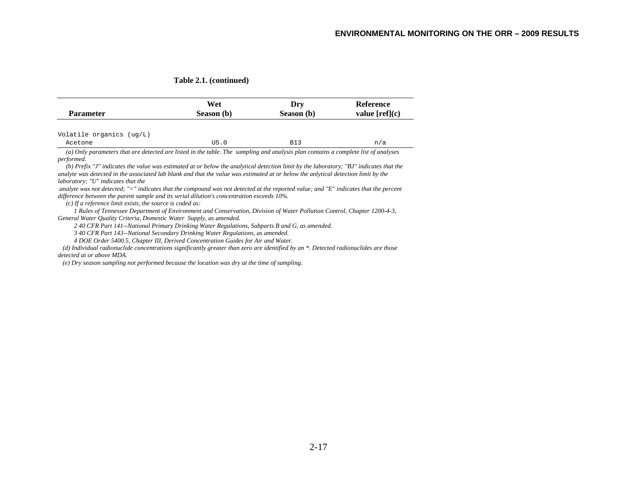| <b>Parameter</b>         | Wet<br>Season (b) | Drv<br>Season (b) | Reference<br>value $[ref](c)$ |
|--------------------------|-------------------|-------------------|-------------------------------|
|                          |                   |                   |                               |
| Volatile organics (ug/L) |                   |                   |                               |

 *(b) Prefix "J" indicates the value was estimated at or below the analytical detection limit by the laboratory; "BJ" indicates that the analyte was detected in the associated lab blank and that the value was estimated at or below the anlytical detection limit by the laboratory; "U" indicates that the* 

 *analyte was not detected; "<" indicates that the compound was not detected at the reported value; and "E" indicates that the percent difference between the parent sample and its serial dilution's concentration exceeds 10%.* 

 *(c) If a reference limit exists, the source is coded as:* 

 *1 Rules of Tennessee Department of Environment and Conservation, Division of Water Pollution Control, Chapter 1200-4-3, General Water Quality Criteria, Domestic Water Supply, as amended.* 

 *2 40 CFR Part 141--National Primary Drinking Water Regulations, Subparts B and G, as amended.* 

 *3 40 CFR Part 143--National Secondary Drinking Water Regulations, as amended.* 

 *4 DOE Order 5400.5, Chapter III, Derived Concentration Guides for Air and Water.* 

 *(d) Individual radionuclide concentrations significantly greater than zero are identified by an \*. Detected radionuclides are those detected at or above MDA.* 

 *(e) Dry season sampling not performed because the location was dry at the time of sampling.*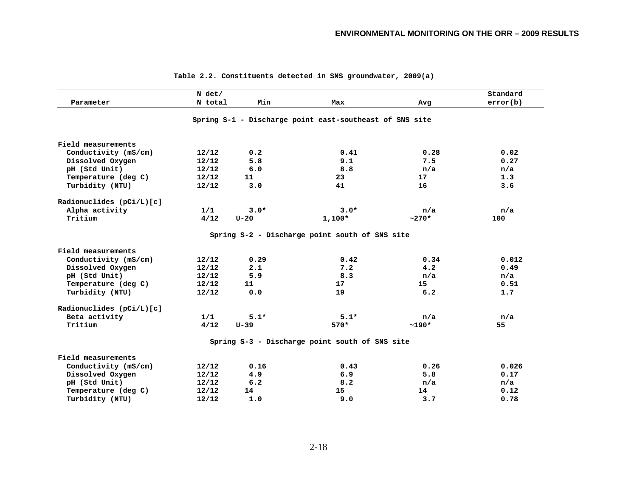|                            | $N$ det/ |          |                                                         |         | Standard |
|----------------------------|----------|----------|---------------------------------------------------------|---------|----------|
| Parameter                  | N total  | Min      | Max                                                     | Avg     | error(b) |
|                            |          |          | Spring S-1 - Discharge point east-southeast of SNS site |         |          |
| Field measurements         |          |          |                                                         |         |          |
| Conductivity (mS/cm)       | 12/12    | 0.2      | 0.41                                                    | 0.28    | 0.02     |
| Dissolved Oxygen           | 12/12    | 5.8      | 9.1                                                     | 7.5     | 0.27     |
| pH (Std Unit)              | 12/12    | 6.0      | 8.8                                                     | n/a     | n/a      |
| Temperature (deg C)        | 12/12    | 11       | 23                                                      | 17      | 1.3      |
| Turbidity (NTU)            | 12/12    | 3.0      | 41                                                      | 16      | 3.6      |
| Radionuclides (pCi/L)[c]   |          |          |                                                         |         |          |
| Alpha activity             | 1/1      | $3.0*$   | $3.0*$                                                  | n/a     | n/a      |
| Tritium                    | 4/12     | $U - 20$ | $1,100*$                                                | $~270*$ | 100      |
|                            |          |          | Spring S-2 - Discharge point south of SNS site          |         |          |
| Field measurements         |          |          |                                                         |         |          |
| Conductivity (mS/cm)       | 12/12    | 0.29     | 0.42                                                    | 0.34    | 0.012    |
| Dissolved Oxygen           | 12/12    | 2.1      | 7.2                                                     | 4.2     | 0.49     |
| pH (Std Unit)              | 12/12    | 5.9      | 8.3                                                     | n/a     | n/a      |
| Temperature (deg C)        | 12/12    | 11       | 17 <sub>1</sub>                                         | 15      | 0.51     |
| Turbidity (NTU)            | 12/12    | 0.0      | 19                                                      | 6.2     | 1.7      |
| Radionuclides $(pCi/L)[c]$ |          |          |                                                         |         |          |
| Beta activity              | 1/1      | $5.1*$   | $5.1*$                                                  | n/a     | n/a      |
| Tritium                    | 4/12     | $U-39$   | $570*$                                                  | $~190*$ | 55       |
|                            |          |          | Spring S-3 - Discharge point south of SNS site          |         |          |
| Field measurements         |          |          |                                                         |         |          |
| Conductivity (mS/cm)       | 12/12    | 0.16     | 0.43                                                    | 0.26    | 0.026    |
| Dissolved Oxygen           | 12/12    | 4.9      | 6.9                                                     | 5.8     | 0.17     |
| pH (Std Unit)              | 12/12    | 6.2      | 8.2                                                     | n/a     | n/a      |
| Temperature (deg C)        | 12/12    | 14       | 15                                                      | 14      | 0.12     |
| Turbidity (NTU)            | 12/12    | 1.0      | 9.0                                                     | 3.7     | 0.78     |

**Table 2.2. Constituents detected in SNS groundwater, 2009(a)**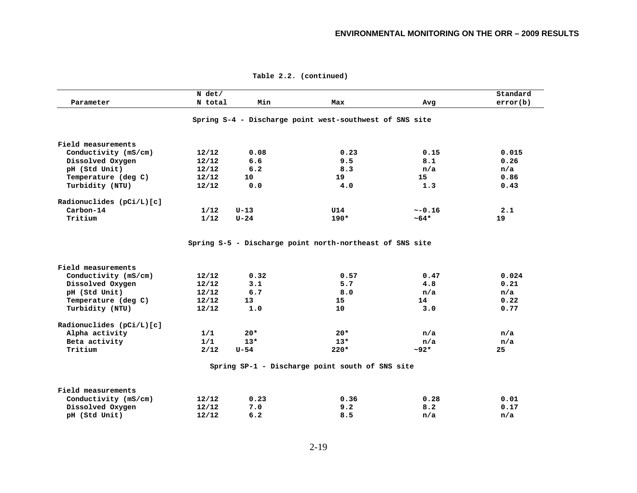|                          | N det/  |          |                                                          |            | Standard |
|--------------------------|---------|----------|----------------------------------------------------------|------------|----------|
| Parameter                | N total | Min      | Max                                                      | Avg        | error(b) |
|                          |         |          | Spring S-4 - Discharge point west-southwest of SNS site  |            |          |
| Field measurements       |         |          |                                                          |            |          |
| Conductivity (mS/cm)     | 12/12   | 0.08     | 0.23                                                     | 0.15       | 0.015    |
| Dissolved Oxygen         | 12/12   | 6.6      | 9.5                                                      | 8.1        | 0.26     |
| pH (Std Unit)            | 12/12   | 6.2      | 8.3                                                      | n/a        | n/a      |
| Temperature (deg C)      | 12/12   | 10       | 19                                                       | 15         | 0.86     |
| Turbidity (NTU)          | 12/12   | 0.0      | 4.0                                                      | 1.3        | 0.43     |
| Radionuclides (pCi/L)[c] |         |          |                                                          |            |          |
| Carbon-14                | 1/12    | $U-13$   | U14                                                      | ~16        | 2.1      |
| Tritium                  | 1/12    | $U - 24$ | $190*$                                                   | $~10^{-6}$ | 19       |
|                          |         |          | Spring S-5 - Discharge point north-northeast of SNS site |            |          |
| Field measurements       |         |          |                                                          |            |          |
| Conductivity (mS/cm)     | 12/12   | 0.32     | 0.57                                                     | 0.47       | 0.024    |
| Dissolved Oxygen         | 12/12   | 3.1      | 5.7                                                      | 4.8        | 0.21     |
| pH (Std Unit)            | 12/12   | 6.7      | 8.0                                                      | n/a        | n/a      |
| Temperature (deg C)      | 12/12   | 13       | 15                                                       | 14         | 0.22     |
| Turbidity (NTU)          | 12/12   | 1.0      | 10                                                       | 3.0        | 0.77     |
| Radionuclides (pCi/L)[c] |         |          |                                                          |            |          |
| Alpha activity           | 1/1     | $20*$    | $20*$                                                    | n/a        | n/a      |
| Beta activity            | 1/1     | $13*$    | $13*$                                                    | n/a        | n/a      |
| Tritium                  | 2/12    | $U-54$   | $220*$                                                   | $~1.92*$   | 25       |
|                          |         |          | Spring SP-1 - Discharge point south of SNS site          |            |          |
| Field measurements       |         |          |                                                          |            |          |
| Conductivity (mS/cm)     | 12/12   | 0.23     | 0.36                                                     | 0.28       | 0.01     |
| Dissolved Oxygen         | 12/12   | 7.0      | 9.2                                                      | 8.2        | 0.17     |
| pH (Std Unit)            | 12/12   | 6.2      | 8.5                                                      | n/a        | n/a      |

**Table 2.2. (continued)**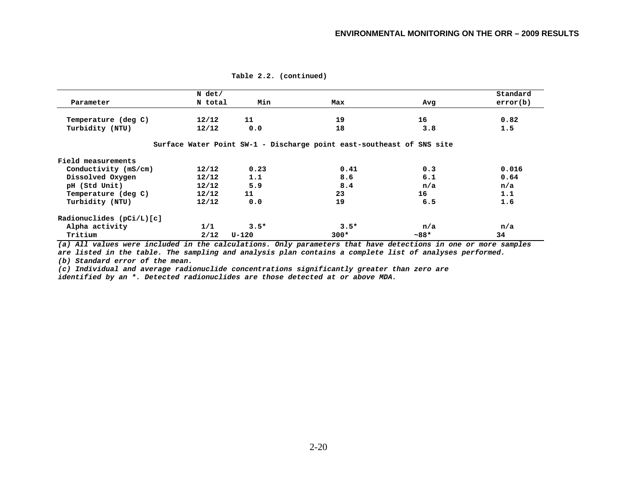|                            | $N$ det/ |        |                                                                       |         | Standard |
|----------------------------|----------|--------|-----------------------------------------------------------------------|---------|----------|
| Parameter                  | N total  | Min    | Max                                                                   | Avg     | error(b) |
| Temperature (deg C)        | 12/12    | 11     | 19                                                                    | 16      | 0.82     |
| Turbidity (NTU)            | 12/12    | 0.0    | 18                                                                    | 3.8     | 1.5      |
|                            |          |        | Surface Water Point SW-1 - Discharge point east-southeast of SNS site |         |          |
| Field measurements         |          |        |                                                                       |         |          |
| Conductivity (mS/cm)       | 12/12    | 0.23   | 0.41                                                                  | 0.3     | 0.016    |
| Dissolved Oxygen           | 12/12    | 1.1    | 8.6                                                                   | 6.1     | 0.64     |
| pH (Std Unit)              | 12/12    | 5.9    | 8.4                                                                   | n/a     | n/a      |
| Temperature (deg C)        | 12/12    | 11     | 23                                                                    | 16      | 1.1      |
| Turbidity (NTU)            | 12/12    | 0.0    | 19                                                                    | 6.5     | 1.6      |
| Radionuclides $(pCi/L)[c]$ |          |        |                                                                       |         |          |
| Alpha activity             | 1/1      | $3.5*$ | $3.5*$                                                                | n/a     | n/a      |
| Tritium                    | 2/12     | U-120  | $300*$                                                                | $~188*$ | 34       |

**Table 2.2. (continued)** 

*(a) All values were included in the calculations. Only parameters that have detections in one or more samples* 

*are listed in the table. The sampling and analysis plan contains a complete list of analyses performed. (b) Standard error of the mean.* 

*(c) Individual and average radionuclide concentrations significantly greater than zero are identified by an \*. Detected radionuclides are those detected at or above MDA.*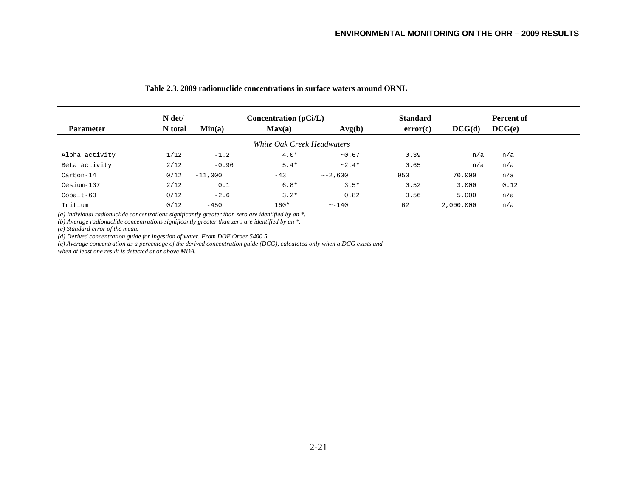|                  | N det/  |           | $Concentration$ ( $pCi/L$ ) |               | <b>Standard</b> |           | Percent of |
|------------------|---------|-----------|-----------------------------|---------------|-----------------|-----------|------------|
| <b>Parameter</b> | N total | Min(a)    | Max(a)                      | Avg(b)        | error(c)        | DCG(d)    | DCG(e)     |
|                  |         |           | White Oak Creek Headwaters  |               |                 |           |            |
| Alpha activity   | 1/12    | $-1.2$    | $4.0*$                      | ~10.67        | 0.39            | n/a       | n/a        |
| Beta activity    | 2/12    | $-0.96$   | $5.4*$                      | $~2.4*$       | 0.65            | n/a       | n/a        |
| Carbon-14        | 0/12    | $-11,000$ | $-43$                       | $\sim -2.600$ | 950             | 70,000    | n/a        |
| Cesium-137       | 2/12    | 0.1       | $6.8*$                      | $3.5*$        | 0.52            | 3,000     | 0.12       |
| $Cobalt-60$      | 0/12    | $-2.6$    | $3.2*$                      | ~10.82        | 0.56            | 5,000     | n/a        |
| Tritium          | 0/12    | $-450$    | $160*$                      | $\sim -140$   | 62              | 2,000,000 | n/a        |

#### **Table 2.3. 2009 radionuclide concentrations in surface waters around ORNL**

*(a) Individual radionuclide concentrations significantly greater than zero are identified by an \*. (b) Average radionuclide concentrations significantly greater than zero are identified by an \*.* 

*(c) Standard error of the mean.* 

*(d) Derived concentration guide for ingestion of water. From DOE Order 5400.5.* 

*(e) Average concentration as a percentage of the derived concentration guide (DCG), calculated only when a DCG exists and* 

*when at least one result is detected at or above MDA.*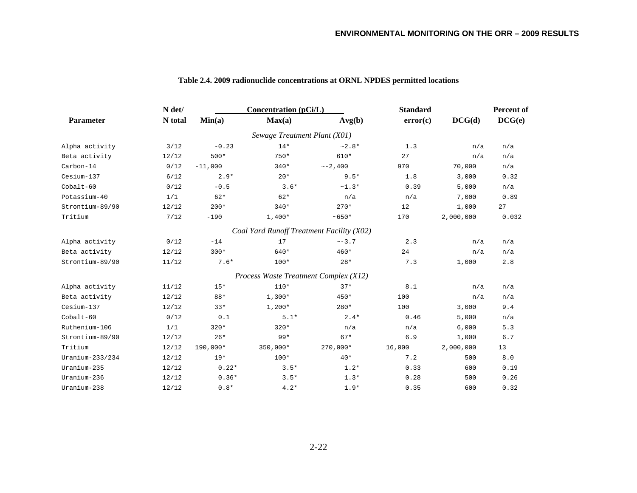|                    | N det/  |           | <b>Concentration</b> (pCi/L)          |                                           | <b>Standard</b> |           | Percent of |
|--------------------|---------|-----------|---------------------------------------|-------------------------------------------|-----------------|-----------|------------|
| <b>Parameter</b>   | N total | Min(a)    | Max(a)                                | Avg(b)                                    | error(c)        | DCG(d)    | DCG(e)     |
|                    |         |           | Sewage Treatment Plant (X01)          |                                           |                 |           |            |
| Alpha activity     | 3/12    | $-0.23$   | $14*$                                 | $~2.8*$                                   | 1.3             | n/a       | n/a        |
| Beta activity      | 12/12   | $500*$    | $750*$                                | 610*                                      | 27              | n/a       | n/a        |
| Carbon-14          | 0/12    | $-11,000$ | $340*$                                | $\sim -2,400$                             | 970             | 70,000    | n/a        |
| Cesium-137         | 6/12    | $2.9*$    | $20*$                                 | $9.5*$                                    | 1.8             | 3,000     | 0.32       |
| Cobalt-60          | 0/12    | $-0.5$    | $3.6*$                                | $~1.3*$                                   | 0.39            | 5,000     | n/a        |
| Potassium-40       | 1/1     | $62*$     | $62*$                                 | n/a                                       | n/a             | 7,000     | 0.89       |
| Strontium-89/90    | 12/12   | $200*$    | $340*$                                | $270*$                                    | 12              | 1,000     | 27         |
| Tritium            | 7/12    | $-190$    | $1,400*$                              | $~100*$                                   | 170             | 2,000,000 | 0.032      |
|                    |         |           |                                       | Coal Yard Runoff Treatment Facility (X02) |                 |           |            |
| Alpha activity     | 0/12    | $-14$     | 17                                    | $\sim -3.7$                               | 2.3             | n/a       | n/a        |
| Beta activity      | 12/12   | $300*$    | 640*                                  | 460*                                      | 24              | n/a       | n/a        |
| Strontium-89/90    | 11/12   | $7.6*$    | $100*$                                | $28*$                                     | 7.3             | 1,000     | 2.8        |
|                    |         |           | Process Waste Treatment Complex (X12) |                                           |                 |           |            |
| Alpha activity     | 11/12   | $15*$     | $110*$                                | $37*$                                     | 8.1             | n/a       | n/a        |
| Beta activity      | 12/12   | 88*       | $1,300*$                              | $450*$                                    | 100             | n/a       | n/a        |
| Cesium-137         | 12/12   | $33*$     | $1,200*$                              | $280*$                                    | 100             | 3,000     | 9.4        |
| Cobalt-60          | 0/12    | 0.1       | $5.1*$                                | $2.4*$                                    | 0.46            | 5,000     | n/a        |
| Ruthenium-106      | 1/1     | $320*$    | $320*$                                | n/a                                       | n/a             | 6,000     | 5.3        |
| Strontium-89/90    | 12/12   | $26*$     | $99*$                                 | $67*$                                     | 6.9             | 1,000     | 6.7        |
| Tritium            | 12/12   | 190,000*  | 350,000*                              | $270,000*$                                | 16,000          | 2,000,000 | 13         |
| Uranium- $233/234$ | 12/12   | $19*$     | $100*$                                | $40*$                                     | 7.2             | 500       | 8.0        |
| Uranium-235        | 12/12   | $0.22*$   | $3.5*$                                | $1.2*$                                    | 0.33            | 600       | 0.19       |
| Uranium-236        | 12/12   | $0.36*$   | $3.5*$                                | $1.3*$                                    | 0.28            | 500       | 0.26       |
| Uranium-238        | 12/12   | $0.8*$    | $4.2*$                                | $1.9*$                                    | 0.35            | 600       | 0.32       |

## **Table 2.4. 2009 radionuclide concentrations at ORNL NPDES permitted locations**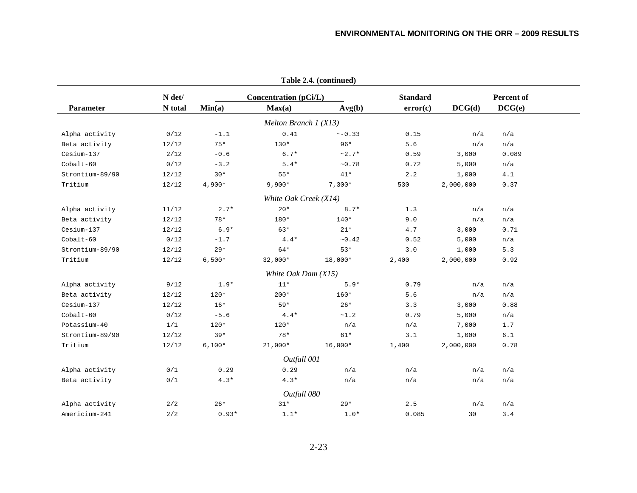|                  |                   |          |                                        | Table 2.4. (continued) |                             |           |                      |  |
|------------------|-------------------|----------|----------------------------------------|------------------------|-----------------------------|-----------|----------------------|--|
| <b>Parameter</b> | N det/<br>N total | Min(a)   | <b>Concentration (pCi/L)</b><br>Max(a) | Avg(b)                 | <b>Standard</b><br>error(c) | DCG(d)    | Percent of<br>DCG(e) |  |
|                  |                   |          | Melton Branch $1(X13)$                 |                        |                             |           |                      |  |
| Alpha activity   | 0/12              | $-1.1$   | 0.41                                   | $\sim -0.33$           | 0.15                        | n/a       | n/a                  |  |
| Beta activity    | 12/12             | $75*$    | $130*$                                 | $96*$                  | 5.6                         | n/a       | n/a                  |  |
| Cesium-137       | 2/12              | $-0.6$   | $6.7*$                                 | $~2.7*$                | 0.59                        | 3,000     | 0.089                |  |
| Cobalt-60        | 0/12              | $-3.2$   | $5.4*$                                 | ~10.78                 | 0.72                        | 5,000     | n/a                  |  |
| Strontium-89/90  | 12/12             | $30*$    | $55*$                                  | $41*$                  | 2.2                         | 1,000     | 4.1                  |  |
| Tritium          | 12/12             | $4,900*$ | $9,900*$                               | $7,300*$               | 530                         | 2,000,000 | 0.37                 |  |
|                  |                   |          | White Oak Creek (X14)                  |                        |                             |           |                      |  |
| Alpha activity   | 11/12             | $2.7*$   | $20*$                                  | $8.7*$                 | 1.3                         | n/a       | n/a                  |  |
| Beta activity    | 12/12             | $78*$    | 180*                                   | 140*                   | 9.0                         | n/a       | n/a                  |  |
| Cesium-137       | 12/12             | $6.9*$   | $63*$                                  | $21*$                  | 4.7                         | 3,000     | 0.71                 |  |
| $Cobalt-60$      | 0/12              | $-1.7$   | $4.4*$                                 | ~10.42                 | 0.52                        | 5,000     | n/a                  |  |
| Strontium-89/90  | 12/12             | $29*$    | $64*$                                  | $53*$                  | 3.0                         | 1,000     | 5.3                  |  |
| Tritium          | 12/12             | $6,500*$ | $32,000*$                              | 18,000*                | 2,400                       | 2,000,000 | 0.92                 |  |
|                  |                   |          | White Oak Dam (X15)                    |                        |                             |           |                      |  |
| Alpha activity   | 9/12              | $1.9*$   | $11*$                                  | $5.9*$                 | 0.79                        | n/a       | n/a                  |  |
| Beta activity    | 12/12             | $120*$   | $200*$                                 | $160*$                 | 5.6                         | n/a       | n/a                  |  |
| Cesium-137       | 12/12             | $16*$    | $59*$                                  | $26*$                  | 3.3                         | 3,000     | 0.88                 |  |
| Cobalt-60        | 0/12              | $-5.6$   | $4.4*$                                 | ~1.2                   | 0.79                        | 5,000     | n/a                  |  |
| Potassium-40     | 1/1               | $120*$   | $120*$                                 | n/a                    | n/a                         | 7,000     | 1.7                  |  |
| Strontium-89/90  | 12/12             | $39*$    | $78*$                                  | $61*$                  | 3.1                         | 1,000     | 6.1                  |  |
| Tritium          | 12/12             | $6,100*$ | $21,000*$                              | $16,000*$              | 1,400                       | 2,000,000 | 0.78                 |  |
|                  |                   |          | Outfall 001                            |                        |                             |           |                      |  |
| Alpha activity   | 0/1               | 0.29     | 0.29                                   | n/a                    | n/a                         | n/a       | n/a                  |  |
| Beta activity    | 0/1               | $4.3*$   | $4.3*$                                 | n/a                    | n/a                         | n/a       | n/a                  |  |
|                  |                   |          | Outfall 080                            |                        |                             |           |                      |  |
| Alpha activity   | 2/2               | $26*$    | $31*$                                  | $29*$                  | 2.5                         | n/a       | n/a                  |  |
| Americium-241    | 2/2               | $0.93*$  | $1.1*$                                 | $1.0*$                 | 0.085                       | 30        | 3.4                  |  |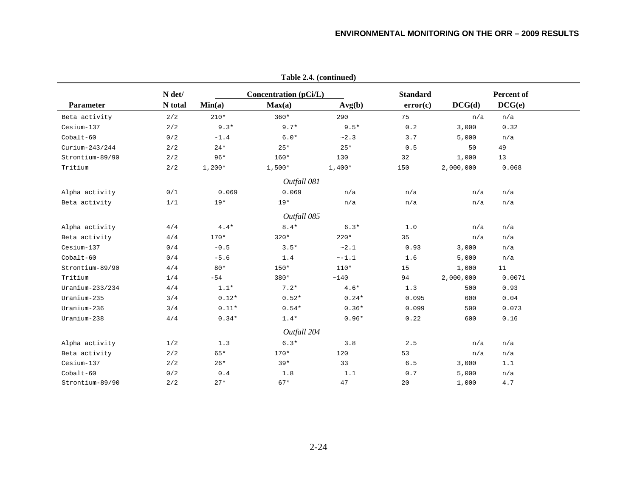|                    |         |          |                              | $1400C$ $\rightarrow 76$ (continued) |                 |           |            |
|--------------------|---------|----------|------------------------------|--------------------------------------|-----------------|-----------|------------|
|                    | N det/  |          | <b>Concentration (pCi/L)</b> |                                      | <b>Standard</b> |           | Percent of |
| <b>Parameter</b>   | N total | Min(a)   | Max(a)                       | Avg(b)                               | error(c)        | DCG(d)    | DCG(e)     |
| Beta activity      | 2/2     | $210*$   | $360*$                       | 290                                  | 75              | n/a       | n/a        |
| Cesium-137         | 2/2     | $9.3*$   | $9.7*$                       | $9.5*$                               | 0.2             | 3,000     | 0.32       |
| $Cobalt-60$        | 0/2     | $-1.4$   | $6.0*$                       | ~2.3                                 | 3.7             | 5,000     | n/a        |
| $Curium-243/244$   | 2/2     | $24*$    | $25*$                        | $25*$                                | 0.5             | 50        | 49         |
| Strontium-89/90    | 2/2     | $96*$    | $160*$                       | 130                                  | 32              | 1,000     | 13         |
| Tritium            | 2/2     | $1,200*$ | $1,500*$                     | $1,400*$                             | 150             | 2,000,000 | 0.068      |
|                    |         |          | Outfall 081                  |                                      |                 |           |            |
| Alpha activity     | 0/1     | 0.069    | 0.069                        | n/a                                  | n/a             | n/a       | n/a        |
| Beta activity      | 1/1     | $19*$    | $19*$                        | n/a                                  | n/a             | n/a       | n/a        |
|                    |         |          | Outfall 085                  |                                      |                 |           |            |
| Alpha activity     | 4/4     | $4.4*$   | $8.4*$                       | $6.3*$                               | 1.0             | n/a       | n/a        |
| Beta activity      | 4/4     | $170*$   | $320*$                       | $220*$                               | 35              | n/a       | n/a        |
| Cesium-137         | 0/4     | $-0.5$   | $3.5*$                       | ~2.1                                 | 0.93            | 3,000     | n/a        |
| Cobalt-60          | 0/4     | $-5.6$   | 1.4                          | $~-1.1$                              | 1.6             | 5,000     | n/a        |
| Strontium-89/90    | 4/4     | $80*$    | $150*$                       | $110*$                               | 15              | 1,000     | 11         |
| Tritium            | 1/4     | $-54$    | $380*$                       | ~140                                 | 94              | 2,000,000 | 0.0071     |
| Uranium- $233/234$ | 4/4     | $1.1*$   | $7.2*$                       | $4.6*$                               | 1.3             | 500       | 0.93       |
| Uranium-235        | 3/4     | $0.12*$  | $0.52*$                      | $0.24*$                              | 0.095           | 600       | 0.04       |
| Uranium-236        | 3/4     | $0.11*$  | $0.54*$                      | $0.36*$                              | 0.099           | 500       | 0.073      |
| Uranium-238        | 4/4     | $0.34*$  | $1.4*$                       | $0.96*$                              | 0.22            | 600       | 0.16       |
|                    |         |          | Outfall 204                  |                                      |                 |           |            |
| Alpha activity     | 1/2     | 1.3      | $6.3*$                       | 3.8                                  | 2.5             | n/a       | n/a        |
| Beta activity      | 2/2     | $65*$    | $170*$                       | 120                                  | 53              | n/a       | n/a        |
| Cesium-137         | 2/2     | $26*$    | $39*$                        | 33                                   | 6.5             | 3,000     | 1.1        |
| Cobalt-60          | 0/2     | $0.4$    | 1.8                          | 1.1                                  | 0.7             | 5,000     | n/a        |
| Strontium-89/90    | 2/2     | $27*$    | $67*$                        | 47                                   | 20              | 1,000     | $4.7\,$    |
|                    |         |          |                              |                                      |                 |           |            |

**Table 2.4. (continued)**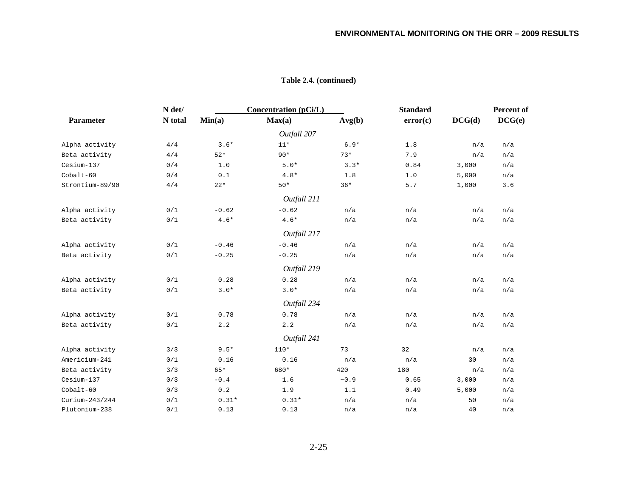|                  | N det/  |                             | Concentration (pCi/L) |            | <b>Standard</b> |        | Percent of |
|------------------|---------|-----------------------------|-----------------------|------------|-----------------|--------|------------|
| Parameter        | N total | Min(a)                      | Max(a)                | Avg(b)     | error(c)        | DCG(d) | DCG(e)     |
|                  |         |                             | Outfall 207           |            |                 |        |            |
| Alpha activity   | 4/4     | $3.6*$                      | $11*$                 | $6.9*$     | $1.8$           | n/a    | n/a        |
| Beta activity    | 4/4     | $52*$                       | $90*$                 | $73*$      | 7.9             | n/a    | n/a        |
| Cesium-137       | 0/4     | 1.0                         | $5.0*$                | $3.3*$     | 0.84            | 3,000  | n/a        |
| $Cobalt-60$      | 0/4     | 0.1                         | $4.8*$                | 1.8        | 1.0             | 5,000  | n/a        |
| Strontium-89/90  | 4/4     | $22*$                       | $50*$                 | $36*$      | 5.7             | 1,000  | 3.6        |
|                  |         |                             | Outfall 211           |            |                 |        |            |
| Alpha activity   | 0/1     | $-0.62$                     | $-0.62$               | n/a        | n/a             | n/a    | n/a        |
| Beta activity    | 0/1     | $4.6*$                      | $4.6*$                | n/a        | n/a             | n/a    | n/a        |
|                  |         |                             | Outfall 217           |            |                 |        |            |
| Alpha activity   | 0/1     | $-0.46$                     | $-0.46$               | n/a        | n/a             | n/a    | n/a        |
| Beta activity    | 0/1     | $-0.25$                     | $-0.25$               | n/a        | n/a             | n/a    | n/a        |
|                  |         |                             | Outfall 219           |            |                 |        |            |
| Alpha activity   | 0/1     | 0.28                        | 0.28                  | n/a        | n/a             | n/a    | n/a        |
| Beta activity    | 0/1     | $3.0*$                      | $3.0*$                | n/a        | n/a             | n/a    | n/a        |
|                  |         |                             | Outfall 234           |            |                 |        |            |
| Alpha activity   | 0/1     | 0.78                        | 0.78                  | n/a        | n/a             | n/a    | n/a        |
| Beta activity    | 0/1     | 2.2                         | 2.2                   | n/a        | n/a             | n/a    | n/a        |
|                  |         |                             | Outfall 241           |            |                 |        |            |
| Alpha activity   | 3/3     | $9.5*$                      | $110*$                | 73         | 32              | n/a    | n/a        |
| Americium-241    | 0/1     | 0.16                        | 0.16                  | n/a        | n/a             | 30     | n/a        |
| Beta activity    | 3/3     | $65*$                       | 680*                  | 420        | 180             | n/a    | n/a        |
| Cesium-137       | 0/3     | $-0.4$                      | 1.6                   | $\sim 0.9$ | 0.65            | 3,000  | n/a        |
| $Cobalt-60$      | 0/3     | $\ensuremath{\text{o}}$ . 2 | 1.9                   | 1.1        | 0.49            | 5,000  | n/a        |
| $Curium-243/244$ | 0/1     | $0.31*$                     | $0.31*$               | n/a        | n/a             | 50     | n/a        |
| Plutonium-238    | 0/1     | 0.13                        | 0.13                  | n/a        | n/a             | 40     | n/a        |

**Table 2.4. (continued)**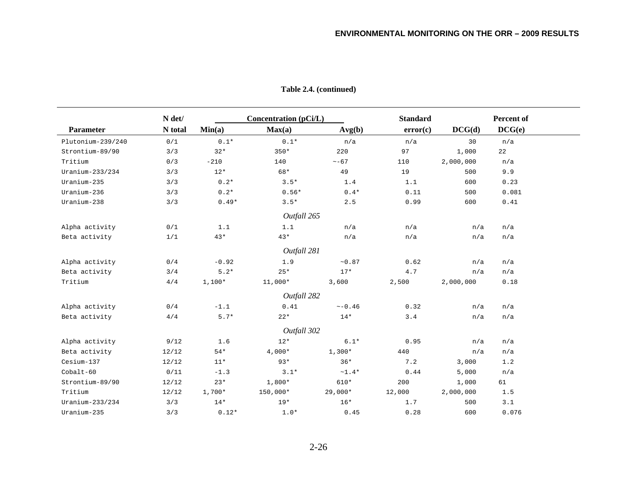|                   | N det/  |          | <b>Concentration</b> (pCi/L) |              | <b>Standard</b> |           | Percent of |
|-------------------|---------|----------|------------------------------|--------------|-----------------|-----------|------------|
| Parameter         | N total | Min(a)   | Max(a)                       | Avg(b)       | error(c)        | DCG(d)    | DCG(e)     |
| Plutonium-239/240 | 0/1     | $0.1*$   | $0.1*$                       | n/a          | n/a             | 30        | n/a        |
| Strontium-89/90   | 3/3     | $32*$    | $350*$                       | 220          | 97              | 1,000     | 22         |
| Tritium           | 0/3     | $-210$   | 140                          | $\sim -67$   | 110             | 2,000,000 | n/a        |
| Uranium-233/234   | 3/3     | $12*$    | 68*                          | 49           | 19              | 500       | 9.9        |
| Uranium-235       | 3/3     | $0.2*$   | $3.5*$                       | 1.4          | 1.1             | 600       | 0.23       |
| Uranium-236       | 3/3     | $0.2*$   | $0.56*$                      | $0.4*$       | 0.11            | 500       | 0.081      |
| Uranium-238       | 3/3     | $0.49*$  | $3.5*$                       | 2.5          | 0.99            | 600       | 0.41       |
|                   |         |          | Outfall 265                  |              |                 |           |            |
| Alpha activity    | 0/1     | 1.1      | 1.1                          | n/a          | n/a             | n/a       | n/a        |
| Beta activity     | 1/1     | $43*$    | $43*$                        | n/a          | n/a             | n/a       | n/a        |
|                   |         |          | Outfall 281                  |              |                 |           |            |
| Alpha activity    | 0/4     | $-0.92$  | 1.9                          | ~10.87       | 0.62            | n/a       | n/a        |
| Beta activity     | 3/4     | $5.2*$   | $25*$                        | $17*$        | 4.7             | n/a       | n/a        |
| Tritium           | 4/4     | $1,100*$ | $11,000*$                    | 3,600        | 2,500           | 2,000,000 | 0.18       |
|                   |         |          | Outfall 282                  |              |                 |           |            |
| Alpha activity    | 0/4     | $-1.1$   | 0.41                         | $\sim -0.46$ | 0.32            | n/a       | n/a        |
| Beta activity     | 4/4     | $5.7*$   | $22*$                        | $14*$        | 3.4             | n/a       | n/a        |
|                   |         |          | Outfall 302                  |              |                 |           |            |
| Alpha activity    | 9/12    | 1.6      | $12*$                        | $6.1*$       | 0.95            | n/a       | n/a        |
| Beta activity     | 12/12   | $54*$    | $4,000*$                     | $1,300*$     | 440             | n/a       | n/a        |
| Cesium-137        | 12/12   | $11*$    | $93*$                        | $36*$        | 7.2             | 3,000     | 1.2        |
| $Cobalt-60$       | 0/11    | $-1.3$   | $3.1*$                       | $~1.4*$      | 0.44            | 5,000     | n/a        |
| Strontium-89/90   | 12/12   | $23*$    | $1,800*$                     | $610*$       | 200             | 1,000     | 61         |
| Tritium           | 12/12   | $1,700*$ | 150,000*                     | $29,000*$    | 12,000          | 2,000,000 | 1.5        |
| Uranium-233/234   | 3/3     | $14*$    | $19*$                        | $16*$        | 1.7             | 500       | 3.1        |
| Uranium-235       | 3/3     | $0.12*$  | $1.0*$                       | 0.45         | 0.28            | 600       | 0.076      |

**Table 2.4. (continued)**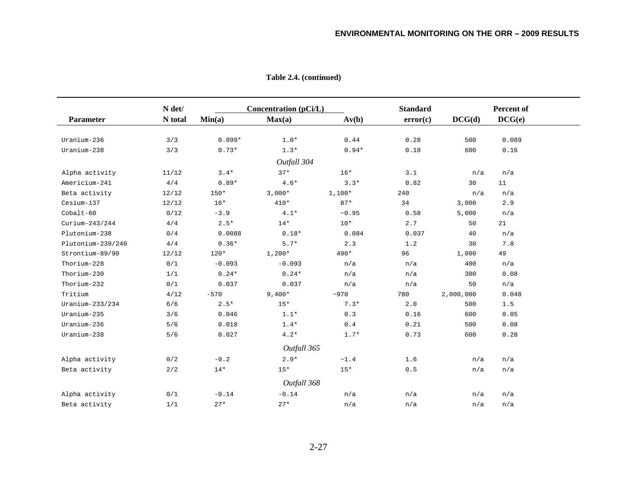|                   | N det/  |          | <b>Concentration (pCi/L)</b> |                   | <b>Standard</b> |           | Percent of |
|-------------------|---------|----------|------------------------------|-------------------|-----------------|-----------|------------|
| Parameter         | N total | Min(a)   | Max(a)                       | Av(b)             | error(c)        | DCG(d)    | DCG(e)     |
|                   |         |          |                              |                   |                 |           |            |
| Uranium-236       | 3/3     | $0.099*$ | $1.0*$                       | 0.44              | 0.28            | 500       | 0.089      |
| Uranium-238       | 3/3     | $0.73*$  | $1.3*$                       | $0.94*$           | 0.18            | 600       | 0.16       |
|                   |         |          | Outfall 304                  |                   |                 |           |            |
| Alpha activity    | 11/12   | $3.4*$   | $37*$                        | $16*$             | 3.1             | n/a       | n/a        |
| Americium-241     | 4/4     | $0.89*$  | $4.6*$                       | $3.3*$            | 0.82            | 30        | 11         |
| Beta activity     | 12/12   | $150*$   | $3,000*$                     | $1,100*$          | 240             | n/a       | n/a        |
| Cesium-137        | 12/12   | $16*$    | $410*$                       | $87*$             | 34              | 3,000     | 2.9        |
| Cobalt-60         | 0/12    | $-3.9$   | $4.1*$                       | ~10.95            | 0.58            | 5,000     | n/a        |
| $Curium-243/244$  | 4/4     | $2.5*$   | $14*$                        | $10*$             | 2.7             | 50        | 21         |
| Plutonium-238     | 0/4     | 0.0088   | $0.18*$                      | 0.084             | 0.037           | 40        | n/a        |
| Plutonium-239/240 | 4/4     | $0.36*$  | $5.7*$                       | 2.3               | 1.2             | 30        | 7.8        |
| Strontium-89/90   | 12/12   | $120*$   | $1,200*$                     | 490*              | 96              | 1,000     | 49         |
| Thorium-228       | 0/1     | $-0.093$ | $-0.093$                     | n/a               | n/a             | 400       | n/a        |
| Thorium-230       | 1/1     | $0.24*$  | $0.24*$                      | n/a               | n/a             | 300       | 0.08       |
| Thorium-232       | 0/1     | 0.037    | 0.037                        | n/a               | n/a             | 50        | n/a        |
| Tritium           | 4/12    | $-570$   | $9,400*$                     | ~100              | 780             | 2,000,000 | 0.048      |
| $Uranium-233/234$ | 6/6     | $2.5*$   | $15*$                        | $7.3*$            | 2.0             | 500       | 1.5        |
| Uranium-235       | 3/6     | 0.046    | $1.1*$                       | 0.3               | 0.16            | 600       | 0.05       |
| Uranium-236       | 5/6     | 0.018    | $1.4*$                       | $0.4$             | 0.21            | 500       | 0.08       |
| Uranium-238       | 5/6     | 0.027    | $4.2*$                       | $1.7*$            | 0.73            | 600       | 0.28       |
|                   |         |          | Outfall 365                  |                   |                 |           |            |
| Alpha activity    | 0/2     | $-0.2$   | $2.9*$                       | $\sim\!\!1$ . $4$ | 1.6             | n/a       | n/a        |
| Beta activity     | 2/2     | $14*$    | $15*$                        | $15*$             | 0.5             | n/a       | n/a        |
|                   |         |          | Outfall 368                  |                   |                 |           |            |
| Alpha activity    | 0/1     | $-0.14$  | $-0.14$                      | n/a               | n/a             | n/a       | n/a        |
| Beta activity     | 1/1     | $27*$    | $27*$                        | n/a               | n/a             | n/a       | n/a        |

**Table 2.4. (continued)**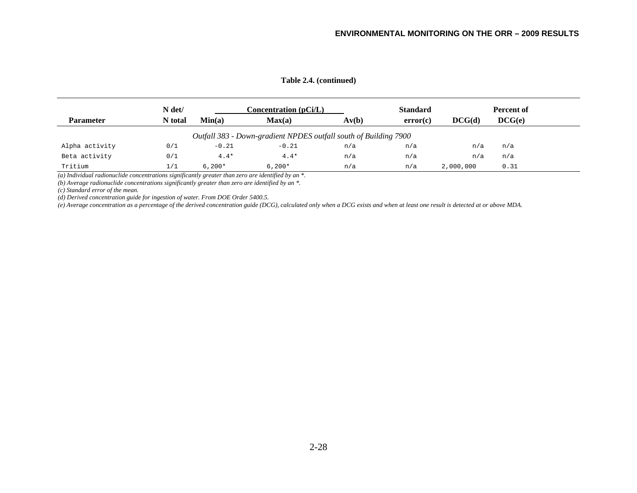|                  | N det/  |          | Concentration (pCi/L)                                            |       | <b>Standard</b> |           | Percent of |
|------------------|---------|----------|------------------------------------------------------------------|-------|-----------------|-----------|------------|
| <b>Parameter</b> | N total | Min(a)   | Max(a)                                                           | Av(b) | error(c)        | DCG(d)    | DCG(e)     |
|                  |         |          | Outfall 383 - Down-gradient NPDES outfall south of Building 7900 |       |                 |           |            |
| Alpha activity   | 0/1     | $-0.21$  | $-0.21$                                                          | n/a   | n/a             | n/a       | n/a        |
| Beta activity    | 0/1     | $4.4*$   | $4.4*$                                                           | n/a   | n/a             | n/a       | n/a        |
| Tritium          | 1/1     | $6.200*$ | $6,200*$                                                         | n/a   | n/a             | 2,000,000 | 0.31       |

*(a) Individual radionuclide concentrations significantly greater than zero are identified by an \*.* 

*(b) Average radionuclide concentrations significantly greater than zero are identified by an \*.* 

*(c) Standard error of the mean.* 

*(d) Derived concentration guide for ingestion of water. From DOE Order 5400.5.* 

*(e) Average concentration as a percentage of the derived concentration guide (DCG), calculated only when a DCG exists and when at least one result is detected at or above MDA.*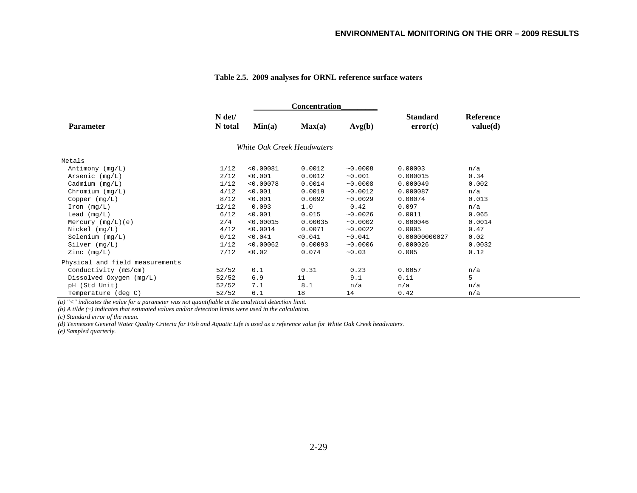|                                 |                   |           | <b>Concentration</b>       |          |                             |                              |
|---------------------------------|-------------------|-----------|----------------------------|----------|-----------------------------|------------------------------|
| <b>Parameter</b>                | N det/<br>N total | Min(a)    | Max(a)                     | Avg(b)   | <b>Standard</b><br>error(c) | <b>Reference</b><br>value(d) |
|                                 |                   |           | White Oak Creek Headwaters |          |                             |                              |
| Metals                          |                   |           |                            |          |                             |                              |
| Antimony $(mq/L)$               | 1/12              | < 0.00081 | 0.0012                     | ~10.0008 | 0.00003                     | n/a                          |
| Arsenic $(mq/L)$                | 2/12              | < 0.001   | 0.0012                     | ~10.001  | 0.000015                    | 0.34                         |
| Cadmium $(mq/L)$                | 1/12              | < 0.00078 | 0.0014                     | ~10.0008 | 0.000049                    | 0.002                        |
| Chromium $(mg/L)$               | 4/12              | < 0.001   | 0.0019                     | ~0.0012  | 0.000087                    | n/a                          |
| Copper (mg/L)                   | 8/12              | < 0.001   | 0.0092                     | ~10.0029 | 0.00074                     | 0.013                        |
| $\text{Iron} (\text{mq/L})$     | 12/12             | 0.093     | 1.0                        | 0.42     | 0.097                       | n/a                          |
| Lead $(mq/L)$                   | 6/12              | < 0.001   | 0.015                      | ~10.0026 | 0.0011                      | 0.065                        |
| Mercury $(mq/L)$ (e)            | 2/4               | < 0.00015 | 0.00035                    | ~10.0002 | 0.000046                    | 0.0014                       |
| $Nickel$ ( $mq/L$ )             | 4/12              | < 0.0014  | 0.0071                     | ~10.0022 | 0.0005                      | 0.47                         |
| Selenium (mq/L)                 | 0/12              | < 0.041   | < 0.041                    | ~10.041  | 0.00000000027               | 0.02                         |
| Silver (mg/L)                   | 1/12              | < 0.00062 | 0.00093                    | ~10.0006 | 0.000026                    | 0.0032                       |
| Zinc (mg/L)                     | 7/12              | < 0.02    | 0.074                      | ~10.03   | 0.005                       | 0.12                         |
| Physical and field measurements |                   |           |                            |          |                             |                              |
| Conductivity (mS/cm)            | 52/52             | 0.1       | 0.31                       | 0.23     | 0.0057                      | n/a                          |
| Dissolved Oxygen $(mq/L)$       | 52/52             | 6.9       | 11                         | 9.1      | 0.11                        | 5                            |
| pH (Std Unit)                   | 52/52             | 7.1       | 8.1                        | n/a      | n/a                         | n/a                          |
| Temperature (deg C)             | 52/52             | 6.1       | 18                         | 14       | 0.42                        | n/a                          |

#### **Table 2.5. 2009 analyses for ORNL reference surface waters**

*(a) "<" indicates the value for a parameter was not quantifiable at the analytical detection limit.* 

*(b) A tilde (~) indicates that estimated values and/or detection limits were used in the calculation.* 

*(c) Standard error of the mean.* 

*(d) Tennessee General Water Quality Criteria for Fish and Aquatic Life is used as a reference value for White Oak Creek headwaters.* 

*(e) Sampled quarterly.*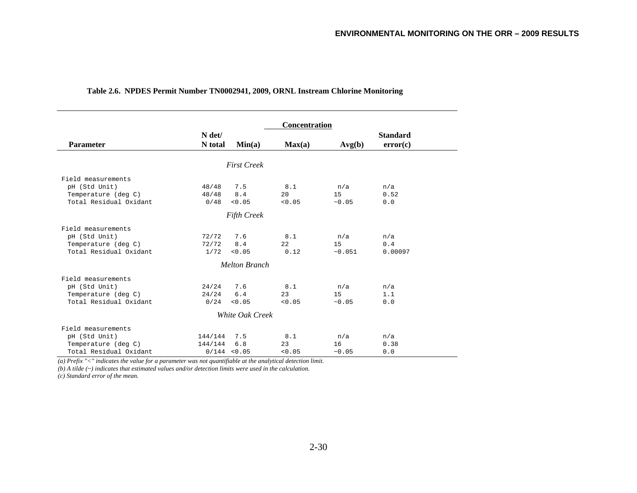|                        |         |                      | Concentration |        |                 |
|------------------------|---------|----------------------|---------------|--------|-----------------|
|                        | N det/  |                      |               |        | <b>Standard</b> |
| <b>Parameter</b>       | N total | Min(a)               | Max(a)        | Avg(b) | error(c)        |
|                        |         |                      |               |        |                 |
|                        |         | <b>First Creek</b>   |               |        |                 |
| Field measurements     |         |                      |               |        |                 |
| pH (Std Unit)          | 48/48   | 7.5                  | 8.1           | n/a    | n/a             |
| Temperature (deg C)    | 48/48   | 8.4                  | 20            | 15     | 0.52            |
| Total Residual Oxidant | 0/48    | < 0.05               | < 0.05        | ~10.05 | 0.0             |
|                        |         | <b>Fifth Creek</b>   |               |        |                 |
| Field measurements     |         |                      |               |        |                 |
| pH (Std Unit)          | 72/72   | 7.6                  | 8.1           | n/a    | n/a             |
| Temperature (deg C)    | 72/72   | 8.4                  | 22            | 15     | 0.4             |
| Total Residual Oxidant | 1/72    | < 0.05               | 0.12          | ~0.051 | 0.00097         |
|                        |         | <b>Melton Branch</b> |               |        |                 |
| Field measurements     |         |                      |               |        |                 |
| pH (Std Unit)          | 24/24   | 7.6                  | 8.1           | n/a    | n/a             |
| Temperature (deg C)    | 24/24   | 6.4                  | 23            | 15     | 1.1             |
| Total Residual Oxidant | 0/24    | < 0.05               | < 0.05        | ~10.05 | 0.0             |
|                        |         | White Oak Creek      |               |        |                 |
| Field measurements     |         |                      |               |        |                 |
| pH (Std Unit)          | 144/144 | 7.5                  | 8.1           | n/a    | n/a             |
| Temperature (deg C)    | 144/144 | 6.8                  | 23            | 16     | 0.38            |
| Total Residual Oxidant |         | 0/144 < 0.05         | < 0.05        | ~10.05 | 0.0             |

## **Table 2.6. NPDES Permit Number TN0002941, 2009, ORNL Instream Chlorine Monitoring**

*(a) Prefix "<" indicates the value for a parameter was not quantifiable at the analytical detection limit.* 

*(b) A tilde (~) indicates that estimated values and/or detection limits were used in the calculation.* 

*(c) Standard error of the mean.*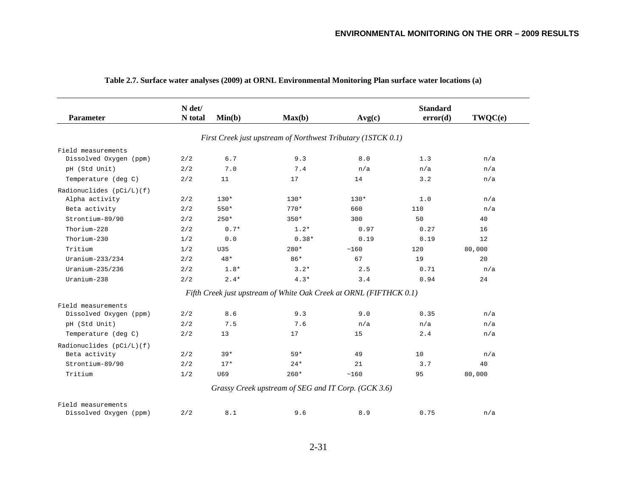|                          | N det/  |        |                                                                    |        | <b>Standard</b> |         |  |
|--------------------------|---------|--------|--------------------------------------------------------------------|--------|-----------------|---------|--|
| <b>Parameter</b>         | N total | Min(b) | Max(b)                                                             | Avg(c) | error(d)        | TWQC(e) |  |
|                          |         |        |                                                                    |        |                 |         |  |
|                          |         |        | First Creek just upstream of Northwest Tributary (ISTCK 0.1)       |        |                 |         |  |
| Field measurements       |         |        |                                                                    |        |                 |         |  |
| Dissolved Oxygen (ppm)   | 2/2     | 6.7    | 9.3                                                                | 8.0    | 1.3             | n/a     |  |
| pH (Std Unit)            | 2/2     | 7.0    | 7.4                                                                | n/a    | n/a             | n/a     |  |
| Temperature (deg C)      | 2/2     | 11     | 17                                                                 | 14     | 3.2             | n/a     |  |
| Radionuclides (pCi/L)(f) |         |        |                                                                    |        |                 |         |  |
| Alpha activity           | 2/2     | $130*$ | $130*$                                                             | $130*$ | 1.0             | n/a     |  |
| Beta activity            | 2/2     | 550*   | $770*$                                                             | 660    | 110             | n/a     |  |
| Strontium-89/90          | 2/2     | $250*$ | $350*$                                                             | 300    | 50              | 40      |  |
| Thorium-228              | 2/2     | $0.7*$ | $1.2*$                                                             | 0.97   | 0.27            | 16      |  |
| Thorium-230              | 1/2     | 0.0    | $0.38*$                                                            | 0.19   | 0.19            | 12      |  |
| Tritium                  | 1/2     | U35    | 280*                                                               | ~160   | 120             | 80,000  |  |
| $Uranium-233/234$        | 2/2     | $48*$  | $86*$                                                              | 67     | 19              | 20      |  |
| Uranium-235/236          | 2/2     | $1.8*$ | $3.2*$                                                             | 2.5    | 0.71            | n/a     |  |
| Uranium-238              | 2/2     | $2.4*$ | $4.3*$                                                             | 3.4    | 0.94            | 24      |  |
|                          |         |        | Fifth Creek just upstream of White Oak Creek at ORNL (FIFTHCK 0.1) |        |                 |         |  |
| Field measurements       |         |        |                                                                    |        |                 |         |  |
| Dissolved Oxygen (ppm)   | 2/2     | 8.6    | 9.3                                                                | 9.0    | 0.35            | n/a     |  |
| pH (Std Unit)            | 2/2     | 7.5    | 7.6                                                                | n/a    | n/a             | n/a     |  |
| Temperature (deg C)      | 2/2     | 13     | 17                                                                 | 15     | 2.4             | n/a     |  |
| Radionuclides (pCi/L)(f) |         |        |                                                                    |        |                 |         |  |
| Beta activity            | 2/2     | $39*$  | $59*$                                                              | 49     | 10              | n/a     |  |
| Strontium-89/90          | 2/2     | $17*$  | $24*$                                                              | 21     | 3.7             | 40      |  |
| Tritium                  | 1/2     | U69    | $260*$                                                             | ~160   | 95              | 80,000  |  |
|                          |         |        | Grassy Creek upstream of SEG and IT Corp. (GCK 3.6)                |        |                 |         |  |
| Field measurements       |         |        |                                                                    |        |                 |         |  |
| Dissolved Oxygen (ppm)   | 2/2     | 8.1    | 9.6                                                                | 8.9    | 0.75            | n/a     |  |

## **Table 2.7. Surface water analyses (2009) at ORNL Environmental Monitoring Plan surface water locations (a)**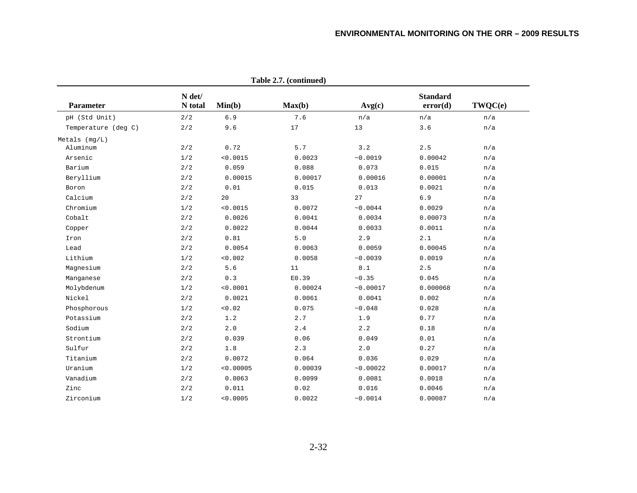|                     | Table 2.7. (continued) |           |         |           |                             |         |  |  |  |  |  |  |  |  |
|---------------------|------------------------|-----------|---------|-----------|-----------------------------|---------|--|--|--|--|--|--|--|--|
| <b>Parameter</b>    | N det/<br>N total      | Min(b)    | Max(b)  | Avg(c)    | <b>Standard</b><br>error(d) | TWQC(e) |  |  |  |  |  |  |  |  |
| pH (Std Unit)       | 2/2                    | 6.9       | 7.6     | n/a       | n/a                         | n/a     |  |  |  |  |  |  |  |  |
| Temperature (deg C) | 2/2                    | 9.6       | 17      | 13        | 3.6                         | n/a     |  |  |  |  |  |  |  |  |
| Metals (mq/L)       |                        |           |         |           |                             |         |  |  |  |  |  |  |  |  |
| Aluminum            | 2/2                    | 0.72      | $5.7$   | 3.2       | 2.5                         | n/a     |  |  |  |  |  |  |  |  |
| Arsenic             | 1/2                    | < 0.0015  | 0.0023  | ~0.0019   | 0.00042                     | n/a     |  |  |  |  |  |  |  |  |
| Barium              | 2/2                    | 0.059     | 0.088   | 0.073     | 0.015                       | n/a     |  |  |  |  |  |  |  |  |
| Beryllium           | 2/2                    | 0.00015   | 0.00017 | 0.00016   | 0.00001                     | n/a     |  |  |  |  |  |  |  |  |
| Boron               | 2/2                    | 0.01      | 0.015   | 0.013     | 0.0021                      | n/a     |  |  |  |  |  |  |  |  |
| Calcium             | 2/2                    | 20        | 33      | 27        | $6.9$                       | n/a     |  |  |  |  |  |  |  |  |
| Chromium            | 1/2                    | < 0.0015  | 0.0072  | ~10.0044  | 0.0029                      | n/a     |  |  |  |  |  |  |  |  |
| Cobalt              | 2/2                    | 0.0026    | 0.0041  | 0.0034    | 0.00073                     | n/a     |  |  |  |  |  |  |  |  |
| Copper              | 2/2                    | 0.0022    | 0.0044  | 0.0033    | 0.0011                      | n/a     |  |  |  |  |  |  |  |  |
| Iron                | 2/2                    | 0.81      | 5.0     | 2.9       | 2.1                         | n/a     |  |  |  |  |  |  |  |  |
| Lead                | 2/2                    | 0.0054    | 0.0063  | 0.0059    | 0.00045                     | n/a     |  |  |  |  |  |  |  |  |
| Lithium             | 1/2                    | < 0.002   | 0.0058  | ~10.0039  | 0.0019                      | n/a     |  |  |  |  |  |  |  |  |
| Magnesium           | 2/2                    | 5.6       | 11      | 8.1       | 2.5                         | n/a     |  |  |  |  |  |  |  |  |
| Manganese           | 2/2                    | 0.3       | E0.39   | ~10.35    | 0.045                       | n/a     |  |  |  |  |  |  |  |  |
| Molybdenum          | 1/2                    | < 0.0001  | 0.00024 | ~0.00017  | 0.000068                    | n/a     |  |  |  |  |  |  |  |  |
| Nickel              | 2/2                    | 0.0021    | 0.0061  | 0.0041    | 0.002                       | n/a     |  |  |  |  |  |  |  |  |
| Phosphorous         | 1/2                    | 0.02      | 0.075   | ~10.048   | 0.028                       | n/a     |  |  |  |  |  |  |  |  |
| Potassium           | 2/2                    | 1.2       | 2.7     | 1.9       | 0.77                        | n/a     |  |  |  |  |  |  |  |  |
| Sodium              | 2/2                    | 2.0       | 2.4     | 2.2       | 0.18                        | n/a     |  |  |  |  |  |  |  |  |
| Strontium           | 2/2                    | 0.039     | 0.06    | 0.049     | 0.01                        | n/a     |  |  |  |  |  |  |  |  |
| Sulfur              | 2/2                    | $1.8$     | 2.3     | 2.0       | 0.27                        | n/a     |  |  |  |  |  |  |  |  |
| Titanium            | 2/2                    | 0.0072    | 0.064   | 0.036     | 0.029                       | n/a     |  |  |  |  |  |  |  |  |
| Uranium             | 1/2                    | < 0.00005 | 0.00039 | ~10.00022 | 0.00017                     | n/a     |  |  |  |  |  |  |  |  |
| Vanadium            | 2/2                    | 0.0063    | 0.0099  | 0.0081    | 0.0018                      | n/a     |  |  |  |  |  |  |  |  |
| Zinc                | 2/2                    | 0.011     | 0.02    | 0.016     | 0.0046                      | n/a     |  |  |  |  |  |  |  |  |
| Zirconium           | 1/2                    | < 0.0005  | 0.0022  | ~0.0014   | 0.00087                     | n/a     |  |  |  |  |  |  |  |  |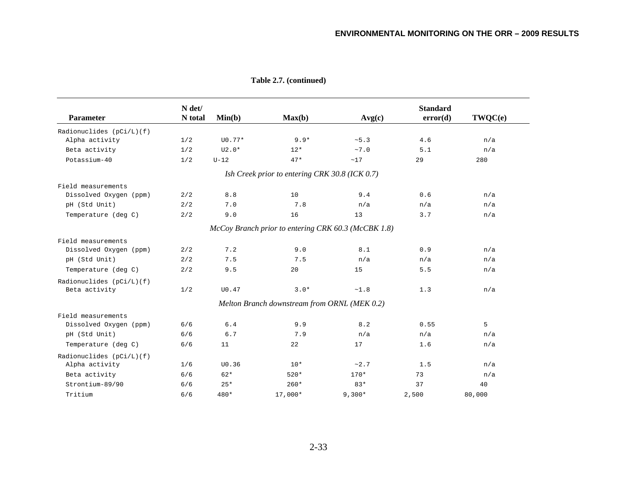| <b>Parameter</b>                              | N det/<br>N total | Min(b)   | Max(b)                                         | Avg(c)                                              | <b>Standard</b><br>error(d) | TWQC(e) |
|-----------------------------------------------|-------------------|----------|------------------------------------------------|-----------------------------------------------------|-----------------------------|---------|
|                                               |                   |          |                                                |                                                     |                             |         |
| Radionuclides $(pCi/L)$ (f)<br>Alpha activity | 1/2               | $U0.77*$ | $9.9*$                                         | ~5.3                                                | 4.6                         | n/a     |
|                                               | 1/2               | $U2.0*$  |                                                | ~10                                                 | 5.1                         |         |
| Beta activity                                 |                   |          | $12*$                                          |                                                     |                             | n/a     |
| Potassium-40                                  | 1/2               | $U-12$   | $47*$                                          | ~17                                                 | 29                          | 280     |
|                                               |                   |          | Ish Creek prior to entering CRK 30.8 (ICK 0.7) |                                                     |                             |         |
| Field measurements                            |                   |          |                                                |                                                     |                             |         |
| Dissolved Oxygen (ppm)                        | 2/2               | 8.8      | 10                                             | 9.4                                                 | 0.6                         | n/a     |
| pH (Std Unit)                                 | 2/2               | 7.0      | 7.8                                            | n/a                                                 | n/a                         | n/a     |
| Temperature (deg C)                           | 2/2               | 9.0      | 16                                             | 13                                                  | 3.7                         | n/a     |
|                                               |                   |          |                                                | McCoy Branch prior to entering CRK 60.3 (McCBK 1.8) |                             |         |
| Field measurements                            |                   |          |                                                |                                                     |                             |         |
| Dissolved Oxygen (ppm)                        | 2/2               | 7.2      | 9.0                                            | 8.1                                                 | 0.9                         | n/a     |
| pH (Std Unit)                                 | 2/2               | 7.5      | 7.5                                            | n/a                                                 | n/a                         | n/a     |
| Temperature (deg C)                           | 2/2               | 9.5      | 20                                             | 15                                                  | 5.5                         | n/a     |
| Radionuclides (pCi/L)(f)                      |                   |          |                                                |                                                     |                             |         |
| Beta activity                                 | 1/2               | U0.47    | $3.0*$                                         | $\sim\!1$ . $8$                                     | 1.3                         | n/a     |
|                                               |                   |          | Melton Branch downstream from ORNL (MEK 0.2)   |                                                     |                             |         |
| Field measurements                            |                   |          |                                                |                                                     |                             |         |
| Dissolved Oxygen (ppm)                        | 6/6               | $6.4$    | 9.9                                            | 8.2                                                 | 0.55                        | 5       |
| pH (Std Unit)                                 | 6/6               | 6.7      | 7.9                                            | n/a                                                 | n/a                         | n/a     |
| Temperature (deg C)                           | 6/6               | 11       | 22                                             | 17                                                  | 1.6                         | n/a     |
| Radionuclides (pCi/L)(f)                      |                   |          |                                                |                                                     |                             |         |
| Alpha activity                                | 1/6               | U0.36    | $10*$                                          | ~2.7                                                | 1.5                         | n/a     |
| Beta activity                                 | 6/6               | $62*$    | $520*$                                         | $170*$                                              | 73                          | n/a     |
| Strontium-89/90                               | 6/6               | $25*$    | $260*$                                         | $83*$                                               | 37                          | 40      |
| Tritium                                       | 6/6               | 480*     | 17,000*                                        | $9,300*$                                            | 2,500                       | 80,000  |

**Table 2.7. (continued)**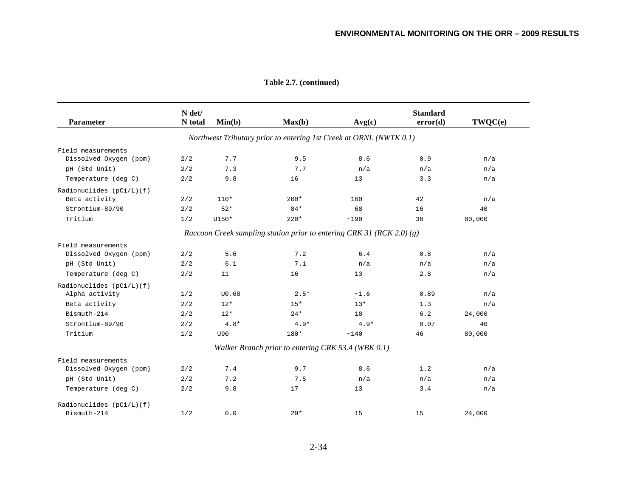| <b>Parameter</b>         | N det/<br>N total | Min(b) | Max(b)                                                                | Avg(c) | <b>Standard</b><br>error(d) | TWQC(e) |
|--------------------------|-------------------|--------|-----------------------------------------------------------------------|--------|-----------------------------|---------|
|                          |                   |        | Northwest Tributary prior to entering 1st Creek at ORNL (NWTK 0.1)    |        |                             |         |
| Field measurements       |                   |        |                                                                       |        |                             |         |
| Dissolved Oxygen (ppm)   | 2/2               | 7.7    | 9.5                                                                   | 8.6    | 0.9                         | n/a     |
| pH (Std Unit)            | 2/2               | 7.3    | 7.7                                                                   | n/a    | n/a                         | n/a     |
| Temperature (deg C)      | 2/2               | 9.8    | 16                                                                    | 13     | 3.3                         | n/a     |
| Radionuclides (pCi/L)(f) |                   |        |                                                                       |        |                             |         |
| Beta activity            | 2/2               | $110*$ | $200*$                                                                | 160    | 42                          | n/a     |
| Strontium-89/90          | 2/2               | $52*$  | $84*$                                                                 | 68     | 16                          | 40      |
| Tritium                  | 1/2               | U150*  | $220*$                                                                | ~190   | 36                          | 80,000  |
|                          |                   |        | Raccoon Creek sampling station prior to entering CRK 31 (RCK 2.0) (g) |        |                             |         |
| Field measurements       |                   |        |                                                                       |        |                             |         |
| Dissolved Oxygen (ppm)   | 2/2               | 5.6    | 7.2                                                                   | 6.4    | 0.8                         | n/a     |
| pH (Std Unit)            | 2/2               | $6.1$  | 7.1                                                                   | n/a    | n/a                         | n/a     |
| Temperature (deg C)      | 2/2               | 11     | 16                                                                    | 13     | 2.8                         | n/a     |
| Radionuclides (pCi/L)(f) |                   |        |                                                                       |        |                             |         |
| Alpha activity           | 1/2               | U0.68  | $2.5*$                                                                | ~1.6   | 0.89                        | n/a     |
| Beta activity            | 2/2               | $12*$  | $15*$                                                                 | $13*$  | 1.3                         | n/a     |
| Bismuth-214              | 2/2               | $12*$  | $24*$                                                                 | 18     | 6.2                         | 24,000  |
| Strontium-89/90          | 2/2               | $4.8*$ | $4.9*$                                                                | $4.9*$ | 0.07                        | 40      |
| Tritium                  | 1/2               | U90    | 180*                                                                  | ~140   | 46                          | 80,000  |
|                          |                   |        | Walker Branch prior to entering CRK 53.4 (WBK 0.1)                    |        |                             |         |
| Field measurements       |                   |        |                                                                       |        |                             |         |
| Dissolved Oxygen (ppm)   | 2/2               | 7.4    | 9.7                                                                   | 8.6    | 1.2                         | n/a     |
| pH (Std Unit)            | 2/2               | 7.2    | 7.5                                                                   | n/a    | n/a                         | n/a     |
| Temperature (deg C)      | 2/2               | 9.8    | 17                                                                    | 13     | 3.4                         | n/a     |
| Radionuclides (pCi/L)(f) |                   |        |                                                                       |        |                             |         |
| Bismuth-214              | 1/2               | 0.0    | $29*$                                                                 | 15     | 15                          | 24,000  |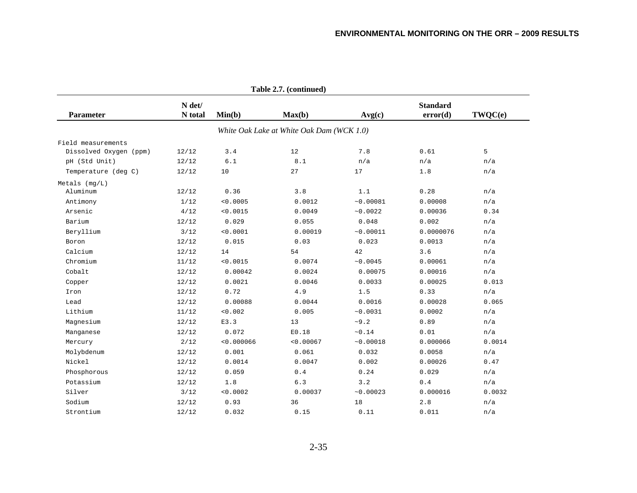|                        |                   |            | Table 2.7. (continued)                    |                  |                             |         |
|------------------------|-------------------|------------|-------------------------------------------|------------------|-----------------------------|---------|
| <b>Parameter</b>       | N det/<br>N total | Min(b)     | Max(b)                                    | Avg(c)           | <b>Standard</b><br>error(d) | TWQC(e) |
|                        |                   |            | White Oak Lake at White Oak Dam (WCK 1.0) |                  |                             |         |
| Field measurements     |                   |            |                                           |                  |                             |         |
| Dissolved Oxygen (ppm) | 12/12             | 3.4        | 12                                        | 7.8              | 0.61                        | 5       |
| pH (Std Unit)          | 12/12             | $6.1$      | 8.1                                       | n/a              | n/a                         | n/a     |
| Temperature (deg C)    | 12/12             | $10$       | 27                                        | 17               | 1.8                         | n/a     |
| Metals (mq/L)          |                   |            |                                           |                  |                             |         |
| Aluminum               | 12/12             | 0.36       | 3.8                                       | 1.1              | 0.28                        | n/a     |
| Antimony               | 1/12              | < 0.0005   | 0.0012                                    | ~0.00081         | 0.00008                     | n/a     |
| Arsenic                | 4/12              | < 0.0015   | 0.0049                                    | ~10.0022         | 0.00036                     | 0.34    |
| Barium                 | 12/12             | 0.029      | 0.055                                     | 0.048            | 0.002                       | n/a     |
| Beryllium              | 3/12              | < 0.0001   | 0.00019                                   | ~0.00011         | 0.0000076                   | n/a     |
| Boron                  | 12/12             | 0.015      | 0.03                                      | 0.023            | 0.0013                      | n/a     |
| Calcium                | 12/12             | 14         | 54                                        | 42               | 3.6                         | n/a     |
| Chromium               | 11/12             | < 0.0015   | 0.0074                                    | ~10.0045         | 0.00061                     | n/a     |
| Cobalt                 | 12/12             | 0.00042    | 0.0024                                    | 0.00075          | 0.00016                     | n/a     |
| Copper                 | 12/12             | 0.0021     | 0.0046                                    | 0.0033           | 0.00025                     | 0.013   |
| Iron                   | 12/12             | 0.72       | 4.9                                       | 1.5              | 0.33                        | n/a     |
| Lead                   | 12/12             | 0.00088    | 0.0044                                    | 0.0016           | 0.00028                     | 0.065   |
| Lithium                | 11/12             | 0.002      | 0.005                                     | ~0.0031          | 0.0002                      | n/a     |
| Magnesium              | 12/12             | E3.3       | 13                                        | ~10.2            | 0.89                        | n/a     |
| Manganese              | 12/12             | 0.072      | E0.18                                     | $\sim\!0$ . $14$ | 0.01                        | n/a     |
| Mercury                | 2/12              | < 0.000066 | < 0.00067                                 | ~0.00018         | 0.000066                    | 0.0014  |
| Molybdenum             | 12/12             | 0.001      | 0.061                                     | 0.032            | 0.0058                      | n/a     |
| Nickel                 | 12/12             | 0.0014     | 0.0047                                    | 0.002            | 0.00026                     | 0.47    |
| Phosphorous            | 12/12             | 0.059      | 0.4                                       | 0.24             | 0.029                       | n/a     |
| Potassium              | 12/12             | 1.8        | 6.3                                       | 3.2              | $0.4$                       | n/a     |
| Silver                 | 3/12              | < 0.0002   | 0.00037                                   | ~10.00023        | 0.000016                    | 0.0032  |
| Sodium                 | 12/12             | 0.93       | 36                                        | 18               | 2.8                         | n/a     |
| Strontium              | 12/12             | 0.032      | 0.15                                      | 0.11             | 0.011                       | n/a     |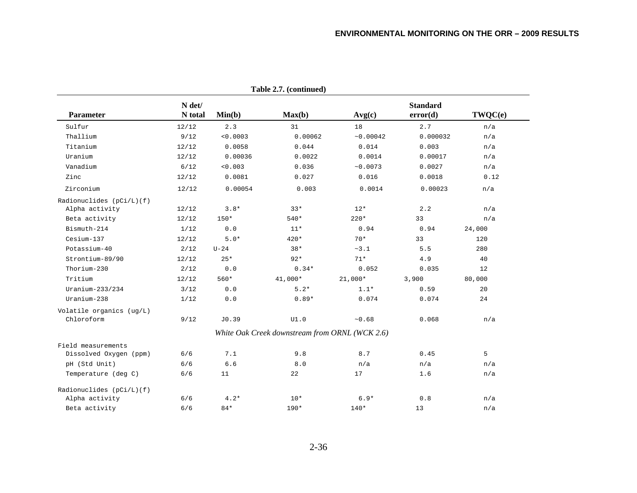|                                        |                   |          | rable $\angle$ ./. (continued)                 |           |                             |                   |
|----------------------------------------|-------------------|----------|------------------------------------------------|-----------|-----------------------------|-------------------|
| <b>Parameter</b>                       | N det/<br>N total | Min(b)   | Max(b)                                         | Avg(c)    | <b>Standard</b><br>error(d) | TWQC(e)           |
| Sulfur                                 | 12/12             | 2.3      | 31                                             | 18        | 2.7                         | n/a               |
| Thallium                               | 9/12              | < 0.0003 | 0.00062                                        | ~10.00042 | 0.000032                    | n/a               |
| Titanium                               | 12/12             | 0.0058   | 0.044                                          | 0.014     | 0.003                       | n/a               |
| Uranium                                | 12/12             | 0.00036  | 0.0022                                         | 0.0014    | 0.00017                     | n/a               |
| Vanadium                               | $6/12$            | < 0.003  | 0.036                                          | ~10.0073  | 0.0027                      | n/a               |
| Zinc                                   | 12/12             | 0.0081   | 0.027                                          | 0.016     | 0.0018                      | 0.12              |
| Zirconium                              | 12/12             | 0.00054  | 0.003                                          | 0.0014    | 0.00023                     | n/a               |
| Radionuclides $(pCi/L)(f)$             |                   |          |                                                |           |                             |                   |
| Alpha activity                         | 12/12             | $3.8*$   | $33*$                                          | $12*$     | 2.2                         | n/a               |
| Beta activity                          | 12/12             | $150*$   | 540*                                           | $220*$    | 33                          | n/a               |
| Bismuth-214                            | 1/12              | $0.0$    | $11*$                                          | 0.94      | 0.94                        | 24,000            |
| Cesium-137                             | 12/12             | $5.0*$   | 420*                                           | $70*$     | 33                          | 120               |
| Potassium-40                           | 2/12              | $U-24$   | $38*$                                          | ~1        | 5.5                         | 280               |
| Strontium-89/90                        | 12/12             | $25*$    | $92*$                                          | $71*$     | 4.9                         | 40                |
| Thorium-230                            | 2/12              | 0.0      | $0.34*$                                        | 0.052     | 0.035                       | $12 \overline{ }$ |
| Tritium                                | 12/12             | 560*     | 41,000*                                        | $21,000*$ | 3,900                       | 80,000            |
| Uranium- $233/234$                     | $3/12$            | $0.0$    | $5.2*$                                         | $1.1*$    | 0.59                        | 20                |
| Uranium-238                            | 1/12              | $0.0$    | $0.89*$                                        | 0.074     | 0.074                       | 24                |
| Volatile organics (ug/L)<br>Chloroform | 9/12              | J0.39    | UI.0                                           | ~10.68    | 0.068                       | n/a               |
|                                        |                   |          | White Oak Creek downstream from ORNL (WCK 2.6) |           |                             |                   |
| Field measurements                     |                   |          |                                                |           |                             |                   |
| Dissolved Oxygen (ppm)                 | 6/6               | 7.1      | 9.8                                            | 8.7       | 0.45                        | 5                 |
| pH (Std Unit)                          | 6/6               | 6.6      | $8.0$                                          | n/a       | n/a                         | n/a               |
| Temperature (deg C)                    | 6/6               | 11       | 22                                             | 17        | 1.6                         | n/a               |
| Radionuclides $(pCi/L)(f)$             |                   |          |                                                |           |                             |                   |
| Alpha activity                         | 6/6               | $4.2*$   | $10*$                                          | $6.9*$    | $0.8$                       | n/a               |
| Beta activity                          | 6/6               | $84*$    | 190*                                           | $140*$    | 13                          | n/a               |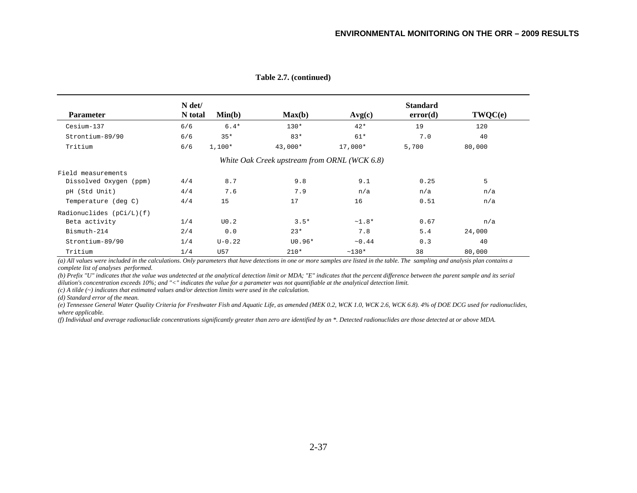|                          | N det/  |            |                                              |             | <b>Standard</b> |         |  |
|--------------------------|---------|------------|----------------------------------------------|-------------|-----------------|---------|--|
| <b>Parameter</b>         | N total | Min(b)     | Max(b)                                       | Avg(c)      | error(d)        | TWQC(e) |  |
| Cesium-137               | 6/6     | $6.4*$     | $130*$                                       | $42*$       | 19              | 120     |  |
| Strontium-89/90          | 6/6     | $35*$      | $83*$                                        | 61*         | 7.0             | 40      |  |
| Tritium                  | 6/6     | $1,100*$   | 43,000*                                      | $17,000*$   | 5,700           | 80,000  |  |
|                          |         |            | White Oak Creek upstream from ORNL (WCK 6.8) |             |                 |         |  |
| Field measurements       |         |            |                                              |             |                 |         |  |
| Dissolved Oxygen (ppm)   | 4/4     | 8.7        | 9.8                                          | 9.1         | 0.25            | 5       |  |
| pH (Std Unit)            | 4/4     | 7.6        | 7.9                                          | n/a         | n/a             | n/a     |  |
| Temperature (deg C)      | 4/4     | 15         | 17                                           | 16          | 0.51            | n/a     |  |
| Radionuclides (pCi/L)(f) |         |            |                                              |             |                 |         |  |
| Beta activity            | 1/4     | U0.2       | $3.5*$                                       | $~1.8*$     | 0.67            | n/a     |  |
| Bismuth-214              | 2/4     | 0.0        | $23*$                                        | 7.8         | 5.4             | 24,000  |  |
| Strontium-89/90          | 1/4     | $U - 0.22$ | $U0.96*$                                     | $\sim 0.44$ | 0.3             | 40      |  |
| Tritium                  | 1/4     | U57        | $210*$                                       | $~130*$     | 38              | 80,000  |  |

**Table 2.7. (continued)** 

*(a) All values were included in the calculations. Only parameters that have detections in one or more samples are listed in the table. The sampling and analysis plan contains a complete list of analyses performed.* 

*(b) Prefix "U" indicates that the value was undetected at the analytical detection limit or MDA; "E" indicates that the percent difference between the parent sample and its serial dilution's concentration exceeds 10%; and "<" indicates the value for a parameter was not quantifiable at the analytical detection limit.* 

*(c) A tilde (~) indicates that estimated values and/or detection limits were used in the calculation.* 

*(d) Standard error of the mean.* 

*(e) Tennessee General Water Quality Criteria for Freshwater Fish and Aquatic Life, as amended (MEK 0.2, WCK 1.0, WCK 2.6, WCK 6.8). 4% of DOE DCG used for radionuclides, where applicable.* 

*(f) Individual and average radionuclide concentrations significantly greater than zero are identified by an \*. Detected radionuclides are those detected at or above MDA.*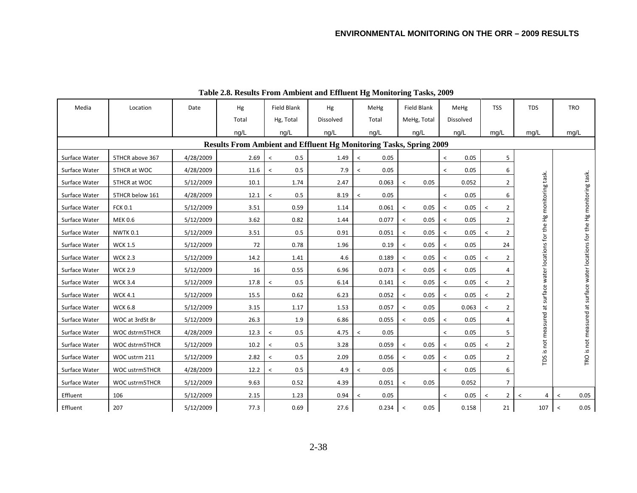| Media         | Location        | Date      | Hg                                                                 | Field Blank                     | Hg        | MeHg                             | Field Blank                      | MeHg                             | <b>TSS</b>                | <b>TDS</b>                                             | <b>TRO</b>                                                                 |
|---------------|-----------------|-----------|--------------------------------------------------------------------|---------------------------------|-----------|----------------------------------|----------------------------------|----------------------------------|---------------------------|--------------------------------------------------------|----------------------------------------------------------------------------|
|               |                 |           | Total                                                              | Hg, Total                       | Dissolved | Total                            | MeHg, Total                      | Dissolved                        |                           |                                                        |                                                                            |
|               |                 |           | ng/L                                                               | ng/L                            | ng/L      | ng/L                             | ng/L                             | ng/L                             | mq/L                      | mg/L                                                   | mg/L                                                                       |
|               |                 |           | Results From Ambient and Effluent Hg Monitoring Tasks, Spring 2009 |                                 |           |                                  |                                  |                                  |                           |                                                        |                                                                            |
| Surface Water | 5THCR above 367 | 4/28/2009 | 2.69                                                               | 0.5<br>$\,<\,$                  | 1.49      | 0.05<br>$\overline{\phantom{a}}$ |                                  | 0.05<br>$\overline{\phantom{0}}$ | 5                         |                                                        |                                                                            |
| Surface Water | 5THCR at WOC    | 4/28/2009 | 11.6                                                               | 0.5<br>$\,<\,$                  | 7.9       | 0.05<br>$\,<\,$                  |                                  | 0.05<br>$\overline{\phantom{a}}$ | 6                         |                                                        |                                                                            |
| Surface Water | 5THCR at WOC    | 5/12/2009 | 10.1                                                               | 1.74                            | 2.47      | 0.063                            | 0.05<br>$\prec$                  | 0.052                            | $\overline{2}$            |                                                        |                                                                            |
| Surface Water | 5THCR below 161 | 4/28/2009 | 12.1                                                               | 0.5<br>$\overline{\phantom{0}}$ | 8.19      | 0.05<br>$\overline{\phantom{a}}$ |                                  | 0.05<br>$\overline{\phantom{a}}$ | 6                         |                                                        |                                                                            |
| Surface Water | <b>FCK 0.1</b>  | 5/12/2009 | 3.51                                                               | 0.59                            | 1.14      | 0.061                            | 0.05<br>$\prec$                  | 0.05<br>$\overline{\phantom{a}}$ | $\overline{2}$<br>$\prec$ |                                                        |                                                                            |
| Surface Water | <b>MEK 0.6</b>  | 5/12/2009 | 3.62                                                               | 0.82                            | 1.44      | 0.077                            | 0.05<br>$\,<\,$                  | 0.05<br>$\overline{\phantom{a}}$ | $\overline{2}$            |                                                        |                                                                            |
| Surface Water | NWTK 0.1        | 5/12/2009 | 3.51                                                               | 0.5                             | 0.91      | 0.051                            | 0.05<br>$\,<\,$                  | 0.05<br>$\overline{\phantom{a}}$ | $\overline{2}$<br>$\,<\,$ |                                                        |                                                                            |
| Surface Water | <b>WCK 1.5</b>  | 5/12/2009 | 72                                                                 | 0.78                            | 1.96      | 0.19                             | 0.05<br>$\,<\,$                  | 0.05<br>$\,<\,$                  | 24                        |                                                        |                                                                            |
| Surface Water | <b>WCK 2.3</b>  | 5/12/2009 | 14.2                                                               | 1.41                            | 4.6       | 0.189                            | 0.05<br>$\,<\,$                  | 0.05<br>$\,<\,$                  | $\overline{2}$<br>$\,<$   | at surface water locations for the Hg monitoring task. | TRO is not measured at surface water locations for the Hg monitoring task. |
| Surface Water | <b>WCK 2.9</b>  | 5/12/2009 | 16                                                                 | 0.55                            | 6.96      | 0.073                            | 0.05<br>$\,<\,$                  | 0.05<br>$\,<\,$                  | 4                         |                                                        |                                                                            |
| Surface Water | <b>WCK 3.4</b>  | 5/12/2009 | 17.8                                                               | 0.5<br>$\overline{\phantom{a}}$ | 6.14      | 0.141                            | 0.05<br>$\,<\,$                  | 0.05<br>$\overline{\phantom{a}}$ | $\overline{2}$<br>$\,<\,$ |                                                        |                                                                            |
| Surface Water | <b>WCK 4.1</b>  | 5/12/2009 | 15.5                                                               | 0.62                            | 6.23      | 0.052                            | 0.05<br>$\,<\,$                  | 0.05<br>$\,<\,$                  | $\overline{2}$<br>$\,<$   |                                                        |                                                                            |
| Surface Water | <b>WCK 6.8</b>  | 5/12/2009 | 3.15                                                               | 1.17                            | 1.53      | 0.057                            | 0.05<br>$\overline{\phantom{a}}$ | 0.063                            | 2<br>$\,<$                |                                                        |                                                                            |
| Surface Water | WOC at 3rdSt Br | 5/12/2009 | 26.3                                                               | 1.9                             | 6.86      | 0.055                            | 0.05<br>$\,<$                    | 0.05<br>$\overline{\phantom{a}}$ | 4                         |                                                        |                                                                            |
| Surface Water | WOC dstrm5THCR  | 4/28/2009 | 12.3                                                               | 0.5<br>$\overline{\phantom{a}}$ | 4.75      | 0.05<br>$\,<\,$                  |                                  | 0.05<br>$\overline{\phantom{a}}$ | 5                         | TDS is not measured                                    |                                                                            |
| Surface Water | WOC dstrm5THCR  | 5/12/2009 | 10.2                                                               | 0.5<br>$\,<\,$                  | 3.28      | 0.059                            | 0.05<br>$\,<\,$                  | 0.05<br>$\,<\,$                  | 2<br>$\,<$                |                                                        |                                                                            |
| Surface Water | WOC ustrm 211   | 5/12/2009 | 2.82                                                               | 0.5<br>$\overline{\phantom{0}}$ | 2.09      | 0.056                            | 0.05<br>$\overline{\phantom{a}}$ | 0.05<br>$\prec$                  | $\overline{2}$            |                                                        |                                                                            |
| Surface Water | WOC ustrm5THCR  | 4/28/2009 | 12.2                                                               | 0.5<br>$\overline{\phantom{0}}$ | 4.9       | 0.05<br>$\overline{\phantom{0}}$ |                                  | 0.05<br>$\prec$                  | 6                         |                                                        |                                                                            |
| Surface Water | WOC ustrm5THCR  | 5/12/2009 | 9.63                                                               | 0.52                            | 4.39      | 0.051                            | 0.05<br>$\,<\,$                  | 0.052                            | 7                         |                                                        |                                                                            |
| Effluent      | 106             | 5/12/2009 | 2.15                                                               | 1.23                            | 0.94      | 0.05<br>$\,<\,$                  |                                  | 0.05<br>$\,<\,$                  | $\overline{2}$<br>$\,<\,$ | 4<br>$\,<$                                             | 0.05<br>$\,<\,$                                                            |
| Effluent      | 207             | 5/12/2009 | 77.3                                                               | 0.69                            | 27.6      | 0.234                            | 0.05<br>$\,<$                    | 0.158                            | 21                        | 107                                                    | 0.05<br>$\,<$                                                              |

**Table 2.8. Results From Ambient and Effluent Hg Monitoring Tasks, 2009**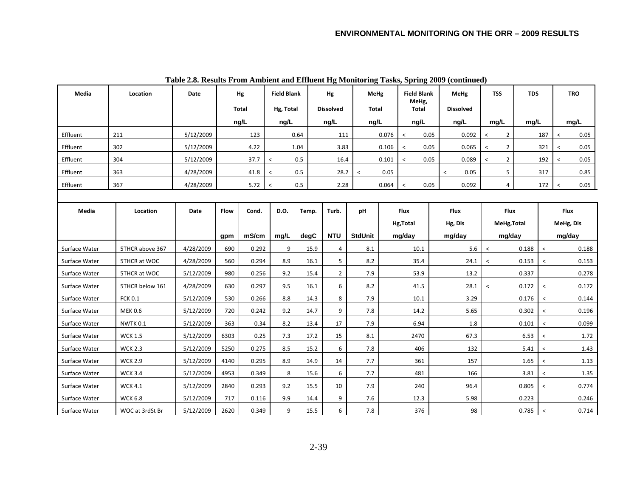| Media         | Location        | Date      |             | Hg    | <b>Field Blank</b><br>Hg |       |                  | <b>MeHg</b><br><b>Field Blank</b> |                  | MeHg                  |           | <b>TSS</b>       |          | <b>TDS</b>     |       | <b>TRO</b> |                          |       |      |         |  |      |  |  |  |  |       |           |  |       |
|---------------|-----------------|-----------|-------------|-------|--------------------------|-------|------------------|-----------------------------------|------------------|-----------------------|-----------|------------------|----------|----------------|-------|------------|--------------------------|-------|------|---------|--|------|--|--|--|--|-------|-----------|--|-------|
|               |                 |           |             | Total | Hg, Total                |       | <b>Dissolved</b> | Total                             |                  | MeHg,<br><b>Total</b> |           | <b>Dissolved</b> |          |                |       |            |                          |       |      |         |  |      |  |  |  |  |       |           |  |       |
|               |                 |           |             | ng/L  | ng/L                     |       | ng/L             | ng/L                              |                  | ng/L                  |           | ng/L             |          | mg/L           | mg/L  |            |                          | mg/L  |      |         |  |      |  |  |  |  |       |           |  |       |
| Effluent      | 211             | 5/12/2009 |             | 123   |                          | 0.64  | 111              |                                   | 0.076            | 0.05<br>$\,<$         |           | 0.092            | $\hat{}$ | $\overline{2}$ |       | 187        | $\,<$                    | 0.05  |      |         |  |      |  |  |  |  |       |           |  |       |
| Effluent      | 302             | 5/12/2009 |             | 4.22  |                          | 1.04  | 3.83             |                                   | 0.106<br>$\,<\,$ |                       | 0.05      | 0.065            | $\,<\,$  | $\overline{2}$ |       | 321        | $\,<$                    | 0.05  |      |         |  |      |  |  |  |  |       |           |  |       |
| Effluent      | 304             | 5/12/2009 |             | 37.7  | $\,<\,$                  | 0.5   | 16.4             |                                   | 0.101            | 0.05<br>$\,<\,$       |           | 0.089            | $\,<\,$  | $\overline{2}$ |       | 192        | $\overline{\phantom{a}}$ | 0.05  |      |         |  |      |  |  |  |  |       |           |  |       |
| Effluent      | 363             | 4/28/2009 |             | 41.8  | $\prec$                  | 0.5   | 28.2             | $\,<\,$                           | 0.05             |                       |           | 0.05<br>$\prec$  |          | 5              |       | 317        |                          | 0.85  |      |         |  |      |  |  |  |  |       |           |  |       |
| Effluent      | 367             | 4/28/2009 |             | 5.72  | $\,<$                    | 0.5   | 2.28             |                                   | 0.064            | 0.05<br>$\,<\,$       |           | 0.092            |          | 4              |       | 172        | $\prec$                  | 0.05  |      |         |  |      |  |  |  |  |       |           |  |       |
|               |                 |           |             |       |                          |       |                  |                                   |                  |                       |           |                  |          |                |       |            |                          |       |      |         |  |      |  |  |  |  |       |           |  |       |
| Media         | Location        | Date      | <b>Flow</b> | Cond. | D.O.                     | Temp. | Turb.            | pH                                |                  | <b>Flux</b>           |           | <b>Flux</b>      |          | Flux           |       |            | Flux                     |       |      |         |  |      |  |  |  |  |       |           |  |       |
|               |                 |           |             |       |                          |       |                  |                                   |                  | Hg, Total             |           | Hg, Dis          |          | MeHg, Total    |       |            | MeHg, Dis                |       |      |         |  |      |  |  |  |  |       |           |  |       |
|               |                 |           | gpm         | mS/cm | mg/L                     | degC  | <b>NTU</b>       | <b>StdUnit</b>                    |                  | mg/day                |           | mg/day           |          | mg/day         |       |            | mg/day                   |       |      |         |  |      |  |  |  |  |       |           |  |       |
| Surface Water | 5THCR above 367 | 4/28/2009 | 690         | 0.292 | 9                        | 15.9  | $\overline{4}$   | 8.1                               |                  | 10.1                  |           | 5.6              | $\,<$    |                | 0.188 | $\,<\,$    |                          | 0.188 |      |         |  |      |  |  |  |  |       |           |  |       |
| Surface Water | 5THCR at WOC    | 4/28/2009 | 560         | 0.294 | 8.9                      | 16.1  | 5                | 8.2                               |                  | 35.4                  |           | 24.1             | $\,<$    |                | 0.153 | $\,<\,$    |                          | 0.153 |      |         |  |      |  |  |  |  |       |           |  |       |
| Surface Water | 5THCR at WOC    | 5/12/2009 | 980         | 0.256 | 9.2                      | 15.4  | $\overline{2}$   | 7.9                               |                  | 53.9                  |           | 13.2             |          |                | 0.337 |            |                          | 0.278 |      |         |  |      |  |  |  |  |       |           |  |       |
| Surface Water | 5THCR below 161 | 4/28/2009 | 630         | 0.297 | 9.5                      | 16.1  | 6                | 8.2                               |                  | 41.5                  |           | 28.1             | $\,<$    |                | 0.172 | $\,<\,$    |                          | 0.172 |      |         |  |      |  |  |  |  |       |           |  |       |
| Surface Water | <b>FCK 0.1</b>  | 5/12/2009 | 530         | 0.266 | 8.8                      | 14.3  | 8                | 7.9                               |                  | 10.1                  |           | 3.29             |          |                | 0.176 | $\,<$      |                          | 0.144 |      |         |  |      |  |  |  |  |       |           |  |       |
| Surface Water | <b>MEK 0.6</b>  | 5/12/2009 | 720         | 0.242 | 9.2                      | 14.7  | 9                | 7.8                               |                  | 14.2                  |           | 5.65             |          |                | 0.302 | $\hat{~}$  |                          | 0.196 |      |         |  |      |  |  |  |  |       |           |  |       |
| Surface Water | <b>NWTK 0.1</b> | 5/12/2009 | 363         | 0.34  | 8.2                      | 13.4  | 17               | 7.9                               |                  | 6.94                  |           |                  |          | 1.8            |       |            |                          |       |      |         |  |      |  |  |  |  | 0.101 | $\hat{~}$ |  | 0.099 |
| Surface Water | <b>WCK 1.5</b>  | 5/12/2009 | 6303        | 0.25  | 7.3                      | 17.2  | 15               | 8.1                               |                  | 2470                  |           | 67.3             |          |                | 6.53  | $\,<\,$    |                          | 1.72  |      |         |  |      |  |  |  |  |       |           |  |       |
| Surface Water | <b>WCK 2.3</b>  | 5/12/2009 | 5250        | 0.275 | 8.5                      | 15.2  | 6                | 7.8                               |                  | 406                   |           |                  |          |                |       | 132        |                          |       | 5.41 | $\,<\,$ |  | 1.43 |  |  |  |  |       |           |  |       |
| Surface Water | <b>WCK 2.9</b>  | 5/12/2009 | 4140        | 0.295 | 8.9                      | 14.9  | 14               | 7.7                               |                  | 361                   |           | 157              |          |                | 1.65  | $\,<\,$    |                          | 1.13  |      |         |  |      |  |  |  |  |       |           |  |       |
| Surface Water | <b>WCK 3.4</b>  | 5/12/2009 | 4953        | 0.349 | 8                        | 15.6  | 6                | 7.7                               |                  |                       |           | 166              |          |                | 3.81  | $\,<$      |                          | 1.35  |      |         |  |      |  |  |  |  |       |           |  |       |
| Surface Water | <b>WCK 4.1</b>  | 5/12/2009 | 2840        | 0.293 | 9.2                      | 15.5  | 10               | 7.9                               |                  | 240                   |           | 96.4             |          |                | 0.805 | $\hat{~}$  |                          | 0.774 |      |         |  |      |  |  |  |  |       |           |  |       |
| Surface Water | <b>WCK 6.8</b>  | 5/12/2009 | 717         | 0.116 | 9.9                      | 14.4  | 9<br>7.6         |                                   | 12.3             |                       |           | 5.98             |          |                | 0.223 |            |                          | 0.246 |      |         |  |      |  |  |  |  |       |           |  |       |
| Surface Water | WOC at 3rdSt Br | 5/12/2009 | 2620        | 0.349 | 9                        | 15.5  | 6                | 7.8                               |                  |                       | 376<br>98 |                  | 0.785    |                |       | $\,<$      |                          | 0.714 |      |         |  |      |  |  |  |  |       |           |  |       |

**Table 2.8. Results From Ambient and Effluent Hg Monitoring Tasks, Spring 2009 (continued)**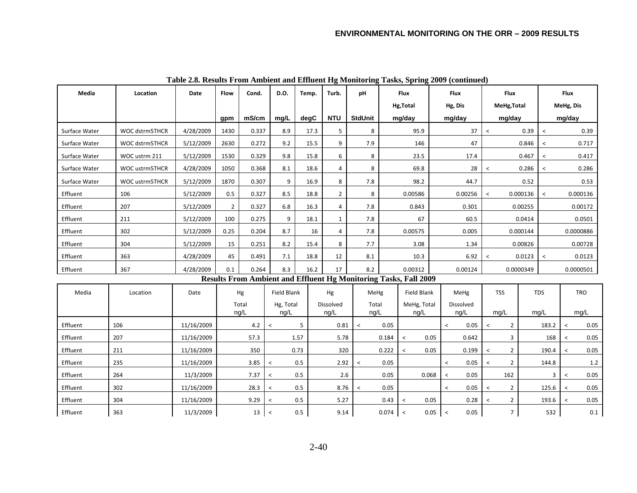| Media         | Location       | Date       | Flow           | Cond. | D.O.                     | Temp. | Flux<br>Turb.<br>pH |                          |                 | <b>Flux</b>                                                      | Flux                     |               |                                            | Flux           |          |                          |                          |            |  |         |  |  |           |  |
|---------------|----------------|------------|----------------|-------|--------------------------|-------|---------------------|--------------------------|-----------------|------------------------------------------------------------------|--------------------------|---------------|--------------------------------------------|----------------|----------|--------------------------|--------------------------|------------|--|---------|--|--|-----------|--|
|               |                |            |                |       |                          |       |                     |                          |                 | Hg, Total                                                        |                          | Hg, Dis       |                                            | MeHg, Total    |          |                          | MeHg, Dis                |            |  |         |  |  |           |  |
|               |                |            | qpm            | mS/cm | mq/L                     | degC  | <b>NTU</b>          | <b>StdUnit</b>           |                 | mg/day                                                           | mg/day                   |               |                                            | mg/day         |          |                          | mg/day                   |            |  |         |  |  |           |  |
| Surface Water | WOC dstrm5THCR | 4/28/2009  | 1430           | 0.337 | 8.9                      | 17.3  | 5                   | 8                        |                 | 95.9                                                             |                          | 37            | $\,<$                                      |                | 0.39     | $\overline{\phantom{0}}$ |                          | 0.39       |  |         |  |  |           |  |
| Surface Water | WOC dstrm5THCR | 5/12/2009  | 2630           | 0.272 | 9.2                      | 15.5  | 9                   | 7.9                      |                 | 146                                                              |                          | 47            |                                            |                | 0.846    | $\overline{\phantom{a}}$ |                          | 0.717      |  |         |  |  |           |  |
| Surface Water | WOC ustrm 211  | 5/12/2009  | 1530           | 0.329 | 9.8                      | 15.8  | 6                   | 8                        |                 | 23.5                                                             |                          | 17.4          |                                            |                | 0.467    | $\overline{\phantom{a}}$ |                          | 0.417      |  |         |  |  |           |  |
| Surface Water | WOC ustrm5THCR | 4/28/2009  | 1050           | 0.368 | 8.1                      | 18.6  | 4                   | 8                        |                 | 69.8                                                             |                          | 28            | $\,<$                                      |                | 0.286    | $\,<\,$                  | 0.286                    |            |  |         |  |  |           |  |
| Surface Water | WOC ustrm5THCR | 5/12/2009  | 1870           | 0.307 | 9                        | 16.9  | 8                   | 7.8                      |                 | 98.2                                                             |                          | 44.7          |                                            |                | 0.52     |                          |                          | 0.53       |  |         |  |  |           |  |
| Effluent      | 106            | 5/12/2009  | 0.5            | 0.327 | 8.5                      | 18.8  | $\overline{2}$      | 8                        |                 | 0.00586                                                          |                          | 0.00256       | $\prec$                                    |                | 0.000136 | $\overline{\phantom{0}}$ |                          | 0.000136   |  |         |  |  |           |  |
| Effluent      | 207            | 5/12/2009  | $\overline{2}$ | 0.327 | 6.8                      | 16.3  | 4                   | 7.8                      |                 | 0.843                                                            |                          | 0.301         |                                            |                | 0.00255  |                          |                          | 0.00172    |  |         |  |  |           |  |
| Effluent      | 211            | 5/12/2009  | 100            | 0.275 | 9                        | 18.1  | $\mathbf{1}$        | 7.8                      |                 | 67                                                               |                          | 60.5          |                                            |                | 0.0414   |                          |                          | 0.0501     |  |         |  |  |           |  |
| Effluent      | 302            | 5/12/2009  | 0.25           | 0.204 | 8.7                      | 16    | 4                   | 7.8                      |                 | 0.00575                                                          |                          | 0.005         |                                            |                |          |                          | 0.000144                 |            |  |         |  |  | 0.0000886 |  |
| Effluent      | 304            | 5/12/2009  | 15             | 0.251 | 8.2                      | 15.4  | 8                   | 7.7                      |                 | 3.08                                                             |                          | 1.34          |                                            | 0.00826        |          |                          |                          |            |  | 0.00728 |  |  |           |  |
| Effluent      | 363            | 4/28/2009  | 45             | 0.491 | 7.1                      | 18.8  | 12                  | 8.1                      |                 | 10.3                                                             |                          | 6.92<br>$\,<$ |                                            |                | 0.0123   | $\overline{\phantom{0}}$ |                          | 0.0123     |  |         |  |  |           |  |
| Effluent      | 367            | 4/28/2009  | 0.1            | 0.264 | 8.3                      | 16.2  | 17                  | 8.2                      |                 | 0.00312                                                          |                          | 0.00124       |                                            | 0.0000349      |          |                          |                          | 0.0000501  |  |         |  |  |           |  |
|               |                |            |                |       |                          |       |                     |                          |                 | Results From Ambient and Effluent Hg Monitoring Tasks, Fall 2009 |                          |               |                                            |                |          |                          |                          |            |  |         |  |  |           |  |
| Media         | Location       | Date       |                | Hg    | Field Blank              |       | Hg                  | MeHg                     |                 | <b>Field Blank</b>                                               |                          | MeHg          |                                            | <b>TSS</b>     |          | <b>TDS</b>               |                          | <b>TRO</b> |  |         |  |  |           |  |
|               |                |            |                | Total | Hg, Total                |       | Dissolved           | Total                    |                 | MeHg, Total                                                      |                          | Dissolved     |                                            |                |          |                          |                          |            |  |         |  |  |           |  |
|               |                |            |                | ng/L  | ng/L                     |       | ng/L                | ng/L                     |                 | ng/L                                                             |                          | ng/L          | mg/L                                       |                |          | mg/L                     |                          | mg/L       |  |         |  |  |           |  |
| Effluent      | 106            | 11/16/2009 |                | 4.2   | $\,<$                    | 5     | 0.81                | $\,<$                    | 0.05            |                                                                  | $\,<$                    | 0.05          | $\overline{\phantom{a}}$                   | $\overline{2}$ |          | 183.2                    | $\overline{\phantom{0}}$ | 0.05       |  |         |  |  |           |  |
| Effluent      | 207            | 11/16/2009 |                | 57.3  |                          | 1.57  | 5.78                |                          | 0.184           | $\,<\,$                                                          | 0.05                     | 0.642         |                                            | 3              |          | 168                      | $\,<$                    | 0.05       |  |         |  |  |           |  |
| Effluent      | 211            | 11/16/2009 |                | 350   |                          | 0.73  | 320                 |                          | 0.222           | $\,<\,$                                                          | 0.05                     | 0.199         | $\overline{\phantom{0}}$                   | $\overline{2}$ |          | 190.4                    | $\overline{\phantom{0}}$ | $0.05\,$   |  |         |  |  |           |  |
| Effluent      | 235            | 11/16/2009 |                | 3.85  | $\,<\,$                  | 0.5   | 2.92                | $\overline{\phantom{a}}$ | 0.05            |                                                                  | $\overline{\phantom{0}}$ | 0.05          | $\overline{\phantom{0}}$                   | $\overline{2}$ |          | 144.8                    |                          | $1.2\,$    |  |         |  |  |           |  |
| Effluent      | 264            | 11/3/2009  |                | 7.37  | $\,<$                    | 0.5   | 2.6                 |                          | 0.05            | 0.068                                                            | $\,<$                    | 0.05          |                                            | 162            |          | 3                        | $\,<\,$                  | $0.05\,$   |  |         |  |  |           |  |
| Effluent      | 302            | 11/16/2009 |                | 28.3  | $\,<\,$                  | 0.5   | 8.76                | $\,<\,$                  | 0.05            |                                                                  | $\,<\,$                  | 0.05          | $\,<\,$                                    | $\overline{2}$ |          | 125.6                    | $\overline{\phantom{a}}$ | 0.05       |  |         |  |  |           |  |
| Effluent      | 304            | 11/16/2009 |                | 9.29  | $\overline{\phantom{0}}$ | 0.5   | 5.27                |                          | 0.43<br>$\prec$ |                                                                  | 0.28<br>0.05             |               | $\overline{2}$<br>$\overline{\phantom{0}}$ |                |          | 193.6                    | $\overline{\phantom{0}}$ | 0.05       |  |         |  |  |           |  |
| Effluent      | 363            | 11/3/2009  |                | 13    | 0.5<br>$\,<$             |       | 9.14                |                          |                 | $0.074$ <<br>0.05                                                |                          | 0.05          |                                            | $\overline{7}$ | 532      |                          |                          | $0.1\,$    |  |         |  |  |           |  |

**Table 2.8. Results From Ambient and Effluent Hg Monitoring Tasks, Spring 2009 (continued)**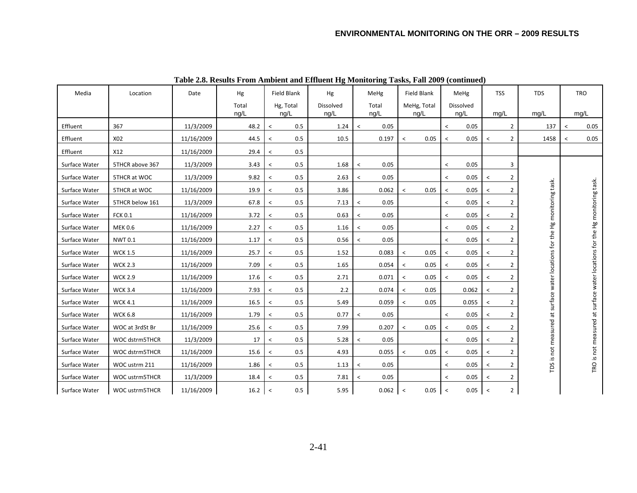| Media         | Location        | Date       | Hg    | Field Blank                     | Hg        | MeHg    |       | Field Blank              |             | MeHg    |           | <b>TSS</b>          |                | <b>TDS</b>                                                                 | <b>TRO</b> |                                                                            |
|---------------|-----------------|------------|-------|---------------------------------|-----------|---------|-------|--------------------------|-------------|---------|-----------|---------------------|----------------|----------------------------------------------------------------------------|------------|----------------------------------------------------------------------------|
|               |                 |            | Total | Hg, Total                       | Dissolved |         | Total |                          | MeHg, Total |         | Dissolved |                     |                |                                                                            |            |                                                                            |
|               |                 |            | ng/L  | ng/L                            | ng/L      |         | ng/L  |                          | ng/L        |         | ng/L      | mg/L                |                | mg/L                                                                       |            | mq/L                                                                       |
| Effluent      | 367             | 11/3/2009  | 48.2  | 0.5<br>$\overline{\phantom{0}}$ | 1.24      | $\prec$ | 0.05  |                          |             | $\prec$ | 0.05      |                     | $\overline{2}$ | 137                                                                        | $\prec$    | 0.05                                                                       |
| Effluent      | X02             | 11/16/2009 | 44.5  | 0.5<br>$\overline{\phantom{a}}$ | 10.5      |         | 0.197 | $\overline{\phantom{0}}$ | 0.05        | $\prec$ | 0.05      | $\,<\,$             | $\overline{2}$ | 1458                                                                       | $\prec$    | 0.05                                                                       |
| Effluent      | X12             | 11/16/2009 | 29.4  | 0.5<br>$\overline{\phantom{a}}$ |           |         |       |                          |             |         |           |                     |                |                                                                            |            |                                                                            |
| Surface Water | 5THCR above 367 | 11/3/2009  | 3.43  | 0.5<br>$\,<\,$                  | 1.68      | $\,<$   | 0.05  |                          |             | $\prec$ | 0.05      |                     | 3              |                                                                            |            |                                                                            |
| Surface Water | 5THCR at WOC    | 11/3/2009  | 9.82  | 0.5<br>$\,<\,$                  | 2.63      | $\,<$   | 0.05  |                          |             | $\prec$ | 0.05      | <                   | 2              |                                                                            |            |                                                                            |
| Surface Water | 5THCR at WOC    | 11/16/2009 | 19.9  | 0.5<br>$\overline{\phantom{0}}$ | 3.86      |         | 0.062 | $\overline{\phantom{0}}$ | 0.05        | $\prec$ | 0.05      | $\,<\,$             | 2              |                                                                            |            |                                                                            |
| Surface Water | 5THCR below 161 | 11/3/2009  | 67.8  | 0.5<br>$\overline{\phantom{a}}$ | 7.13      | $\,<$   | 0.05  |                          |             | $\prec$ | 0.05      | $\,<\,$             | $\overline{2}$ |                                                                            |            |                                                                            |
| Surface Water | <b>FCK 0.1</b>  | 11/16/2009 | 3.72  | 0.5<br>$\,<\,$                  | 0.63      | $\,<$   | 0.05  |                          |             | $\prec$ | 0.05      | $\,<$               | $\overline{2}$ |                                                                            |            |                                                                            |
| Surface Water | <b>MEK 0.6</b>  | 11/16/2009 | 2.27  | 0.5<br>$\overline{\phantom{a}}$ | 1.16      | $\,<$   | 0.05  |                          |             | $\prec$ | 0.05      | $\prec$             | $\overline{2}$ |                                                                            |            |                                                                            |
| Surface Water | <b>NWT0.1</b>   | 11/16/2009 | 1.17  | 0.5<br>$\overline{\phantom{a}}$ | 0.56      | $\,<$   | 0.05  |                          |             | $\prec$ | 0.05      | $\hat{\phantom{a}}$ | $\overline{2}$ |                                                                            |            |                                                                            |
| Surface Water | <b>WCK 1.5</b>  | 11/16/2009 | 25.7  | 0.5<br>$\,<\,$                  | 1.52      |         | 0.083 | $\,<$                    | 0.05        | $\prec$ | 0.05      | $\hat{\phantom{a}}$ | $\overline{2}$ |                                                                            |            |                                                                            |
| Surface Water | <b>WCK 2.3</b>  | 11/16/2009 | 7.09  | 0.5<br>$\overline{\phantom{a}}$ | 1.65      |         | 0.054 | $\,<\,$                  | 0.05        | $\prec$ | 0.05      | $\,<$               | $\overline{2}$ |                                                                            |            |                                                                            |
| Surface Water | <b>WCK 2.9</b>  | 11/16/2009 | 17.6  | 0.5<br>$\overline{\phantom{a}}$ | 2.71      |         | 0.071 | $\,<\,$                  | 0.05        | $\prec$ | 0.05      | $\,<$               | $\overline{2}$ |                                                                            |            |                                                                            |
| Surface Water | <b>WCK 3.4</b>  | 11/16/2009 | 7.93  | 0.5<br>$\,<\,$                  | 2.2       |         | 0.074 | $\,<\,$                  | 0.05        |         | 0.062     | $\,<$               | $\overline{2}$ |                                                                            |            |                                                                            |
| Surface Water | <b>WCK 4.1</b>  | 11/16/2009 | 16.5  | 0.5<br>$\,<\,$                  | 5.49      |         | 0.059 | $\,<\,$                  | 0.05        |         | 0.055     | $\,<$               | $\overline{2}$ |                                                                            |            |                                                                            |
| Surface Water | <b>WCK 6.8</b>  | 11/16/2009 | 1.79  | 0.5<br>$\,<\,$                  | 0.77      | $\,<$   | 0.05  |                          |             | $\prec$ | 0.05      | $\hat{\phantom{a}}$ | $\overline{2}$ |                                                                            |            |                                                                            |
| Surface Water | WOC at 3rdSt Br | 11/16/2009 | 25.6  | 0.5<br>$\overline{\phantom{a}}$ | 7.99      |         | 0.207 | $\,<\,$                  | 0.05        | $\prec$ | 0.05      | $\prec$             | $\overline{2}$ |                                                                            |            |                                                                            |
| Surface Water | WOC dstrm5THCR  | 11/3/2009  | 17    | 0.5<br>$\overline{\phantom{a}}$ | 5.28      | $\,<\,$ | 0.05  |                          |             | $\prec$ | 0.05      | $\hat{\phantom{a}}$ | $\overline{2}$ |                                                                            |            |                                                                            |
| Surface Water | WOC dstrm5THCR  | 11/16/2009 | 15.6  | 0.5<br>$\,<\,$                  | 4.93      |         | 0.055 | $\overline{\phantom{a}}$ | 0.05        | $\prec$ | 0.05      | $\hat{\phantom{a}}$ | $\overline{2}$ |                                                                            |            |                                                                            |
| Surface Water | WOC ustrm 211   | 11/16/2009 | 1.86  | 0.5<br>$\overline{\phantom{a}}$ | 1.13      | $\,<$   | 0.05  |                          |             | $\prec$ | 0.05      | $\prec$             | $\overline{2}$ | TDS is not measured at surface water locations for the Hg monitoring task. |            | TRO is not measured at surface water locations for the Hg monitoring task. |
| Surface Water | WOC ustrm5THCR  | 11/3/2009  | 18.4  | 0.5<br>$\overline{\phantom{a}}$ | 7.81      | $\,<$   | 0.05  |                          |             | $\prec$ | 0.05      | $\prec$             | $\overline{2}$ |                                                                            |            |                                                                            |
| Surface Water | WOC ustrm5THCR  | 11/16/2009 | 16.2  | 0.5<br>$\,<$                    | 5.95      |         | 0.062 | $\,<\,$                  | 0.05        | $\,<$   | 0.05      | $\,<$               | $\overline{2}$ |                                                                            |            |                                                                            |

**Table 2.8. Results From Ambient and Effluent Hg Monitoring Tasks, Fall 2009 (continued)**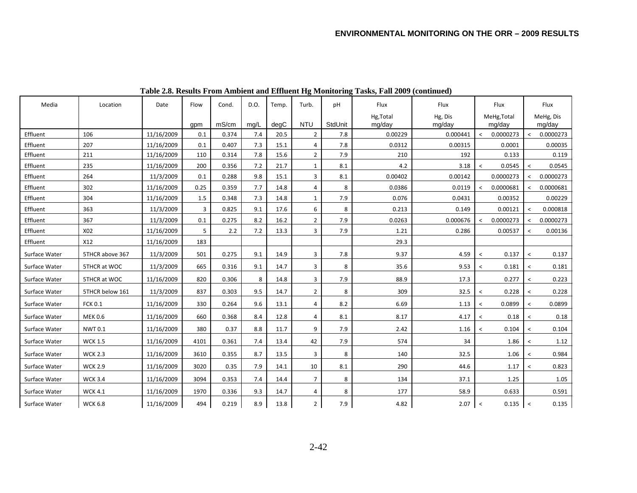| Media         | Location        | Date       | Flow           | Cond. | D.O. | Temp. | Turb.          | pH      | Flux                | Flux              | Flux                                  |                          | Flux                |
|---------------|-----------------|------------|----------------|-------|------|-------|----------------|---------|---------------------|-------------------|---------------------------------------|--------------------------|---------------------|
|               |                 |            | gpm            | mS/cm | mq/L | degC  | <b>NTU</b>     | StdUnit | Hg, Total<br>mg/day | Hg, Dis<br>mg/day | MeHg, Total<br>mg/day                 |                          | MeHg, Dis<br>mg/day |
| Effluent      | 106             | 11/16/2009 | 0.1            | 0.374 | 7.4  | 20.5  | $\overline{2}$ | 7.8     | 0.00229             | 0.000441          | 0.0000273<br>$\overline{\phantom{a}}$ | $\overline{\phantom{a}}$ | 0.0000273           |
| Effluent      | 207             | 11/16/2009 | 0.1            | 0.407 | 7.3  | 15.1  | 4              | 7.8     | 0.0312              | 0.00315           | 0.0001                                |                          | 0.00035             |
| Effluent      | 211             | 11/16/2009 | 110            | 0.314 | 7.8  | 15.6  | $\overline{2}$ | 7.9     | 210                 | 192               | 0.133                                 |                          | 0.119               |
| Effluent      | 235             | 11/16/2009 | 200            | 0.356 | 7.2  | 21.7  | 1              | 8.1     | 4.2                 | 3.18              | 0.0545<br>$\prec$                     | $\,<\,$                  | 0.0545              |
| Effluent      | 264             | 11/3/2009  | 0.1            | 0.288 | 9.8  | 15.1  | 3              | 8.1     | 0.00402             | 0.00142           | 0.0000273                             | $\prec$                  | 0.0000273           |
| Effluent      | 302             | 11/16/2009 | 0.25           | 0.359 | 7.7  | 14.8  | 4              | 8       | 0.0386              | 0.0119            | 0.0000681<br>$\,<$                    |                          | 0.0000681           |
| Effluent      | 304             | 11/16/2009 | 1.5            | 0.348 | 7.3  | 14.8  | 1              | 7.9     | 0.076               | 0.0431            | 0.00352                               |                          | 0.00229             |
| Effluent      | 363             | 11/3/2009  | $\overline{3}$ | 0.825 | 9.1  | 17.6  | 6              | 8       | 0.213               | 0.149             | 0.00121                               | $\,<$                    | 0.000818            |
| Effluent      | 367             | 11/3/2009  | 0.1            | 0.275 | 8.2  | 16.2  | $\overline{2}$ | 7.9     | 0.0263              | 0.000676          | 0.0000273<br>$\prec$                  |                          | 0.0000273           |
| Effluent      | X02             | 11/16/2009 | 5              | 2.2   | 7.2  | 13.3  | 3              | 7.9     | 1.21                | 0.286             | 0.00537                               | $\,<\,$                  | 0.00136             |
| Effluent      | X12             | 11/16/2009 | 183            |       |      |       |                |         | 29.3                |                   |                                       |                          |                     |
| Surface Water | 5THCR above 367 | 11/3/2009  | 501            | 0.275 | 9.1  | 14.9  | 3              | 7.8     | 9.37                | 4.59              | 0.137<br>$\,<\,$                      | $\,<\,$                  | 0.137               |
| Surface Water | 5THCR at WOC    | 11/3/2009  | 665            | 0.316 | 9.1  | 14.7  | 3              | 8       | 35.6                | 9.53              | 0.181<br>$\overline{\phantom{a}}$     | $\hat{}$                 | 0.181               |
| Surface Water | 5THCR at WOC    | 11/16/2009 | 820            | 0.306 | 8    | 14.8  | 3              | 7.9     | 88.9                | 17.3              | 0.277                                 | $\,<$                    | 0.223               |
| Surface Water | 5THCR below 161 | 11/3/2009  | 837            | 0.303 | 9.5  | 14.7  | $\overline{2}$ | 8       | 309                 | 32.5              | 0.228<br>$\,<\,$                      | $\,<$                    | 0.228               |
| Surface Water | <b>FCK 0.1</b>  | 11/16/2009 | 330            | 0.264 | 9.6  | 13.1  | 4              | 8.2     | 6.69                | 1.13              | 0.0899<br>$\,<\,$                     | $\,<$                    | 0.0899              |
| Surface Water | <b>MEK 0.6</b>  | 11/16/2009 | 660            | 0.368 | 8.4  | 12.8  | 4              | 8.1     | 8.17                | 4.17              | 0.18<br>$\,<\,$                       | $\,<$                    | 0.18                |
| Surface Water | <b>NWT0.1</b>   | 11/16/2009 | 380            | 0.37  | 8.8  | 11.7  | 9              | 7.9     | 2.42                | 1.16              | 0.104<br>$\,<\,$                      | $\,<\,$                  | 0.104               |
| Surface Water | <b>WCK 1.5</b>  | 11/16/2009 | 4101           | 0.361 | 7.4  | 13.4  | 42             | 7.9     | 574                 | 34                | 1.86                                  | $\,<$                    | 1.12                |
| Surface Water | <b>WCK 2.3</b>  | 11/16/2009 | 3610           | 0.355 | 8.7  | 13.5  | 3              | 8       | 140                 | 32.5              | 1.06                                  | $\,<\,$                  | 0.984               |
| Surface Water | <b>WCK 2.9</b>  | 11/16/2009 | 3020           | 0.35  | 7.9  | 14.1  | 10             | 8.1     | 290                 | 44.6              | 1.17                                  | $\,<\,$                  | 0.823               |
| Surface Water | <b>WCK 3.4</b>  | 11/16/2009 | 3094           | 0.353 | 7.4  | 14.4  | $\overline{7}$ | 8       | 134                 | 37.1              | 1.25                                  |                          | 1.05                |
| Surface Water | <b>WCK 4.1</b>  | 11/16/2009 | 1970           | 0.336 | 9.3  | 14.7  | 4              | 8       | 177                 | 58.9              | 0.633                                 |                          | 0.591               |
| Surface Water | <b>WCK 6.8</b>  | 11/16/2009 | 494            | 0.219 | 8.9  | 13.8  | $\overline{2}$ | 7.9     | 4.82                | 2.07              | $\,<\,$<br>0.135                      | $\,<$                    | 0.135               |

**Table 2.8. Results From Ambient and Effluent Hg Monitoring Tasks, Fall 2009 (continued)**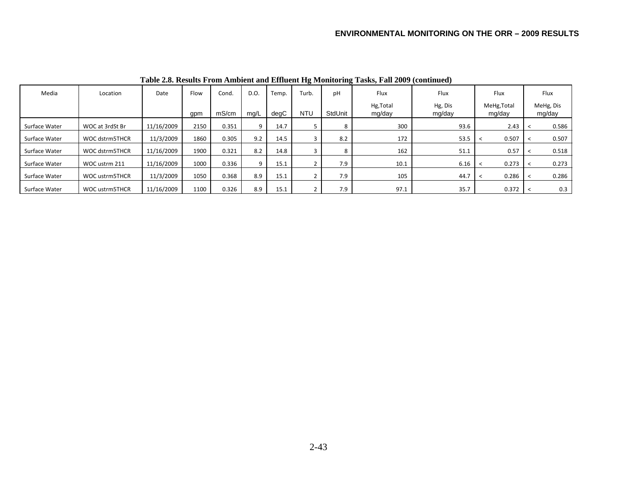| Media         | Location              | Date       | Flow | Cond. | D.O. | Temp. | Turb.      | pH      | Flux                | Flux              | Flux                  | Flux                |
|---------------|-----------------------|------------|------|-------|------|-------|------------|---------|---------------------|-------------------|-----------------------|---------------------|
|               |                       |            | qpm  | mS/cm | mq/L | degC  | <b>NTU</b> | StdUnit | Hg, Total<br>mg/day | Hg, Dis<br>mg/day | MeHg, Total<br>mg/day | MeHg, Dis<br>mg/day |
| Surface Water | WOC at 3rdSt Br       | 11/16/2009 | 2150 | 0.351 | 9    | 14.7  | כ          | 8       | 300                 | 93.6              | 2.43                  | 0.586               |
| Surface Water | WOC dstrm5THCR        | 11/3/2009  | 1860 | 0.305 | 9.2  | 14.5  | 3          | 8.2     | 172                 | 53.5              | 0.507                 | 0.507               |
| Surface Water | WOC dstrm5THCR        | 11/16/2009 | 1900 | 0.321 | 8.2  | 14.8  | 3          | 8       | 162                 | 51.1              | 0.57                  | 0.518               |
| Surface Water | WOC ustrm 211         | 11/16/2009 | 1000 | 0.336 | 9    | 15.1  | $\epsilon$ | 7.9     | 10.1                | 6.16              | 0.273                 | 0.273               |
| Surface Water | <b>WOC ustrm5THCR</b> | 11/3/2009  | 1050 | 0.368 | 8.9  | 15.1  | $\epsilon$ | 7.9     | 105                 | 44.7              | 0.286                 | 0.286               |
| Surface Water | <b>WOC ustrm5THCR</b> | 11/16/2009 | 1100 | 0.326 | 8.9  | 15.1  | <u>_</u>   | 7.9     | 97.1                | 35.7              | 0.372                 | 0.3                 |

**Table 2.8. Results From Ambient and Effluent Hg Monitoring Tasks, Fall 2009 (continued)**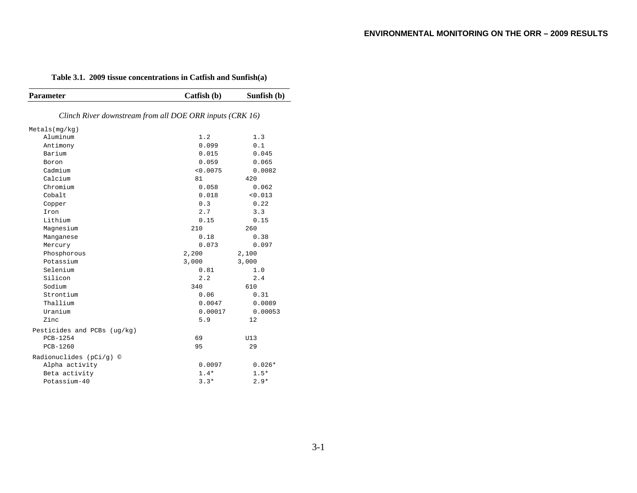#### **Table 3.1. 2009 tissue concentrations in Catfish and Sunfish(a)**

| <b>Parameter</b>                                         | Catfish (b) | Sunfish (b) |
|----------------------------------------------------------|-------------|-------------|
|                                                          |             |             |
| Clinch River downstream from all DOE ORR inputs (CRK 16) |             |             |
| Metals(mq/kg)                                            |             |             |
| Aluminum                                                 | 1.2         | 1.3         |
| Antimony                                                 | 0.099       | 0.1         |
| Barium                                                   | 0.015       | 0.045       |
| Boron                                                    | 0.059       | 0.065       |
| Cadmium                                                  | < 0.0075    | 0.0082      |
| Calcium                                                  | 81          | 420         |
| Chromium                                                 | 0.058       | 0.062       |
| Cobalt                                                   | 0.018       | < 0.013     |
| Copper                                                   | 0.3         | 0.22        |
| Iron                                                     | 2.7         | 3.3         |
| Lithium                                                  | 0.15        | 0.15        |
| Magnesium                                                | 210         | 260         |
| Manganese                                                | 0.18        | 0.38        |
| Mercury                                                  | 0.073       | 0.097       |
| Phosphorous                                              | 2,200       | 2,100       |
| Potassium                                                | 3,000       | 3,000       |
| Selenium                                                 | 0.81        | 1.0         |
| Silicon                                                  | 2.2         | 2.4         |
| Sodium                                                   | 340         | 610         |
| Strontium                                                | 0.06        | 0.31        |
| Thallium                                                 | 0.0047      | 0.0089      |
| Uranium                                                  | 0.00017     | 0.00053     |
| Zinc                                                     | 5.9         | 12          |
| Pesticides and PCBs (ug/kg)                              |             |             |
| PCB-1254                                                 | 69          | U13         |
| PCB-1260                                                 | 95          | 29          |
| Radionuclides (pCi/g) ©                                  |             |             |
| Alpha activity                                           | 0.0097      | $0.026*$    |
| Beta activity                                            | $1.4*$      | $1.5*$      |
| Potassium-40                                             | $3.3*$      | $2.9*$      |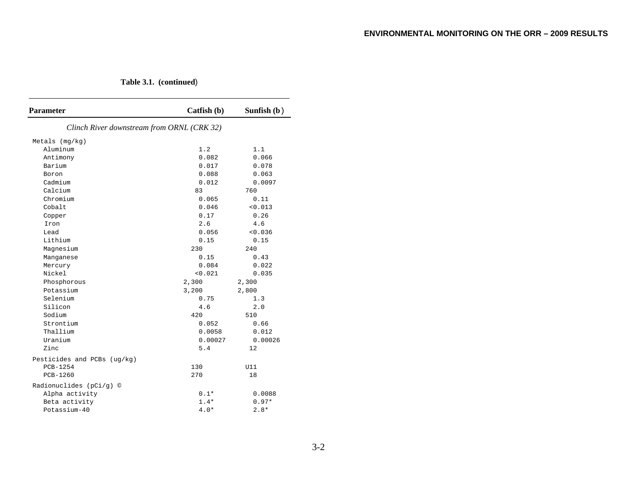**Table 3.1. (continued**)

| <b>Parameter</b>                           | Catfish (b) | Sunfish $(b)$ |
|--------------------------------------------|-------------|---------------|
| Clinch River downstream from ORNL (CRK 32) |             |               |
| Metals $(mq/kg)$                           |             |               |
| Aluminum                                   | 1.2         | 1.1           |
| Antimony                                   | 0.082       | 0.066         |
| Barium                                     | 0.017       | 0.078         |
| Boron                                      | 0.088       | 0.063         |
| Cadmium                                    | 0.012       | 0.0097        |
| Calcium                                    | 83          | 760           |
| Chromium                                   | 0.065       | 0.11          |
| Cobalt                                     | 0.046       | < 0.013       |
| Copper                                     | 0.17        | 0.26          |
| Iron                                       | 2.6         | 4.6           |
| Lead                                       | 0.056       | < 0.036       |
| Lithium                                    | 0.15        | 0.15          |
| Magnesium                                  | 230         | 240           |
| Manganese                                  | 0.15        | 0.43          |
| Mercury                                    | 0.084       | 0.022         |
| Nickel                                     | 0.021       | 0.035         |
| Phosphorous                                | 2,300       | 2,300         |
| Potassium                                  | 3,200       | 2,800         |
| Selenium                                   | 0.75        | 1.3           |
| Silicon                                    | 4.6         | 2.0           |
| Sodium                                     | 420         | 510           |
| Strontium                                  | 0.052       | 0.66          |
| Thallium                                   | 0.0058      | 0.012         |
| Uranium                                    | 0.00027     | 0.00026       |
| Zinc                                       | 5.4         | 12            |
| Pesticides and PCBs (ug/kg)                |             |               |
| PCB-1254                                   | 130         | U11           |
| PCB-1260                                   | 270         | 18            |
| Radionuclides (pCi/g) ©                    |             |               |
| Alpha activity                             | $0.1*$      | 0.0088        |
| Beta activity                              | $1.4*$      | $0.97*$       |
| Potassium-40                               | $4.0*$      | $2.8*$        |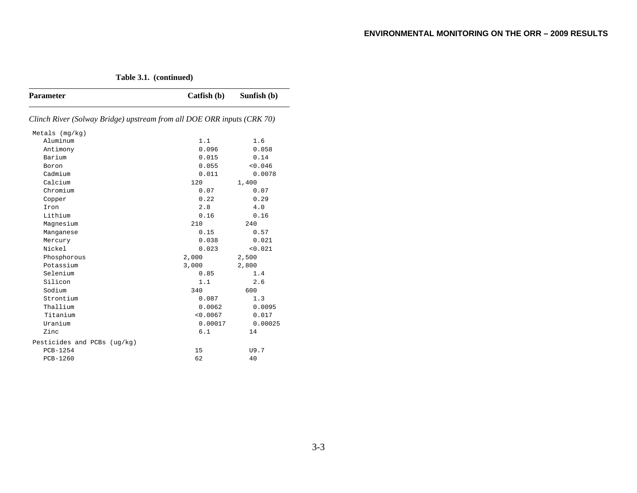**Table 3.1. (continued)** 

| <b>Parameter</b>                                                       | Catfish (b) | Sunfish (b) |
|------------------------------------------------------------------------|-------------|-------------|
| Clinch River (Solway Bridge) upstream from all DOE ORR inputs (CRK 70) |             |             |
| Metals $(mq/kg)$                                                       |             |             |
| Aluminum                                                               | 1.1         | 1.6         |
| Antimony                                                               | 0.096       | 0.058       |
| Barium                                                                 | 0.015       | 0.14        |
| Boron                                                                  | 0.055       | < 0.046     |
| Cadmium                                                                | 0.011       | 0.0078      |
| Calcium                                                                | 120         | 1,400       |
| Chromium                                                               | 0.07        | 0.07        |
| Copper                                                                 | 0.22        | 0.29        |
| Iron                                                                   | 2.8         | 4.0         |
| Lithium                                                                | 0.16        | 0.16        |
| Magnesium                                                              | 210         | 240         |
| Manganese                                                              | 0.15        | 0.57        |
| Mercury                                                                | 0.038       | 0.021       |
| Nickel                                                                 | 0.023       | < 0.021     |
| Phosphorous                                                            | 2,000       | 2,500       |
| Potassium                                                              | 3,000       | 2,800       |
| Selenium                                                               | 0.85        | 1.4         |
| Silicon                                                                | 1.1         | 2.6         |
| Sodium                                                                 | 340         | 600         |
| Strontium                                                              | 0.087       | 1.3         |
| Thallium                                                               | 0.0062      | 0.0095      |
| Titanium                                                               | < 0.0067    | 0.017       |
| Uranium                                                                | 0.00017     | 0.00025     |
| Zinc                                                                   | 6.1         | 14          |
| Pesticides and PCBs (ug/kg)                                            |             |             |
| <b>PCB-1254</b>                                                        | 15          | U9.7        |
| PCB-1260                                                               | 62          | 40          |
|                                                                        |             |             |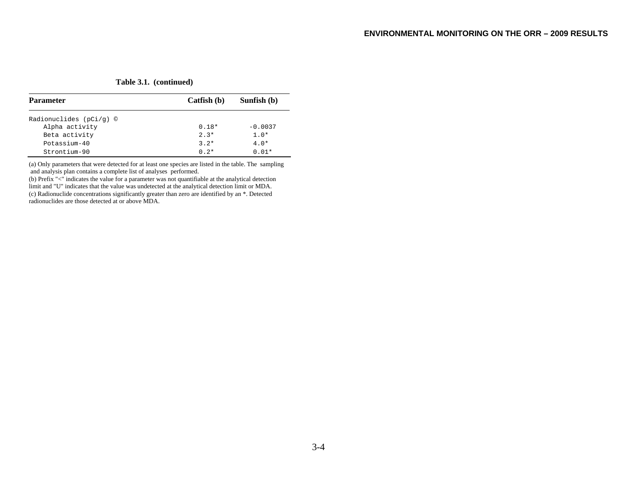**Table 3.1. (continued)** 

| <b>Parameter</b>            | Catfish (b) | Sunfish (b) |
|-----------------------------|-------------|-------------|
| Radionuclides ( $pCi/q$ ) © |             |             |
| Alpha activity              | $0.18*$     | $-0.0037$   |
| Beta activity               | $2.3*$      | $1.0*$      |
| Potassium-40                | $3.2*$      | $4.0*$      |
| Strontium-90                | $0.2*$      | $0.01*$     |

(a) Only parameters that were detected for at least one species are listed in the table. The sampling and analysis plan contains a complete list of analyses performed.

(b) Prefix "<" indicates the value for a parameter was not quantifiable at the analytical detection limit and "U" indicates that the value was undetected at the analytical detection limit or MDA. (c) Radionuclide concentrations significantly greater than zero are identified by an \*. Detected radionuclides are those detected at or above MDA.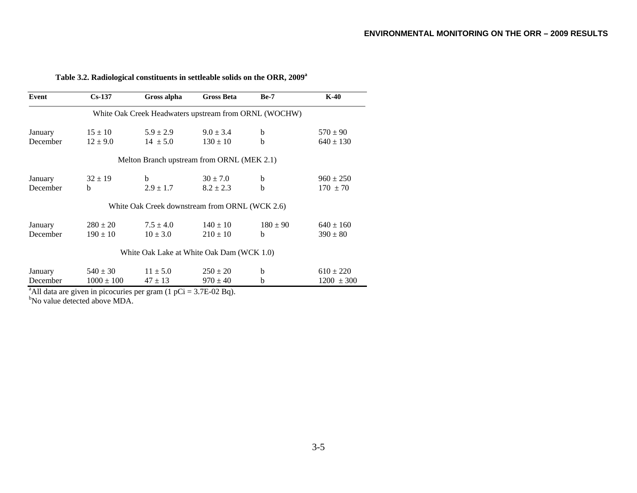| Event    | $Cs-137$       | Gross alpha                                           | <b>Gross Beta</b> | $Be-7$       | $K-40$         |
|----------|----------------|-------------------------------------------------------|-------------------|--------------|----------------|
|          |                | White Oak Creek Headwaters upstream from ORNL (WOCHW) |                   |              |                |
| January  | $15 \pm 10$    | $5.9 \pm 2.9$                                         | $9.0 \pm 3.4$     | <sub>b</sub> | $570 \pm 90$   |
| December | $12 \pm 9.0$   | $14 \pm 5.0$                                          | $130 \pm 10$      | <sub>h</sub> | $640 \pm 130$  |
|          |                | Melton Branch upstream from ORNL (MEK 2.1)            |                   |              |                |
| January  | $32 \pm 19$    | b                                                     | $30 \pm 7.0$      | b            | $960 \pm 250$  |
| December | b              | $2.9 \pm 1.7$                                         | $8.2 \pm 2.3$     | b            | $170 \pm 70$   |
|          |                | White Oak Creek downstream from ORNL (WCK 2.6)        |                   |              |                |
| January  | $280 \pm 20$   | $7.5 \pm 4.0$                                         | $140 \pm 10$      | $180 \pm 90$ | $640 \pm 160$  |
| December | $190 \pm 10$   | $10 \pm 3.0$                                          | $210 \pm 10$      | h.           | $390 \pm 80$   |
|          |                | White Oak Lake at White Oak Dam (WCK 1.0)             |                   |              |                |
| January  | $540 \pm 30$   | $11 \pm 5.0$                                          | $250 \pm 20$      | b            | $610 \pm 220$  |
| December | $1000 \pm 100$ | $47 \pm 13$                                           | $970 \pm 40$      | b            | $1200 \pm 300$ |

**Table 3.2. Radiological constituents in settleable solids on the ORR, 2009a**

bNo value detected above MDA.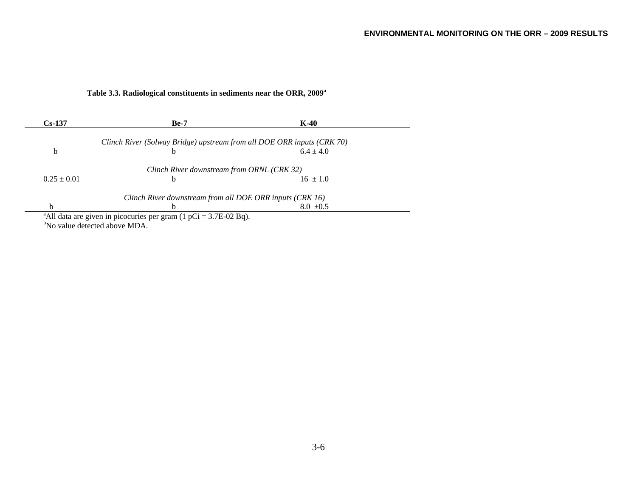| $Cs-137$        | $Be-7$                                                                 | $K-40$        |  |
|-----------------|------------------------------------------------------------------------|---------------|--|
|                 | Clinch River (Solway Bridge) upstream from all DOE ORR inputs (CRK 70) |               |  |
| b               | b                                                                      | $6.4 + 4.0$   |  |
|                 | Clinch River downstream from ORNL (CRK 32)                             |               |  |
| $0.25 \pm 0.01$ | b                                                                      | $16 \pm 1.0$  |  |
|                 | Clinch River downstream from all DOE ORR inputs (CRK 16)               |               |  |
| h               | h                                                                      | $8.0 \pm 0.5$ |  |

# **Table 3.3. Radiological constituents in sediments near the ORR, 2009a**

"No value detected above MDA.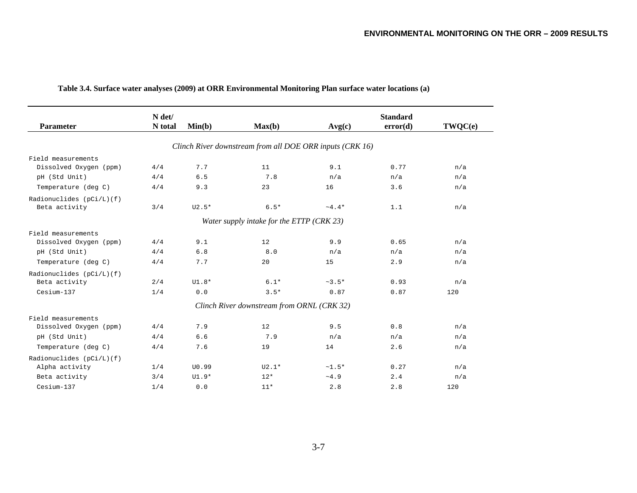|                             | N det/  |         |                                                          |         | <b>Standard</b> |         |
|-----------------------------|---------|---------|----------------------------------------------------------|---------|-----------------|---------|
| <b>Parameter</b>            | N total | Min(b)  | Max(b)                                                   | Avg(c)  | error(d)        | TWQC(e) |
|                             |         |         | Clinch River downstream from all DOE ORR inputs (CRK 16) |         |                 |         |
| Field measurements          |         |         |                                                          |         |                 |         |
| Dissolved Oxygen (ppm)      | 4/4     | 7.7     | 11                                                       | 9.1     | 0.77            | n/a     |
| pH (Std Unit)               | 4/4     | 6.5     | 7.8                                                      | n/a     | n/a             | n/a     |
| Temperature (deg C)         | 4/4     | 9.3     | 23                                                       | 16      | 3.6             | n/a     |
| Radionuclides $(pCi/L)$ (f) |         |         |                                                          |         |                 |         |
| Beta activity               | 3/4     | $U2.5*$ | $6.5*$                                                   | $~1.4*$ | 1.1             | n/a     |
|                             |         |         | Water supply intake for the ETTP (CRK 23)                |         |                 |         |
| Field measurements          |         |         |                                                          |         |                 |         |
| Dissolved Oxygen (ppm)      | 4/4     | 9.1     | 12                                                       | 9.9     | 0.65            | n/a     |
| pH (Std Unit)               | 4/4     | 6.8     | 8.0                                                      | n/a     | n/a             | n/a     |
| Temperature (deg C)         | 4/4     | 7.7     | 20                                                       | 15      | 2.9             | n/a     |
| Radionuclides (pCi/L)(f)    |         |         |                                                          |         |                 |         |
| Beta activity               | 2/4     | $UI.8*$ | $6.1*$                                                   | $~1.5*$ | 0.93            | n/a     |
| Cesium-137                  | 1/4     | 0.0     | $3.5*$                                                   | 0.87    | 0.87            | 120     |
|                             |         |         | Clinch River downstream from ORNL (CRK 32)               |         |                 |         |
| Field measurements          |         |         |                                                          |         |                 |         |
| Dissolved Oxygen (ppm)      | 4/4     | 7.9     | 12                                                       | 9.5     | 0.8             | n/a     |
| pH (Std Unit)               | 4/4     | 6.6     | 7.9                                                      | n/a     | n/a             | n/a     |
| Temperature (deg C)         | 4/4     | 7.6     | 19                                                       | 14      | 2.6             | n/a     |
| Radionuclides (pCi/L)(f)    |         |         |                                                          |         |                 |         |
| Alpha activity              | 1/4     | U0.99   | $U2.1*$                                                  | $~1.5*$ | 0.27            | n/a     |
| Beta activity               | 3/4     | $UI.9*$ | $12*$                                                    | ~1.9    | 2.4             | n/a     |
| Cesium-137                  | 1/4     | 0.0     | $11*$                                                    | 2.8     | 2.8             | 120     |

# **Table 3.4. Surface water analyses (2009) at ORR Environmental Monitoring Plan surface water locations (a)**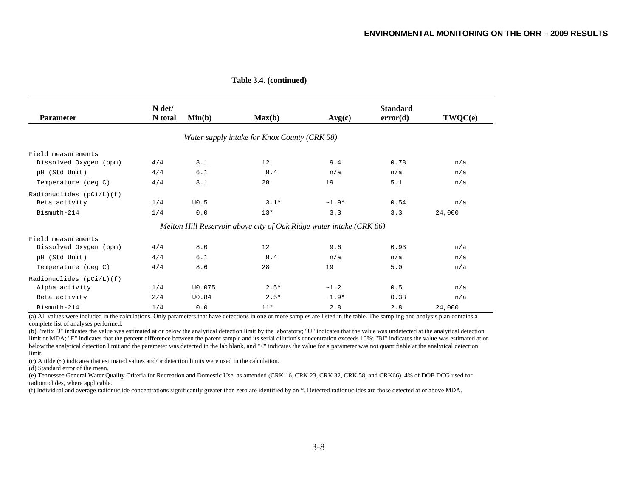| <b>Parameter</b>         | N det/<br>N total | Min(b)       | Max(b)                                                              | Avg(c)  | <b>Standard</b><br>error(d) | TWQC(e) |
|--------------------------|-------------------|--------------|---------------------------------------------------------------------|---------|-----------------------------|---------|
|                          |                   |              | Water supply intake for Knox County (CRK 58)                        |         |                             |         |
| Field measurements       |                   |              |                                                                     |         |                             |         |
| Dissolved Oxygen (ppm)   | 4/4               | 8.1          | 12                                                                  | 9.4     | 0.78                        | n/a     |
| pH (Std Unit)            | 4/4               | 6.1          | 8.4                                                                 | n/a     | n/a                         | n/a     |
| Temperature (deg C)      | 4/4               | 8.1          | 28                                                                  | 19      | 5.1                         | n/a     |
| Radionuclides (pCi/L)(f) |                   |              |                                                                     |         |                             |         |
| Beta activity            | 1/4               | U0.5         | $3.1*$                                                              | $~1.9*$ | 0.54                        | n/a     |
| Bismuth-214              | 1/4               | 0.0          | $13*$                                                               | 3.3     | 3.3                         | 24,000  |
|                          |                   |              | Melton Hill Reservoir above city of Oak Ridge water intake (CRK 66) |         |                             |         |
| Field measurements       |                   |              |                                                                     |         |                             |         |
| Dissolved Oxygen (ppm)   | 4/4               | 8.0          | 12                                                                  | 9.6     | 0.93                        | n/a     |
| pH (Std Unit)            | 4/4               | 6.1          | 8.4                                                                 | n/a     | n/a                         | n/a     |
| Temperature (deg C)      | 4/4               | 8.6          | 28                                                                  | 19      | 5.0                         | n/a     |
| Radionuclides (pCi/L)(f) |                   |              |                                                                     |         |                             |         |
| Alpha activity           | 1/4               | U0.075       | $2.5*$                                                              | ~1.2    | 0.5                         | n/a     |
| Beta activity            | 2/4               | <b>U0.84</b> | $2.5*$                                                              | $~1.9*$ | 0.38                        | n/a     |
| Bismuth-214              | 1/4               | 0.0          | $11*$                                                               | 2.8     | 2.8                         | 24,000  |

 **Table 3.4. (continued)** 

(a) All values were included in the calculations. Only parameters that have detections in one or more samples are listed in the table. The sampling and analysis plan contains a complete list of analyses performed.

(b) Prefix "J" indicates the value was estimated at or below the analytical detection limit by the laboratory; "U" indicates that the value was undetected at the analytical detection limit or MDA; "E" indicates that the percent difference between the parent sample and its serial dilution's concentration exceeds 10%; "BJ" indicates the value was estimated at or below the analytical detection limit and the parameter was detected in the lab blank, and "<" indicates the value for a parameter was not quantifiable at the analytical detection limit.

(c) A tilde (~) indicates that estimated values and/or detection limits were used in the calculation.

(d) Standard error of the mean.

(e) Tennessee General Water Quality Criteria for Recreation and Domestic Use, as amended (CRK 16, CRK 23, CRK 32, CRK 58, and CRK66). 4% of DOE DCG used for radionuclides, where applicable.

(f) Individual and average radionuclide concentrations significantly greater than zero are identified by an \*. Detected radionuclides are those detected at or above MDA.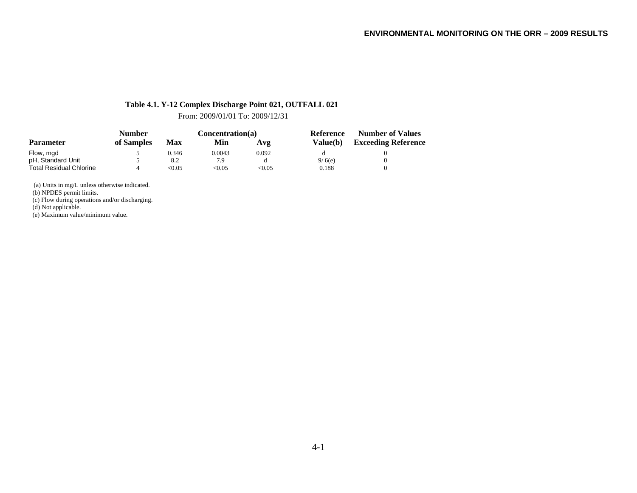# **Table 4.1. Y-12 Complex Discharge Point 021, OUTFALL 021**

From: 2009/01/01 To: 2009/12/31

|                                | Number     |        | Concentration(a) |        | Reference       | <b>Number of Values</b>    |
|--------------------------------|------------|--------|------------------|--------|-----------------|----------------------------|
| <b>Parameter</b>               | of Samples | Max    | Min              | Avg    | <b>Value(b)</b> | <b>Exceeding Reference</b> |
| Flow, mgd                      |            | 0.346  | 0.0043           | 0.092  |                 |                            |
| pH, Standard Unit              |            | 8.2    | 7.9              | đ      | 9/6(e)          |                            |
| <b>Total Residual Chlorine</b> |            | < 0.05 | < 0.05           | < 0.05 | 0.188           |                            |

(a) Units in mg/L unless otherwise indicated.

(b) NPDES permit limits.

(c) Flow during operations and/or discharging.

(d) Not applicable.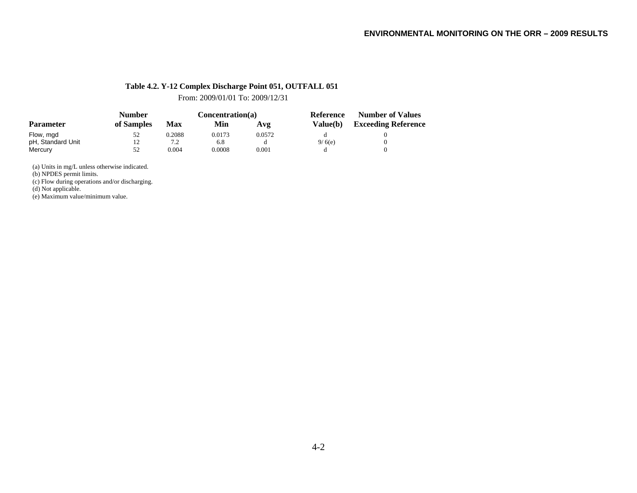#### **Table 4.2. Y-12 Complex Discharge Point 051, OUTFALL 051**

From: 2009/01/01 To: 2009/12/31

|                   | <b>Number</b> |                | Concentration(a) |        | Reference       | <b>Number of Values</b>    |
|-------------------|---------------|----------------|------------------|--------|-----------------|----------------------------|
| <b>Parameter</b>  | of Samples    | Max            | Min              | Avg    | <b>Value(b)</b> | <b>Exceeding Reference</b> |
| Flow, mgd         | 52            | 0.2088         | 0.0173           | 0.0572 |                 |                            |
| pH, Standard Unit | 12            | 7 <sub>2</sub> | 6.8              |        | 9/6(e)          |                            |
| Mercury           | 52            | 0.004          | 0.0008           | 0.001  |                 |                            |

(a) Units in mg/L unless otherwise indicated.

(b) NPDES permit limits.

(c) Flow during operations and/or discharging.

(d) Not applicable.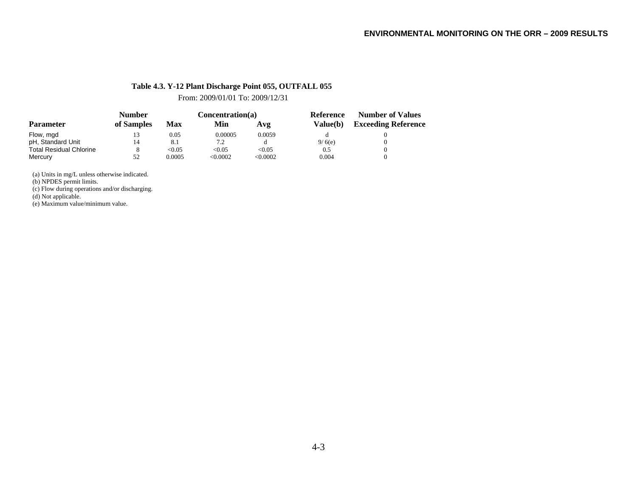#### **Table 4.3. Y-12 Plant Discharge Point 055, OUTFALL 055**

From: 2009/01/01 To: 2009/12/31

|                                | <b>Number</b> |        | Concentration(a) |         | Reference<br>Value(b) | <b>Number of Values</b>    |  |
|--------------------------------|---------------|--------|------------------|---------|-----------------------|----------------------------|--|
| <b>Parameter</b>               | of Samples    | Max    | Min              | Avg     |                       | <b>Exceeding Reference</b> |  |
| Flow, mgd                      | 13            | 0.05   | 0.00005          | 0.0059  |                       |                            |  |
| pH, Standard Unit              | 14            | 8.1    | 7.2              |         | 9/6(e)                |                            |  |
| <b>Total Residual Chlorine</b> | 8             | < 0.05 | < 0.05           | < 0.05  | 0.5                   |                            |  |
| Mercury                        | 52            | 0.0005 | < 0.0002         | <0.0002 | 0.004                 |                            |  |

(a) Units in mg/L unless otherwise indicated.

(b) NPDES permit limits.

(c) Flow during operations and/or discharging.

(d) Not applicable.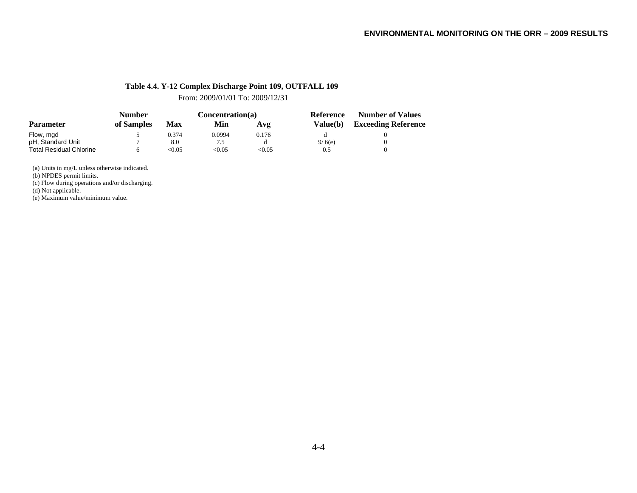#### **Table 4.4. Y-12 Complex Discharge Point 109, OUTFALL 109**

From: 2009/01/01 To: 2009/12/31

|                                | <b>Number</b> |       | Concentration(a) |       | Reference  | <b>Number of Values</b>    |  |
|--------------------------------|---------------|-------|------------------|-------|------------|----------------------------|--|
| <b>Parameter</b>               | of Samples    | Max   | Min              | Avg   | Value(b) = | <b>Exceeding Reference</b> |  |
| Flow, mgd                      |               | 0.374 | 0.0994           | 0.176 |            |                            |  |
| pH, Standard Unit              |               | 8.0   |                  |       | 9/6(e)     |                            |  |
| <b>Total Residual Chlorine</b> |               | <0.05 | < 0.05           | <0.05 | 0.5        |                            |  |

(a) Units in mg/L unless otherwise indicated.

(b) NPDES permit limits.

(c) Flow during operations and/or discharging.

(d) Not applicable.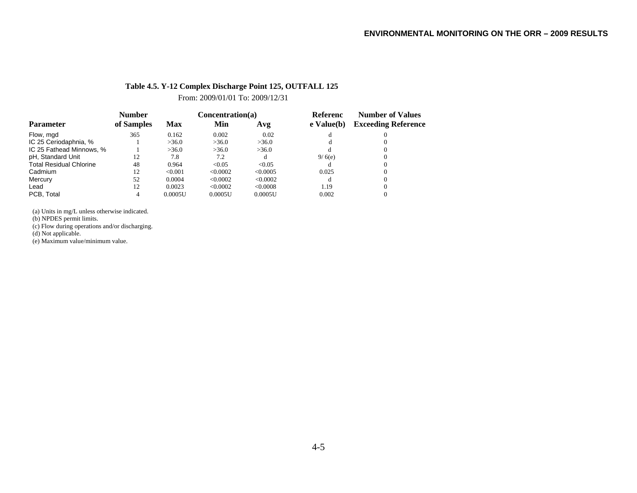#### **Table 4.5. Y-12 Complex Discharge Point 125, OUTFALL 125**

From: 2009/01/01 To: 2009/12/31

|                                | <b>Number</b> |            | Concentration(a) |          | <b>Referenc</b> | <b>Number of Values</b>    |  |
|--------------------------------|---------------|------------|------------------|----------|-----------------|----------------------------|--|
| <b>Parameter</b>               | of Samples    | <b>Max</b> | Min              | Avg      | e Value(b)      | <b>Exceeding Reference</b> |  |
| Flow, mgd                      | 365           | 0.162      | 0.002            | 0.02     |                 |                            |  |
| IC 25 Ceriodaphnia, %          |               | >36.0      | >36.0            | >36.0    |                 |                            |  |
| IC 25 Fathead Minnows, %       |               | >36.0      | >36.0            | >36.0    |                 |                            |  |
| pH, Standard Unit              | 12            | 7.8        | 7.2              | đ        | 9/6(e)          |                            |  |
| <b>Total Residual Chlorine</b> | 48            | 0.964      | < 0.05           | < 0.05   |                 |                            |  |
| Cadmium                        | 12            | < 0.001    | < 0.0002         | <0.0005  | 0.025           |                            |  |
| Mercury                        | 52            | 0.0004     | < 0.0002         | < 0.0002 |                 |                            |  |
| Lead                           | 12            | 0.0023     | < 0.0002         | < 0.0008 | 1.19            |                            |  |
| PCB. Total                     |               | 0.0005U    | 0.0005U          | 0.0005U  | 0.002           |                            |  |

(a) Units in mg/L unless otherwise indicated.

(b) NPDES permit limits.

(c) Flow during operations and/or discharging.

(d) Not applicable.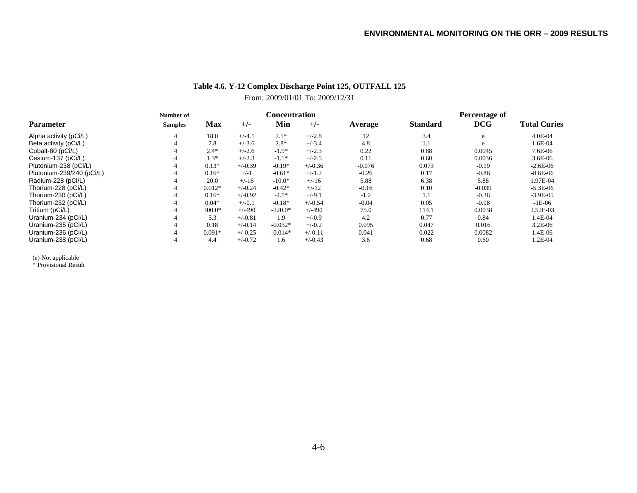# **Table 4.6. Y-12 Complex Discharge Point 125, OUTFALL 125** From: 2009/01/01 To: 2009/12/31

|                           | Number of      | <b>Concentration</b> |           |           |           |          | Percentage of   |            |                     |  |
|---------------------------|----------------|----------------------|-----------|-----------|-----------|----------|-----------------|------------|---------------------|--|
| <b>Parameter</b>          | <b>Samples</b> | Max                  | $+/-$     | Min       | $+/-$     | Average  | <b>Standard</b> | <b>DCG</b> | <b>Total Curies</b> |  |
| Alpha activity (pCi/L)    | 4              | 18.0                 | $+/-4.1$  | $2.5*$    | $+/-2.8$  | 12       | 3.4             | e          | 4.0E-04             |  |
| Beta activity (pCi/L)     |                | 7.8                  | $+/-3.6$  | $2.8*$    | $+/-3.4$  | 4.8      | 1.1             | e          | 1.6E-04             |  |
| Cobalt-60 (pCi/L)         |                | $2.4*$               | $+/-2.6$  | $-1.9*$   | $+/-2.3$  | 0.22     | 0.88            | 0.0045     | 7.6E-06             |  |
| Cesium-137 (pCi/L)        |                | $1.3*$               | $+/-2.3$  | $-1.1*$   | $+/-2.5$  | 0.11     | 0.60            | 0.0036     | $3.6E-06$           |  |
| Plutonium-238 (pCi/L)     |                | $0.13*$              | $+/-0.39$ | $-0.19*$  | $+/-0.36$ | $-0.076$ | 0.073           | $-0.19$    | $-2.6E-06$          |  |
| Plutonium-239/240 (pCi/L) |                | $0.16*$              | $+/-1$    | $-0.61*$  | $+/-1.2$  | $-0.26$  | 0.17            | $-0.86$    | $-8.6E-06$          |  |
| Radium-228 (pCi/L)        |                | 20.0                 | $+/-16$   | $-10.0*$  | $+/-16$   | 5.88     | 6.38            | 5.88       | 1.97E-04            |  |
| Thorium-228 (pCi/L)       |                | $0.012*$             | $+/-0.24$ | $-0.42*$  | $+/-12$   | $-0.16$  | 0.10            | $-0.039$   | $-5.3E-06$          |  |
| Thorium-230 (pCi/L)       |                | $0.16*$              | $+/-0.92$ | $-4.5*$   | $+/-9.1$  | $-1.2$   | 1.1             | $-0.38$    | $-3.9E - 0.5$       |  |
| Thorium-232 (pCi/L)       |                | $0.04*$              | $+/-0.1$  | $-0.18*$  | $+/-0.54$ | $-0.04$  | 0.05            | $-0.08$    | $-1E-06$            |  |
| Tritium (pCi/L)           |                | $300.0*$             | $+/-490$  | $-220.0*$ | $+/-490$  | 75.0     | 114.1           | 0.0038     | 2.52E-03            |  |
| Uranium-234 (pCi/L)       |                | 5.3                  | $+/-0.81$ | 1.9       | $+/-0.9$  | 4.2      | 0.77            | 0.84       | 1.4E-04             |  |
| Uranium-235 (pCi/L)       | 4              | 0.18                 | $+/-0.14$ | $-0.032*$ | $+/-0.2$  | 0.095    | 0.047           | 0.016      | $3.2E-06$           |  |
| Uranium-236 (pCi/L)       | 4              | $0.091*$             | $+/-0.25$ | $-0.014*$ | $+/-0.11$ | 0.041    | 0.022           | 0.0082     | 1.4E-06             |  |
| Uranium-238 (pCi/L)       |                | 4.4                  | $+/-0.72$ | 1.6       | $+/-0.43$ | 3.6      | 0.68            | 0.60       | 1.2E-04             |  |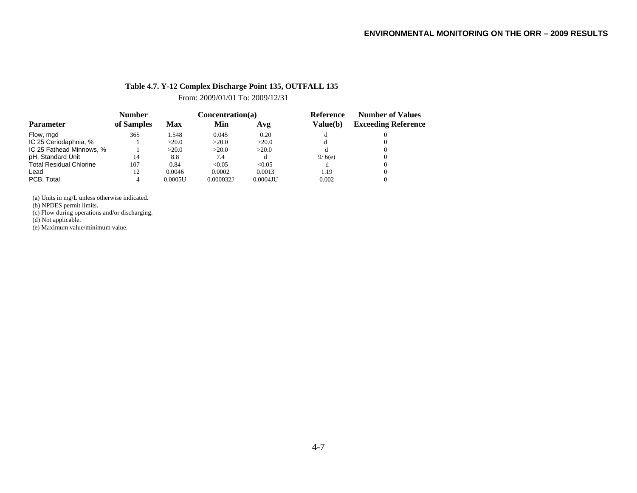#### **Table 4.7. Y-12 Complex Discharge Point 135, OUTFALL 135**

From: 2009/01/01 To: 2009/12/31

|                                | <b>Number</b> |         | Concentration(a) |             | <b>Reference</b> | <b>Number of Values</b>    |  |
|--------------------------------|---------------|---------|------------------|-------------|------------------|----------------------------|--|
| <b>Parameter</b>               | of Samples    | Max     | Min              | Avg         | Value(b)         | <b>Exceeding Reference</b> |  |
| Flow, mgd                      | 365           | 1.548   | 0.045            | 0.20        |                  |                            |  |
| IC 25 Ceriodaphnia, %          |               | >20.0   | >20.0            | >20.0       | đ                |                            |  |
| IC 25 Fathead Minnows, %       |               | >20.0   | >20.0            | >20.0       |                  |                            |  |
| pH, Standard Unit              | 14            | 8.8     | 7.4              |             | 9/6(e)           |                            |  |
| <b>Total Residual Chlorine</b> | 107           | 0.84    | < 0.05           | < 0.05      | đ                |                            |  |
| Lead                           | 12            | 0.0046  | 0.0002           | 0.0013      | 1.19             |                            |  |
| PCB. Total                     |               | 0.0005U | 0.000032J        | $0.0004$ JU | 0.002            |                            |  |

(a) Units in mg/L unless otherwise indicated.

(b) NPDES permit limits.

(c) Flow during operations and/or discharging.

(d) Not applicable.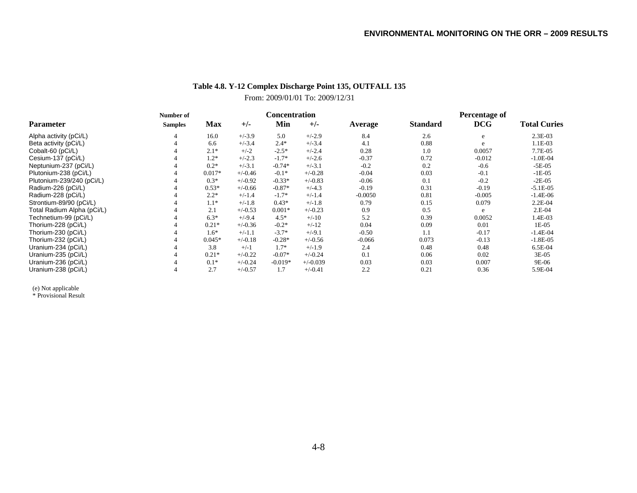# **Table 4.8. Y-12 Complex Discharge Point 135, OUTFALL 135** From: 2009/01/01 To: 2009/12/31

|                            | Number of      |            |           | Concentration |            |           | <b>Percentage of</b> |            |                     |  |
|----------------------------|----------------|------------|-----------|---------------|------------|-----------|----------------------|------------|---------------------|--|
| <b>Parameter</b>           | <b>Samples</b> | <b>Max</b> | $+/-$     | Min           | $+/-$      | Average   | <b>Standard</b>      | <b>DCG</b> | <b>Total Curies</b> |  |
| Alpha activity (pCi/L)     |                | 16.0       | $+/-3.9$  | 5.0           | $+/-2.9$   | 8.4       | 2.6                  | e          | 2.3E-03             |  |
| Beta activity (pCi/L)      |                | 6.6        | $+/-3.4$  | $2.4*$        | $+/-3.4$   | 4.1       | 0.88                 | e          | 1.1E-03             |  |
| Cobalt-60 (pCi/L)          |                | $2.1*$     | $+/-2$    | $-2.5*$       | $+/-2.4$   | 0.28      | 1.0                  | 0.0057     | 7.7E-05             |  |
| Cesium-137 (pCi/L)         |                | $1.2*$     | $+/-2.3$  | $-1.7*$       | $+/-2.6$   | $-0.37$   | 0.72                 | $-0.012$   | $-1.0E-04$          |  |
| Neptunium-237 (pCi/L)      |                | $0.2*$     | $+/-3.1$  | $-0.74*$      | $+/-3.1$   | $-0.2$    | 0.2                  | $-0.6$     | $-5E-05$            |  |
| Plutonium-238 (pCi/L)      |                | $0.017*$   | $+/-0.46$ | $-0.1*$       | $+/-0.28$  | $-0.04$   | 0.03                 | $-0.1$     | $-1E-05$            |  |
| Plutonium-239/240 (pCi/L)  |                | $0.3*$     | $+/-0.92$ | $-0.33*$      | $+/-0.83$  | $-0.06$   | 0.1                  | $-0.2$     | $-2E-05$            |  |
| Radium-226 (pCi/L)         |                | $0.53*$    | $+/-0.66$ | $-0.87*$      | $+/-4.3$   | $-0.19$   | 0.31                 | $-0.19$    | $-5.1E-05$          |  |
| Radium-228 (pCi/L)         |                | $2.2*$     | $+/-1.4$  | $-1.7*$       | $+/-1.4$   | $-0.0050$ | 0.81                 | $-0.005$   | $-1.4E-06$          |  |
| Strontium-89/90 (pCi/L)    |                | $1.1*$     | $+/-1.8$  | $0.43*$       | $+/-1.8$   | 0.79      | 0.15                 | 0.079      | $2.2E-04$           |  |
| Total Radium Alpha (pCi/L) |                | 2.1        | $+/-0.53$ | $0.001*$      | $+/-0.23$  | 0.9       | 0.5                  | e          | 2.E-04              |  |
| Technetium-99 (pCi/L)      |                | $6.3*$     | $+/-9.4$  | $4.5*$        | $+/-10$    | 5.2       | 0.39                 | 0.0052     | 1.4E-03             |  |
| Thorium-228 (pCi/L)        |                | $0.21*$    | $+/-0.36$ | $-0.2*$       | $+/-12$    | 0.04      | 0.09                 | 0.01       | $1E-05$             |  |
| Thorium-230 (pCi/L)        |                | $1.6*$     | $+/-1.1$  | $-3.7*$       | $+/-9.1$   | $-0.50$   | 1.1                  | $-0.17$    | $-1.4E-04$          |  |
| Thorium-232 (pCi/L)        |                | $0.045*$   | $+/-0.18$ | $-0.28*$      | $+/-0.56$  | $-0.066$  | 0.073                | $-0.13$    | $-1.8E-05$          |  |
| Uranium-234 (pCi/L)        |                | 3.8        | $+/-1$    | $1.7*$        | $+/-1.9$   | 2.4       | 0.48                 | 0.48       | 6.5E-04             |  |
| Uranium-235 (pCi/L)        |                | $0.21*$    | $+/-0.22$ | $-0.07*$      | $+/-0.24$  | 0.1       | 0.06                 | 0.02       | 3E-05               |  |
| Uranium-236 (pCi/L)        |                | $0.1*$     | $+/-0.24$ | $-0.019*$     | $+/-0.039$ | 0.03      | 0.03                 | 0.007      | 9E-06               |  |
| Uranium-238 (pCi/L)        |                | 2.7        | $+/-0.57$ | 1.7           | $+/-0.41$  | 2.2       | 0.21                 | 0.36       | 5.9E-04             |  |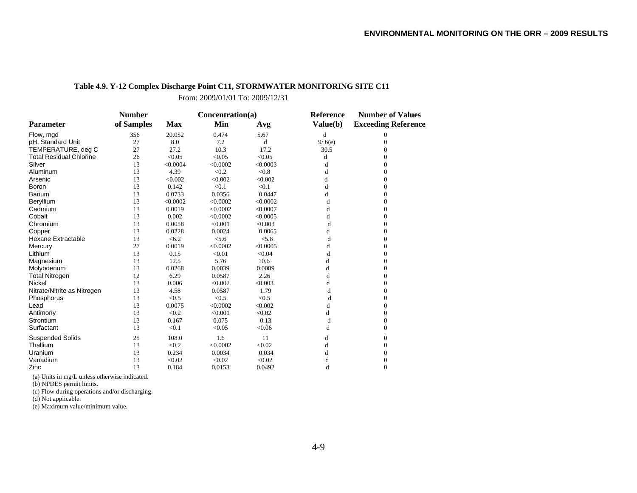#### **Table 4.9. Y-12 Complex Discharge Point C11, STORMWATER MONITORING SITE C11**

From: 2009/01/01 To: 2009/12/31

|                                | <b>Number</b> |            | Concentration(a) |          | Reference | <b>Number of Values</b>    |  |
|--------------------------------|---------------|------------|------------------|----------|-----------|----------------------------|--|
| <b>Parameter</b>               | of Samples    | <b>Max</b> | Min              | Avg      | Value(b)  | <b>Exceeding Reference</b> |  |
| Flow, mgd                      | 356           | 20.052     | 0.474            | 5.67     | d         | 0                          |  |
| pH, Standard Unit              | 27            | 8.0        | 7.2              | d        | 9/6(e)    | $\Omega$                   |  |
| TEMPERATURE, deg C             | 27            | 27.2       | 10.3             | 17.2     | 30.5      | 0                          |  |
| <b>Total Residual Chlorine</b> | 26            | < 0.05     | < 0.05           | < 0.05   | d         | 0                          |  |
| Silver                         | 13            | < 0.0004   | < 0.0002         | < 0.0003 | d         | $\Omega$                   |  |
| Aluminum                       | 13            | 4.39       | < 0.2            | < 0.8    | d         | $\Omega$                   |  |
| Arsenic                        | 13            | < 0.002    | < 0.002          | < 0.002  | d         | $\overline{0}$             |  |
| <b>Boron</b>                   | 13            | 0.142      | < 0.1            | < 0.1    | d         | $\mathbf{0}$               |  |
| Barium                         | 13            | 0.0733     | 0.0356           | 0.0447   | d         | $\Omega$                   |  |
| Beryllium                      | 13            | < 0.0002   | < 0.0002         | < 0.0002 | d         | $\Omega$                   |  |
| Cadmium                        | 13            | 0.0019     | < 0.0002         | < 0.0007 | d         | $\Omega$                   |  |
| Cobalt                         | 13            | 0.002      | < 0.0002         | < 0.0005 | d         | $\Omega$                   |  |
| Chromium                       | 13            | 0.0058     | < 0.001          | < 0.003  | d         | $\overline{0}$             |  |
| Copper                         | 13            | 0.0228     | 0.0024           | 0.0065   | d         | $\overline{0}$             |  |
| <b>Hexane Extractable</b>      | 13            | < 6.2      | < 5.6            | < 5.8    | d         | $\Omega$                   |  |
| Mercury                        | 27            | 0.0019     | < 0.0002         | < 0.0005 | d         | $\Omega$                   |  |
| Lithium                        | 13            | 0.15       | < 0.01           | < 0.04   | d         | $\Omega$                   |  |
| Magnesium                      | 13            | 12.5       | 5.76             | 10.6     | d         | $\Omega$                   |  |
| Molybdenum                     | 13            | 0.0268     | 0.0039           | 0.0089   | d         | $\Omega$                   |  |
| <b>Total Nitrogen</b>          | 12            | 6.29       | 0.0587           | 2.26     | d         | $\Omega$                   |  |
| Nickel                         | 13            | 0.006      | < 0.002          | < 0.003  | d         | $\overline{0}$             |  |
| Nitrate/Nitrite as Nitrogen    | 13            | 4.58       | 0.0587           | 1.79     | d         | $\Omega$                   |  |
| Phosphorus                     | 13            | < 0.5      | < 0.5            | < 0.5    | d         | $\Omega$                   |  |
| Lead                           | 13            | 0.0075     | < 0.0002         | < 0.002  | d         | $\Omega$                   |  |
| Antimony                       | 13            | < 0.2      | < 0.001          | < 0.02   | d         | $\Omega$                   |  |
| Strontium                      | 13            | 0.167      | 0.075            | 0.13     | d         | $\boldsymbol{0}$           |  |
| Surfactant                     | 13            | < 0.1      | < 0.05           | < 0.06   | d         | $\theta$                   |  |
| <b>Suspended Solids</b>        | 25            | 108.0      | 1.6              | 11       | d         | $\Omega$                   |  |
| Thallium                       | 13            | < 0.2      | < 0.0002         | < 0.02   | d         | $\Omega$                   |  |
| Uranium                        | 13            | 0.234      | 0.0034           | 0.034    | d         | $\boldsymbol{0}$           |  |
| Vanadium                       | 13            | < 0.02     | < 0.02           | < 0.02   | d         | $\theta$                   |  |
| Zinc                           | 13            | 0.184      | 0.0153           | 0.0492   | d         | $\Omega$                   |  |

(a) Units in mg/L unless otherwise indicated.

(b) NPDES permit limits.

(c) Flow during operations and/or discharging.

(d) Not applicable.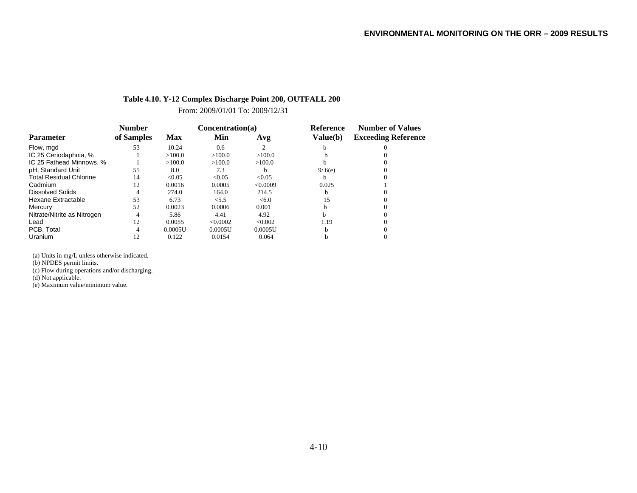#### **Table 4.10. Y-12 Complex Discharge Point 200, OUTFALL 200**

From: 2009/01/01 To: 2009/12/31

|                                | <b>Number</b> |            | Concentration(a) |              | <b>Reference</b> | <b>Number of Values</b>    |  |
|--------------------------------|---------------|------------|------------------|--------------|------------------|----------------------------|--|
| <b>Parameter</b>               | of Samples    | <b>Max</b> | Min              | Avg          | Value(b)         | <b>Exceeding Reference</b> |  |
| Flow, mgd                      | 53            | 10.24      | 0.6              |              |                  |                            |  |
| IC 25 Ceriodaphnia, %          |               | >100.0     | >100.0           | >100.0       |                  |                            |  |
| IC 25 Fathead Minnows, %       |               | >100.0     | >100.0           | >100.0       |                  |                            |  |
| pH, Standard Unit              | 55            | 8.0        | 7.3              | <sub>b</sub> | 9/6(e)           |                            |  |
| <b>Total Residual Chlorine</b> | 14            | < 0.05     | < 0.05           | < 0.05       |                  |                            |  |
| Cadmium                        | 12            | 0.0016     | 0.0005           | < 0.0009     | 0.025            |                            |  |
| <b>Dissolved Solids</b>        | 4             | 274.0      | 164.0            | 214.5        | h                |                            |  |
| Hexane Extractable             | 53            | 6.73       | < 5.5            | <6.0         | 15               |                            |  |
| Mercury                        | 52            | 0.0023     | 0.0006           | 0.001        |                  |                            |  |
| Nitrate/Nitrite as Nitrogen    | 4             | 5.86       | 4.41             | 4.92         |                  |                            |  |
| Lead                           | 12            | 0.0055     | < 0.0002         | < 0.002      | 1.19             |                            |  |
| PCB. Total                     | 4             | 0.0005U    | 0.0005U          | 0.0005U      | h                |                            |  |
| Uranium                        | 12            | 0.122      | 0.0154           | 0.064        |                  |                            |  |

(a) Units in mg/L unless otherwise indicated.

(b) NPDES permit limits.

(c) Flow during operations and/or discharging.

(d) Not applicable.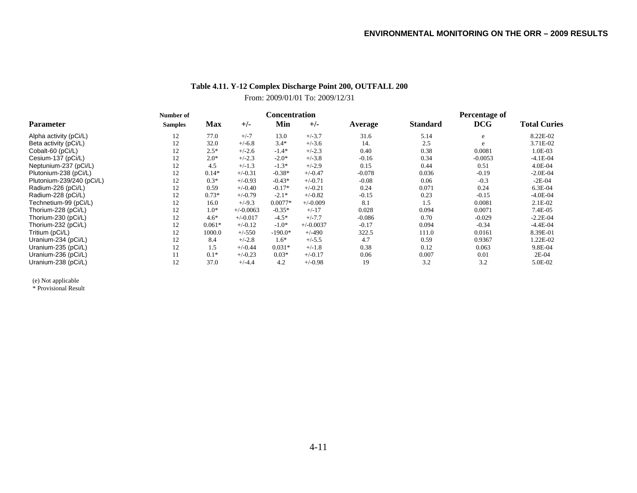# **Table 4.11. Y-12 Complex Discharge Point 200, OUTFALL 200** From: 2009/01/01 To: 2009/12/31

|                           | Number of      |            |             |           | <b>Concentration</b> |          |                 | Percentage of |                     |  |  |
|---------------------------|----------------|------------|-------------|-----------|----------------------|----------|-----------------|---------------|---------------------|--|--|
| <b>Parameter</b>          | <b>Samples</b> | <b>Max</b> | $+/-$       | Min       | $+/-$                | Average  | <b>Standard</b> | <b>DCG</b>    | <b>Total Curies</b> |  |  |
| Alpha activity (pCi/L)    | 12             | 77.0       | $+/-7$      | 13.0      | $+/-3.7$             | 31.6     | 5.14            | e             | 8.22E-02            |  |  |
| Beta activity (pCi/L)     | 12             | 32.0       | $+/-6.8$    | $3.4*$    | $+/-3.6$             | 14.      | 2.5             | e             | 3.71E-02            |  |  |
| Cobalt-60 (pCi/L)         | 12             | $2.5*$     | $+/-2.6$    | $-1.4*$   | $+/-2.3$             | 0.40     | 0.38            | 0.0081        | 1.0E-03             |  |  |
| Cesium-137 (pCi/L)        | 12             | $2.0*$     | $+/-2.3$    | $-2.0*$   | $+/-3.8$             | $-0.16$  | 0.34            | $-0.0053$     | $-4.1E-04$          |  |  |
| Neptunium-237 (pCi/L)     | 12             | 4.5        | $+/-1.3$    | $-1.3*$   | $+/-2.9$             | 0.15     | 0.44            | 0.51          | 4.0E-04             |  |  |
| Plutonium-238 (pCi/L)     | 12             | $0.14*$    | $+/-0.31$   | $-0.38*$  | $+/-0.47$            | $-0.078$ | 0.036           | $-0.19$       | $-2.0E-04$          |  |  |
| Plutonium-239/240 (pCi/L) | 12             | $0.3*$     | $+/-0.93$   | $-0.43*$  | $+/-0.71$            | $-0.08$  | 0.06            | $-0.3$        | $-2E-04$            |  |  |
| Radium-226 (pCi/L)        | 12             | 0.59       | $+/-0.40$   | $-0.17*$  | $+/-0.21$            | 0.24     | 0.071           | 0.24          | 6.3E-04             |  |  |
| Radium-228 (pCi/L)        | 12             | $0.73*$    | $+/-0.79$   | $-2.1*$   | $+/-0.82$            | $-0.15$  | 0.23            | $-0.15$       | $-4.0E-04$          |  |  |
| Technetium-99 (pCi/L)     | 12             | 16.0       | $+/-9.3$    | $0.0077*$ | $+/-0.009$           | 8.1      | 1.5             | 0.0081        | $2.1E-02$           |  |  |
| Thorium-228 (pCi/L)       | 12             | $1.0*$     | $+/-0.0063$ | $-0.35*$  | $+/-17$              | 0.028    | 0.094           | 0.0071        | 7.4E-05             |  |  |
| Thorium-230 (pCi/L)       | 12             | $4.6*$     | $+/-0.017$  | $-4.5*$   | $+/-7.7$             | $-0.086$ | 0.70            | $-0.029$      | $-2.2E-04$          |  |  |
| Thorium-232 (pCi/L)       | 12             | $0.061*$   | $+/-0.12$   | $-1.0*$   | $+/-0.0037$          | $-0.17$  | 0.094           | $-0.34$       | $-4.4E-04$          |  |  |
| Tritium (pCi/L)           | 12             | 1000.0     | $+/-550$    | $-190.0*$ | $+/-490$             | 322.5    | 111.0           | 0.0161        | 8.39E-01            |  |  |
| Uranium-234 (pCi/L)       | 12             | 8.4        | $+/-2.8$    | $1.6*$    | $+/-5.5$             | 4.7      | 0.59            | 0.9367        | 1.22E-02            |  |  |
| Uranium-235 (pCi/L)       | 12             | 1.5        | $+/-0.44$   | $0.031*$  | $+/-1.8$             | 0.38     | 0.12            | 0.063         | 9.8E-04             |  |  |
| Uranium-236 (pCi/L)       | 11             | $0.1*$     | $+/-0.23$   | $0.03*$   | $+/-0.17$            | 0.06     | 0.007           | 0.01          | 2E-04               |  |  |
| Uranium-238 (pCi/L)       | 12             | 37.0       | $+/-4.4$    | 4.2       | $+/-0.98$            | 19       | 3.2             | 3.2           | 5.0E-02             |  |  |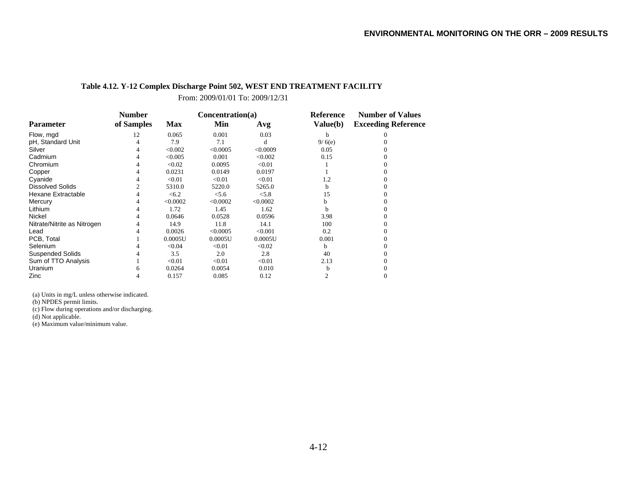#### **Table 4.12. Y-12 Complex Discharge Point 502, WEST END TREATMENT FACILITY**

From: 2009/01/01 To: 2009/12/31

|                             | <b>Number</b> |            | Concentration(a) |          | <b>Reference</b> | <b>Number of Values</b>    |  |
|-----------------------------|---------------|------------|------------------|----------|------------------|----------------------------|--|
| <b>Parameter</b>            | of Samples    | <b>Max</b> | Min              | Avg      | Value(b)         | <b>Exceeding Reference</b> |  |
| Flow, mgd                   | 12            | 0.065      | 0.001            | 0.03     | b                |                            |  |
| pH, Standard Unit           |               | 7.9        | 7.1              | d        | 9/6(e)           |                            |  |
| Silver                      |               | < 0.002    | < 0.0005         | < 0.0009 | 0.05             |                            |  |
| Cadmium                     |               | < 0.005    | 0.001            | < 0.002  | 0.15             |                            |  |
| Chromium                    |               | < 0.02     | 0.0095           | < 0.01   |                  |                            |  |
| Copper                      |               | 0.0231     | 0.0149           | 0.0197   |                  |                            |  |
| Cyanide                     |               | < 0.01     | < 0.01           | < 0.01   | 1.2              |                            |  |
| <b>Dissolved Solids</b>     |               | 5310.0     | 5220.0           | 5265.0   | h                |                            |  |
| Hexane Extractable          |               | < 6.2      | < 5.6            | < 5.8    | 15               |                            |  |
| Mercury                     |               | < 0.0002   | < 0.0002         | < 0.0002 | h                |                            |  |
| Lithium                     |               | 1.72       | 1.45             | 1.62     |                  |                            |  |
| Nickel                      |               | 0.0646     | 0.0528           | 0.0596   | 3.98             |                            |  |
| Nitrate/Nitrite as Nitrogen |               | 14.9       | 11.8             | 14.1     | 100              |                            |  |
| Lead                        |               | 0.0026     | < 0.0005         | < 0.001  | 0.2              |                            |  |
| PCB, Total                  |               | 0.0005U    | 0.0005U          | 0.0005U  | 0.001            |                            |  |
| Selenium                    |               | < 0.04     | < 0.01           | < 0.02   | b                |                            |  |
| <b>Suspended Solids</b>     |               | 3.5        | 2.0              | 2.8      | 40               |                            |  |
| Sum of TTO Analysis         |               | < 0.01     | < 0.01           | < 0.01   | 2.13             |                            |  |
| Uranium                     |               | 0.0264     | 0.0054           | 0.010    |                  |                            |  |
| Zinc                        |               | 0.157      | 0.085            | 0.12     |                  |                            |  |

(a) Units in mg/L unless otherwise indicated.

(b) NPDES permit limits.

(c) Flow during operations and/or discharging.

(d) Not applicable.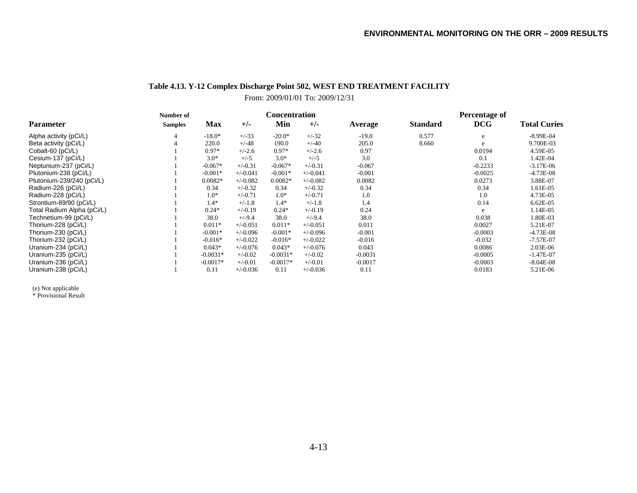# **Table 4.13. Y-12 Complex Discharge Point 502, WEST END TREATMENT FACILITY**

From: 2009/01/01 To: 2009/12/31

|                            | Number of      | <b>Concentration</b> |            |            |            |           | Percentage of   |            |                     |  |
|----------------------------|----------------|----------------------|------------|------------|------------|-----------|-----------------|------------|---------------------|--|
| <b>Parameter</b>           | <b>Samples</b> | <b>Max</b>           | $+/-$      | Min        | $+/-$      | Average   | <b>Standard</b> | <b>DCG</b> | <b>Total Curies</b> |  |
| Alpha activity (pCi/L)     | 4              | $-18.0*$             | $+/-33$    | $-20.0*$   | $+/-32$    | $-19.0$   | 0.577           | e          | $-8.99E-04$         |  |
| Beta activity (pCi/L)      |                | 220.0                | $+/-48$    | 190.0      | $+/-40$    | 205.0     | 8.660           | e          | 9.700E-03           |  |
| Cobalt-60 (pCi/L)          |                | $0.97*$              | $+/-2.6$   | $0.97*$    | $+/-2.6$   | 0.97      |                 | 0.0194     | 4.59E-05            |  |
| Cesium-137 (pCi/L)         |                | $3.0*$               | $+/-5$     | $3.0*$     | $+/-5$     | 3.0       |                 | 0.1        | 1.42E-04            |  |
| Neptunium-237 (pCi/L)      |                | $-0.067*$            | $+/-0.31$  | $-0.067*$  | $+/-0.31$  | $-0.067$  |                 | $-0.2233$  | $-3.17E-06$         |  |
| Plutonium-238 (pCi/L)      |                | $-0.001*$            | $+/-0.041$ | $-0.001*$  | $+/-0.041$ | $-0.001$  |                 | $-0.0025$  | $-4.73E-08$         |  |
| Plutonium-239/240 (pCi/L)  |                | $0.0082*$            | $+/-0.082$ | $0.0082*$  | $+/-0.082$ | 0.0082    |                 | 0.0273     | 3.88E-07            |  |
| Radium-226 (pCi/L)         |                | 0.34                 | $+/-0.32$  | 0.34       | $+/-0.32$  | 0.34      |                 | 0.34       | 1.61E-05            |  |
| Radium-228 (pCi/L)         |                | $1.0*$               | $+/-0.71$  | $1.0*$     | $+/-0.71$  | 1.0       |                 | 1.0        | 4.73E-05            |  |
| Strontium-89/90 (pCi/L)    |                | $1.4*$               | $+/-1.8$   | $1.4*$     | $+/-1.8$   | 1.4       |                 | 0.14       | 6.62E-05            |  |
| Total Radium Alpha (pCi/L) |                | $0.24*$              | $+/-0.19$  | $0.24*$    | $+/-0.19$  | 0.24      |                 | e          | 1.14E-05            |  |
| Technetium-99 (pCi/L)      |                | 38.0                 | $+/-9.4$   | 38.0       | $+/-9.4$   | 38.0      |                 | 0.038      | 1.80E-03            |  |
| Thorium-228 (pCi/L)        |                | $0.011*$             | $+/-0.051$ | $0.011*$   | $+/-0.051$ | 0.011     |                 | 0.0027     | 5.21E-07            |  |
| Thorium-230 (pCi/L)        |                | $-0.001*$            | $+/-0.096$ | $-0.001*$  | $+/-0.096$ | $-0.001$  |                 | $-0.0003$  | $-4.73E-08$         |  |
| Thorium-232 (pCi/L)        |                | $-0.016*$            | $+/-0.022$ | $-0.016*$  | $+/-0.022$ | $-0.016$  |                 | $-0.032$   | $-7.57E-07$         |  |
| Uranium-234 (pCi/L)        |                | $0.043*$             | $+/-0.076$ | $0.043*$   | $+/-0.076$ | 0.043     |                 | 0.0086     | 2.03E-06            |  |
| Uranium-235 (pCi/L)        |                | $-0.0031*$           | $+/-0.02$  | $-0.0031*$ | $+/-0.02$  | $-0.0031$ |                 | $-0.0005$  | $-1.47E-07$         |  |
| Uranium-236 (pCi/L)        |                | $-0.0017*$           | $+/-0.01$  | $-0.0017*$ | $+/-0.01$  | $-0.0017$ |                 | $-0.0003$  | $-8.04E-08$         |  |
| Uranium-238 (pCi/L)        |                | 0.11                 | $+/-0.036$ | 0.11       | $+/-0.036$ | 0.11      |                 | 0.0183     | 5.21E-06            |  |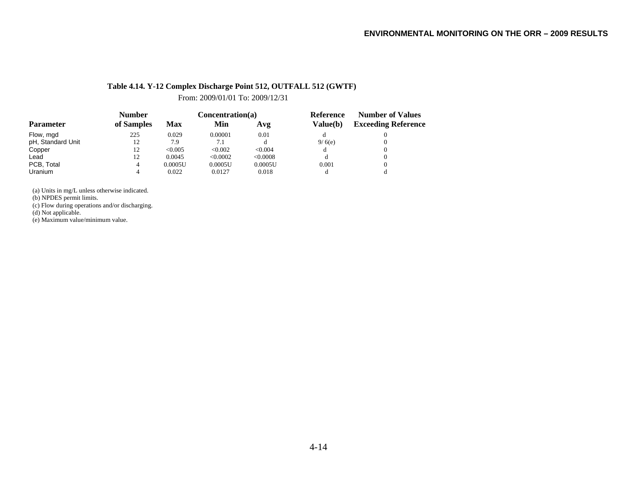#### **Table 4.14. Y-12 Complex Discharge Point 512, OUTFALL 512 (GWTF)**

From: 2009/01/01 To: 2009/12/31

|                   | <b>Number</b> |            | Concentration(a) |          | Reference       | <b>Number of Values</b>    |  |
|-------------------|---------------|------------|------------------|----------|-----------------|----------------------------|--|
| <b>Parameter</b>  | of Samples    | <b>Max</b> | Min              | Avg      | <b>Value(b)</b> | <b>Exceeding Reference</b> |  |
| Flow, mgd         | 225           | 0.029      | 0.00001          | 0.01     |                 |                            |  |
| pH, Standard Unit | 12            | 7.9        | 7.1              |          | 9/6(e)          |                            |  |
| Copper            | 12            | < 0.005    | < 0.002          | < 0.004  |                 |                            |  |
| Lead              | 12            | 0.0045     | < 0.0002         | < 0.0008 |                 |                            |  |
| PCB, Total        | 4             | 0.0005U    | 0.0005U          | 0.0005U  | 0.001           |                            |  |
| Uranium           | 4             | 0.022      | 0.0127           | 0.018    |                 |                            |  |

(a) Units in mg/L unless otherwise indicated.

(b) NPDES permit limits.

(c) Flow during operations and/or discharging.

(d) Not applicable.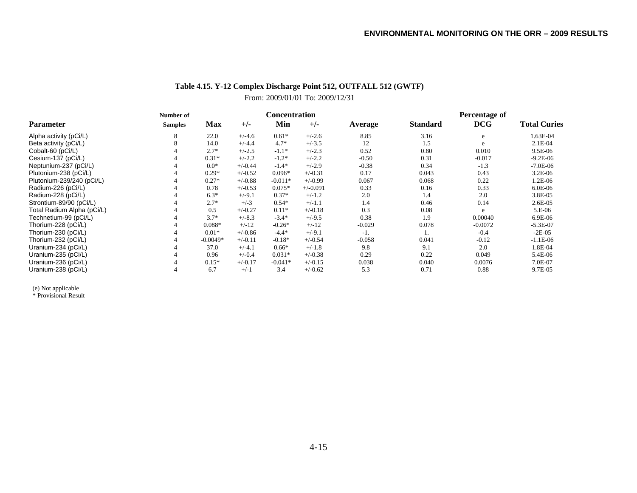# **Table 4.15. Y-12 Complex Discharge Point 512, OUTFALL 512 (GWTF)**

# From: 2009/01/01 To: 2009/12/31

|                            | Number of      |            |           | <b>Concentration</b> |            |          | Percentage of   |            |                     |  |
|----------------------------|----------------|------------|-----------|----------------------|------------|----------|-----------------|------------|---------------------|--|
| <b>Parameter</b>           | <b>Samples</b> | <b>Max</b> | $+/-$     | Min                  | $+/-$      | Average  | <b>Standard</b> | <b>DCG</b> | <b>Total Curies</b> |  |
| Alpha activity (pCi/L)     |                | 22.0       | $+/-4.6$  | $0.61*$              | $+/-2.6$   | 8.85     | 3.16            | e          | 1.63E-04            |  |
| Beta activity (pCi/L)      |                | 14.0       | $+/-4.4$  | $4.7*$               | $+/-3.5$   | 12       | 1.5             | e          | $2.1E-04$           |  |
| Cobalt-60 (pCi/L)          |                | $2.7*$     | $+/-2.5$  | $-1.1*$              | $+/-2.3$   | 0.52     | 0.80            | 0.010      | 9.5E-06             |  |
| Cesium-137 (pCi/L)         |                | $0.31*$    | $+/-2.2$  | $-1.2*$              | $+/-2.2$   | $-0.50$  | 0.31            | $-0.017$   | $-9.2E - 06$        |  |
| Neptunium-237 (pCi/L)      |                | $0.0*$     | $+/-0.44$ | $-1.4*$              | $+/-2.9$   | $-0.38$  | 0.34            | $-1.3$     | $-7.0E-06$          |  |
| Plutonium-238 (pCi/L)      |                | $0.29*$    | $+/-0.52$ | $0.096*$             | $+/-0.31$  | 0.17     | 0.043           | 0.43       | 3.2E-06             |  |
| Plutonium-239/240 (pCi/L)  |                | $0.27*$    | $+/-0.88$ | $-0.011*$            | $+/-0.99$  | 0.067    | 0.068           | 0.22       | 1.2E-06             |  |
| Radium-226 (pCi/L)         |                | 0.78       | $+/-0.53$ | $0.075*$             | $+/-0.091$ | 0.33     | 0.16            | 0.33       | 6.0E-06             |  |
| Radium-228 (pCi/L)         |                | $6.3*$     | $+/-9.1$  | $0.37*$              | $+/-1.2$   | 2.0      | 1.4             | 2.0        | 3.8E-05             |  |
| Strontium-89/90 (pCi/L)    |                | $2.7*$     | $+/-3$    | $0.54*$              | $+/-1.1$   | 1.4      | 0.46            | 0.14       | 2.6E-05             |  |
| Total Radium Alpha (pCi/L) |                | 0.5        | $+/-0.27$ | $0.11*$              | $+/-0.18$  | 0.3      | 0.08            | e          | $5.E-06$            |  |
| Technetium-99 (pCi/L)      |                | $3.7*$     | $+/-8.3$  | $-3.4*$              | $+/-9.5$   | 0.38     | 1.9             | 0.00040    | 6.9E-06             |  |
| Thorium-228 (pCi/L)        |                | $0.088*$   | $+/-12$   | $-0.26*$             | $+/-12$    | $-0.029$ | 0.078           | $-0.0072$  | $-5.3E-07$          |  |
| Thorium-230 (pCi/L)        |                | $0.01*$    | $+/-0.86$ | $-4.4*$              | $+/-9.1$   | $-1.$    |                 | $-0.4$     | $-2E-05$            |  |
| Thorium-232 (pCi/L)        |                | $-0.0049*$ | $+/-0.11$ | $-0.18*$             | $+/-0.54$  | $-0.058$ | 0.041           | $-0.12$    | $-1.1E-06$          |  |
| Uranium-234 (pCi/L)        |                | 37.0       | $+/-4.1$  | $0.66*$              | $+/-1.8$   | 9.8      | 9.1             | 2.0        | 1.8E-04             |  |
| Uranium-235 (pCi/L)        |                | 0.96       | $+/-0.4$  | $0.031*$             | $+/-0.38$  | 0.29     | 0.22            | 0.049      | 5.4E-06             |  |
| Uranium-236 (pCi/L)        |                | $0.15*$    | $+/-0.17$ | $-0.041*$            | $+/-0.15$  | 0.038    | 0.040           | 0.0076     | 7.0E-07             |  |
| Uranium-238 (pCi/L)        |                | 6.7        | $+/-1$    | 3.4                  | $+/-0.62$  | 5.3      | 0.71            | 0.88       | 9.7E-05             |  |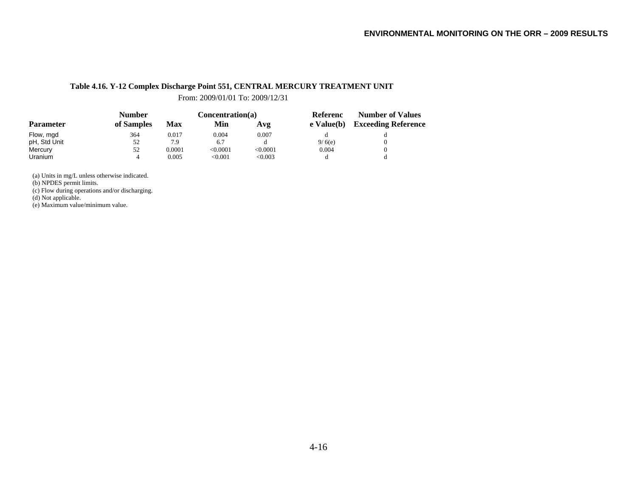#### **Table 4.16. Y-12 Complex Discharge Point 551, CENTRAL MERCURY TREATMENT UNIT**

From: 2009/01/01 To: 2009/12/31

|                  | <b>Number</b> |        | Concentration(a) |          | <b>Referenc</b> | <b>Number of Values</b>    |  |
|------------------|---------------|--------|------------------|----------|-----------------|----------------------------|--|
| <b>Parameter</b> | of Samples    | Max    | Min              | Avg      | e Value(b)      | <b>Exceeding Reference</b> |  |
| Flow, mgd        | 364           | 0.017  | 0.004            | 0.007    |                 |                            |  |
| pH, Std Unit     | 52            | 7.9    | 6.7              |          | 9/6(e)          |                            |  |
| Mercury          | 52            | 0.0001 | < 0.0001         | < 0.0001 | 0.004           |                            |  |
| <b>Uranium</b>   | 4             | 0.005  | < 0.001          | < 0.003  |                 |                            |  |

(a) Units in mg/L unless otherwise indicated.

(b) NPDES permit limits.

(c) Flow during operations and/or discharging.

(d) Not applicable.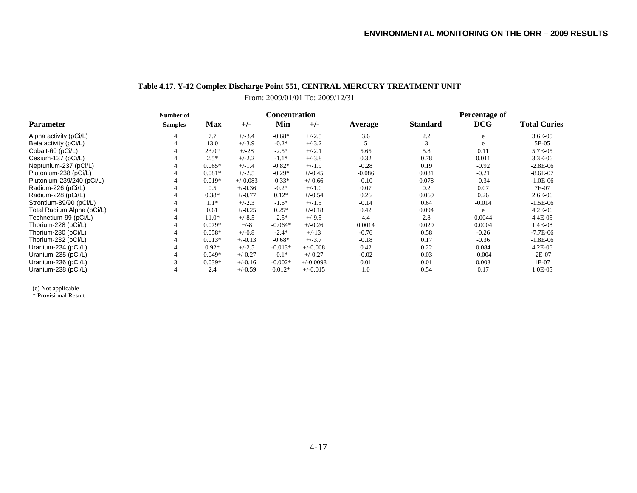#### **Table 4.17. Y-12 Complex Discharge Point 551, CENTRAL MERCURY TREATMENT UNIT** From: 2009/01/01 To: 2009/12/31

|                            | Number of      |            |            | <b>Concentration</b> |             |          | Percentage of   |            |                     |  |
|----------------------------|----------------|------------|------------|----------------------|-------------|----------|-----------------|------------|---------------------|--|
| <b>Parameter</b>           | <b>Samples</b> | <b>Max</b> | $+/-$      | Min                  | $+/-$       | Average  | <b>Standard</b> | <b>DCG</b> | <b>Total Curies</b> |  |
| Alpha activity (pCi/L)     | 4              | 7.7        | $+/-3.4$   | $-0.68*$             | $+/-2.5$    | 3.6      | 2.2             | e          | 3.6E-05             |  |
| Beta activity (pCi/L)      | 4              | 13.0       | $+/-3.9$   | $-0.2*$              | $+/-3.2$    |          |                 | e          | 5E-05               |  |
| Cobalt-60 (pCi/L)          |                | $23.0*$    | $+/-28$    | $-2.5*$              | $+/-2.1$    | 5.65     | 5.8             | 0.11       | 5.7E-05             |  |
| Cesium-137 (pCi/L)         |                | $2.5*$     | $+/-2.2$   | $-1.1*$              | $+/-3.8$    | 0.32     | 0.78            | 0.011      | 3.3E-06             |  |
| Neptunium-237 (pCi/L)      |                | $0.065*$   | $+/-1.4$   | $-0.82*$             | $+/-1.9$    | $-0.28$  | 0.19            | $-0.92$    | $-2.8E-06$          |  |
| Plutonium-238 (pCi/L)      |                | $0.081*$   | $+/-2.5$   | $-0.29*$             | $+/-0.45$   | $-0.086$ | 0.081           | $-0.21$    | $-8.6E-07$          |  |
| Plutonium-239/240 (pCi/L)  |                | $0.019*$   | $+/-0.083$ | $-0.33*$             | $+/-0.66$   | $-0.10$  | 0.078           | $-0.34$    | $-1.0E-06$          |  |
| Radium-226 (pCi/L)         |                | 0.5        | $+/-0.36$  | $-0.2*$              | $+/-1.0$    | 0.07     | 0.2             | 0.07       | 7E-07               |  |
| Radium-228 (pCi/L)         |                | $0.38*$    | $+/-0.77$  | $0.12*$              | $+/-0.54$   | 0.26     | 0.069           | 0.26       | 2.6E-06             |  |
| Strontium-89/90 (pCi/L)    |                | $1.1*$     | $+/-2.3$   | $-1.6*$              | $+/-1.5$    | $-0.14$  | 0.64            | $-0.014$   | $-1.5E-06$          |  |
| Total Radium Alpha (pCi/L) |                | 0.61       | $+/-0.25$  | $0.25*$              | $+/-0.18$   | 0.42     | 0.094           | e          | $4.2E-06$           |  |
| Technetium-99 (pCi/L)      |                | $11.0*$    | $+/-8.5$   | $-2.5*$              | $+/-9.5$    | 4.4      | 2.8             | 0.0044     | 4.4E-05             |  |
| Thorium-228 (pCi/L)        |                | $0.079*$   | $+/-8$     | $-0.064*$            | $+/-0.26$   | 0.0014   | 0.029           | 0.0004     | 1.4E-08             |  |
| Thorium-230 (pCi/L)        |                | $0.058*$   | $+/-0.8$   | $-2.4*$              | $+/-13$     | $-0.76$  | 0.58            | $-0.26$    | $-7.7E-06$          |  |
| Thorium-232 (pCi/L)        |                | $0.013*$   | $+/-0.13$  | $-0.68*$             | $+/-3.7$    | $-0.18$  | 0.17            | $-0.36$    | $-1.8E-06$          |  |
| Uranium-234 (pCi/L)        |                | $0.92*$    | $+/-2.5$   | $-0.013*$            | $+/-0.068$  | 0.42     | 0.22            | 0.084      | 4.2E-06             |  |
| Uranium-235 (pCi/L)        |                | $0.049*$   | $+/-0.27$  | $-0.1*$              | $+/-0.27$   | $-0.02$  | 0.03            | $-0.004$   | $-2E-07$            |  |
| Uranium-236 (pCi/L)        |                | $0.039*$   | $+/-0.16$  | $-0.002*$            | $+/-0.0098$ | 0.01     | 0.01            | 0.003      | 1E-07               |  |
| Uranium-238 (pCi/L)        |                | 2.4        | $+/-0.59$  | $0.012*$             | $+/-0.015$  | 1.0      | 0.54            | 0.17       | 1.0E-05             |  |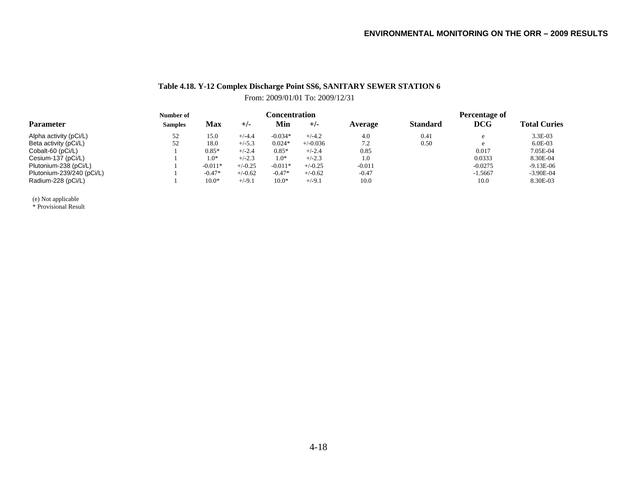# **Table 4.18. Y-12 Complex Discharge Point SS6, SANITARY SEWER STATION 6**

From: 2009/01/01 To: 2009/12/31

|                           | Number of      |            | <b>Concentration</b> |           |            | Percentage of |                 |            |                     |
|---------------------------|----------------|------------|----------------------|-----------|------------|---------------|-----------------|------------|---------------------|
| <b>Parameter</b>          | <b>Samples</b> | <b>Max</b> | $+/-$                | Min       | $+/-$      | Average       | <b>Standard</b> | <b>DCG</b> | <b>Total Curies</b> |
| Alpha activity (pCi/L)    | 52             | 15.0       | $+/-4.4$             | $-0.034*$ | $+/-4.2$   | 4.0           | 0.41            |            | 3.3E-03             |
| Beta activity (pCi/L)     | 52             | 18.0       | $+/-5.3$             | $0.024*$  | $+/-0.036$ | 7.2           | 0.50            |            | $6.0E-03$           |
| Cobalt-60 (pCi/L)         |                | $0.85*$    | $+/-2.4$             | $0.85*$   | $+/-2.4$   | 0.85          |                 | 0.017      | 7.05E-04            |
| Cesium-137 (pCi/L)        |                | $^{*0.1}$  | $+/-2.3$             | $1.0*$    | $+/-2.3$   | 1.0           |                 | 0.0333     | 8.30E-04            |
| Plutonium-238 (pCi/L)     |                | $-0.011*$  | $+/-0.25$            | $-0.011*$ | $+/-0.25$  | $-0.011$      |                 | $-0.0275$  | $-9.13E-06$         |
| Plutonium-239/240 (pCi/L) |                | $-0.47*$   | $+/-0.62$            | $-0.47*$  | $+/-0.62$  | $-0.47$       |                 | $-1.5667$  | $-3.90E-04$         |
| Radium-228 (pCi/L)        |                | $10.0*$    | $+/-9.1$             | $10.0*$   | $+/-9.1$   | 10.0          |                 | 10.0       | 8.30E-03            |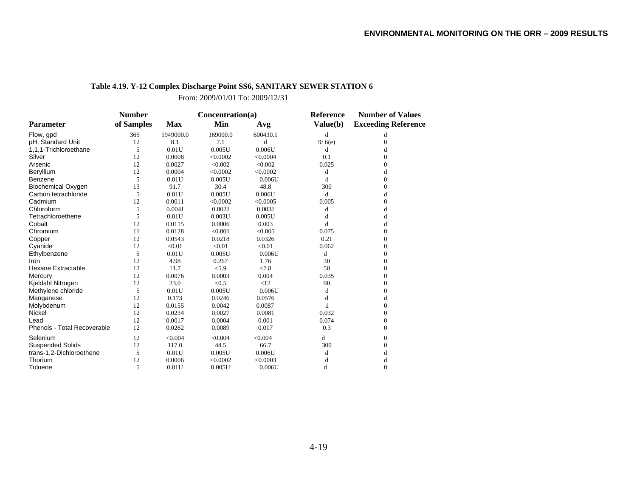# **Table 4.19. Y-12 Complex Discharge Point SS6, SANITARY SEWER STATION 6**

From: 2009/01/01 To: 2009/12/31

|                             | <b>Number</b> |            | Concentration(a) |          | <b>Reference</b> | <b>Number of Values</b>    |  |
|-----------------------------|---------------|------------|------------------|----------|------------------|----------------------------|--|
| <b>Parameter</b>            | of Samples    | <b>Max</b> | Min              | Avg      | Value(b)         | <b>Exceeding Reference</b> |  |
| Flow, gpd                   | 365           | 1949000.0  | 169000.0         | 600430.1 | $\mathbf d$      | d                          |  |
| pH, Standard Unit           | 12            | 8.1        | 7.1              | d        | 9/6(e)           | $\boldsymbol{0}$           |  |
| 1,1,1-Trichloroethane       | 5             | 0.01U      | 0.005U           | 0.006U   | d                | d                          |  |
| Silver                      | 12            | 0.0008     | < 0.0002         | < 0.0004 | 0.1              | $\Omega$                   |  |
| Arsenic                     | 12            | 0.0027     | < 0.002          | < 0.002  | 0.025            | 0                          |  |
| Beryllium                   | 12            | 0.0004     | < 0.0002         | < 0.0002 | d                | d                          |  |
| Benzene                     | 5             | 0.01U      | 0.005U           | 0.006U   | d                | $\Omega$                   |  |
| <b>Biochemical Oxygen</b>   | 13            | 91.7       | 30.4             | 48.8     | 300              | $\boldsymbol{0}$           |  |
| Carbon tetrachloride        | 5             | 0.01U      | 0.005U           | 0.006U   | d                | d                          |  |
| Cadmium                     | 12            | 0.0011     | < 0.0002         | < 0.0005 | 0.005            | $\Omega$                   |  |
| Chloroform                  | 5             | 0.004J     | 0.002J           | 0.003J   | d                | d                          |  |
| Tetrachloroethene           | 5             | 0.01U      | 0.003U           | 0.005U   | d                | d                          |  |
| Cobalt                      | 12            | 0.0115     | 0.0006           | 0.003    | d                | d                          |  |
| Chromium                    | 11            | 0.0128     | < 0.001          | < 0.005  | 0.075            | $\Omega$                   |  |
| Copper                      | 12            | 0.0543     | 0.0218           | 0.0326   | 0.21             | $\overline{0}$             |  |
| Cyanide                     | 12            | < 0.01     | < 0.01           | < 0.01   | 0.062            | $\overline{0}$             |  |
| Ethylbenzene                | 5             | 0.01U      | 0.005U           | 0.006U   | d                | $\Omega$                   |  |
| Iron                        | 12            | 4.98       | 0.267            | 1.76     | 30               | $\Omega$                   |  |
| <b>Hexane Extractable</b>   | 12            | 11.7       | < 5.9            | < 7.8    | 50               | $\Omega$                   |  |
| Mercury                     | 12            | 0.0076     | 0.0003           | 0.004    | 0.035            | $\Omega$                   |  |
| Kjeldahl Nitrogen           | 12            | 23.0       | < 0.5            | <12      | 90               | $\Omega$                   |  |
| Methylene chloride          | 5             | 0.01U      | 0.005U           | 0.006U   | d                | $\Omega$                   |  |
| Manganese                   | 12            | 0.173      | 0.0246           | 0.0576   | d                | d                          |  |
| Molybdenum                  | 12            | 0.0155     | 0.0042           | 0.0087   | d                | $\mathbf{0}$               |  |
| Nickel                      | 12            | 0.0234     | 0.0027           | 0.0081   | 0.032            | $\Omega$                   |  |
| Lead                        | 12            | 0.0017     | 0.0004           | 0.001    | 0.074            | $\Omega$                   |  |
| Phenols - Total Recoverable | 12            | 0.0262     | 0.0089           | 0.017    | 0.3              | $\Omega$                   |  |
| Selenium                    | 12            | < 0.004    | < 0.004          | < 0.004  | d                | $\mathbf{0}$               |  |
| <b>Suspended Solids</b>     | 12            | 117.0      | 44.5             | 66.7     | 300              | $\Omega$                   |  |
| trans-1,2-Dichloroethene    | 5             | 0.01U      | 0.005U           | 0.006U   | d                | d                          |  |
| Thorium                     | 12            | 0.0006     | < 0.0002         | < 0.0003 | d                | d                          |  |
| Toluene                     | 5             | 0.01U      | 0.005U           | 0.006U   | d                | $\Omega$                   |  |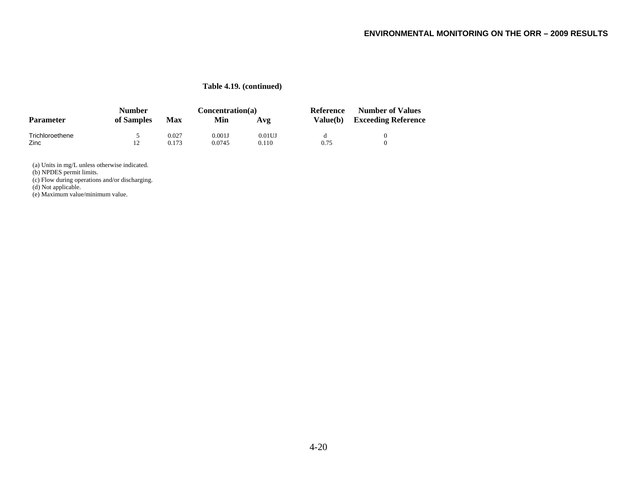#### **Table 4.19. (continued)**

|                  | Number     |       | Concentration(a) |           | Reference       | <b>Number of Values</b>    |  |
|------------------|------------|-------|------------------|-----------|-----------------|----------------------------|--|
| <b>Parameter</b> | of Samples | Max   | Min              | Avg       | <b>Value(b)</b> | <b>Exceeding Reference</b> |  |
| Trichloroethene  |            | 0.027 | 0.001J           | $0.01$ UJ |                 |                            |  |
| Zinc             | 12         | 0.173 | 0.0745           | 0.110     | 0.75            |                            |  |

(a) Units in mg/L unless otherwise indicated.

(b) NPDES permit limits.

(c) Flow during operations and/or discharging.

(d) Not applicable.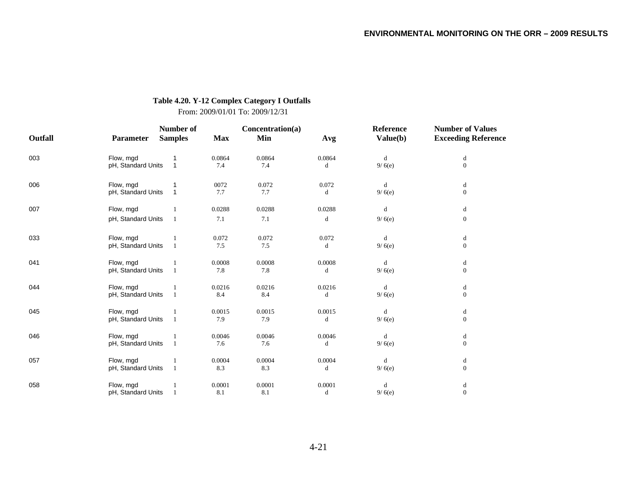#### **Table 4.20. Y-12 Complex Category I Outfalls**

From: 2009/01/01 To: 2009/12/31

|         |                    | Number of      |            | Concentration(a) |        | Reference   | <b>Number of Values</b>                        |
|---------|--------------------|----------------|------------|------------------|--------|-------------|------------------------------------------------|
| Outfall | <b>Parameter</b>   | <b>Samples</b> | <b>Max</b> | Min              | Avg    | Value(b)    | <b>Exceeding Reference</b>                     |
| 003     | Flow, mgd          |                | 0.0864     | 0.0864           | 0.0864 | $\mathbf d$ | $\mathrm{d}% \left\  \mathcal{H}\right\  _{A}$ |
|         | pH, Standard Units | $\mathbf{1}$   | 7.4        | 7.4              | d      | 9/6(e)      | $\boldsymbol{0}$                               |
| 006     | Flow, mgd          |                | 0072       | 0.072            | 0.072  | d           | d                                              |
|         | pH, Standard Units | 1              | 7.7        | 7.7              | d      | 9/6(e)      | $\mathbf{0}$                                   |
| 007     | Flow, mgd          |                | 0.0288     | 0.0288           | 0.0288 | d           | d                                              |
|         | pH, Standard Units | 1              | 7.1        | 7.1              | d      | 9/6(e)      | $\boldsymbol{0}$                               |
| 033     | Flow, mgd          |                | 0.072      | 0.072            | 0.072  | d           | $\mathrm{d}% \left\  \mathcal{H}\right\  _{A}$ |
|         | pH, Standard Units | $\mathbf{1}$   | 7.5        | 7.5              | d      | 9/6(e)      | $\mathbf{0}$                                   |
| 041     | Flow, mgd          |                | 0.0008     | 0.0008           | 0.0008 | d           | d                                              |
|         | pH, Standard Units | -1             | 7.8        | 7.8              | d      | 9/6(e)      | $\boldsymbol{0}$                               |
| 044     | Flow, mgd          |                | 0.0216     | 0.0216           | 0.0216 | d           | d                                              |
|         | pH, Standard Units | 1              | 8.4        | 8.4              | d      | 9/6(e)      | $\boldsymbol{0}$                               |
| 045     | Flow, mgd          |                | 0.0015     | 0.0015           | 0.0015 | d           | d                                              |
|         | pH, Standard Units | $\mathbf{1}$   | 7.9        | 7.9              | d      | 9/6(e)      | $\boldsymbol{0}$                               |
| 046     | Flow, mgd          |                | 0.0046     | 0.0046           | 0.0046 | d           | $\mathrm{d}% \left\  \mathcal{H}\right\  _{A}$ |
|         | pH, Standard Units | 1              | 7.6        | 7.6              | d      | 9/6(e)      | $\boldsymbol{0}$                               |
| 057     | Flow, mgd          |                | 0.0004     | 0.0004           | 0.0004 | d           | $\mathrm{d}% \left\  \mathcal{H}\right\  _{A}$ |
|         | pH, Standard Units | $\mathbf{1}$   | 8.3        | 8.3              | d      | 9/6(e)      | $\boldsymbol{0}$                               |
| 058     | Flow, mgd          |                | 0.0001     | 0.0001           | 0.0001 | d           | d                                              |
|         | pH, Standard Units | $\mathbf{1}$   | 8.1        | 8.1              | d      | 9/6(e)      | $\boldsymbol{0}$                               |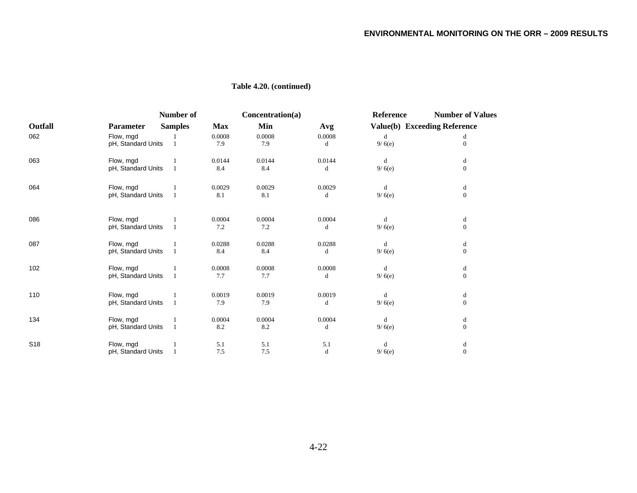|         |                    | Number of      |            | Concentration(a) |        | Reference | <b>Number of Values</b>      |
|---------|--------------------|----------------|------------|------------------|--------|-----------|------------------------------|
| Outfall | <b>Parameter</b>   | <b>Samples</b> | <b>Max</b> | Min              | Avg    |           | Value(b) Exceeding Reference |
| 062     | Flow, mgd          |                | 0.0008     | 0.0008           | 0.0008 | d         | d                            |
|         | pH, Standard Units |                | 7.9        | 7.9              | d      | 9/6(e)    | $\mathbf{0}$                 |
| 063     | Flow, mgd          |                | 0.0144     | 0.0144           | 0.0144 | d         | d                            |
|         | pH, Standard Units |                | 8.4        | 8.4              | d      | 9/6(e)    | $\mathbf{0}$                 |
| 064     | Flow, mgd          |                | 0.0029     | 0.0029           | 0.0029 | d         | d                            |
|         | pH, Standard Units | $\mathbf{1}$   | 8.1        | 8.1              | d      | 9/6(e)    | $\mathbf{0}$                 |
| 086     | Flow, mgd          |                | 0.0004     | 0.0004           | 0.0004 | d         | d                            |
|         | pH, Standard Units |                | 7.2        | 7.2              | d      | 9/6(e)    | $\mathbf{0}$                 |
| 087     | Flow, mgd          |                | 0.0288     | 0.0288           | 0.0288 | d         | d                            |
|         | pH, Standard Units | $\mathbf{1}$   | 8.4        | 8.4              | d      | 9/6(e)    | $\mathbf{0}$                 |
| 102     | Flow, mgd          |                | 0.0008     | 0.0008           | 0.0008 | d         | d                            |
|         | pH, Standard Units | 1              | 7.7        | 7.7              | d      | 9/6(e)    | $\mathbf{0}$                 |
| 110     | Flow, mgd          |                | 0.0019     | 0.0019           | 0.0019 | d         | d                            |
|         | pH, Standard Units | -1             | 7.9        | 7.9              | d      | 9/6(e)    | $\mathbf{0}$                 |
| 134     | Flow, mgd          |                | 0.0004     | 0.0004           | 0.0004 | d         | d                            |
|         | pH, Standard Units | $\mathbf{1}$   | 8.2        | 8.2              | d      | 9/6(e)    | $\mathbf{0}$                 |
| S18     | Flow, mgd          |                | 5.1        | 5.1              | 5.1    | d         | d                            |
|         | pH, Standard Units | 1              | 7.5        | 7.5              | d      | 9/6(e)    | $\mathbf{0}$                 |

# **Table 4.20. (continued)**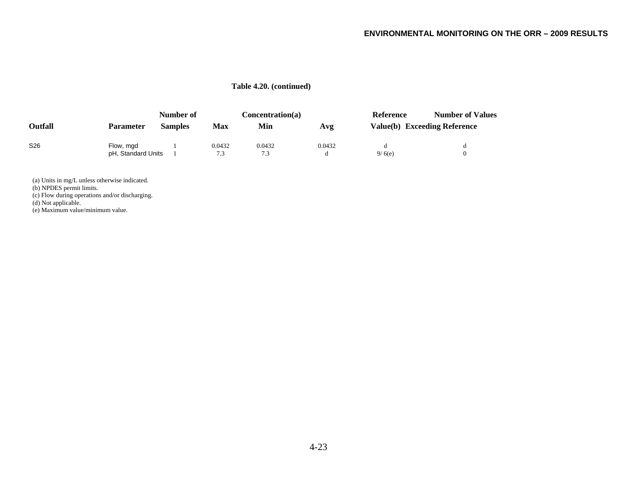#### **Table 4.20. (continued)**

|                 |                    | Number of      |        | Concentration(a) |        | Reference | <b>Number of Values</b>      |
|-----------------|--------------------|----------------|--------|------------------|--------|-----------|------------------------------|
| Outfall         | <b>Parameter</b>   | <b>Samples</b> | Max    | Min              | Avg    |           | Value(b) Exceeding Reference |
| S <sub>26</sub> | Flow, mgd          |                | 0.0432 | 0.0432           | 0.0432 |           |                              |
|                 | pH, Standard Units |                | 7.3    | 7.3              |        | 9/6(e)    |                              |

(a) Units in mg/L unless otherwise indicated.

(b) NPDES permit limits.

(c) Flow during operations and/or discharging.

(d) Not applicable.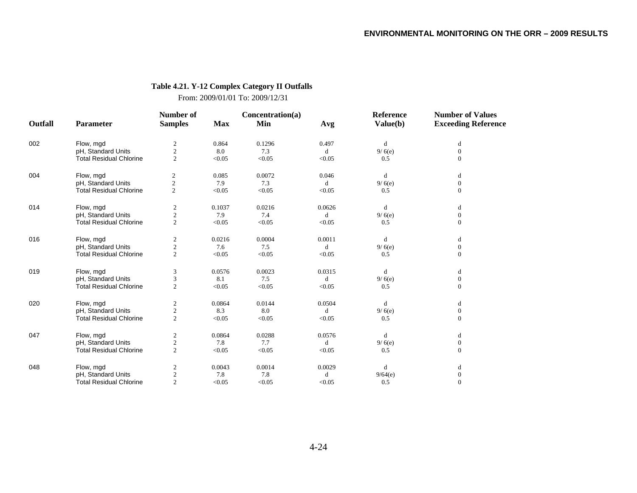# **Table 4.21. Y-12 Complex Category II Outfalls**

From: 2009/01/01 To: 2009/12/31

|         |                                | Number of               |            | Concentration(a) |        | Reference | <b>Number of Values</b>    |
|---------|--------------------------------|-------------------------|------------|------------------|--------|-----------|----------------------------|
| Outfall | Parameter                      | <b>Samples</b>          | <b>Max</b> | Min              | Avg    | Value(b)  | <b>Exceeding Reference</b> |
| 002     | Flow, mgd                      | $\overline{\mathbf{c}}$ | 0.864      | 0.1296           | 0.497  | d         | d                          |
|         | pH, Standard Units             | $\overline{c}$          | 8.0        | 7.3              | d      | 9/6(e)    | $\overline{0}$             |
|         | <b>Total Residual Chlorine</b> | $\overline{c}$          | < 0.05     | < 0.05           | < 0.05 | 0.5       | $\overline{0}$             |
| 004     | Flow, mgd                      | $\boldsymbol{2}$        | 0.085      | 0.0072           | 0.046  | d         | d                          |
|         | pH, Standard Units             | $\mathfrak{2}$          | 7.9        | 7.3              | d      | 9/6(e)    | $\overline{0}$             |
|         | <b>Total Residual Chlorine</b> | $\mathfrak{2}$          | < 0.05     | < 0.05           | < 0.05 | 0.5       | $\overline{0}$             |
| 014     | Flow, mgd                      | $\boldsymbol{2}$        | 0.1037     | 0.0216           | 0.0626 | d         | d                          |
|         | pH, Standard Units             | $\overline{2}$          | 7.9        | 7.4              | d      | 9/6(e)    | $\mathbf{0}$               |
|         | <b>Total Residual Chlorine</b> | $\overline{2}$          | < 0.05     | < 0.05           | < 0.05 | 0.5       | $\overline{0}$             |
| 016     | Flow, mgd                      | $\boldsymbol{2}$        | 0.0216     | 0.0004           | 0.0011 | d         | d                          |
|         | pH, Standard Units             | $\sqrt{2}$              | 7.6        | 7.5              | d      | 9/6(e)    | $\overline{0}$             |
|         | <b>Total Residual Chlorine</b> | $\overline{2}$          | < 0.05     | < 0.05           | < 0.05 | 0.5       | $\overline{0}$             |
| 019     | Flow, mgd                      | 3                       | 0.0576     | 0.0023           | 0.0315 | d         | d                          |
|         | pH, Standard Units             | 3                       | 8.1        | 7.5              | d      | 9/6(e)    | $\overline{0}$             |
|         | <b>Total Residual Chlorine</b> | $\overline{2}$          | < 0.05     | < 0.05           | < 0.05 | 0.5       | $\overline{0}$             |
| 020     | Flow, mgd                      | $\mathfrak{2}$          | 0.0864     | 0.0144           | 0.0504 | d         | d                          |
|         | pH, Standard Units             | $\mathfrak{2}$          | 8.3        | 8.0              | d      | 9/6(e)    | $\mathbf{0}$               |
|         | <b>Total Residual Chlorine</b> | $\overline{2}$          | < 0.05     | < 0.05           | < 0.05 | 0.5       | $\overline{0}$             |
| 047     | Flow, mgd                      | $\boldsymbol{2}$        | 0.0864     | 0.0288           | 0.0576 | d         | d                          |
|         | pH, Standard Units             | $\sqrt{2}$              | 7.8        | 7.7              | d      | 9/6(e)    | $\overline{0}$             |
|         | <b>Total Residual Chlorine</b> | $\overline{2}$          | < 0.05     | < 0.05           | < 0.05 | 0.5       | $\overline{0}$             |
| 048     | Flow, mgd                      | $\overline{c}$          | 0.0043     | 0.0014           | 0.0029 | d         | d                          |
|         | pH, Standard Units             | $\sqrt{2}$              | 7.8        | 7.8              | d      | 9/64(e)   | $\boldsymbol{0}$           |
|         | <b>Total Residual Chlorine</b> | 2                       | < 0.05     | < 0.05           | < 0.05 | 0.5       | $\overline{0}$             |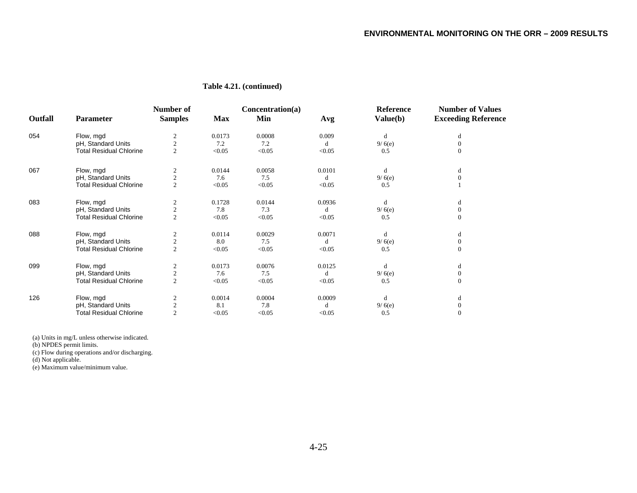|         |                                | Number of               |            | Concentration(a) |        | <b>Reference</b> | <b>Number of Values</b>    |
|---------|--------------------------------|-------------------------|------------|------------------|--------|------------------|----------------------------|
| Outfall | <b>Parameter</b>               | <b>Samples</b>          | <b>Max</b> | Min              | Avg    | Value(b)         | <b>Exceeding Reference</b> |
| 054     | Flow, mgd                      |                         | 0.0173     | 0.0008           | 0.009  | d                | d                          |
|         | pH, Standard Units             | $\sqrt{2}$              | 7.2        | 7.2              | d      | 9/6(e)           | $\Omega$                   |
|         | <b>Total Residual Chlorine</b> | $\overline{2}$          | < 0.05     | < 0.05           | < 0.05 | 0.5              | $\Omega$                   |
| 067     | Flow, mgd                      |                         | 0.0144     | 0.0058           | 0.0101 | d                | d                          |
|         | pH, Standard Units             | $\overline{2}$          | 7.6        | 7.5              | d      | 9/6(e)           | $\Omega$                   |
|         | <b>Total Residual Chlorine</b> | $\overline{c}$          | < 0.05     | < 0.05           | < 0.05 | 0.5              |                            |
| 083     | Flow, mgd                      | 2                       | 0.1728     | 0.0144           | 0.0936 | d                | d                          |
|         | pH, Standard Units             | $\overline{c}$          | 7.8        | 7.3              | d      | 9/6(e)           | $\Omega$                   |
|         | <b>Total Residual Chlorine</b> | $\overline{2}$          | < 0.05     | < 0.05           | < 0.05 | 0.5              | $\mathbf{0}$               |
| 880     | Flow, mgd                      | 2                       | 0.0114     | 0.0029           | 0.0071 | d                | d                          |
|         | pH, Standard Units             | $\overline{\mathbf{c}}$ | 8.0        | 7.5              | d      | 9/6(e)           | $\Omega$                   |
|         | <b>Total Residual Chlorine</b> | $\overline{2}$          | < 0.05     | < 0.05           | < 0.05 | 0.5              | $\Omega$                   |
| 099     | Flow, mgd                      | $\mathfrak{2}$          | 0.0173     | 0.0076           | 0.0125 | d                | d                          |
|         | pH, Standard Units             | $\sqrt{2}$              | 7.6        | 7.5              | d      | 9/6(e)           | $\Omega$                   |
|         | <b>Total Residual Chlorine</b> | $\overline{2}$          | < 0.05     | < 0.05           | < 0.05 | 0.5              | $\Omega$                   |
| 126     | Flow, mgd                      |                         | 0.0014     | 0.0004           | 0.0009 | d                | d                          |
|         | pH, Standard Units             |                         | 8.1        | 7.8              | d      | 9/6(e)           | $\Omega$                   |
|         | Total Residual Chlorine        | $\overline{2}$          | < 0.05     | < 0.05           | < 0.05 | 0.5              | $\Omega$                   |

#### **Table 4.21. (continued)**

(a) Units in mg/L unless otherwise indicated.

(b) NPDES permit limits.

(c) Flow during operations and/or discharging.

(d) Not applicable.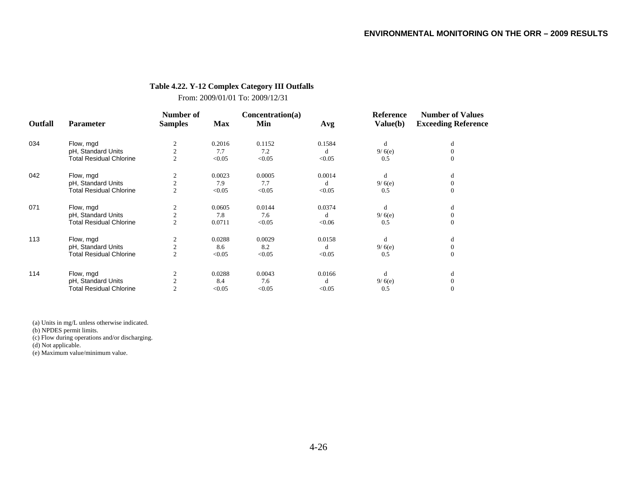#### **Table 4.22. Y-12 Complex Category III Outfalls**

From: 2009/01/01 To: 2009/12/31

|         |                                | Number of      |            | Concentration(a) |        | <b>Reference</b> | <b>Number of Values</b>    |
|---------|--------------------------------|----------------|------------|------------------|--------|------------------|----------------------------|
| Outfall | <b>Parameter</b>               | <b>Samples</b> | <b>Max</b> | Min              | Avg    | Value(b)         | <b>Exceeding Reference</b> |
| 034     | Flow, mgd                      | 2              | 0.2016     | 0.1152           | 0.1584 | d                | d                          |
|         | pH, Standard Units             | $\overline{c}$ | 7.7        | 7.2              | d      | 9/6(e)           | $\Omega$                   |
|         | <b>Total Residual Chlorine</b> | $\mathfrak{2}$ | < 0.05     | < 0.05           | < 0.05 | 0.5              | $\theta$                   |
| 042     | Flow, mgd                      | 2              | 0.0023     | 0.0005           | 0.0014 | d                | d                          |
|         | pH, Standard Units             | $\overline{c}$ | 7.9        | 7.7              | d      | 9/6(e)           | $\Omega$                   |
|         | <b>Total Residual Chlorine</b> | $\overline{c}$ | < 0.05     | < 0.05           | < 0.05 | 0.5              | $\theta$                   |
| 071     | Flow, mgd                      | 2              | 0.0605     | 0.0144           | 0.0374 | d                | d                          |
|         | pH, Standard Units             | $\overline{c}$ | 7.8        | 7.6              | d      | 9/6(e)           | $\theta$                   |
|         | <b>Total Residual Chlorine</b> | $\overline{c}$ | 0.0711     | < 0.05           | < 0.06 | 0.5              | $\theta$                   |
| 113     | Flow, mgd                      | 2              | 0.0288     | 0.0029           | 0.0158 | d                | d                          |
|         | pH, Standard Units             | $\overline{c}$ | 8.6        | 8.2              | d      | 9/6(e)           | $\theta$                   |
|         | <b>Total Residual Chlorine</b> | $\overline{c}$ | < 0.05     | < 0.05           | < 0.05 | 0.5              | $\theta$                   |
| 114     | Flow, mgd                      | 2              | 0.0288     | 0.0043           | 0.0166 | d                | d                          |
|         | pH, Standard Units             | $\mathbf{2}$   | 8.4        | 7.6              | d      | 9/6(e)           | $\theta$                   |
|         | <b>Total Residual Chlorine</b> | $\overline{2}$ | < 0.05     | < 0.05           | < 0.05 | 0.5              | $\theta$                   |

(a) Units in mg/L unless otherwise indicated.

(b) NPDES permit limits.

(c) Flow during operations and/or discharging.

(d) Not applicable.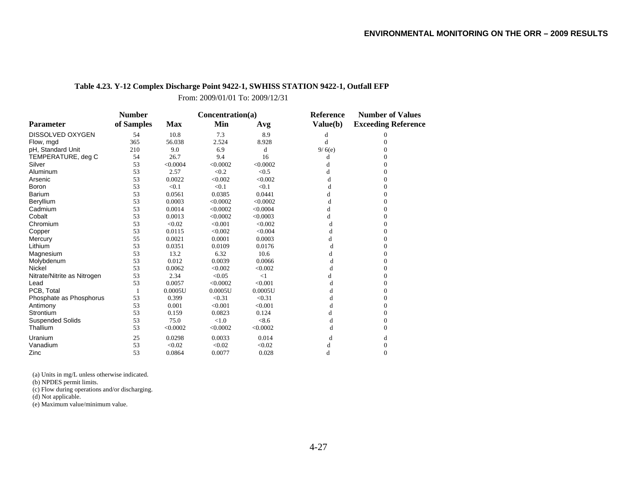# **Table 4.23. Y-12 Complex Discharge Point 9422-1, SWHISS STATION 9422-1, Outfall EFP**

From: 2009/01/01 To: 2009/12/31

|                             | <b>Number</b> |            | Concentration(a) |          | Reference | <b>Number of Values</b>    |  |
|-----------------------------|---------------|------------|------------------|----------|-----------|----------------------------|--|
| <b>Parameter</b>            | of Samples    | <b>Max</b> | Min              | Avg      | Value(b)  | <b>Exceeding Reference</b> |  |
| DISSOLVED OXYGEN            | 54            | 10.8       | 7.3              | 8.9      | d         | 0                          |  |
| Flow, mgd                   | 365           | 56.038     | 2.524            | 8.928    | d         | $\Omega$                   |  |
| pH, Standard Unit           | 210           | 9.0        | 6.9              | d        | 9/6(e)    | $\Omega$                   |  |
| TEMPERATURE, deg C          | 54            | 26.7       | 9.4              | 16       | d         | 0                          |  |
| Silver                      | 53            | < 0.0004   | < 0.0002         | < 0.0002 | d         | $\Omega$                   |  |
| Aluminum                    | 53            | 2.57       | < 0.2            | < 0.5    | d         | $\boldsymbol{0}$           |  |
| Arsenic                     | 53            | 0.0022     | < 0.002          | < 0.002  | d         | $\Omega$                   |  |
| Boron                       | 53            | < 0.1      | < 0.1            | < 0.1    | d         | $\Omega$                   |  |
| <b>Barium</b>               | 53            | 0.0561     | 0.0385           | 0.0441   | d         | $\Omega$                   |  |
| Beryllium                   | 53            | 0.0003     | < 0.0002         | < 0.0002 | d         | $\boldsymbol{0}$           |  |
| Cadmium                     | 53            | 0.0014     | < 0.0002         | < 0.0004 | d         | $\Omega$                   |  |
| Cobalt                      | 53            | 0.0013     | < 0.0002         | < 0.0003 | d         | $\Omega$                   |  |
| Chromium                    | 53            | < 0.02     | < 0.001          | < 0.002  | d         | $\Omega$                   |  |
| Copper                      | 53            | 0.0115     | < 0.002          | < 0.004  | d         | $\boldsymbol{0}$           |  |
| Mercury                     | 55            | 0.0021     | 0.0001           | 0.0003   | d         | $\Omega$                   |  |
| Lithium                     | 53            | 0.0351     | 0.0109           | 0.0176   | d         | $\Omega$                   |  |
| Magnesium                   | 53            | 13.2       | 6.32             | 10.6     | d         | $\theta$                   |  |
| Molybdenum                  | 53            | 0.012      | 0.0039           | 0.0066   | d         | $\theta$                   |  |
| Nickel                      | 53            | 0.0062     | < 0.002          | < 0.002  | d         | $\Omega$                   |  |
| Nitrate/Nitrite as Nitrogen | 53            | 2.34       | < 0.05           | <1       | d         | $\Omega$                   |  |
| Lead                        | 53            | 0.0057     | < 0.0002         | < 0.001  | d         | $\Omega$                   |  |
| PCB. Total                  |               | 0.0005U    | 0.0005U          | 0.0005U  | d         | $\boldsymbol{0}$           |  |
| Phosphate as Phosphorus     | 53            | 0.399      | < 0.31           | < 0.31   | d         | $\Omega$                   |  |
| Antimony                    | 53            | 0.001      | < 0.001          | < 0.001  | d         | $\Omega$                   |  |
| Strontium                   | 53            | 0.159      | 0.0823           | 0.124    | d         | $\Omega$                   |  |
| <b>Suspended Solids</b>     | 53            | 75.0       | < 1.0            | < 8.6    | d         | $\mathbf{0}$               |  |
| Thallium                    | 53            | < 0.0002   | < 0.0002         | < 0.0002 | d         | $\Omega$                   |  |
| Uranium                     | 25            | 0.0298     | 0.0033           | 0.014    | d         | d                          |  |
| Vanadium                    | 53            | < 0.02     | < 0.02           | < 0.02   | d         | $\Omega$                   |  |
| Zinc                        | 53            | 0.0864     | 0.0077           | 0.028    | d         | $\theta$                   |  |

(a) Units in mg/L unless otherwise indicated.

(b) NPDES permit limits.

(c) Flow during operations and/or discharging.

(d) Not applicable.

(e) Maximum value/minimum value.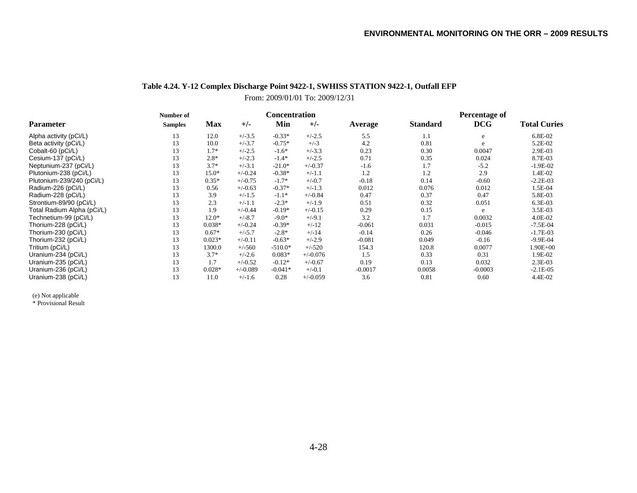# **Table 4.24. Y-12 Complex Discharge Point 9422-1, SWHISS STATION 9422-1, Outfall EFP**

From: 2009/01/01 To: 2009/12/31

|                            | Number of      |            |            | <b>Concentration</b> |            |           | Percentage of   |            |                     |
|----------------------------|----------------|------------|------------|----------------------|------------|-----------|-----------------|------------|---------------------|
| <b>Parameter</b>           | <b>Samples</b> | <b>Max</b> | $+/-$      | Min                  | $+/-$      | Average   | <b>Standard</b> | <b>DCG</b> | <b>Total Curies</b> |
| Alpha activity (pCi/L)     | 13             | 12.0       | $+/-3.5$   | $-0.33*$             | $+/-2.5$   | 5.5       | 1.1             | e          | 6.8E-02             |
| Beta activity (pCi/L)      | 13             | 10.0       | $+/-3.7$   | $-0.75*$             | $+/-3$     | 4.2       | 0.81            | e          | 5.2E-02             |
| Cobalt-60 (pCi/L)          | 13             | $1.7*$     | $+/-2.5$   | $-1.6*$              | $+/-3.3$   | 0.23      | 0.30            | 0.0047     | 2.9E-03             |
| Cesium-137 (pCi/L)         | 13             | $2.8*$     | $+/-2.3$   | $-1.4*$              | $+/-2.5$   | 0.71      | 0.35            | 0.024      | 8.7E-03             |
| Neptunium-237 (pCi/L)      | 13             | $3.7*$     | $+/-3.1$   | $-21.0*$             | $+/-0.37$  | $-1.6$    | 1.7             | $-5.2$     | $-1.9E-02$          |
| Plutonium-238 (pCi/L)      | 13             | $15.0*$    | $+/-0.24$  | $-0.38*$             | $+/-1.1$   | 1.2       | 1.2             | 2.9        | 1.4E-02             |
| Plutonium-239/240 (pCi/L)  | 13             | $0.35*$    | $+/-0.75$  | $-1.7*$              | $+/-0.7$   | $-0.18$   | 0.14            | $-0.60$    | $-2.2E-03$          |
| Radium-226 (pCi/L)         | 13             | 0.56       | $+/-0.63$  | $-0.37*$             | $+/-1.3$   | 0.012     | 0.076           | 0.012      | 1.5E-04             |
| Radium-228 (pCi/L)         | 13             | 3.9        | $+/-1.5$   | $-1.1*$              | $+/-0.84$  | 0.47      | 0.37            | 0.47       | 5.8E-03             |
| Strontium-89/90 (pCi/L)    | 13             | 2.3        | $+/-1.1$   | $-2.3*$              | $+/-1.9$   | 0.51      | 0.32            | 0.051      | 6.3E-03             |
| Total Radium Alpha (pCi/L) | 13             | 1.9        | $+/-0.44$  | $-0.19*$             | $+/-0.15$  | 0.29      | 0.15            | e          | 3.5E-03             |
| Technetium-99 (pCi/L)      | 13             | $12.0*$    | $+/-8.7$   | $-9.0*$              | $+/-9.1$   | 3.2       | 1.7             | 0.0032     | 4.0E-02             |
| Thorium-228 (pCi/L)        | 13             | $0.038*$   | $+/-0.24$  | $-0.39*$             | $+/-12$    | $-0.061$  | 0.031           | $-0.015$   | $-7.5E-04$          |
| Thorium-230 (pCi/L)        | 13             | $0.67*$    | $+/-5.7$   | $-2.8*$              | $+/-14$    | $-0.14$   | 0.26            | $-0.046$   | $-1.7E-03$          |
| Thorium-232 (pCi/L)        | 13             | $0.023*$   | $+/-0.11$  | $-0.63*$             | $+/-2.9$   | $-0.081$  | 0.049           | $-0.16$    | $-9.9E - 04$        |
| Tritium (pCi/L)            | 13             | 1300.0     | $+/-560$   | $-510.0*$            | $+/-520$   | 154.3     | 120.8           | 0.0077     | 1.90E+00            |
| Uranium-234 (pCi/L)        | 13             | $3.7*$     | $+/-2.6$   | $0.083*$             | $+/-0.076$ | 1.5       | 0.33            | 0.31       | 1.9E-02             |
| Uranium-235 (pCi/L)        | 13             | 1.7        | $+/-0.52$  | $-0.12*$             | $+/-0.67$  | 0.19      | 0.13            | 0.032      | $2.3E-03$           |
| Uranium-236 (pCi/L)        | 13             | $0.028*$   | $+/-0.089$ | $-0.041*$            | $+/-0.1$   | $-0.0017$ | 0.0058          | $-0.0003$  | $-2.1E-05$          |
| Uranium-238 (pCi/L)        | 13             | 11.0       | $+/-1.6$   | 0.28                 | $+/-0.059$ | 3.6       | 0.81            | 0.60       | 4.4E-02             |

(e) Not applicable

\* Provisional Result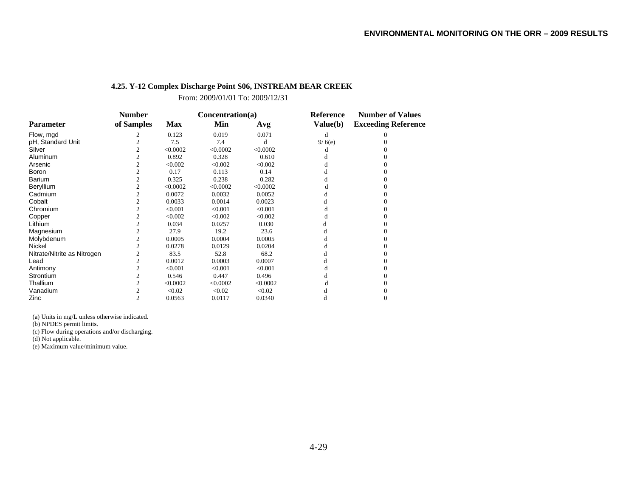# **4.25. Y-12 Complex Discharge Point S06, INSTREAM BEAR CREEK**

From: 2009/01/01 To: 2009/12/31

|                             | <b>Number</b> |            | Concentration(a) |          | <b>Reference</b> | <b>Number of Values</b>    |  |
|-----------------------------|---------------|------------|------------------|----------|------------------|----------------------------|--|
| <b>Parameter</b>            | of Samples    | <b>Max</b> | Min              | Avg      | Value(b)         | <b>Exceeding Reference</b> |  |
| Flow, mgd                   |               | 0.123      | 0.019            | 0.071    | d                |                            |  |
| pH, Standard Unit           |               | 7.5        | 7.4              | d        | 9/6(e)           |                            |  |
| Silver                      |               | < 0.0002   | < 0.0002         | < 0.0002 | d                |                            |  |
| Aluminum                    |               | 0.892      | 0.328            | 0.610    |                  |                            |  |
| Arsenic                     |               | < 0.002    | < 0.002          | < 0.002  | d                |                            |  |
| Boron                       |               | 0.17       | 0.113            | 0.14     |                  |                            |  |
| Barium                      |               | 0.325      | 0.238            | 0.282    |                  |                            |  |
| Beryllium                   |               | < 0.0002   | < 0.0002         | < 0.0002 |                  |                            |  |
| Cadmium                     |               | 0.0072     | 0.0032           | 0.0052   |                  |                            |  |
| Cobalt                      |               | 0.0033     | 0.0014           | 0.0023   |                  |                            |  |
| Chromium                    |               | < 0.001    | < 0.001          | < 0.001  |                  |                            |  |
| Copper                      | 2             | < 0.002    | < 0.002          | < 0.002  |                  |                            |  |
| Lithium                     |               | 0.034      | 0.0257           | 0.030    |                  |                            |  |
| Magnesium                   |               | 27.9       | 19.2             | 23.6     | d                |                            |  |
| Molybdenum                  |               | 0.0005     | 0.0004           | 0.0005   |                  |                            |  |
| Nickel                      |               | 0.0278     | 0.0129           | 0.0204   |                  |                            |  |
| Nitrate/Nitrite as Nitrogen |               | 83.5       | 52.8             | 68.2     | d                |                            |  |
| Lead                        |               | 0.0012     | 0.0003           | 0.0007   | d                |                            |  |
| Antimony                    |               | < 0.001    | < 0.001          | < 0.001  |                  |                            |  |
| <b>Strontium</b>            |               | 0.546      | 0.447            | 0.496    |                  |                            |  |
| Thallium                    |               | < 0.0002   | < 0.0002         | < 0.0002 |                  |                            |  |
| Vanadium                    |               | < 0.02     | < 0.02           | < 0.02   |                  |                            |  |
| Zinc                        | 2             | 0.0563     | 0.0117           | 0.0340   |                  |                            |  |

(a) Units in mg/L unless otherwise indicated.

(b) NPDES permit limits.

(c) Flow during operations and/or discharging.

(d) Not applicable.

(e) Maximum value/minimum value.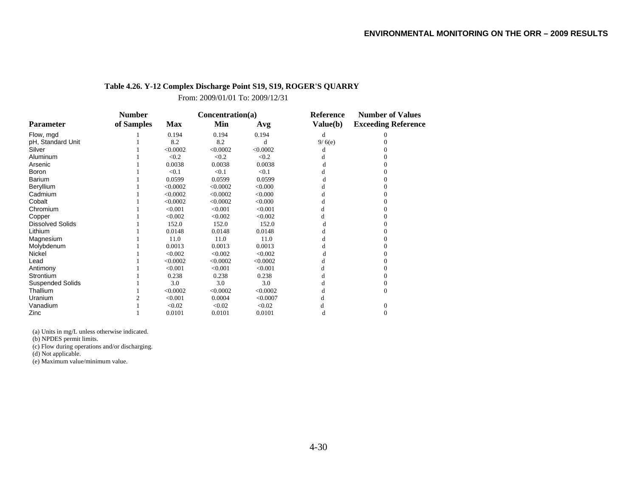# **Table 4.26. Y-12 Complex Discharge Point S19, S19, ROGER'S QUARRY**

From: 2009/01/01 To: 2009/12/31

|                         | <b>Number</b> |            | Concentration(a) |          | <b>Reference</b> | <b>Number of Values</b>    |  |
|-------------------------|---------------|------------|------------------|----------|------------------|----------------------------|--|
| <b>Parameter</b>        | of Samples    | <b>Max</b> | Min              | Avg      | Value(b)         | <b>Exceeding Reference</b> |  |
| Flow, mgd               |               | 0.194      | 0.194            | 0.194    | d                |                            |  |
| pH, Standard Unit       |               | 8.2        | 8.2              |          | 9/6(e)           |                            |  |
| Silver                  |               | < 0.0002   | < 0.0002         | < 0.0002 |                  |                            |  |
| Aluminum                |               | < 0.2      | < 0.2            | < 0.2    |                  |                            |  |
| Arsenic                 |               | 0.0038     | 0.0038           | 0.0038   |                  |                            |  |
| Boron                   |               | < 0.1      | < 0.1            | < 0.1    |                  |                            |  |
| <b>Barium</b>           |               | 0.0599     | 0.0599           | 0.0599   |                  |                            |  |
| Beryllium               |               | < 0.0002   | < 0.0002         | < 0.000  |                  |                            |  |
| Cadmium                 |               | < 0.0002   | < 0.0002         | < 0.000  |                  |                            |  |
| Cobalt                  |               | < 0.0002   | < 0.0002         | &0.000   |                  |                            |  |
| Chromium                |               | < 0.001    | < 0.001          | < 0.001  |                  |                            |  |
| Copper                  |               | < 0.002    | < 0.002          | < 0.002  |                  |                            |  |
| <b>Dissolved Solids</b> |               | 152.0      | 152.0            | 152.0    |                  |                            |  |
| Lithium                 |               | 0.0148     | 0.0148           | 0.0148   |                  |                            |  |
| Magnesium               |               | 11.0       | 11.0             | 11.0     |                  |                            |  |
| Molybdenum              |               | 0.0013     | 0.0013           | 0.0013   |                  |                            |  |
| Nickel                  |               | < 0.002    | < 0.002          | < 0.002  |                  |                            |  |
| Lead                    |               | < 0.0002   | < 0.0002         | < 0.0002 |                  |                            |  |
| Antimony                |               | < 0.001    | < 0.001          | < 0.001  |                  |                            |  |
| Strontium               |               | 0.238      | 0.238            | 0.238    |                  |                            |  |
| <b>Suspended Solids</b> |               | 3.0        | 3.0              | 3.0      |                  |                            |  |
| Thallium                |               | < 0.0002   | < 0.0002         | < 0.0002 |                  | $\Omega$                   |  |
| Uranium                 |               | < 0.001    | 0.0004           | < 0.0007 |                  |                            |  |
| Vanadium                |               | < 0.02     | < 0.02           | < 0.02   |                  | $\Omega$                   |  |
| Zinc                    |               | 0.0101     | 0.0101           | 0.0101   |                  |                            |  |

(a) Units in mg/L unless otherwise indicated.

(b) NPDES permit limits.

(c) Flow during operations and/or discharging.

(d) Not applicable.

(e) Maximum value/minimum value.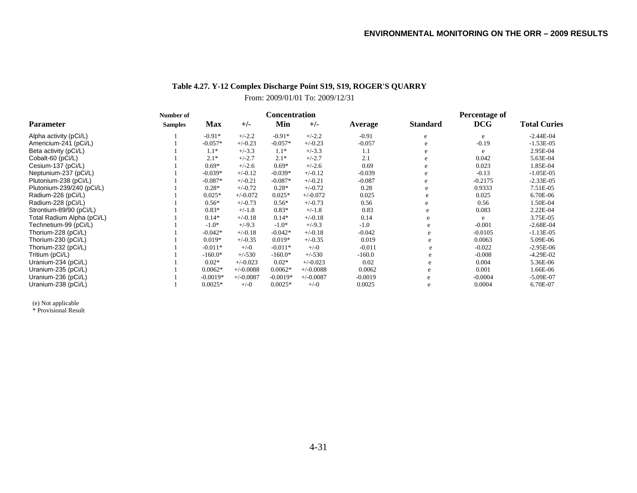# **Table 4.27. Y-12 Complex Discharge Point S19, S19, ROGER'S QUARRY**

# From: 2009/01/01 To: 2009/12/31

|                            | Number of      | <b>Concentration</b> |             |            |             |           | Percentage of   |            |                     |
|----------------------------|----------------|----------------------|-------------|------------|-------------|-----------|-----------------|------------|---------------------|
| <b>Parameter</b>           | <b>Samples</b> | <b>Max</b>           | $+/-$       | Min        | $+/-$       | Average   | <b>Standard</b> | <b>DCG</b> | <b>Total Curies</b> |
| Alpha activity (pCi/L)     |                | $-0.91*$             | $+/-2.2$    | $-0.91*$   | $+/-2.2$    | $-0.91$   | e               | e          | $-2.44E-04$         |
| Americium-241 (pCi/L)      |                | $-0.057*$            | $+/-0.23$   | $-0.057*$  | $+/-0.23$   | $-0.057$  | e.              | $-0.19$    | $-1.53E-05$         |
| Beta activity (pCi/L)      |                | $1.1*$               | $+/-3.3$    | $1.1*$     | $+/-3.3$    | 1.1       | e               | e          | 2.95E-04            |
| Cobalt-60 (pCi/L)          |                | $2.1*$               | $+/-2.7$    | $2.1*$     | $+/-2.7$    | 2.1       | e               | 0.042      | 5.63E-04            |
| Cesium-137 (pCi/L)         |                | $0.69*$              | $+/-2.6$    | $0.69*$    | $+/-2.6$    | 0.69      | e               | 0.023      | 1.85E-04            |
| Neptunium-237 (pCi/L)      |                | $-0.039*$            | $+/-0.12$   | $-0.039*$  | $+/-0.12$   | $-0.039$  | e               | $-0.13$    | $-1.05E-05$         |
| Plutonium-238 (pCi/L)      |                | $-0.087*$            | $+/-0.21$   | $-0.087*$  | $+/-0.21$   | $-0.087$  | e               | $-0.2175$  | $-2.33E-05$         |
| Plutonium-239/240 (pCi/L)  |                | $0.28*$              | $+/-0.72$   | $0.28*$    | $+/-0.72$   | 0.28      | e               | 0.9333     | 7.51E-05            |
| Radium-226 (pCi/L)         |                | $0.025*$             | $+/-0.072$  | $0.025*$   | $+/-0.072$  | 0.025     | e               | 0.025      | 6.70E-06            |
| Radium-228 (pCi/L)         |                | $0.56*$              | $+/-0.73$   | $0.56*$    | $+/-0.73$   | 0.56      | e               | 0.56       | 1.50E-04            |
| Strontium-89/90 (pCi/L)    |                | $0.83*$              | $+/-1.8$    | $0.83*$    | $+/-1.8$    | 0.83      | e               | 0.083      | 2.22E-04            |
| Total Radium Alpha (pCi/L) |                | $0.14*$              | $+/-0.18$   | $0.14*$    | $+/-0.18$   | 0.14      | e               | e          | 3.75E-05            |
| Technetium-99 (pCi/L)      |                | $-1.0*$              | $+/-9.3$    | $-1.0*$    | $+/-9.3$    | $-1.0$    | e               | $-0.001$   | $-2.68E-04$         |
| Thorium-228 (pCi/L)        |                | $-0.042*$            | $+/-0.18$   | $-0.042*$  | $+/-0.18$   | $-0.042$  | e               | $-0.0105$  | $-1.13E-05$         |
| Thorium-230 (pCi/L)        |                | $0.019*$             | $+/-0.35$   | $0.019*$   | $+/-0.35$   | 0.019     | e               | 0.0063     | 5.09E-06            |
| Thorium-232 (pCi/L)        |                | $-0.011*$            | $+/-0$      | $-0.011*$  | $+/-0$      | $-0.011$  | e               | $-0.022$   | $-2.95E-06$         |
| Tritium (pCi/L)            |                | $-160.0*$            | $+/-530$    | $-160.0*$  | $+/-530$    | $-160.0$  | e               | $-0.008$   | $-4.29E-02$         |
| Uranium-234 (pCi/L)        |                | $0.02*$              | $+/-0.023$  | $0.02*$    | $+/-0.023$  | 0.02      | e               | 0.004      | 5.36E-06            |
| Uranium-235 (pCi/L)        |                | $0.0062*$            | $+/-0.0088$ | $0.0062*$  | $+/-0.0088$ | 0.0062    | e               | 0.001      | 1.66E-06            |
| Uranium-236 (pCi/L)        |                | $-0.0019*$           | $+/-0.0087$ | $-0.0019*$ | $+/-0.0087$ | $-0.0019$ |                 | $-0.0004$  | $-5.09E-07$         |
| Uranium-238 (pCi/L)        |                | $0.0025*$            | $+/-0$      | $0.0025*$  | $+/-0$      | 0.0025    | e               | 0.0004     | 6.70E-07            |

(e) Not applicable \* Provisional Result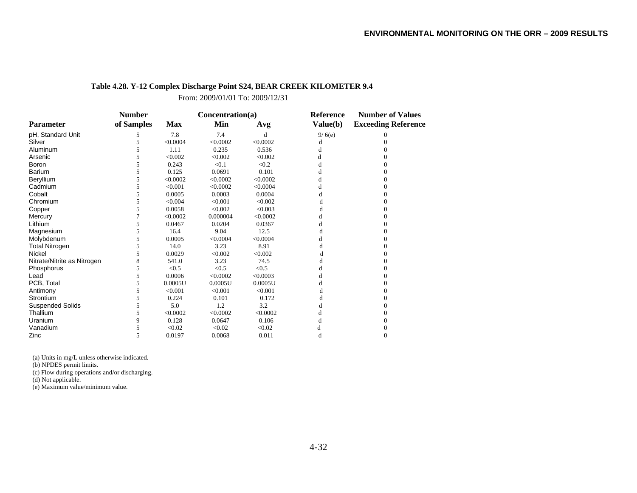# **Table 4.28. Y-12 Complex Discharge Point S24, BEAR CREEK KILOMETER 9.4**

From: 2009/01/01 To: 2009/12/31

|                             | <b>Number</b> |            | Concentration(a) |          | Reference | <b>Number of Values</b>    |  |
|-----------------------------|---------------|------------|------------------|----------|-----------|----------------------------|--|
| <b>Parameter</b>            | of Samples    | <b>Max</b> | Min              | Avg      | Value(b)  | <b>Exceeding Reference</b> |  |
| pH, Standard Unit           | 5             | 7.8        | 7.4              | d        | 9/6(e)    | 0                          |  |
| Silver                      | 5             | < 0.0004   | < 0.0002         | < 0.0002 | d         |                            |  |
| Aluminum                    | 5             | 1.11       | 0.235            | 0.536    |           |                            |  |
| Arsenic                     | 5             | < 0.002    | < 0.002          | < 0.002  | d         |                            |  |
| Boron                       |               | 0.243      | < 0.1            | < 0.2    | d         |                            |  |
| <b>Barium</b>               | 5             | 0.125      | 0.0691           | 0.101    | d         |                            |  |
| Beryllium                   |               | < 0.0002   | < 0.0002         | < 0.0002 |           |                            |  |
| Cadmium                     | 5             | < 0.001    | < 0.0002         | < 0.0004 | d         | 0                          |  |
| Cobalt                      |               | 0.0005     | 0.0003           | 0.0004   |           |                            |  |
| Chromium                    | 5             | < 0.004    | < 0.001          | < 0.002  | d         |                            |  |
| Copper                      | 5             | 0.0058     | < 0.002          | < 0.003  |           |                            |  |
| Mercury                     |               | < 0.0002   | 0.000004         | < 0.0002 |           |                            |  |
| Lithium                     | 5             | 0.0467     | 0.0204           | 0.0367   | d         |                            |  |
| Magnesium                   |               | 16.4       | 9.04             | 12.5     | d         |                            |  |
| Molybdenum                  | 5             | 0.0005     | < 0.0004         | < 0.0004 | d         |                            |  |
| <b>Total Nitrogen</b>       |               | 14.0       | 3.23             | 8.91     |           |                            |  |
| Nickel                      | 5             | 0.0029     | < 0.002          | < 0.002  |           |                            |  |
| Nitrate/Nitrite as Nitrogen | 8             | 541.0      | 3.23             | 74.5     |           |                            |  |
| Phosphorus                  | 5             | < 0.5      | < 0.5            | < 0.5    |           |                            |  |
| Lead                        | 5             | 0.0006     | < 0.0002         | < 0.0003 | d         |                            |  |
| PCB, Total                  | 5             | 0.0005U    | 0.0005U          | 0.0005U  |           |                            |  |
| Antimony                    | 5             | < 0.001    | < 0.001          | < 0.001  | đ         |                            |  |
| Strontium                   |               | 0.224      | 0.101            | 0.172    | d         |                            |  |
| <b>Suspended Solids</b>     | 5             | 5.0        | 1.2              | 3.2      | đ         | 0                          |  |
| Thallium                    |               | < 0.0002   | < 0.0002         | < 0.0002 |           |                            |  |
| Uranium                     | 9             | 0.128      | 0.0647           | 0.106    | d         |                            |  |
| Vanadium                    |               | < 0.02     | < 0.02           | < 0.02   |           |                            |  |
| Zinc                        |               | 0.0197     | 0.0068           | 0.011    |           |                            |  |

(a) Units in mg/L unless otherwise indicated.

(b) NPDES permit limits.

(c) Flow during operations and/or discharging.

(d) Not applicable.

(e) Maximum value/minimum value.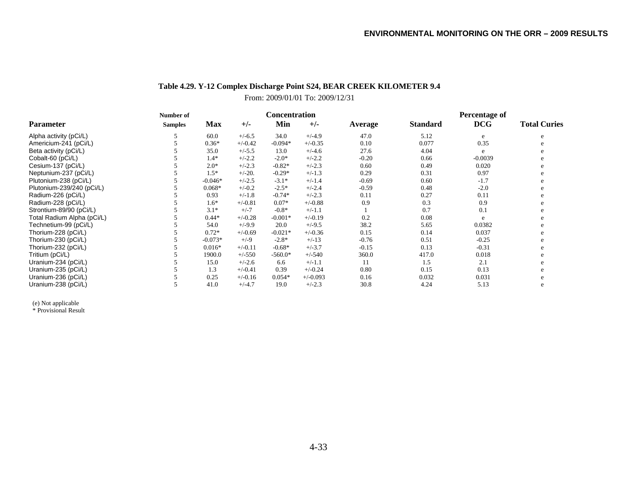# **Table 4.29. Y-12 Complex Discharge Point S24, BEAR CREEK KILOMETER 9.4**

# From: 2009/01/01 To: 2009/12/31

|                            | Number of      | <b>Concentration</b> |           |           |            |         | Percentage of   |            |                     |
|----------------------------|----------------|----------------------|-----------|-----------|------------|---------|-----------------|------------|---------------------|
| <b>Parameter</b>           | <b>Samples</b> | <b>Max</b>           | $+/-$     | Min       | $+/-$      | Average | <b>Standard</b> | <b>DCG</b> | <b>Total Curies</b> |
| Alpha activity (pCi/L)     |                | 60.0                 | $+/-6.5$  | 34.0      | $+/-4.9$   | 47.0    | 5.12            | e          |                     |
| Americium-241 (pCi/L)      |                | $0.36*$              | $+/-0.42$ | $-0.094*$ | $+/-0.35$  | 0.10    | 0.077           | 0.35       |                     |
| Beta activity (pCi/L)      |                | 35.0                 | $+/-5.5$  | 13.0      | $+/-4.6$   | 27.6    | 4.04            | e          |                     |
| Cobalt-60 (pCi/L)          |                | $1.4*$               | $+/-2.2$  | $-2.0*$   | $+/-2.2$   | $-0.20$ | 0.66            | $-0.0039$  |                     |
| Cesium-137 (pCi/L)         |                | $2.0*$               | $+/-2.3$  | $-0.82*$  | $+/-2.3$   | 0.60    | 0.49            | 0.020      |                     |
| Neptunium-237 (pCi/L)      |                | $1.5*$               | $+/-20.$  | $-0.29*$  | $+/-1.3$   | 0.29    | 0.31            | 0.97       |                     |
| Plutonium-238 (pCi/L)      |                | $-0.046*$            | $+/-2.5$  | $-3.1*$   | $+/-1.4$   | $-0.69$ | 0.60            | $-1.7$     |                     |
| Plutonium-239/240 (pCi/L)  |                | $0.068*$             | $+/-0.2$  | $-2.5*$   | $+/-2.4$   | $-0.59$ | 0.48            | $-2.0$     |                     |
| Radium-226 (pCi/L)         |                | 0.93                 | $+/-1.8$  | $-0.74*$  | $+/-2.3$   | 0.11    | 0.27            | 0.11       |                     |
| Radium-228 (pCi/L)         |                | $1.6*$               | $+/-0.81$ | $0.07*$   | $+/-0.88$  | 0.9     | 0.3             | 0.9        |                     |
| Strontium-89/90 (pCi/L)    |                | $3.1*$               | $+/-7$    | $-0.8*$   | $+/-1.1$   |         | 0.7             | 0.1        |                     |
| Total Radium Alpha (pCi/L) |                | $0.44*$              | $+/-0.28$ | $-0.001*$ | $+/-0.19$  | 0.2     | 0.08            | e          |                     |
| Technetium-99 (pCi/L)      |                | 54.0                 | $+/-9.9$  | 20.0      | $+/-9.5$   | 38.2    | 5.65            | 0.0382     |                     |
| Thorium-228 (pCi/L)        |                | $0.72*$              | $+/-0.69$ | $-0.021*$ | $+/-0.36$  | 0.15    | 0.14            | 0.037      |                     |
| Thorium-230 (pCi/L)        |                | $-0.073*$            | $+/-9$    | $-2.8*$   | $+/-13$    | $-0.76$ | 0.51            | $-0.25$    |                     |
| Thorium-232 (pCi/L)        |                | $0.016*$             | $+/-0.11$ | $-0.68*$  | $+/-3.7$   | $-0.15$ | 0.13            | $-0.31$    |                     |
| Tritium (pCi/L)            |                | 1900.0               | $+/-550$  | $-560.0*$ | $+/-540$   | 360.0   | 417.0           | 0.018      |                     |
| Uranium-234 (pCi/L)        |                | 15.0                 | $+/-2.6$  | 6.6       | $+/-1.1$   | 11      | 1.5             | 2.1        |                     |
| Uranium-235 (pCi/L)        |                | 1.3                  | $+/-0.41$ | 0.39      | $+/-0.24$  | 0.80    | 0.15            | 0.13       |                     |
| Uranium-236 (pCi/L)        |                | 0.25                 | $+/-0.16$ | $0.054*$  | $+/-0.093$ | 0.16    | 0.032           | 0.031      |                     |
| Uranium-238 (pCi/L)        |                | 41.0                 | $+/-4.7$  | 19.0      | $+/-2.3$   | 30.8    | 4.24            | 5.13       | e                   |

(e) Not applicable \* Provisional Result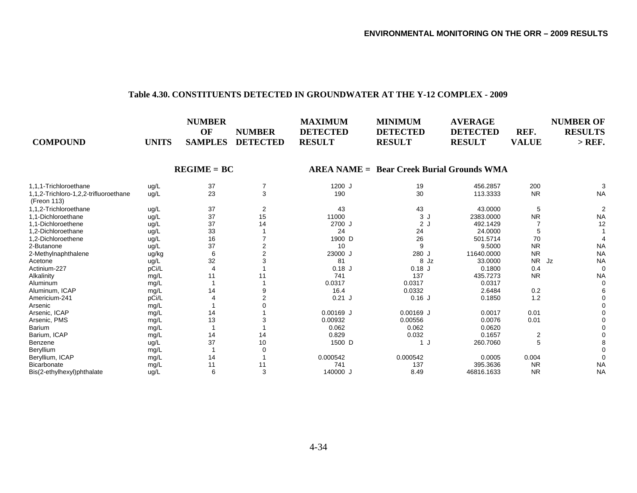#### **Table 4.30. CONSTITUENTS DETECTED IN GROUNDWATER AT THE Y-12 COMPLEX - 2009**

| <b>COMPOUND</b>                                      | <b>UNITS</b> | <b>NUMBER</b><br>OF<br><b>SAMPLES</b> | <b>NUMBER</b><br><b>DETECTED</b> | <b>MAXIMUM</b><br><b>DETECTED</b><br><b>RESULT</b> | <b>MINIMUM</b><br><b>DETECTED</b><br><b>RESULT</b> | <b>AVERAGE</b><br><b>DETECTED</b><br><b>RESULT</b> | REF.<br><b>VALUE</b> | <b>NUMBER OF</b><br><b>RESULTS</b><br>$>$ REF. |
|------------------------------------------------------|--------------|---------------------------------------|----------------------------------|----------------------------------------------------|----------------------------------------------------|----------------------------------------------------|----------------------|------------------------------------------------|
|                                                      |              | $REGIME = BC$                         |                                  |                                                    | <b>AREA NAME = Bear Creek Burial Grounds WMA</b>   |                                                    |                      |                                                |
| 1,1,1-Trichloroethane                                | ug/L         | 37                                    | 7                                | 1200 J                                             | 19                                                 | 456.2857                                           | 200                  | 3                                              |
| 1,1,2-Trichloro-1,2,2-trifluoroethane<br>(Freon 113) | uq/L         | 23                                    | 3                                | 190                                                | 30                                                 | 113.3333                                           | <b>NR</b>            | <b>NA</b>                                      |
| 1,1,2-Trichloroethane                                | ug/L         | 37                                    | 2                                | 43                                                 | 43                                                 | 43.0000                                            | 5                    | $\overline{2}$                                 |
| 1,1-Dichloroethane                                   | ug/L         | 37                                    | 15                               | 11000                                              | 3J                                                 | 2383.0000                                          | <b>NR</b>            | <b>NA</b>                                      |
| 1,1-Dichloroethene                                   | ug/L         | 37                                    | 14                               | 2700 J                                             | 2J                                                 | 492.1429                                           |                      | 12                                             |
| 1,2-Dichloroethane                                   | ug/L         | 33                                    |                                  | 24                                                 | 24                                                 | 24.0000                                            |                      |                                                |
| 1,2-Dichloroethene                                   | ug/L         | 16                                    |                                  | 1900 D                                             | 26                                                 | 501.5714                                           | 70                   |                                                |
| 2-Butanone                                           | ug/L         | 37                                    |                                  | 10                                                 | 9                                                  | 9.5000                                             | <b>NR</b>            | <b>NA</b>                                      |
| 2-Methylnaphthalene                                  | ug/kg        |                                       |                                  | 23000 J                                            | 280 J                                              | 11640.0000                                         | <b>NR</b>            | <b>NA</b>                                      |
| Acetone                                              | ug/L         | 32                                    |                                  | 81                                                 | 8Jz                                                | 33.0000                                            | <b>NR</b>            | <b>NA</b><br>Jz                                |
| Actinium-227                                         | pCi/L        |                                       |                                  | $0.18$ J                                           | $0.18$ J                                           | 0.1800                                             | 0.4                  | 0                                              |
| Alkalinity                                           | mg/L         | 11                                    |                                  | 741                                                | 137                                                | 435.7273                                           | <b>NR</b>            | <b>NA</b>                                      |
| Aluminum                                             | mg/L         |                                       |                                  | 0.0317                                             | 0.0317                                             | 0.0317                                             |                      | $\Omega$                                       |
| Aluminum, ICAP                                       | mg/L         | 14                                    |                                  | 16.4                                               | 0.0332                                             | 2.6484                                             | 0.2                  |                                                |
| Americium-241                                        | pCi/L        |                                       |                                  | $0.21$ J                                           | $0.16$ J                                           | 0.1850                                             | 1.2                  |                                                |
| Arsenic                                              | mg/L         |                                       |                                  |                                                    |                                                    |                                                    |                      |                                                |
| Arsenic, ICAP                                        | mg/L         | 14                                    |                                  | $0.00169$ J                                        | $0.00169$ J                                        | 0.0017                                             | 0.01                 |                                                |
| Arsenic, PMS                                         | mg/L         | 13                                    |                                  | 0.00932                                            | 0.00556                                            | 0.0076                                             | 0.01                 |                                                |
| <b>Barium</b>                                        | mg/L         |                                       |                                  | 0.062                                              | 0.062                                              | 0.0620                                             |                      |                                                |
| Barium, ICAP                                         | mg/L         | 14                                    | 14                               | 0.829                                              | 0.032                                              | 0.1657                                             | 2                    |                                                |
| Benzene                                              | ug/L         | 37                                    | 10                               | 1500 D                                             |                                                    | 260.7060                                           | 5                    |                                                |
| Beryllium                                            | mg/L         |                                       |                                  |                                                    |                                                    |                                                    |                      |                                                |
| Beryllium, ICAP                                      | mg/L         | 14                                    |                                  | 0.000542                                           | 0.000542                                           | 0.0005                                             | 0.004                |                                                |
| Bicarbonate                                          | mg/L         | 11                                    | 11                               | 741                                                | 137                                                | 395.3636                                           | <b>NR</b>            | <b>NA</b>                                      |
| Bis(2-ethylhexyl)phthalate                           | ug/L         | 6                                     | 3                                | 140000 J                                           | 8.49                                               | 46816.1633                                         | <b>NR</b>            | <b>NA</b>                                      |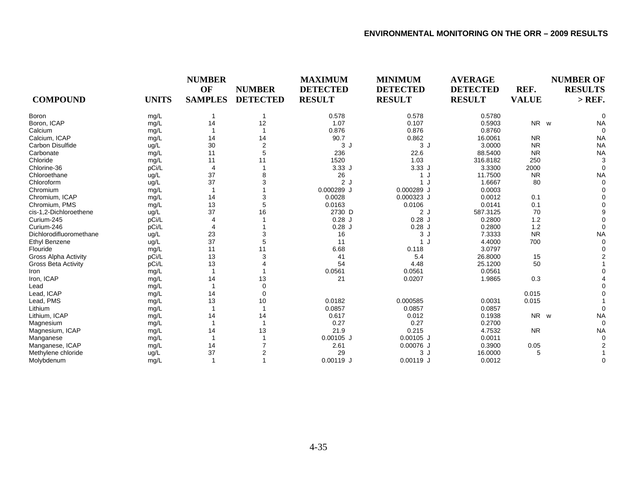|                             |              | <b>NUMBER</b><br>OF | <b>NUMBER</b>   | <b>MAXIMUM</b><br><b>DETECTED</b> | <b>MINIMUM</b><br><b>DETECTED</b> | <b>AVERAGE</b><br><b>DETECTED</b> | REF.         | <b>NUMBER OF</b><br><b>RESULTS</b> |
|-----------------------------|--------------|---------------------|-----------------|-----------------------------------|-----------------------------------|-----------------------------------|--------------|------------------------------------|
| <b>COMPOUND</b>             | <b>UNITS</b> | <b>SAMPLES</b>      | <b>DETECTED</b> | <b>RESULT</b>                     | <b>RESULT</b>                     | <b>RESULT</b>                     | <b>VALUE</b> | $>$ REF.                           |
| <b>Boron</b>                | mg/L         |                     |                 | 0.578                             | 0.578                             | 0.5780                            |              |                                    |
| Boron, ICAP                 | mg/L         | 14                  | 12              | 1.07                              | 0.107                             | 0.5903                            | NR w         | <b>NA</b>                          |
| Calcium                     | mg/L         |                     |                 | 0.876                             | 0.876                             | 0.8760                            |              |                                    |
| Calcium, ICAP               | mg/L         | 14                  | 14              | 90.7                              | 0.862                             | 16.0061                           | <b>NR</b>    | <b>NA</b>                          |
| Carbon Disulfide            | ug/L         | 30                  | $\overline{2}$  | 3J                                | 3J                                | 3.0000                            | <b>NR</b>    | <b>NA</b>                          |
| Carbonate                   | mg/L         | 11                  | 5               | 236                               | 22.6                              | 88.5400                           | <b>NR</b>    | <b>NA</b>                          |
| Chloride                    | mg/L         | 11                  | 11              | 1520                              | 1.03                              | 316.8182                          | 250          |                                    |
| Chlorine-36                 | pCi/L        | $\overline{4}$      |                 | 3.33J                             | 3.33J                             | 3.3300                            | 2000         |                                    |
| Chloroethane                | ug/L         | 37                  |                 | 26                                | 1J                                | 11.7500                           | <b>NR</b>    | <b>NA</b>                          |
| Chloroform                  | ug/L         | 37                  |                 | 2J                                | 1J                                | 1.6667                            | 80           |                                    |
| Chromium                    | mg/L         |                     |                 | 0.000289 J                        | 0.000289 J                        | 0.0003                            |              |                                    |
| Chromium, ICAP              | mg/L         | 14                  |                 | 0.0028                            | 0.000323 J                        | 0.0012                            | 0.1          |                                    |
| Chromium, PMS               | mg/L         | 13                  | 5               | 0.0163                            | 0.0106                            | 0.0141                            | 0.1          |                                    |
| cis-1,2-Dichloroethene      | ug/L         | 37                  | 16              | 2730 D                            | 2J                                | 587.3125                          | 70           |                                    |
| Curium-245                  | pCi/L        |                     |                 | $0.28$ J                          | $0.28$ J                          | 0.2800                            | 1.2          |                                    |
| Curium-246                  | pCi/L        |                     |                 | $0.28$ J                          | $0.28$ J                          | 0.2800                            | 1.2          |                                    |
| Dichlorodifluoromethane     | ug/L         | 23                  |                 | 16                                | 3J                                | 7.3333                            | <b>NR</b>    | <b>NA</b>                          |
| <b>Ethyl Benzene</b>        | ug/L         | 37                  | 5               | 11                                | 1J                                | 4.4000                            | 700          |                                    |
| Flouride                    | mg/L         | 11                  | 11              | 6.68                              | 0.118                             | 3.0797                            |              |                                    |
| <b>Gross Alpha Activity</b> | pCi/L        | 13                  |                 | 41                                | 5.4                               | 26.8000                           | 15           |                                    |
| <b>Gross Beta Activity</b>  | pCi/L        | 13                  |                 | 54                                | 4.48                              | 25.1200                           | 50           |                                    |
| Iron                        | mg/L         |                     |                 | 0.0561                            | 0.0561                            | 0.0561                            |              |                                    |
| Iron, ICAP                  | mg/L         | 14                  | 13              | 21                                | 0.0207                            | 1.9865                            | 0.3          |                                    |
| Lead                        | mg/L         |                     | $\Omega$        |                                   |                                   |                                   |              |                                    |
| Lead, ICAP                  | mg/L         | 14                  | $\Omega$        |                                   |                                   |                                   | 0.015        |                                    |
| Lead, PMS                   | mg/L         | 13                  | 10              | 0.0182                            | 0.000585                          | 0.0031                            | 0.015        |                                    |
| Lithium                     | mg/L         |                     |                 | 0.0857                            | 0.0857                            | 0.0857                            |              |                                    |
| Lithium, ICAP               | mg/L         | 14                  | 14              | 0.617                             | 0.012                             | 0.1938                            | NR w         | <b>NA</b>                          |
| Magnesium                   | mg/L         |                     |                 | 0.27                              | 0.27                              | 0.2700                            |              |                                    |
| Magnesium, ICAP             | mg/L         | 14                  | 13              | 21.9                              | 0.215                             | 4.7532                            | <b>NR</b>    | <b>NA</b>                          |
| Manganese                   | mg/L         |                     |                 | $0.00105$ J                       | $0.00105$ J                       | 0.0011                            |              |                                    |
| Manganese, ICAP             | mg/L         | 14                  |                 | 2.61                              | 0.00076 J                         | 0.3900                            | 0.05         |                                    |
| Methylene chloride          | ug/L         | 37                  |                 | 29                                | 3J                                | 16.0000                           | 5            |                                    |
| Molybdenum                  | mg/L         |                     |                 | $0.00119$ J                       | $0.00119$ J                       | 0.0012                            |              |                                    |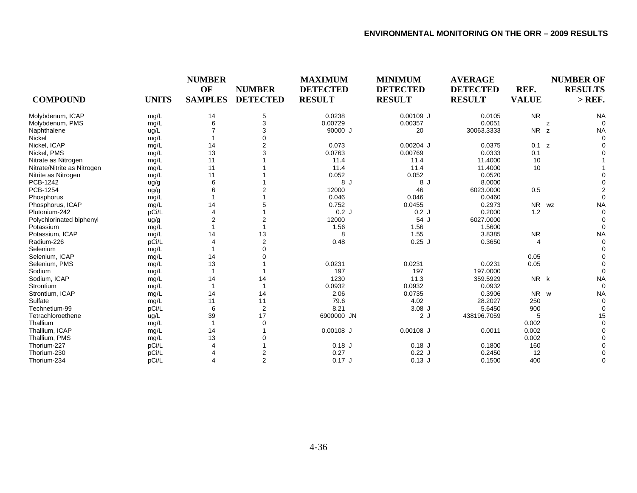| <b>COMPOUND</b>             | <b>UNITS</b> | <b>NUMBER</b><br>OF<br><b>SAMPLES</b> | <b>NUMBER</b><br><b>DETECTED</b> | <b>MAXIMUM</b><br><b>DETECTED</b><br><b>RESULT</b> | <b>MINIMUM</b><br><b>DETECTED</b><br><b>RESULT</b> | <b>AVERAGE</b><br><b>DETECTED</b><br><b>RESULT</b> | REF.<br><b>VALUE</b> | <b>NUMBER OF</b><br><b>RESULTS</b><br>$>$ REF. |
|-----------------------------|--------------|---------------------------------------|----------------------------------|----------------------------------------------------|----------------------------------------------------|----------------------------------------------------|----------------------|------------------------------------------------|
| Molybdenum, ICAP            | mg/L         | 14                                    | 5                                | 0.0238                                             | $0.00109$ J                                        | 0.0105                                             | <b>NR</b>            | <b>NA</b>                                      |
| Molybdenum, PMS             | mg/L         | 6                                     | 3                                | 0.00729                                            | 0.00357                                            | 0.0051                                             | z                    |                                                |
| Naphthalene                 | ug/L         |                                       | 3                                | 90000 J                                            | 20                                                 | 30063.3333                                         | <b>NR</b><br>z       | <b>NA</b>                                      |
| Nickel                      | mg/L         |                                       |                                  |                                                    |                                                    |                                                    |                      |                                                |
| Nickel, ICAP                | mg/L         | 14                                    |                                  | 0.073                                              | $0.00204$ J                                        | 0.0375                                             | 0.1 z                |                                                |
| Nickel, PMS                 | mg/L         | 13                                    | 3                                | 0.0763                                             | 0.00769                                            | 0.0333                                             | 0.1                  |                                                |
| Nitrate as Nitrogen         | mg/L         | 11                                    |                                  | 11.4                                               | 11.4                                               | 11.4000                                            | 10                   |                                                |
| Nitrate/Nitrite as Nitrogen | mg/L         | 11                                    |                                  | 11.4                                               | 11.4                                               | 11.4000                                            | 10                   |                                                |
| Nitrite as Nitrogen         | mg/L         | 11                                    |                                  | 0.052                                              | 0.052                                              | 0.0520                                             |                      |                                                |
| PCB-1242                    | ug/g         | 6                                     |                                  | 8 J                                                | 8 J                                                | 8.0000                                             |                      |                                                |
| PCB-1254                    | ug/g         | 6                                     |                                  | 12000                                              | 46                                                 | 6023.0000                                          | 0.5                  |                                                |
| Phosphorus                  | mg/L         |                                       |                                  | 0.046                                              | 0.046                                              | 0.0460                                             |                      |                                                |
| Phosphorus, ICAP            | mg/L         | 14                                    |                                  | 0.752                                              | 0.0455                                             | 0.2973                                             | <b>NR</b>            | <b>NA</b><br>WZ                                |
| Plutonium-242               | pCi/L        | Δ                                     |                                  | 0.2J                                               | 0.2J                                               | 0.2000                                             | 1.2                  |                                                |
| Polychlorinated biphenyl    | ug/g         | $\overline{2}$                        |                                  | 12000                                              | 54 J                                               | 6027.0000                                          |                      |                                                |
| Potassium                   | mg/L         |                                       |                                  | 1.56                                               | 1.56                                               | 1.5600                                             |                      |                                                |
| Potassium, ICAP             | mg/L         | 14                                    | 13                               | 8                                                  | 1.55                                               | 3.8385                                             | <b>NR</b>            | <b>NA</b>                                      |
| Radium-226                  | pCi/L        |                                       | $\overline{2}$                   | 0.48                                               | $0.25$ J                                           | 0.3650                                             | 4                    |                                                |
| Selenium                    | mg/L         |                                       |                                  |                                                    |                                                    |                                                    |                      |                                                |
| Selenium, ICAP              | mg/L         | 14                                    |                                  |                                                    |                                                    |                                                    | 0.05                 |                                                |
| Selenium, PMS               | mg/L         | 13                                    |                                  | 0.0231                                             | 0.0231                                             | 0.0231                                             | 0.05                 |                                                |
| Sodium                      | mg/L         |                                       |                                  | 197                                                | 197                                                | 197.0000                                           |                      |                                                |
| Sodium, ICAP                | mg/L         | 14                                    | 14                               | 1230                                               | 11.3                                               | 359.5929                                           | NR k                 | <b>NA</b>                                      |
| Strontium                   | mg/L         |                                       |                                  | 0.0932                                             | 0.0932                                             | 0.0932                                             |                      |                                                |
| Strontium, ICAP             | mg/L         | 14                                    | 14                               | 2.06                                               | 0.0735                                             | 0.3906                                             | NR w                 | <b>NA</b>                                      |
| Sulfate                     | mg/L         | 11                                    | 11                               | 79.6                                               | 4.02                                               | 28.2027                                            | 250                  |                                                |
| Technetium-99               | pCi/L        | 6                                     | 2                                | 8.21                                               | $3.08$ J                                           | 5.6450                                             | 900                  |                                                |
| Tetrachloroethene           | ug/L         | 39                                    | 17                               | 6900000 JN                                         | 2J                                                 | 438196.7059                                        | 5                    | 15                                             |
| Thallium                    | mg/L         |                                       | 0                                |                                                    |                                                    |                                                    | 0.002                |                                                |
| Thallium, ICAP              | mg/L         | 14                                    |                                  | $0.00108$ J                                        | $0.00108$ J                                        | 0.0011                                             | 0.002                |                                                |
| Thallium, PMS               | mg/L         | 13                                    |                                  |                                                    |                                                    |                                                    | 0.002                |                                                |
| Thorium-227                 | pCi/L        |                                       |                                  | $0.18$ J                                           | $0.18$ J                                           | 0.1800                                             | 160                  |                                                |
| Thorium-230                 | pCi/L        |                                       | 2                                | 0.27                                               | 0.22J                                              | 0.2450                                             | 12                   |                                                |
| Thorium-234                 | pCi/L        | 4                                     | $\overline{2}$                   | $0.17$ J                                           | $0.13$ J                                           | 0.1500                                             | 400                  | $\Omega$                                       |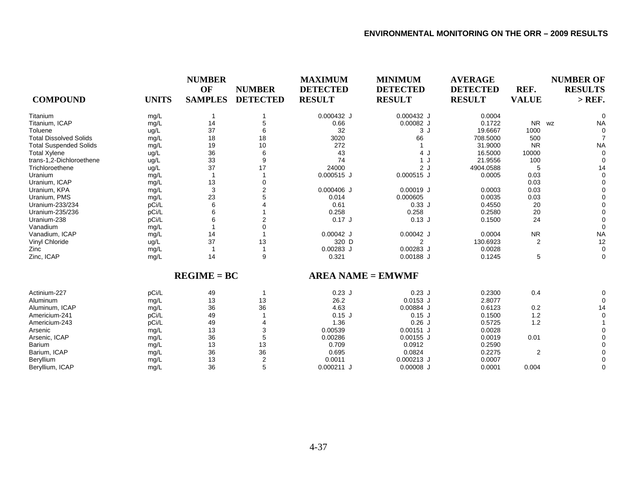|                               |              | <b>NUMBER</b>  |                 | <b>MAXIMUM</b>  | <b>MINIMUM</b>           | <b>AVERAGE</b>  |              | <b>NUMBER OF</b> |
|-------------------------------|--------------|----------------|-----------------|-----------------|--------------------------|-----------------|--------------|------------------|
|                               |              | OF             | <b>NUMBER</b>   | <b>DETECTED</b> | <b>DETECTED</b>          | <b>DETECTED</b> | REF.         | <b>RESULTS</b>   |
| <b>COMPOUND</b>               | <b>UNITS</b> | <b>SAMPLES</b> | <b>DETECTED</b> | <b>RESULT</b>   | <b>RESULT</b>            | <b>RESULT</b>   | <b>VALUE</b> | $>$ REF.         |
| Titanium                      | mg/L         |                |                 | $0.000432$ J    | 0.000432 J               | 0.0004          |              |                  |
| Titanium, ICAP                | mg/L         | 14             | 5               | 0.66            | $0.00082$ J              | 0.1722          | NR wz        | <b>NA</b>        |
| Toluene                       | ug/L         | 37             | 6               | 32              | 3J                       | 19.6667         | 1000         |                  |
| <b>Total Dissolved Solids</b> | mg/L         | 18             | 18              | 3020            | 66                       | 708.5000        | 500          |                  |
| <b>Total Suspended Solids</b> | mg/L         | 19             | 10              | 272             |                          | 31.9000         | <b>NR</b>    | <b>NA</b>        |
| <b>Total Xylene</b>           | ug/L         | 36             | 6               | 43              | 4 J                      | 16.5000         | 10000        |                  |
| trans-1,2-Dichloroethene      | ug/L         | 33             | 9               | 74              | 1 J                      | 21.9556         | 100          |                  |
| Trichloroethene               | ug/L         | 37             | 17              | 24000           | 2J                       | 4904.0588       | 5            | 14               |
| Uranium                       | mg/L         |                |                 | $0.000515$ J    | 0.000515 J               | 0.0005          | 0.03         |                  |
| Uranium, ICAP                 | mg/L         | 13             | $\Omega$        |                 |                          |                 | 0.03         |                  |
| Uranium, KPA                  | mg/L         | 3              |                 | $0.000406$ J    | $0.00019$ J              | 0.0003          | 0.03         |                  |
| Uranium, PMS                  | mg/L         | 23             |                 | 0.014           | 0.000605                 | 0.0035          | 0.03         |                  |
| Uranium-233/234               | pCi/L        | 6              |                 | 0.61            | 0.33J                    | 0.4550          | 20           |                  |
| Uranium-235/236               | pCi/L        | 6              |                 | 0.258           | 0.258                    | 0.2580          | 20           |                  |
| Uranium-238                   | pCi/L        |                |                 | $0.17$ J        | $0.13$ J                 | 0.1500          | 24           |                  |
| Vanadium                      | mg/L         |                |                 |                 |                          |                 |              |                  |
| Vanadium, ICAP                | mg/L         | 14             |                 | $0.00042$ J     | $0.00042$ J              | 0.0004          | <b>NR</b>    | <b>NA</b>        |
| Vinyl Chloride                | ug/L         | 37             | 13              | 320 D           | 2                        | 130.6923        | 2            | 12               |
| Zinc                          | mg/L         | -1             | $\overline{1}$  | $0.00283$ J     | $0.00283$ J              | 0.0028          |              | $\Omega$         |
| Zinc, ICAP                    | mg/L         | 14             | 9               | 0.321           | $0.00188$ J              | 0.1245          | 5            | $\Omega$         |
|                               |              | $REGIME = BC$  |                 |                 | <b>AREA NAME = EMWMF</b> |                 |              |                  |
| Actinium-227                  | pCi/L        | 49             | $\mathbf 1$     | $0.23$ J        | $0.23$ J                 | 0.2300          | 0.4          |                  |
| Aluminum                      | mg/L         | 13             | 13              | 26.2            | $0.0153$ J               | 2.8077          |              |                  |
| Aluminum, ICAP                | mg/L         | 36             | 36              | 4.63            | 0.00884 J                | 0.6123          | 0.2          | 14               |
| Americium-241                 | pCi/L        | 49             |                 | $0.15$ J        | $0.15$ J                 | 0.1500          | 1.2          |                  |
| Americium-243                 | pCi/L        | 49             |                 | 1.36            | $0.26$ J                 | 0.5725          | 1.2          |                  |
| Arsenic                       | mg/L         | 13             | 3               | 0.00539         | $0.00151$ J              | 0.0028          |              |                  |
| Arsenic, ICAP                 | mg/L         | 36             | 5               | 0.00286         | $0.00155$ J              | 0.0019          | 0.01         |                  |
| Barium                        | mg/L         | 13             | 13              | 0.709           | 0.0912                   | 0.2590          |              |                  |
| Barium, ICAP                  | mg/L         | 36             | 36              | 0.695           | 0.0824                   | 0.2275          | 2            |                  |
| Beryllium                     | mg/L         | 13             | 2               | 0.0011          | $0.000213$ J             | 0.0007          |              |                  |
| Beryllium, ICAP               | mg/L         | 36             | 5               | $0.000211$ J    | $0.00008$ J              | 0.0001          | 0.004        |                  |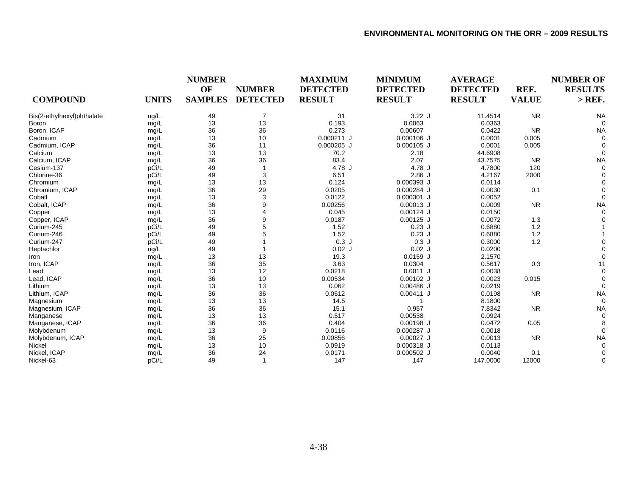| <b>COMPOUND</b>            | <b>UNITS</b> | <b>NUMBER</b><br>OF<br><b>SAMPLES</b> | <b>NUMBER</b><br><b>DETECTED</b> | <b>MAXIMUM</b><br><b>DETECTED</b><br><b>RESULT</b> | <b>MINIMUM</b><br><b>DETECTED</b><br><b>RESULT</b> | <b>AVERAGE</b><br><b>DETECTED</b><br><b>RESULT</b> | REF.<br><b>VALUE</b> | <b>NUMBER OF</b><br><b>RESULTS</b><br>$>$ REF. |
|----------------------------|--------------|---------------------------------------|----------------------------------|----------------------------------------------------|----------------------------------------------------|----------------------------------------------------|----------------------|------------------------------------------------|
| Bis(2-ethylhexyl)phthalate | ug/L         | 49                                    | 7                                | 31                                                 | 3.22J                                              | 11.4514                                            | <b>NR</b>            | <b>NA</b>                                      |
| Boron                      | mg/L         | 13                                    | 13                               | 0.193                                              | 0.0063                                             | 0.0363                                             |                      |                                                |
| Boron, ICAP                | mg/L         | 36                                    | 36                               | 0.273                                              | 0.00607                                            | 0.0422                                             | <b>NR</b>            | <b>NA</b>                                      |
| Cadmium                    | mg/L         | 13                                    | 10                               | $0.000211$ J                                       | $0.000106$ J                                       | 0.0001                                             | 0.005                |                                                |
| Cadmium, ICAP              | mg/L         | 36                                    | 11                               | $0.000205$ J                                       | $0.000105$ J                                       | 0.0001                                             | 0.005                |                                                |
| Calcium                    | mg/L         | 13                                    | 13                               | 70.2                                               | 2.18                                               | 44.6908                                            |                      |                                                |
| Calcium, ICAP              | mg/L         | 36                                    | 36                               | 83.4                                               | 2.07                                               | 43.7575                                            | <b>NR</b>            | <b>NA</b>                                      |
| Cesium-137                 | pCi/L        | 49                                    |                                  | 4.78 J                                             | 4.78 J                                             | 4.7800                                             | 120                  |                                                |
| Chlorine-36                | pCi/L        | 49                                    | 3                                | 6.51                                               | 2.86J                                              | 4.2167                                             | 2000                 |                                                |
| Chromium                   | mg/L         | 13                                    | 13                               | 0.124                                              | 0.000393 J                                         | 0.0114                                             |                      |                                                |
| Chromium, ICAP             | mg/L         | 36                                    | 29                               | 0.0205                                             | 0.000284 J                                         | 0.0030                                             | 0.1                  |                                                |
| Cobalt                     | mg/L         | 13                                    | 3                                | 0.0122                                             | 0.000301 J                                         | 0.0052                                             |                      |                                                |
| Cobalt, ICAP               | mg/L         | 36                                    | 9                                | 0.00256                                            | $0.00013$ J                                        | 0.0009                                             | <b>NR</b>            | <b>NA</b>                                      |
| Copper                     | mg/L         | 13                                    | 4                                | 0.045                                              | $0.00124$ J                                        | 0.0150                                             |                      |                                                |
| Copper, ICAP               | mg/L         | 36                                    | 9                                | 0.0187                                             | $0.00125$ J                                        | 0.0072                                             | 1.3                  |                                                |
| Curium-245                 | pCi/L        | 49                                    | 5                                | 1.52                                               | $0.23$ J                                           | 0.6880                                             | 1.2                  |                                                |
| Curium-246                 | pCi/L        | 49                                    |                                  | 1.52                                               | $0.23$ J                                           | 0.6880                                             | 1.2                  |                                                |
| Curium-247                 | pCi/L        | 49                                    |                                  | 0.3J                                               | 0.3J                                               | 0.3000                                             | 1.2                  |                                                |
| Heptachlor                 | ug/L         | 49                                    |                                  | $0.02$ J                                           | $0.02$ J                                           | 0.0200                                             |                      |                                                |
| Iron                       | mg/L         | 13                                    | 13                               | 19.3                                               | $0.0159$ J                                         | 2.1570                                             |                      |                                                |
| Iron, ICAP                 | mg/L         | 36                                    | 35                               | 3.63                                               | 0.0304                                             | 0.5617                                             | 0.3                  | 11                                             |
| Lead                       | mg/L         | 13                                    | 12                               | 0.0218                                             | $0.0011$ J                                         | 0.0038                                             |                      |                                                |
| Lead, ICAP                 | mg/L         | 36                                    | 10                               | 0.00534                                            | $0.00102$ J                                        | 0.0023                                             | 0.015                |                                                |
| Lithium                    | mg/L         | 13                                    | 13                               | 0.062                                              | $0.00486$ J                                        | 0.0219                                             |                      |                                                |
| Lithium, ICAP              | mg/L         | 36                                    | 36                               | 0.0612                                             | $0.00411$ J                                        | 0.0198                                             | <b>NR</b>            | <b>NA</b>                                      |
| Magnesium                  | mg/L         | 13                                    | 13                               | 14.5                                               |                                                    | 8.1800                                             |                      |                                                |
| Magnesium, ICAP            | mg/L         | 36                                    | 36                               | 15.1                                               | 0.957                                              | 7.8342                                             | <b>NR</b>            | <b>NA</b>                                      |
| Manganese                  | mg/L         | 13                                    | 13                               | 0.517                                              | 0.00538                                            | 0.0924                                             |                      |                                                |
| Manganese, ICAP            | mg/L         | 36                                    | 36                               | 0.404                                              | $0.00198$ J                                        | 0.0472                                             | 0.05                 |                                                |
| Molybdenum                 | mg/L         | 13                                    | 9                                | 0.0116                                             | 0.000287 J                                         | 0.0018                                             |                      |                                                |
| Molybdenum, ICAP           | mg/L         | 36                                    | 25                               | 0.00856                                            | $0.00027$ J                                        | 0.0013                                             | <b>NR</b>            | <b>NA</b>                                      |
| Nickel                     | mg/L         | 13                                    | 10                               | 0.0919                                             | 0.000318 J                                         | 0.0113                                             |                      |                                                |
| Nickel, ICAP               | mg/L         | 36                                    | 24                               | 0.0171                                             | $0.000502$ J                                       | 0.0040                                             | 0.1                  |                                                |
| Nickel-63                  | pCi/L        | 49                                    | $\mathbf 1$                      | 147                                                | 147                                                | 147.0000                                           | 12000                | 0                                              |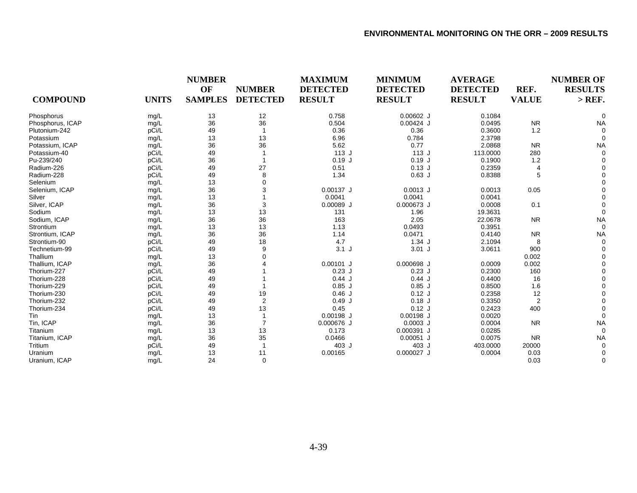|                  |              | <b>NUMBER</b>  |                 | <b>MAXIMUM</b>  | <b>MINIMUM</b>  | <b>AVERAGE</b>  |                | <b>NUMBER OF</b> |
|------------------|--------------|----------------|-----------------|-----------------|-----------------|-----------------|----------------|------------------|
|                  |              | OF             | <b>NUMBER</b>   | <b>DETECTED</b> | <b>DETECTED</b> | <b>DETECTED</b> | REF.           | <b>RESULTS</b>   |
| <b>COMPOUND</b>  | <b>UNITS</b> | <b>SAMPLES</b> | <b>DETECTED</b> | <b>RESULT</b>   | <b>RESULT</b>   | <b>RESULT</b>   | <b>VALUE</b>   | $>$ REF.         |
| Phosphorus       | mg/L         | 13             | 12              | 0.758           | $0.00602$ J     | 0.1084          |                |                  |
| Phosphorus, ICAP | mg/L         | 36             | 36              | 0.504           | $0.00424$ J     | 0.0495          | <b>NR</b>      | <b>NA</b>        |
| Plutonium-242    | pCi/L        | 49             |                 | 0.36            | 0.36            | 0.3600          | 1.2            |                  |
| Potassium        | mg/L         | 13             | 13              | 6.96            | 0.784           | 2.3798          |                |                  |
| Potassium, ICAP  | mg/L         | 36             | 36              | 5.62            | 0.77            | 2.0868          | <b>NR</b>      | <b>NA</b>        |
| Potassium-40     | pCi/L        | 49             |                 | 113J            | 113J            | 113.0000        | 280            |                  |
| Pu-239/240       | pCi/L        | 36             |                 | $0.19$ J        | $0.19$ J        | 0.1900          | 1.2            |                  |
| Radium-226       | pCi/L        | 49             | 27              | 0.51            | $0.13$ J        | 0.2359          | $\overline{4}$ |                  |
| Radium-228       | pCi/L        | 49             | 8               | 1.34            | $0.63$ J        | 0.8388          | 5              |                  |
| Selenium         | mg/L         | 13             | $\Omega$        |                 |                 |                 |                |                  |
| Selenium, ICAP   | mg/L         | 36             |                 | $0.00137$ J     | $0.0013$ J      | 0.0013          | 0.05           |                  |
| Silver           | mg/L         | 13             |                 | 0.0041          | 0.0041          | 0.0041          |                |                  |
| Silver, ICAP     | mg/L         | 36             | 3               | $0.00089$ J     | 0.000673 J      | 0.0008          | 0.1            |                  |
| Sodium           | mg/L         | 13             | 13              | 131             | 1.96            | 19.3631         |                |                  |
| Sodium, ICAP     | mg/L         | 36             | 36              | 163             | 2.05            | 22.0678         | <b>NR</b>      | <b>NA</b>        |
| Strontium        | mg/L         | 13             | 13              | 1.13            | 0.0493          | 0.3951          |                |                  |
| Strontium, ICAP  | mg/L         | 36             | 36              | 1.14            | 0.0471          | 0.4140          | <b>NR</b>      | <b>NA</b>        |
| Strontium-90     | pCi/L        | 49             | 18              | 4.7             | 1.34J           | 2.1094          | 8              |                  |
| Technetium-99    | pCi/L        | 49             | 9               | 3.1J            | $3.01$ J        | 3.0611          | 900            |                  |
| Thallium         | mg/L         | 13             |                 |                 |                 |                 | 0.002          |                  |
| Thallium, ICAP   | mg/L         | 36             |                 | $0.00101$ J     | 0.000698 J      | 0.0009          | 0.002          |                  |
| Thorium-227      | pCi/L        | 49             |                 | $0.23$ J        | $0.23$ J        | 0.2300          | 160            |                  |
| Thorium-228      | pCi/L        | 49             |                 | 0.44J           | 0.44J           | 0.4400          | 16             |                  |
| Thorium-229      | pCi/L        | 49             |                 | $0.85$ J        | $0.85$ J        | 0.8500          | 1.6            |                  |
| Thorium-230      | pCi/L        | 49             | 19              | 0.46J           | $0.12$ J        | 0.2358          | 12             |                  |
| Thorium-232      | pCi/L        | 49             | $\overline{2}$  | 0.49J           | $0.18$ J        | 0.3350          | $\overline{2}$ |                  |
| Thorium-234      | pCi/L        | 49             | 13              | 0.45            | $0.12$ J        | 0.2423          | 400            |                  |
| Tin              | mg/L         | 13             |                 | $0.00198$ J     | $0.00198$ J     | 0.0020          |                |                  |
| Tin, ICAP        | mg/L         | 36             | $\overline{7}$  | 0.000676 J      | $0.0003$ J      | 0.0004          | <b>NR</b>      | <b>NA</b>        |
| Titanium         | mg/L         | 13             | 13              | 0.173           | 0.000391 J      | 0.0285          |                | $\Omega$         |
| Titanium, ICAP   | mg/L         | 36             | 35              | 0.0466          | $0.00051$ J     | 0.0075          | <b>NR</b>      | <b>NA</b>        |
| Tritium          | pCi/L        | 49             |                 | 403 J           | 403 J           | 403.0000        | 20000          |                  |
| Uranium          | mg/L         | 13             | 11              | 0.00165         | 0.000027 J      | 0.0004          | 0.03           |                  |
| Uranium, ICAP    | mg/L         | 24             | $\Omega$        |                 |                 |                 | 0.03           | $\Omega$         |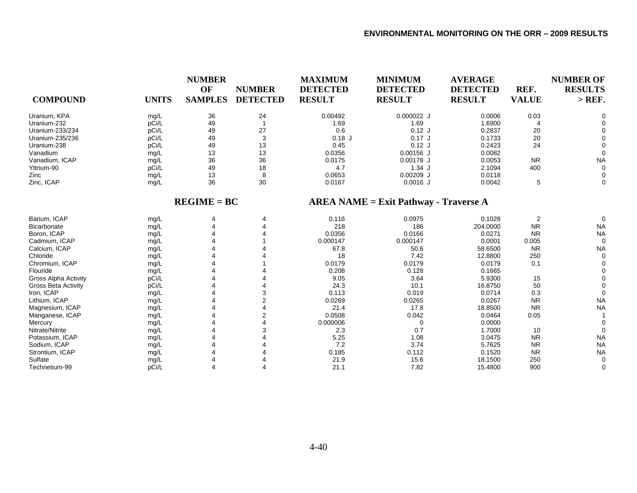| <b>COMPOUND</b>             | <b>UNITS</b> | <b>NUMBER</b><br>OF<br><b>SAMPLES</b> | <b>NUMBER</b><br><b>DETECTED</b> | <b>MAXIMUM</b><br><b>DETECTED</b><br><b>RESULT</b> | <b>MINIMUM</b><br><b>DETECTED</b><br><b>RESULT</b> | <b>AVERAGE</b><br><b>DETECTED</b><br><b>RESULT</b> | REF.<br><b>VALUE</b> | <b>NUMBER OF</b><br><b>RESULTS</b><br>$>$ REF. |
|-----------------------------|--------------|---------------------------------------|----------------------------------|----------------------------------------------------|----------------------------------------------------|----------------------------------------------------|----------------------|------------------------------------------------|
| Uranium, KPA                | mg/L         | 36                                    | 24                               | 0.00492                                            | 0.000022 J                                         | 0.0006                                             | 0.03                 | $\Omega$                                       |
| Uranium-232                 | pCi/L        | 49                                    |                                  | 1.69                                               | 1.69                                               | 1.6900                                             |                      | 0                                              |
| Uranium-233/234             | pCi/L        | 49                                    | 27                               | 0.6                                                | $0.12$ J                                           | 0.2837                                             | 20                   |                                                |
| Uranium-235/236             | pCi/L        | 49                                    | 3                                | $0.18$ J                                           | $0.17$ J                                           | 0.1733                                             | 20                   |                                                |
| Uranium-238                 | pCi/L        | 49                                    | 13                               | 0.45                                               | $0.12$ J                                           | 0.2423                                             | 24                   |                                                |
| Vanadium                    | mg/L         | 13                                    | 13                               | 0.0356                                             | $0.00156$ J                                        | 0.0082                                             |                      |                                                |
| Vanadium, ICAP              | mg/L         | 36                                    | 36                               | 0.0175                                             | $0.00178$ J                                        | 0.0053                                             | <b>NR</b>            | <b>NA</b>                                      |
| Yttrium-90                  | pCi/L        | 49                                    | 18                               | 4.7                                                | 1.34J                                              | 2.1094                                             | 400                  | 0                                              |
| Zinc                        | mg/L         | 13                                    | 8                                | 0.0653                                             | $0.00209$ J                                        | 0.0118                                             |                      | 0                                              |
| Zinc, ICAP                  | mg/L         | 36                                    | 30                               | 0.0167                                             | $0.0016$ J                                         | 0.0042                                             | 5                    | 0                                              |
|                             |              | $REGIME = BC$                         |                                  |                                                    | $AREA NAME = Exist Pathway - Traverse A$           |                                                    |                      |                                                |
| Barium, ICAP                | mg/L         | 4                                     |                                  | 0.116                                              | 0.0975                                             | 0.1028                                             | $\overline{2}$       | $\Omega$                                       |
| Bicarbonate                 | mg/L         |                                       |                                  | 218                                                | 186                                                | 204.0000                                           | <b>NR</b>            | <b>NA</b>                                      |
| Boron, ICAP                 | mg/L         |                                       |                                  | 0.0356                                             | 0.0166                                             | 0.0271                                             | <b>NR</b>            | <b>NA</b>                                      |
| Cadmium, ICAP               | mg/L         |                                       |                                  | 0.000147                                           | 0.000147                                           | 0.0001                                             | 0.005                | $\Omega$                                       |
| Calcium, ICAP               | mg/L         |                                       |                                  | 67.8                                               | 50.6                                               | 58.6500                                            | <b>NR</b>            | <b>NA</b>                                      |
| Chloride                    | mg/L         |                                       |                                  | 18                                                 | 7.42                                               | 12.8800                                            | 250                  | $\Omega$                                       |
| Chromium, ICAP              | mg/L         |                                       |                                  | 0.0179                                             | 0.0179                                             | 0.0179                                             | 0.1                  | 0                                              |
| Flouride                    | mg/L         |                                       |                                  | 0.208                                              | 0.128                                              | 0.1665                                             |                      |                                                |
| <b>Gross Alpha Activity</b> | pCi/L        |                                       |                                  | 9.05                                               | 3.64                                               | 5.9300                                             | 15                   | $\Omega$                                       |
| Gross Beta Activity         | pCi/L        |                                       |                                  | 24.3                                               | 10.1                                               | 16.8750                                            | 50                   |                                                |
| Iron, ICAP                  | mg/L         |                                       | 3                                | 0.113                                              | 0.019                                              | 0.0714                                             | 0.3                  | 0                                              |
| Lithium, ICAP               | mg/L         |                                       | 2                                | 0.0269                                             | 0.0265                                             | 0.0267                                             | <b>NR</b>            | <b>NA</b>                                      |
| Magnesium, ICAP             | mg/L         |                                       |                                  | 21.4                                               | 17.8                                               | 18.8500                                            | <b>NR</b>            | <b>NA</b>                                      |
| Manganese, ICAP             | mg/L         |                                       |                                  | 0.0508                                             | 0.042                                              | 0.0464                                             | 0.05                 |                                                |
| Mercury                     | mg/L         |                                       |                                  | 0.000006                                           | $\Omega$                                           | 0.0000                                             |                      | 0                                              |
| Nitrate/Nitrite             | mg/L         |                                       |                                  | 2.3                                                | 0.7                                                | 1.7000                                             | 10                   | $\Omega$                                       |
| Potassium, ICAP             | mg/L         |                                       |                                  | 5.25                                               | 1.08                                               | 3.0475                                             | <b>NR</b>            | <b>NA</b>                                      |
| Sodium, ICAP                | mg/L         |                                       |                                  | 7.2                                                | 3.74                                               | 5.7625                                             | <b>NR</b>            | <b>NA</b>                                      |
| Strontium, ICAP             | mg/L         |                                       |                                  | 0.185                                              | 0.112                                              | 0.1520                                             | <b>NR</b>            | <b>NA</b>                                      |
| Sulfate                     | mg/L         |                                       |                                  | 21.9                                               | 15.6                                               | 18.1500                                            | 250                  | 0                                              |
| Technetium-99               | pCi/L        |                                       |                                  | 21.1                                               | 7.82                                               | 15.4800                                            | 900                  | $\Omega$                                       |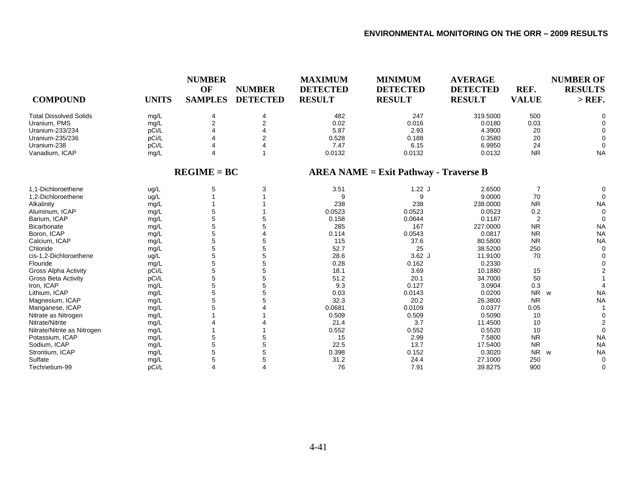| <b>COMPOUND</b>               | <b>UNITS</b> | <b>NUMBER</b><br>OF<br><b>SAMPLES</b> | <b>NUMBER</b><br><b>DETECTED</b> | <b>MAXIMUM</b><br><b>DETECTED</b><br><b>RESULT</b> | <b>MINIMUM</b><br><b>DETECTED</b><br><b>RESULT</b> | <b>AVERAGE</b><br><b>DETECTED</b><br><b>RESULT</b> | REF.<br><b>VALUE</b> | <b>NUMBER OF</b><br><b>RESULTS</b><br>$>$ REF. |
|-------------------------------|--------------|---------------------------------------|----------------------------------|----------------------------------------------------|----------------------------------------------------|----------------------------------------------------|----------------------|------------------------------------------------|
| <b>Total Dissolved Solids</b> | mg/L         | 4                                     | $\overline{4}$                   | 482                                                | 247                                                | 319.5000                                           | 500                  | O                                              |
| Uranium, PMS                  | mg/L         | $\overline{2}$                        | 2                                | 0.02                                               | 0.016                                              | 0.0180                                             | 0.03                 |                                                |
| Uranium-233/234               | pCi/L        |                                       |                                  | 5.87                                               | 2.93                                               | 4.3900                                             | 20                   |                                                |
| Uranium-235/236               | pCi/L        |                                       | 2                                | 0.528                                              | 0.188                                              | 0.3580                                             | 20                   |                                                |
| Uranium-238                   | pCi/L        | $\Delta$                              |                                  | 7.47                                               | 6.15                                               | 6.9950                                             | 24                   | $\Omega$                                       |
| Vanadium, ICAP                | mg/L         | 4                                     |                                  | 0.0132                                             | 0.0132                                             | 0.0132                                             | <b>NR</b>            | <b>NA</b>                                      |
|                               |              | $REGIME = BC$                         |                                  |                                                    | $AREA NAME = Exist Pathway - Traverse B$           |                                                    |                      |                                                |
| 1.1-Dichloroethene            | ug/L         | 5                                     | 3                                | 3.51                                               | $1.22$ J                                           | 2.6500                                             | 7                    | 0                                              |
| 1,2-Dichloroethene            | ug/L         |                                       |                                  | 9                                                  | 9                                                  | 9.0000                                             | 70                   | $\Omega$                                       |
| Alkalinity                    | mg/L         |                                       |                                  | 238                                                | 238                                                | 238.0000                                           | <b>NR</b>            | <b>NA</b>                                      |
| Aluminum, ICAP                | mg/L         | 5                                     |                                  | 0.0523                                             | 0.0523                                             | 0.0523                                             | 0.2                  | $\mathbf 0$                                    |
| Barium, ICAP                  | mg/L         | 5                                     |                                  | 0.158                                              | 0.0644                                             | 0.1187                                             | $\overline{2}$       | $\Omega$                                       |
| Bicarbonate                   | mg/L         | 5                                     |                                  | 285                                                | 167                                                | 227.0000                                           | <b>NR</b>            | <b>NA</b>                                      |
| Boron, ICAP                   | mg/L         | 5                                     |                                  | 0.114                                              | 0.0543                                             | 0.0817                                             | <b>NR</b>            | <b>NA</b>                                      |
| Calcium, ICAP                 | mg/L         | 5                                     | 5                                | 115                                                | 37.6                                               | 80.5800                                            | <b>NR</b>            | <b>NA</b>                                      |
| Chloride                      | mg/L         | 5                                     | 5                                | 52.7                                               | 25                                                 | 38.5200                                            | 250                  | $\Omega$                                       |
| cis-1,2-Dichloroethene        | ug/L         | 5                                     | 5                                | 28.6                                               | $3.62$ J                                           | 11.9100                                            | 70                   |                                                |
| Flouride                      | mg/L         | 5                                     | 5                                | 0.28                                               | 0.162                                              | 0.2330                                             |                      |                                                |
| <b>Gross Alpha Activity</b>   | pCi/L        | 5                                     | 5                                | 18.1                                               | 3.69                                               | 10.1880                                            | 15                   |                                                |
| Gross Beta Activity           | pCi/L        | 5                                     | 5                                | 51.2                                               | 20.1                                               | 34.7000                                            | 50                   |                                                |
| Iron, ICAP                    | mg/L         | 5                                     | 5                                | 9.3                                                | 0.127                                              | 3.0904                                             | 0.3                  |                                                |
| Lithium, ICAP                 | mg/L         | 5                                     | 5                                | 0.03                                               | 0.0143                                             | 0.0200                                             | <b>NR</b>            | <b>NA</b><br>w                                 |
| Magnesium, ICAP               | mg/L         | 5                                     |                                  | 32.3                                               | 20.2                                               | 26.3800                                            | <b>NR</b>            | <b>NA</b>                                      |
| Manganese, ICAP               | mg/L         |                                       |                                  | 0.0681                                             | 0.0109                                             | 0.0377                                             | 0.05                 |                                                |
| Nitrate as Nitrogen           | mg/L         |                                       |                                  | 0.509                                              | 0.509                                              | 0.5090                                             | 10                   | $\Omega$                                       |
| Nitrate/Nitrite               | mg/L         |                                       |                                  | 21.4                                               | 3.7                                                | 11.4500                                            | 10                   | $\overline{2}$                                 |
| Nitrate/Nitrite as Nitrogen   | mg/L         |                                       |                                  | 0.552                                              | 0.552                                              | 0.5520                                             | 10                   | $\Omega$                                       |
| Potassium, ICAP               | mg/L         | 5                                     |                                  | 15                                                 | 2.99                                               | 7.5800                                             | <b>NR</b>            | <b>NA</b>                                      |
| Sodium, ICAP                  | mg/L         | 5                                     | 5                                | 22.5                                               | 13.7                                               | 17.5400                                            | <b>NR</b>            | <b>NA</b>                                      |
| Strontium, ICAP               | mg/L         | 5                                     | 5                                | 0.398                                              | 0.152                                              | 0.3020                                             | <b>NR</b>            | <b>NA</b><br>W                                 |
| Sulfate                       | mg/L         | 5                                     | 5                                | 31.2                                               | 24.4                                               | 27.1000                                            | 250                  | $\Omega$                                       |
| Technetium-99                 | pCi/L        | 4                                     |                                  | 76                                                 | 7.91                                               | 39.8275                                            | 900                  | $\Omega$                                       |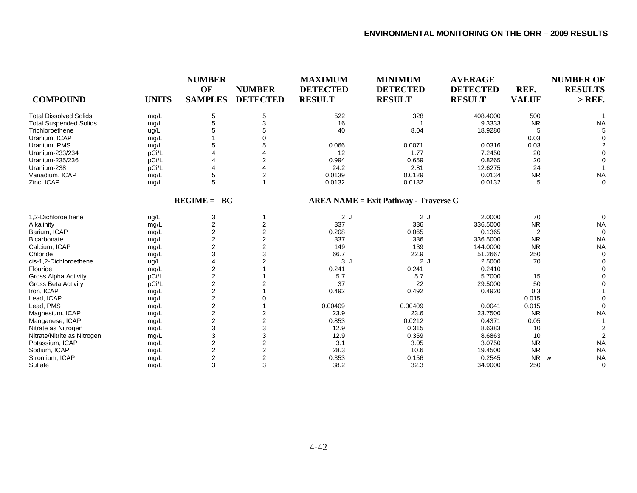| <b>COMPOUND</b>               | <b>UNITS</b> | <b>NUMBER</b><br>OF<br><b>SAMPLES</b> | <b>NUMBER</b><br><b>DETECTED</b> | <b>MAXIMUM</b><br><b>DETECTED</b><br><b>RESULT</b> | <b>MINIMUM</b><br><b>DETECTED</b><br><b>RESULT</b> | <b>AVERAGE</b><br><b>DETECTED</b><br><b>RESULT</b> | REF.<br><b>VALUE</b> | <b>NUMBER OF</b><br><b>RESULTS</b><br>$>$ REF. |
|-------------------------------|--------------|---------------------------------------|----------------------------------|----------------------------------------------------|----------------------------------------------------|----------------------------------------------------|----------------------|------------------------------------------------|
| <b>Total Dissolved Solids</b> | mg/L         | 5                                     | 5                                | 522                                                | 328                                                | 408.4000                                           | 500                  |                                                |
| <b>Total Suspended Solids</b> | mg/L         | 5                                     | 3                                | 16                                                 |                                                    | 9.3333                                             | <b>NR</b>            | <b>NA</b>                                      |
| Trichloroethene               | ug/L         | 5                                     |                                  | 40                                                 | 8.04                                               | 18.9280                                            | 5                    |                                                |
| Uranium, ICAP                 | mg/L         |                                       |                                  |                                                    |                                                    |                                                    | 0.03                 |                                                |
| Uranium, PMS                  | mg/L         | 5                                     | 5                                | 0.066                                              | 0.0071                                             | 0.0316                                             | 0.03                 |                                                |
| Uranium-233/234               | pCi/L        |                                       |                                  | 12                                                 | 1.77                                               | 7.2450                                             | 20                   |                                                |
| Uranium-235/236               | pCi/L        |                                       | 2                                | 0.994                                              | 0.659                                              | 0.8265                                             | 20                   |                                                |
| Uranium-238                   | pCi/L        |                                       |                                  | 24.2                                               | 2.81                                               | 12.6275                                            | 24                   |                                                |
| Vanadium, ICAP                | mg/L         | 5                                     | 2                                | 0.0139                                             | 0.0129                                             | 0.0134                                             | <b>NR</b>            | <b>NA</b>                                      |
| Zinc, ICAP                    | mg/L         | 5                                     |                                  | 0.0132                                             | 0.0132                                             | 0.0132                                             | 5                    | $\Omega$                                       |
|                               |              | $REGIME = BC$                         |                                  |                                                    | $AREA NAME = Exist Pathway - Traverse C$           |                                                    |                      |                                                |
| 1.2-Dichloroethene            | ug/L         | 3                                     | -1                               | 2J                                                 | 2J                                                 | 2.0000                                             | 70                   | $\Omega$                                       |
| Alkalinity                    | mg/L         | 2                                     | 2                                | 337                                                | 336                                                | 336.5000                                           | <b>NR</b>            | <b>NA</b>                                      |
| Barium, ICAP                  | mg/L         | $\overline{2}$                        | 2                                | 0.208                                              | 0.065                                              | 0.1365                                             | 2                    | $\Omega$                                       |
| Bicarbonate                   | mg/L         | 2                                     | 2                                | 337                                                | 336                                                | 336.5000                                           | <b>NR</b>            | <b>NA</b>                                      |
| Calcium, ICAP                 | mg/L         | $\overline{c}$                        | 2                                | 149                                                | 139                                                | 144.0000                                           | <b>NR</b>            | <b>NA</b>                                      |
| Chloride                      | mg/L         | 3                                     | 3                                | 66.7                                               | 22.9                                               | 51.2667                                            | 250                  | $\Omega$                                       |
| cis-1,2-Dichloroethene        | ug/L         |                                       | 2                                | 3J                                                 | 2J                                                 | 2.5000                                             | 70                   |                                                |
| Flouride                      | mg/L         | 2                                     |                                  | 0.241                                              | 0.241                                              | 0.2410                                             |                      |                                                |
| <b>Gross Alpha Activity</b>   | pCi/L        | $\overline{2}$                        |                                  | 5.7                                                | 5.7                                                | 5.7000                                             | 15                   |                                                |
| <b>Gross Beta Activity</b>    | pCi/L        | $\overline{2}$                        |                                  | 37                                                 | 22                                                 | 29.5000                                            | 50                   |                                                |
| Iron, ICAP                    | mg/L         | $\overline{2}$                        |                                  | 0.492                                              | 0.492                                              | 0.4920                                             | 0.3                  |                                                |
| Lead, ICAP                    | mg/L         | 2                                     |                                  |                                                    |                                                    |                                                    | 0.015                |                                                |
| Lead, PMS                     | mg/L         | 2                                     |                                  | 0.00409                                            | 0.00409                                            | 0.0041                                             | 0.015                |                                                |
| Magnesium, ICAP               | mg/L         | 2                                     | 2                                | 23.9                                               | 23.6                                               | 23.7500                                            | <b>NR</b>            | <b>NA</b>                                      |
| Manganese, ICAP               | mg/L         | $\overline{c}$                        | 2                                | 0.853                                              | 0.0212                                             | 0.4371                                             | 0.05                 |                                                |
| Nitrate as Nitrogen           | mg/L         | 3                                     | 3                                | 12.9                                               | 0.315                                              | 8.6383                                             | 10                   |                                                |
| Nitrate/Nitrite as Nitrogen   | mg/L         | 3                                     | 3                                | 12.9                                               | 0.359                                              | 8.6863                                             | 10                   |                                                |
| Potassium, ICAP               | mg/L         | $\overline{\mathbf{c}}$               | 2                                | 3.1                                                | 3.05                                               | 3.0750                                             | <b>NR</b>            | <b>NA</b>                                      |
| Sodium, ICAP                  | mg/L         | $\overline{2}$                        | 2                                | 28.3                                               | 10.6                                               | 19.4500                                            | <b>NR</b>            | <b>NA</b>                                      |
| Strontium, ICAP               | mg/L         | $\overline{2}$                        | 2                                | 0.353                                              | 0.156                                              | 0.2545                                             | <b>NR</b>            | <b>NA</b><br>W                                 |
| Sulfate                       | mg/L         | 3                                     | 3                                | 38.2                                               | 32.3                                               | 34.9000                                            | 250                  | $\Omega$                                       |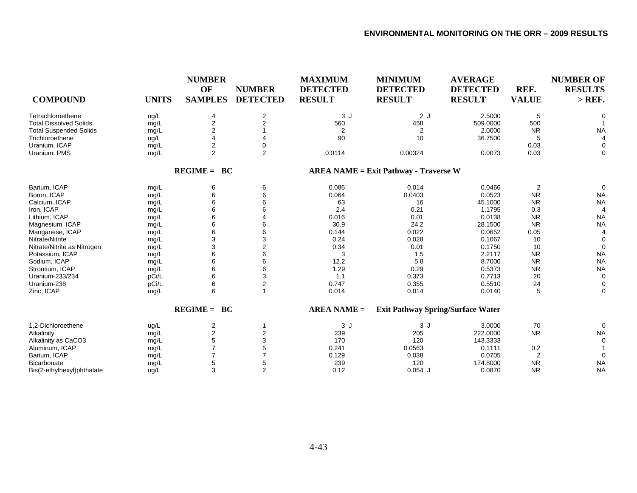| <b>COMPOUND</b>               | <b>UNITS</b> | <b>NUMBER</b><br>OF<br><b>SAMPLES</b> | <b>NUMBER</b><br><b>DETECTED</b> | <b>MAXIMUM</b><br><b>DETECTED</b><br><b>RESULT</b> | <b>MINIMUM</b><br><b>DETECTED</b><br><b>RESULT</b> | <b>AVERAGE</b><br><b>DETECTED</b><br><b>RESULT</b> | REF.<br><b>VALUE</b> | <b>NUMBER OF</b><br><b>RESULTS</b><br>$>$ REF. |
|-------------------------------|--------------|---------------------------------------|----------------------------------|----------------------------------------------------|----------------------------------------------------|----------------------------------------------------|----------------------|------------------------------------------------|
| Tetrachloroethene             | ug/L         | 4                                     | $\overline{\mathbf{c}}$          | 3J                                                 | 2J                                                 | 2.5000                                             | 5                    | $\Omega$                                       |
| <b>Total Dissolved Solids</b> | mg/L         | 2                                     | $\overline{2}$                   | 560                                                | 458                                                | 509.0000                                           | 500                  |                                                |
| <b>Total Suspended Solids</b> | mg/L         | $\overline{2}$                        |                                  | $\overline{2}$                                     | $\overline{2}$                                     | 2.0000                                             | <b>NR</b>            | <b>NA</b>                                      |
| Trichloroethene               | ug/L         | 4                                     |                                  | 90                                                 | 10                                                 | 36.7500                                            | 5                    | 4                                              |
| Uranium, ICAP                 | mg/L         | 2                                     | $\Omega$                         |                                                    |                                                    |                                                    | 0.03                 | $\Omega$                                       |
| Uranium, PMS                  | mg/L         | $\overline{2}$                        | $\overline{2}$                   | 0.0114                                             | 0.00324                                            | 0.0073                                             | 0.03                 | 0                                              |
|                               |              | $REGIME = BC$                         |                                  |                                                    | <b>AREA NAME = Exit Pathway - Traverse W</b>       |                                                    |                      |                                                |
| Barium, ICAP                  | mg/L         | 6                                     | 6                                | 0.086                                              | 0.014                                              | 0.0466                                             | 2                    | $\Omega$                                       |
| Boron, ICAP                   | mg/L         | 6                                     | 6                                | 0.064                                              | 0.0403                                             | 0.0523                                             | <b>NR</b>            | <b>NA</b>                                      |
| Calcium, ICAP                 | mg/L         | 6                                     | 6                                | 63                                                 | 16                                                 | 45.1000                                            | <b>NR</b>            | <b>NA</b>                                      |
| Iron, ICAP                    | mg/L         | 6                                     | 6                                | 2.4                                                | 0.21                                               | 1.1795                                             | 0.3                  | 4                                              |
| Lithium, ICAP                 | mg/L         | 6                                     |                                  | 0.016                                              | 0.01                                               | 0.0138                                             | <b>NR</b>            | <b>NA</b>                                      |
| Magnesium, ICAP               | mg/L         | 6                                     | 6                                | 30.9                                               | 24.2                                               | 28.1500                                            | <b>NR</b>            | <b>NA</b>                                      |
| Manganese, ICAP               | mg/L         | 6                                     | 6                                | 0.144                                              | 0.022                                              | 0.0652                                             | 0.05                 | 4                                              |
| Nitrate/Nitrite               | mg/L         | 3                                     | 3                                | 0.24                                               | 0.028                                              | 0.1067                                             | 10                   | 0                                              |
| Nitrate/Nitrite as Nitrogen   | mg/L         | 3                                     | $\overline{2}$                   | 0.34                                               | 0.01                                               | 0.1750                                             | 10                   | $\Omega$                                       |
| Potassium, ICAP               | mg/L         | 6                                     | 6                                | 3                                                  | 1.5                                                | 2.2117                                             | <b>NR</b>            | <b>NA</b>                                      |
| Sodium, ICAP                  | mg/L         | 6                                     | 6                                | 12.2                                               | 5.8                                                | 8.7000                                             | <b>NR</b>            | <b>NA</b>                                      |
| Strontium, ICAP               | mg/L         | 6                                     | 6                                | 1.29                                               | 0.29                                               | 0.5373                                             | <b>NR</b>            | <b>NA</b>                                      |
| Uranium-233/234               | pCi/L        | 6                                     | 3                                | 1.1                                                | 0.373                                              | 0.7713                                             | 20                   | $\mathbf 0$                                    |
| Uranium-238                   | pCi/L        | 6                                     | $\mathbf 2$                      | 0.747                                              | 0.355                                              | 0.5510                                             | 24                   | 0                                              |
| Zinc, ICAP                    | mg/L         | 6                                     | $\mathbf{1}$                     | 0.014                                              | 0.014                                              | 0.0140                                             | 5                    | $\Omega$                                       |
|                               |              | $REGIME = BC$                         |                                  | $AREA NAME =$                                      | <b>Exit Pathway Spring/Surface Water</b>           |                                                    |                      |                                                |
| 1,2-Dichloroethene            | ug/L         | 2                                     | 1                                | 3J                                                 | 3J                                                 | 3.0000                                             | 70                   | $\Omega$                                       |
| Alkalinity                    | mg/L         | 2                                     | $\mathbf 2$                      | 239                                                | 205                                                | 222.0000                                           | <b>NR</b>            | <b>NA</b>                                      |
| Alkalinity as CaCO3           | mg/L         | 5                                     | 3                                | 170                                                | 120                                                | 143.3333                                           |                      | $\Omega$                                       |
| Aluminum, ICAP                | mg/L         | $\overline{7}$                        | 5                                | 0.241                                              | 0.0563                                             | 0.1111                                             | 0.2                  |                                                |
| Barium, ICAP                  | mg/L         | $\overline{7}$                        | 7                                | 0.129                                              | 0.038                                              | 0.0705                                             | $\overline{2}$       | $\Omega$                                       |
| <b>Bicarbonate</b>            | mg/L         | 5                                     | 5                                | 239                                                | 120                                                | 174.8000                                           | <b>NR</b>            | <b>NA</b>                                      |
| Bis(2-ethylhexyl)phthalate    | ug/L         | 3                                     | $\overline{2}$                   | 0.12                                               | $0.054$ J                                          | 0.0870                                             | <b>NR</b>            | <b>NA</b>                                      |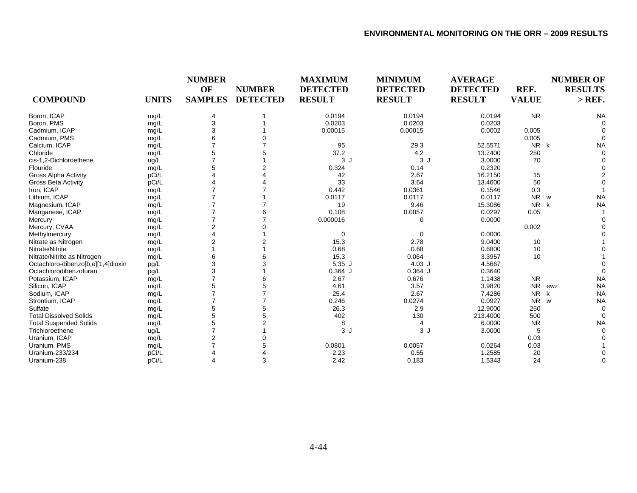|                                    |              | <b>NUMBER</b>  |                 | <b>MAXIMUM</b>  | <b>MINIMUM</b>  | <b>AVERAGE</b>  |                | <b>NUMBER OF</b>      |
|------------------------------------|--------------|----------------|-----------------|-----------------|-----------------|-----------------|----------------|-----------------------|
|                                    |              | OF             | <b>NUMBER</b>   | <b>DETECTED</b> | <b>DETECTED</b> | <b>DETECTED</b> | REF.           | <b>RESULTS</b>        |
| <b>COMPOUND</b>                    | <b>UNITS</b> | <b>SAMPLES</b> | <b>DETECTED</b> | <b>RESULT</b>   | <b>RESULT</b>   | <b>RESULT</b>   | <b>VALUE</b>   | $>$ REF.              |
| Boron, ICAP                        | mg/L         | 4              |                 | 0.0194          | 0.0194          | 0.0194          | <b>NR</b>      | <b>NA</b>             |
| Boron, PMS                         | mg/L         | 3              |                 | 0.0203          | 0.0203          | 0.0203          |                |                       |
| Cadmium, ICAP                      | mg/L         | 3              |                 | 0.00015         | 0.00015         | 0.0002          | 0.005          |                       |
| Cadmium, PMS                       | mg/L         | 6              |                 |                 |                 |                 | 0.005          |                       |
| Calcium, ICAP                      | mg/L         |                |                 | 95              | 29.3            | 52.5571         | NR k           | <b>NA</b>             |
| Chloride                           | mg/L         | 5              |                 | 37.2            | 4.2             | 13.7400         | 250            |                       |
| cis-1,2-Dichloroethene             | ug/L         |                |                 | 3J              | 3J              | 3.0000          | 70             |                       |
| Flouride                           | mg/L         | 5              | 2               | 0.324           | 0.14            | 0.2320          |                |                       |
| <b>Gross Alpha Activity</b>        | pCi/L        |                |                 | 42              | 2.67            | 16.2150         | 15             |                       |
| <b>Gross Beta Activity</b>         | pCi/L        |                |                 | 33              | 3.64            | 13.4600         | 50             |                       |
| Iron, ICAP                         | mg/L         |                |                 | 0.442           | 0.0361          | 0.1546          | 0.3            |                       |
| Lithium, ICAP                      | mg/L         |                |                 | 0.0117          | 0.0117          | 0.0117          | N <sub>R</sub> | <b>NA</b><br><b>W</b> |
| Magnesium, ICAP                    | mg/L         |                |                 | 19              | 9.46            | 15.3086         | <b>NR</b>      | <b>NA</b><br>k        |
| Manganese, ICAP                    | mg/L         |                |                 | 0.108           | 0.0057          | 0.0297          | 0.05           |                       |
| Mercury                            | mg/L         |                |                 | 0.000016        | $\Omega$        | 0.0000          |                |                       |
| Mercury, CVAA                      | mg/L         |                |                 |                 |                 |                 | 0.002          |                       |
| Methylmercury                      | mg/L         |                |                 | 0               | $\Omega$        | 0.0000          |                |                       |
| Nitrate as Nitrogen                | mg/L         |                |                 | 15.3            | 2.78            | 9.0400          | 10             |                       |
| Nitrate/Nitrite                    | mg/L         |                |                 | 0.68            | 0.68            | 0.6800          | 10             |                       |
| Nitrate/Nitrite as Nitrogen        | mg/L         | 6              |                 | 15.3            | 0.064           | 3.3957          | 10             |                       |
| Octachloro-dibenzo[b,e][1,4]dioxin | pg/L         | 3              |                 | 5.35J           | $4.03$ J        | 4.5667          |                |                       |
| Octachlorodibenzofuran             | pg/L         | 3              |                 | $0.364$ J       | $0.364$ J       | 0.3640          |                |                       |
| Potassium, ICAP                    | mg/L         |                |                 | 2.67            | 0.676           | 1.1438          | <b>NR</b>      | <b>NA</b>             |
| Silicon, ICAP                      | mg/L         |                |                 | 4.61            | 3.57            | 3.9820          | <b>NR</b>      | <b>NA</b><br>ewz      |
| Sodium, ICAP                       | mg/L         |                |                 | 25.4            | 2.67            | 7.4286          | <b>NR</b>      | <b>NA</b><br>k        |
| Strontium, ICAP                    | mg/L         |                |                 | 0.246           | 0.0274          | 0.0927          | <b>NR</b>      | <b>NA</b><br>W        |
| Sulfate                            | mg/L         | 5              | 5               | 26.3            | 2.9             | 12.9000         | 250            |                       |
| <b>Total Dissolved Solids</b>      | mg/L         | 5              |                 | 402             | 130             | 213.4000        | 500            | $\Omega$              |
| <b>Total Suspended Solids</b>      | mg/L         | 5              |                 | 8               | 4               | 6.0000          | <b>NR</b>      | <b>NA</b>             |
| Trichloroethene                    | ug/L         |                |                 | 3J              | 3J              | 3.0000          | 5              |                       |
| Uranium, ICAP                      | mg/L         | $\overline{2}$ |                 |                 |                 |                 | 0.03           |                       |
| Uranium, PMS                       | mg/L         |                |                 | 0.0801          | 0.0057          | 0.0264          | 0.03           |                       |
| Uranium-233/234                    | pCi/L        |                |                 | 2.23            | 0.55            | 1.2585          | 20             |                       |
| Uranium-238                        | pCi/L        |                | 3               | 2.42            | 0.183           | 1.5343          | 24             | $\Omega$              |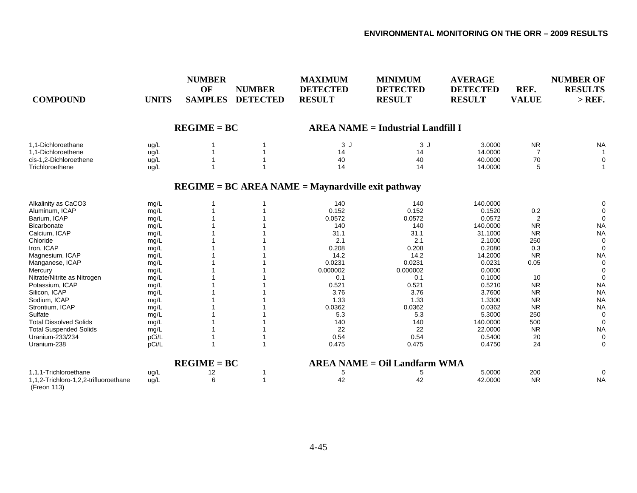| <b>COMPOUND</b>                                      | <b>UNITS</b> | <b>NUMBER</b><br>OF<br><b>SAMPLES</b> | <b>NUMBER</b><br><b>DETECTED</b> | <b>MAXIMUM</b><br><b>DETECTED</b><br><b>RESULT</b>  | <b>MINIMUM</b><br><b>DETECTED</b><br><b>RESULT</b> | <b>AVERAGE</b><br><b>DETECTED</b><br><b>RESULT</b> | REF.<br><b>VALUE</b> | <b>NUMBER OF</b><br><b>RESULTS</b><br>$>$ REF. |
|------------------------------------------------------|--------------|---------------------------------------|----------------------------------|-----------------------------------------------------|----------------------------------------------------|----------------------------------------------------|----------------------|------------------------------------------------|
|                                                      |              | $REGIME = BC$                         |                                  |                                                     | <b>AREA NAME = Industrial Landfill I</b>           |                                                    |                      |                                                |
| 1,1-Dichloroethane                                   | ug/L         |                                       |                                  | 3J                                                  | 3J                                                 | 3.0000                                             | ${\sf NR}$           | <b>NA</b>                                      |
| 1,1-Dichloroethene                                   | ug/L         |                                       |                                  | 14                                                  | 14                                                 | 14.0000                                            | 7                    |                                                |
| cis-1,2-Dichloroethene                               | ug/L         |                                       |                                  | 40                                                  | 40                                                 | 40.0000                                            | 70                   | 0                                              |
| Trichloroethene                                      | ug/L         |                                       |                                  | 14                                                  | 14                                                 | 14.0000                                            | 5                    |                                                |
|                                                      |              |                                       |                                  | $REGIME = BC AREA NAME = Maynardville exit pathway$ |                                                    |                                                    |                      |                                                |
| Alkalinity as CaCO3                                  | mg/L         |                                       |                                  | 140                                                 | 140                                                | 140.0000                                           |                      |                                                |
| Aluminum, ICAP                                       | mg/L         |                                       |                                  | 0.152                                               | 0.152                                              | 0.1520                                             | 0.2                  |                                                |
| Barium, ICAP                                         | mg/L         |                                       |                                  | 0.0572                                              | 0.0572                                             | 0.0572                                             | 2                    |                                                |
| <b>Bicarbonate</b>                                   | mg/L         |                                       |                                  | 140                                                 | 140                                                | 140.0000                                           | <b>NR</b>            | <b>NA</b>                                      |
| Calcium, ICAP                                        | mg/L         |                                       |                                  | 31.1                                                | 31.1                                               | 31.1000                                            | <b>NR</b>            | <b>NA</b>                                      |
| Chloride                                             | mg/L         |                                       |                                  | 2.1                                                 | 2.1                                                | 2.1000                                             | 250                  | $\Omega$                                       |
| Iron, ICAP                                           | mg/L         |                                       |                                  | 0.208                                               | 0.208                                              | 0.2080                                             | 0.3                  | $\Omega$                                       |
| Magnesium, ICAP                                      | mg/L         |                                       |                                  | 14.2                                                | 14.2                                               | 14.2000                                            | <b>NR</b>            | <b>NA</b>                                      |
| Manganese, ICAP                                      | mg/L         |                                       |                                  | 0.0231                                              | 0.0231                                             | 0.0231                                             | 0.05                 | $\Omega$                                       |
| Mercury                                              | mg/L         |                                       |                                  | 0.000002                                            | 0.000002                                           | 0.0000                                             |                      |                                                |
| Nitrate/Nitrite as Nitrogen                          | mg/L         |                                       |                                  | 0.1                                                 | 0.1                                                | 0.1000                                             | 10                   | $\Omega$                                       |
| Potassium, ICAP                                      | mg/L         |                                       |                                  | 0.521                                               | 0.521                                              | 0.5210                                             | <b>NR</b>            | <b>NA</b>                                      |
| Silicon, ICAP                                        | mg/L         |                                       |                                  | 3.76                                                | 3.76                                               | 3.7600                                             | <b>NR</b>            | <b>NA</b>                                      |
| Sodium, ICAP                                         | mg/L         |                                       |                                  | 1.33                                                | 1.33                                               | 1.3300                                             | <b>NR</b>            | <b>NA</b>                                      |
| Strontium, ICAP                                      | mg/L         |                                       |                                  | 0.0362                                              | 0.0362                                             | 0.0362                                             | <b>NR</b>            | <b>NA</b>                                      |
| Sulfate                                              | mg/L         |                                       |                                  | 5.3                                                 | 5.3                                                | 5.3000                                             | 250                  | $\Omega$                                       |
| <b>Total Dissolved Solids</b>                        | mg/L         |                                       |                                  | 140                                                 | 140                                                | 140.0000                                           | 500                  | $\Omega$                                       |
| <b>Total Suspended Solids</b>                        | mg/L         |                                       |                                  | 22                                                  | 22                                                 | 22.0000                                            | <b>NR</b>            | <b>NA</b>                                      |
| Uranium-233/234                                      | pCi/L        |                                       |                                  | 0.54                                                | 0.54                                               | 0.5400                                             | 20                   | $\Omega$                                       |
| Uranium-238                                          | pCi/L        |                                       |                                  | 0.475                                               | 0.475                                              | 0.4750                                             | 24                   | 0                                              |
|                                                      |              | $REGIME = BC$                         |                                  |                                                     | <b>AREA NAME = Oil Landfarm WMA</b>                |                                                    |                      |                                                |
| 1,1,1-Trichloroethane                                | ug/L         | 12                                    |                                  | 5                                                   |                                                    | 5.0000                                             | 200                  | 0                                              |
| 1,1,2-Trichloro-1,2,2-trifluoroethane<br>(Freon 113) | ug/L         | 6                                     |                                  | 42                                                  | 42                                                 | 42.0000                                            | <b>NR</b>            | <b>NA</b>                                      |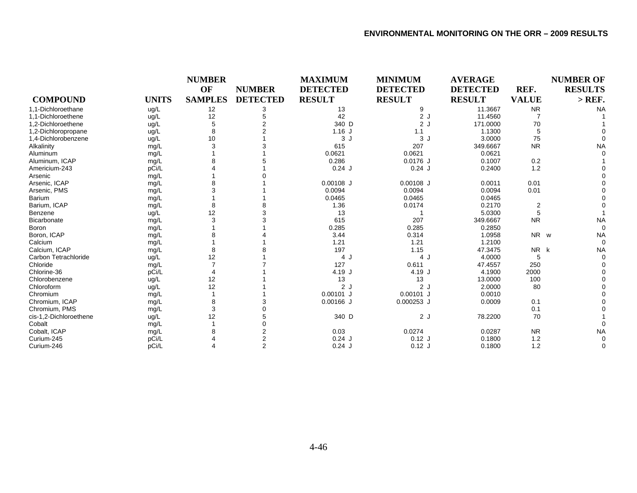|                        |              | <b>NUMBER</b>  |                 | <b>MAXIMUM</b>  | <b>MINIMUM</b>  | <b>AVERAGE</b>  |              | <b>NUMBER OF</b> |
|------------------------|--------------|----------------|-----------------|-----------------|-----------------|-----------------|--------------|------------------|
|                        |              | OF             | <b>NUMBER</b>   | <b>DETECTED</b> | <b>DETECTED</b> | <b>DETECTED</b> | REF.         | <b>RESULTS</b>   |
| <b>COMPOUND</b>        | <b>UNITS</b> | <b>SAMPLES</b> | <b>DETECTED</b> | <b>RESULT</b>   | <b>RESULT</b>   | <b>RESULT</b>   | <b>VALUE</b> | $>$ REF.         |
| 1,1-Dichloroethane     | ug/L         | 12             | 3               | 13              |                 | 11.3667         | <b>NR</b>    | <b>NA</b>        |
| 1.1-Dichloroethene     | ug/L         | 12             |                 | 42              | 2J              | 11.4560         |              |                  |
| 1.2-Dichloroethene     | ug/L         |                |                 | 340 D           | 2J              | 171.0000        | 70           |                  |
| 1,2-Dichloropropane    | ug/L         |                |                 | $1.16$ J        | 1.1             | 1.1300          |              |                  |
| 1,4-Dichlorobenzene    | ug/L         | 10             |                 | 3J              | 3J              | 3.0000          | 75           |                  |
| Alkalinity             | mg/L         |                |                 | 615             | 207             | 349.6667        | <b>NR</b>    | <b>NA</b>        |
| Aluminum               | mg/L         |                |                 | 0.0621          | 0.0621          | 0.0621          |              |                  |
| Aluminum, ICAP         | mg/L         |                |                 | 0.286           | $0.0176$ J      | 0.1007          | 0.2          |                  |
| Americium-243          | pCi/L        |                |                 | $0.24$ J        | $0.24$ J        | 0.2400          | 1.2          |                  |
| Arsenic                | mg/L         |                |                 |                 |                 |                 |              |                  |
| Arsenic, ICAP          | mg/L         |                |                 | $0.00108$ J     | $0.00108$ J     | 0.0011          | 0.01         |                  |
| Arsenic, PMS           | mg/L         |                |                 | 0.0094          | 0.0094          | 0.0094          | 0.01         |                  |
| <b>Barium</b>          | mg/L         |                |                 | 0.0465          | 0.0465          | 0.0465          |              |                  |
| Barium, ICAP           | mg/L         |                |                 | 1.36            | 0.0174          | 0.2170          | 2            |                  |
| Benzene                | ug/L         | 12             |                 | 13              |                 | 5.0300          |              |                  |
| Bicarbonate            | mg/L         |                |                 | 615             | 207             | 349.6667        | <b>NR</b>    | <b>NA</b>        |
| <b>Boron</b>           | mg/L         |                |                 | 0.285           | 0.285           | 0.2850          |              |                  |
| Boron, ICAP            | mg/L         |                |                 | 3.44            | 0.314           | 1.0958          | NR w         | <b>NA</b>        |
| Calcium                | mg/L         |                |                 | 1.21            | 1.21            | 1.2100          |              |                  |
| Calcium. ICAP          | mg/L         |                |                 | 197             | 1.15            | 47.3475         | NR k         | <b>NA</b>        |
| Carbon Tetrachloride   | ug/L         | 12             |                 | 4 J             | 4 J             | 4.0000          | 5            |                  |
| Chloride               | mg/L         |                |                 | 127             | 0.611           | 47.4557         | 250          |                  |
| Chlorine-36            | pCi/L        |                |                 | 4.19 J          | 4.19 J          | 4.1900          | 2000         |                  |
| Chlorobenzene          | ug/L         | 12             |                 | 13              | 13              | 13.0000         | 100          |                  |
| Chloroform             | ug/L         | 12             |                 | 2J              | 2J              | 2.0000          | 80           |                  |
| Chromium               | mg/L         |                |                 | $0.00101$ J     | $0.00101$ J     | 0.0010          |              |                  |
| Chromium, ICAP         | mg/L         |                |                 | $0.00166$ J     | $0.000253$ J    | 0.0009          | 0.1          |                  |
| Chromium, PMS          | mg/L         | 3              |                 |                 |                 |                 | 0.1          |                  |
| cis-1,2-Dichloroethene | ug/L         | 12             |                 | 340 D           | 2J              | 78.2200         | 70           |                  |
| Cobalt                 | mg/L         |                |                 |                 |                 |                 |              |                  |
| Cobalt, ICAP           | mg/L         |                |                 | 0.03            | 0.0274          | 0.0287          | <b>NR</b>    | <b>NA</b>        |
| Curium-245             | pCi/L        |                |                 | $0.24$ J        | $0.12$ J        | 0.1800          | 1.2          |                  |
| Curium-246             | pCi/L        |                | $\overline{2}$  | $0.24$ J        | $0.12$ J        | 0.1800          | 1.2          |                  |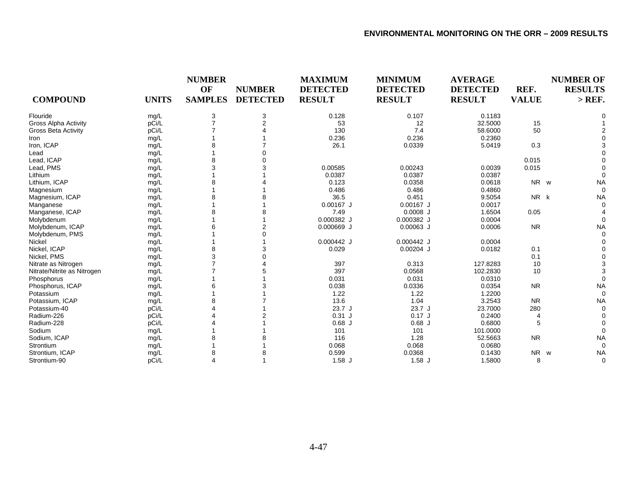| <b>COMPOUND</b>             | <b>UNITS</b> | <b>NUMBER</b><br>OF<br><b>SAMPLES</b> | <b>NUMBER</b><br><b>DETECTED</b> | <b>MAXIMUM</b><br><b>DETECTED</b><br><b>RESULT</b> | <b>MINIMUM</b><br><b>DETECTED</b><br><b>RESULT</b> | <b>AVERAGE</b><br><b>DETECTED</b><br><b>RESULT</b> | REF.<br><b>VALUE</b> | <b>NUMBER OF</b><br><b>RESULTS</b><br>$>$ REF. |
|-----------------------------|--------------|---------------------------------------|----------------------------------|----------------------------------------------------|----------------------------------------------------|----------------------------------------------------|----------------------|------------------------------------------------|
| Flouride                    | mg/L         | 3                                     | 3                                | 0.128                                              | 0.107                                              | 0.1183                                             |                      |                                                |
| Gross Alpha Activity        | pCi/L        |                                       | $\overline{2}$                   | 53                                                 | 12                                                 | 32.5000                                            | 15                   |                                                |
| <b>Gross Beta Activity</b>  | pCi/L        |                                       |                                  | 130                                                | 7.4                                                | 58.6000                                            | 50                   |                                                |
| Iron                        | mg/L         |                                       |                                  | 0.236                                              | 0.236                                              | 0.2360                                             |                      |                                                |
| Iron, ICAP                  | mg/L         |                                       |                                  | 26.1                                               | 0.0339                                             | 5.0419                                             | 0.3                  |                                                |
| Lead                        | mg/L         |                                       |                                  |                                                    |                                                    |                                                    |                      |                                                |
| Lead, ICAP                  | mg/L         | 8                                     |                                  |                                                    |                                                    |                                                    | 0.015                |                                                |
| Lead, PMS                   | mg/L         | 3                                     |                                  | 0.00585                                            | 0.00243                                            | 0.0039                                             | 0.015                |                                                |
| Lithium                     | mg/L         |                                       |                                  | 0.0387                                             | 0.0387                                             | 0.0387                                             |                      |                                                |
| Lithium, ICAP               | mg/L         |                                       |                                  | 0.123                                              | 0.0358                                             | 0.0618                                             | NR w                 | <b>NA</b>                                      |
| Magnesium                   | mg/L         |                                       |                                  | 0.486                                              | 0.486                                              | 0.4860                                             |                      | $\Omega$                                       |
| Magnesium, ICAP             | mg/L         |                                       |                                  | 36.5                                               | 0.451                                              | 9.5054                                             | NR k                 | <b>NA</b>                                      |
| Manganese                   | mg/L         |                                       |                                  | $0.00167$ J                                        | $0.00167$ J                                        | 0.0017                                             |                      | $\Omega$                                       |
| Manganese, ICAP             | mg/L         |                                       |                                  | 7.49                                               | $0.0008$ J                                         | 1.6504                                             | 0.05                 |                                                |
| Molybdenum                  | mg/L         |                                       |                                  | 0.000382 J                                         | 0.000382 J                                         | 0.0004                                             |                      |                                                |
| Molybdenum, ICAP            | mg/L         |                                       |                                  | $0.000669$ J                                       | $0.00063$ J                                        | 0.0006                                             | <b>NR</b>            | <b>NA</b>                                      |
| Molybdenum, PMS             | mg/L         |                                       |                                  |                                                    |                                                    |                                                    |                      | $\Omega$                                       |
| <b>Nickel</b>               | mg/L         |                                       |                                  | $0.000442$ J                                       | $0.000442$ J                                       | 0.0004                                             |                      |                                                |
| Nickel, ICAP                | mg/L         | 8                                     |                                  | 0.029                                              | $0.00204$ J                                        | 0.0182                                             | 0.1                  |                                                |
| Nickel, PMS                 | mg/L         | 3                                     |                                  |                                                    |                                                    |                                                    | 0.1                  |                                                |
| Nitrate as Nitrogen         | mg/L         |                                       |                                  | 397                                                | 0.313                                              | 127.8283                                           | 10                   |                                                |
| Nitrate/Nitrite as Nitrogen | mg/L         |                                       |                                  | 397                                                | 0.0568                                             | 102.2830                                           | 10                   |                                                |
| Phosphorus                  | mg/L         |                                       |                                  | 0.031                                              | 0.031                                              | 0.0310                                             |                      | $\Omega$                                       |
| Phosphorus, ICAP            | mg/L         |                                       |                                  | 0.038                                              | 0.0336                                             | 0.0354                                             | <b>NR</b>            | <b>NA</b>                                      |
| Potassium                   | mg/L         |                                       |                                  | 1.22                                               | 1.22                                               | 1.2200                                             |                      | $\Omega$                                       |
| Potassium, ICAP             | mg/L         |                                       |                                  | 13.6                                               | 1.04                                               | 3.2543                                             | <b>NR</b>            | <b>NA</b>                                      |
| Potassium-40                | pCi/L        |                                       |                                  | 23.7J                                              | 23.7J                                              | 23.7000                                            | 280                  |                                                |
| Radium-226                  | pCi/L        |                                       |                                  | $0.31$ J                                           | $0.17$ J                                           | 0.2400                                             |                      |                                                |
| Radium-228                  | pCi/L        |                                       |                                  | $0.68$ J                                           | $0.68$ J                                           | 0.6800                                             | 5                    |                                                |
| Sodium                      | mg/L         |                                       |                                  | 101                                                | 101                                                | 101.0000                                           |                      |                                                |
| Sodium, ICAP                | mg/L         |                                       |                                  | 116                                                | 1.28                                               | 52.5663                                            | <b>NR</b>            | <b>NA</b>                                      |
| Strontium                   | mg/L         |                                       |                                  | 0.068                                              | 0.068                                              | 0.0680                                             |                      | $\Omega$                                       |
| Strontium, ICAP             | mg/L         |                                       |                                  | 0.599                                              | 0.0368                                             | 0.1430                                             | <b>NR</b>            | <b>NA</b><br>W                                 |
| Strontium-90                | pCi/L        | 4                                     |                                  | $1.58$ J                                           | $1.58$ J                                           | 1.5800                                             | 8                    | $\Omega$                                       |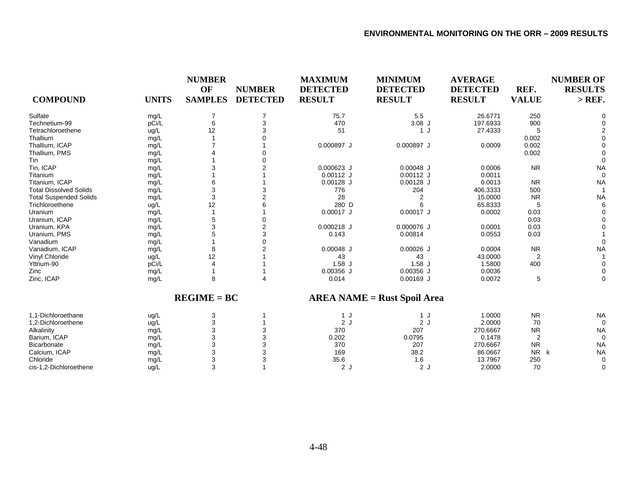| <b>COMPOUND</b>               | <b>UNITS</b> | <b>NUMBER</b><br>OF<br><b>SAMPLES</b> | <b>NUMBER</b><br><b>DETECTED</b> | <b>MAXIMUM</b><br><b>DETECTED</b><br><b>RESULT</b> | <b>MINIMUM</b><br><b>DETECTED</b><br><b>RESULT</b> | <b>AVERAGE</b><br><b>DETECTED</b><br><b>RESULT</b> | REF.<br><b>VALUE</b> | <b>NUMBER OF</b><br><b>RESULTS</b><br>$>$ REF. |
|-------------------------------|--------------|---------------------------------------|----------------------------------|----------------------------------------------------|----------------------------------------------------|----------------------------------------------------|----------------------|------------------------------------------------|
| Sulfate                       | mg/L         |                                       |                                  | 75.7                                               | 5.5                                                | 26.6771                                            | 250                  | O                                              |
| Technetium-99                 | pCi/L        | 6                                     |                                  | 470                                                | $3.08$ J                                           | 197.6933                                           | 900                  |                                                |
| Tetrachloroethene             | ug/L         | 12                                    |                                  | 51                                                 | 1 J                                                | 27.4333                                            |                      |                                                |
| Thallium                      | mg/L         |                                       |                                  |                                                    |                                                    |                                                    | 0.002                |                                                |
| Thallium, ICAP                | mg/L         |                                       |                                  | 0.000897 J                                         | 0.000897 J                                         | 0.0009                                             | 0.002                |                                                |
| Thallium, PMS                 | mg/L         |                                       |                                  |                                                    |                                                    |                                                    | 0.002                |                                                |
| Tin                           | mg/L         |                                       |                                  |                                                    |                                                    |                                                    |                      | $\Omega$                                       |
| Tin, ICAP                     | mg/L         |                                       |                                  | 0.000623 J                                         | $0.00048$ J                                        | 0.0006                                             | <b>NR</b>            | <b>NA</b>                                      |
| Titanium                      | mg/L         |                                       |                                  | $0.00112$ J                                        | $0.00112$ J                                        | 0.0011                                             |                      | $\Omega$                                       |
| Titanium, ICAP                | mg/L         |                                       |                                  | $0.00128$ J                                        | $0.00128$ J                                        | 0.0013                                             | <b>NR</b>            | <b>NA</b>                                      |
| <b>Total Dissolved Solids</b> | mg/L         | 3                                     |                                  | 776                                                | 204                                                | 406.3333                                           | 500                  |                                                |
| <b>Total Suspended Solids</b> | mg/L         | 3                                     |                                  | 28                                                 | 2                                                  | 15.0000                                            | <b>NR</b>            | <b>NA</b>                                      |
| Trichloroethene               | uq/L         | 12                                    |                                  | 280 D                                              | 6                                                  | 65.8333                                            | 5                    | 6                                              |
| Uranium                       | mg/L         |                                       |                                  | $0.00017$ J                                        | $0.00017$ J                                        | 0.0002                                             | 0.03                 |                                                |
| Uranium, ICAP                 | mg/L         |                                       |                                  |                                                    |                                                    |                                                    | 0.03                 |                                                |
| Uranium, KPA                  | mg/L         |                                       |                                  | $0.000218$ J                                       | 0.000076 J                                         | 0.0001                                             | 0.03                 |                                                |
| Uranium, PMS                  | mg/L         |                                       |                                  | 0.143                                              | 0.00814                                            | 0.0553                                             | 0.03                 |                                                |
| Vanadium                      | mg/L         |                                       |                                  |                                                    |                                                    |                                                    |                      | $\Omega$                                       |
| Vanadium, ICAP                | mg/L         | 8                                     |                                  | $0.00048$ J                                        | $0.00026$ J                                        | 0.0004                                             | <b>NR</b>            | <b>NA</b>                                      |
| Vinyl Chloride                | ug/L         | 12                                    |                                  | 43                                                 | 43                                                 | 43.0000                                            | $\overline{2}$       |                                                |
| Yttrium-90                    | pCi/L        |                                       |                                  | $1.58$ J                                           | $1.58$ J                                           | 1.5800                                             | 400                  |                                                |
| Zinc                          | mg/L         |                                       |                                  | $0.00356$ J                                        | $0.00356$ J                                        | 0.0036                                             |                      |                                                |
| Zinc, ICAP                    | mg/L         | 8                                     |                                  | 0.014                                              | $0.00169$ J                                        | 0.0072                                             | 5                    | $\Omega$                                       |
|                               |              | $REGIME = BC$                         |                                  |                                                    | <b>AREA NAME = Rust Spoil Area</b>                 |                                                    |                      |                                                |
| 1.1-Dichloroethane            | ug/L         | 3                                     |                                  | 1 J                                                | 1 J                                                | 1.0000                                             | <b>NR</b>            | <b>NA</b>                                      |
| 1,2-Dichloroethene            | ug/L         | 3                                     |                                  | 2J                                                 | 2 J                                                | 2.0000                                             | 70                   | $\Omega$                                       |
| Alkalinity                    | mg/L         |                                       |                                  | 370                                                | 207                                                | 270.6667                                           | <b>NR</b>            | <b>NA</b>                                      |
| Barium, ICAP                  | mg/L         |                                       |                                  | 0.202                                              | 0.0795                                             | 0.1478                                             | $\overline{2}$       | $\mathbf 0$                                    |
| <b>Bicarbonate</b>            | mg/L         |                                       |                                  | 370                                                | 207                                                | 270.6667                                           | <b>NR</b>            | <b>NA</b>                                      |
| Calcium, ICAP                 | mg/L         | 3                                     |                                  | 169                                                | 38.2                                               | 86.0667                                            | <b>NR</b>            | <b>NA</b><br>k                                 |
| Chloride                      | mg/L         | 3                                     |                                  | 35.6                                               | 1.6                                                | 13.7967                                            | 250                  | $\Omega$                                       |
| cis-1,2-Dichloroethene        | uq/L         | 3                                     |                                  | 2J                                                 | 2J                                                 | 2.0000                                             | 70                   | $\Omega$                                       |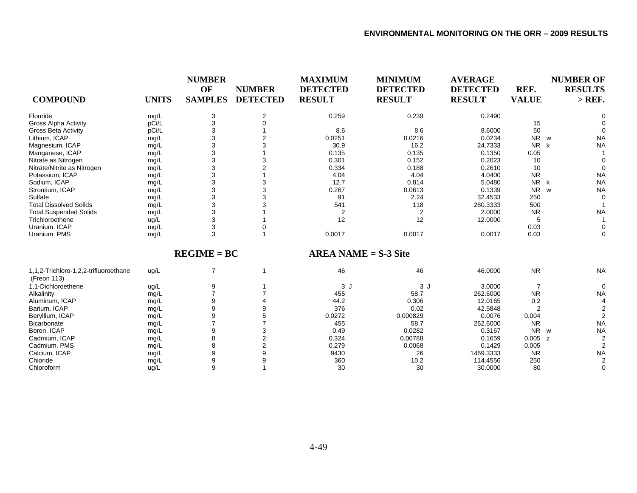| <b>COMPOUND</b>               | <b>UNITS</b> | <b>NUMBER</b><br>OF<br><b>SAMPLES</b> | <b>NUMBER</b><br><b>DETECTED</b> | <b>MAXIMUM</b><br><b>DETECTED</b><br><b>RESULT</b> | <b>MINIMUM</b><br><b>DETECTED</b><br><b>RESULT</b> | <b>AVERAGE</b><br><b>DETECTED</b><br><b>RESULT</b> | REF.<br><b>VALUE</b> | <b>NUMBER OF</b><br><b>RESULTS</b><br>$>$ REF. |
|-------------------------------|--------------|---------------------------------------|----------------------------------|----------------------------------------------------|----------------------------------------------------|----------------------------------------------------|----------------------|------------------------------------------------|
| Flouride                      | mg/L         | 3                                     |                                  | 0.259                                              | 0.239                                              | 0.2490                                             |                      |                                                |
| Gross Alpha Activity          | pCi/L        |                                       |                                  |                                                    |                                                    |                                                    | 15                   |                                                |
| <b>Gross Beta Activity</b>    | pCi/L        |                                       |                                  | 8.6                                                | 8.6                                                | 8.6000                                             | 50                   |                                                |
| Lithium, ICAP                 | mg/L         |                                       |                                  | 0.0251                                             | 0.0216                                             | 0.0234                                             | N <sub>R</sub>       | <b>NA</b><br>W                                 |
| Magnesium, ICAP               | mg/L         | 3                                     |                                  | 30.9                                               | 16.2                                               | 24.7333                                            | <b>NR</b>            | <b>NA</b>                                      |
| Manganese, ICAP               | mg/L         |                                       |                                  | 0.135                                              | 0.135                                              | 0.1350                                             | 0.05                 |                                                |
| Nitrate as Nitrogen           | mg/L         |                                       |                                  | 0.301                                              | 0.152                                              | 0.2023                                             | 10                   | 0                                              |
| Nitrate/Nitrite as Nitrogen   | mg/L         |                                       |                                  | 0.334                                              | 0.188                                              | 0.2610                                             | 10                   | $\Omega$                                       |
| Potassium, ICAP               | mg/L         |                                       |                                  | 4.04                                               | 4.04                                               | 4.0400                                             | <b>NR</b>            | <b>NA</b>                                      |
| Sodium, ICAP                  | mg/L         |                                       |                                  | 12.7                                               | 0.814                                              | 5.0480                                             | <b>NR</b>            | <b>NA</b><br>k                                 |
| Strontium, ICAP               | mg/L         |                                       |                                  | 0.267                                              | 0.0613                                             | 0.1339                                             | N <sub>R</sub>       | <b>NA</b><br>W                                 |
| Sulfate                       | mg/L         |                                       |                                  | 91                                                 | 2.24                                               | 32.4533                                            | 250                  | 0                                              |
| <b>Total Dissolved Solids</b> | mg/L         |                                       |                                  | 541                                                | 118                                                | 280.3333                                           | 500                  |                                                |
| <b>Total Suspended Solids</b> | mg/L         | 3                                     |                                  | $\overline{2}$                                     | $\overline{2}$                                     | 2.0000                                             | <b>NR</b>            | <b>NA</b>                                      |
| Trichloroethene               | ug/L         |                                       |                                  | 12                                                 | 12                                                 | 12.0000                                            | 5                    |                                                |
| Uranium, ICAP                 | mg/L         | 3                                     |                                  |                                                    |                                                    |                                                    | 0.03                 | 0                                              |
| Uranium, PMS                  | mg/L         | 3                                     |                                  | 0.0017                                             | 0.0017                                             | 0.0017                                             | 0.03                 | 0                                              |

**REGIME = BC**

**AREA NAME = S-3 Site**

| 1,1,2-Trichloro-1,2,2-trifluoroethane<br>(Freon 113) | ug/L |  | 46     | 46       | 46.0000   | <b>NR</b> | <b>NA</b> |
|------------------------------------------------------|------|--|--------|----------|-----------|-----------|-----------|
| 1,1-Dichloroethene                                   | ug/L |  | 3 J    | 3 J      | 3.0000    |           |           |
| Alkalinity                                           | mg/L |  | 455    | 58.7     | 262.6000  | <b>NR</b> | <b>NA</b> |
| Aluminum, ICAP                                       | mg/L |  | 44.2   | 0.306    | 12.0165   | 0.2       |           |
| Barium, ICAP                                         | mg/L |  | 376    | 0.02     | 42.5848   |           |           |
| Beryllium, ICAP                                      | mg/L |  | 0.0272 | 0.000829 | 0.0076    | 0.004     |           |
| Bicarbonate                                          | mg/L |  | 455    | 58.7     | 262.6000  | <b>NR</b> | <b>NA</b> |
| Boron, ICAP                                          | mg/L |  | 0.49   | 0.0282   | 0.3167    | NR w      | <b>NA</b> |
| Cadmium, ICAP                                        | mg/L |  | 0.324  | 0.00788  | 0.1659    | $0.005$ z |           |
| Cadmium, PMS                                         | mg/L |  | 0.279  | 0.0068   | 0.1429    | 0.005     |           |
| Calcium, ICAP                                        | mg/L |  | 9430   | 26       | 1469.3333 | <b>NR</b> | <b>NA</b> |
| Chloride                                             | mg/L |  | 360    | 10.2     | 114.4556  | 250       |           |
| Chloroform                                           | ug/L |  | 30     | 30       | 30.0000   | 80        |           |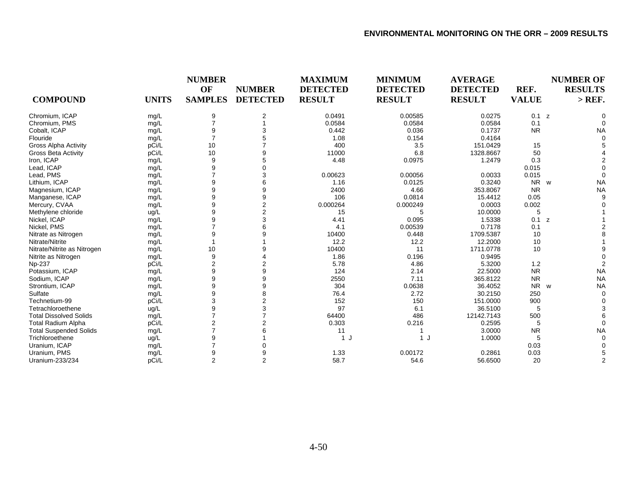|                               |              | <b>NUMBER</b>  |                 | <b>MAXIMUM</b>  | <b>MINIMUM</b>  | <b>AVERAGE</b>  |              | <b>NUMBER OF</b> |  |
|-------------------------------|--------------|----------------|-----------------|-----------------|-----------------|-----------------|--------------|------------------|--|
|                               |              | OF             | <b>NUMBER</b>   | <b>DETECTED</b> | <b>DETECTED</b> | <b>DETECTED</b> | REF.         | <b>RESULTS</b>   |  |
| <b>COMPOUND</b>               | <b>UNITS</b> | <b>SAMPLES</b> | <b>DETECTED</b> | <b>RESULT</b>   | <b>RESULT</b>   | <b>RESULT</b>   | <b>VALUE</b> | $>$ REF.         |  |
| Chromium, ICAP                | mg/L         | 9              | 2               | 0.0491          | 0.00585         | 0.0275          | 0.1 z        |                  |  |
| Chromium, PMS                 | mg/L         |                |                 | 0.0584          | 0.0584          | 0.0584          | 0.1          |                  |  |
| Cobalt, ICAP                  | mg/L         | 9              | 3               | 0.442           | 0.036           | 0.1737          | <b>NR</b>    | <b>NA</b>        |  |
| Flouride                      | mg/L         |                |                 | 1.08            | 0.154           | 0.4164          |              |                  |  |
| <b>Gross Alpha Activity</b>   | pCi/L        | 10             |                 | 400             | 3.5             | 151.0429        | 15           |                  |  |
| <b>Gross Beta Activity</b>    | pCi/L        | 10             | 9               | 11000           | 6.8             | 1328.8667       | 50           |                  |  |
| Iron, ICAP                    | mg/L         | 9              | 5               | 4.48            | 0.0975          | 1.2479          | 0.3          |                  |  |
| Lead, ICAP                    | mg/L         | 9              |                 |                 |                 |                 | 0.015        |                  |  |
| Lead, PMS                     | mg/L         |                | 3               | 0.00623         | 0.00056         | 0.0033          | 0.015        |                  |  |
| Lithium, ICAP                 | mg/L         | 9              | 6               | 1.16            | 0.0125          | 0.3240          | <b>NR</b>    | <b>NA</b><br>W   |  |
| Magnesium, ICAP               | mg/L         | 9              | 9               | 2400            | 4.66            | 353.8067        | <b>NR</b>    | <b>NA</b>        |  |
| Manganese, ICAP               | mg/L         | 9              | 9               | 106             | 0.0814          | 15.4412         | 0.05         |                  |  |
| Mercury, CVAA                 | mg/L         | 9              | $\overline{2}$  | 0.000264        | 0.000249        | 0.0003          | 0.002        |                  |  |
| Methylene chloride            | ug/L         | 9              | $\overline{2}$  | 15              |                 | 10.0000         | 5            |                  |  |
| Nickel, ICAP                  | mg/L         | 9              | 3               | 4.41            | 0.095           | 1.5338          | 0.1 z        |                  |  |
| Nickel, PMS                   | mg/L         |                |                 | 4.1             | 0.00539         | 0.7178          | 0.1          |                  |  |
| Nitrate as Nitrogen           | mg/L         | 9              |                 | 10400           | 0.448           | 1709.5387       | 10           |                  |  |
| Nitrate/Nitrite               | mg/L         |                |                 | 12.2            | 12.2            | 12.2000         | 10           |                  |  |
| Nitrate/Nitrite as Nitrogen   | mg/L         | 10             | 9               | 10400           | 11              | 1711.0778       | 10           |                  |  |
| Nitrite as Nitrogen           | mg/L         | 9              |                 | 1.86            | 0.196           | 0.9495          |              |                  |  |
| Np-237                        | pCi/L        | 2              | 2               | 5.78            | 4.86            | 5.3200          | 1.2          |                  |  |
| Potassium, ICAP               | mg/L         | 9              | 9               | 124             | 2.14            | 22.5000         | <b>NR</b>    | <b>NA</b>        |  |
| Sodium, ICAP                  | mg/L         | 9              | 9               | 2550            | 7.11            | 365.8122        | <b>NR</b>    | <b>NA</b>        |  |
| Strontium, ICAP               | mg/L         | 9              | 9               | 304             | 0.0638          | 36.4052         | NR           | <b>NA</b><br>W   |  |
| Sulfate                       | mg/L         | 9              | 8               | 76.4            | 2.72            | 30.2150         | 250          |                  |  |
| Technetium-99                 | pCi/L        | 3              | $\overline{2}$  | 152             | 150             | 151.0000        | 900          |                  |  |
| Tetrachloroethene             | ug/L         | 9              | 3               | 97              | 6.1             | 36.5100         | 5            |                  |  |
| <b>Total Dissolved Solids</b> | mg/L         |                |                 | 64400           | 486             | 12142.7143      | 500          |                  |  |
| <b>Total Radium Alpha</b>     | pCi/L        | 2              |                 | 0.303           | 0.216           | 0.2595          | 5            |                  |  |
| <b>Total Suspended Solids</b> | mg/L         |                |                 | 11              |                 | 3.0000          | <b>NR</b>    | <b>NA</b>        |  |
| Trichloroethene               | ug/L         | 9              |                 | 1 J             | 1 J             | 1.0000          | 5            |                  |  |
| Uranium, ICAP                 | mg/L         |                |                 |                 |                 |                 | 0.03         |                  |  |
| Uranium, PMS                  | mg/L         | 9              |                 | 1.33            | 0.00172         | 0.2861          | 0.03         |                  |  |
| Uranium-233/234               | pCi/L        | $\overline{2}$ | $\overline{2}$  | 58.7            | 54.6            | 56.6500         | 20           |                  |  |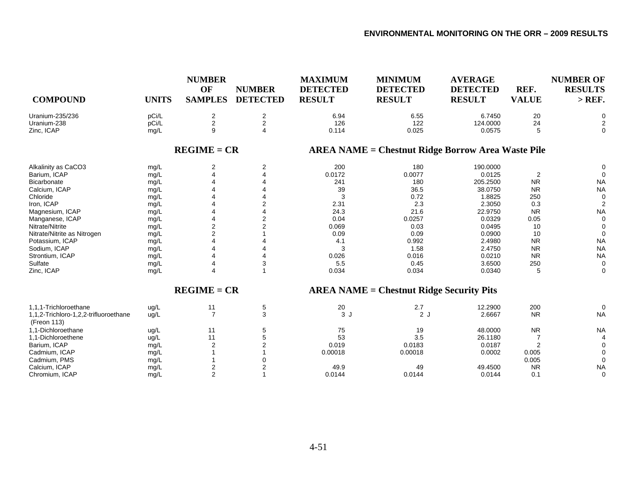| <b>COMPOUND</b>                                      | <b>UNITS</b> | <b>NUMBER</b><br>OF<br><b>SAMPLES</b> | <b>NUMBER</b><br><b>DETECTED</b> | <b>MAXIMUM</b><br><b>DETECTED</b><br><b>RESULT</b> | <b>MINIMUM</b><br><b>DETECTED</b><br><b>RESULT</b>       | <b>AVERAGE</b><br><b>DETECTED</b><br><b>RESULT</b> | REF.<br><b>VALUE</b> | <b>NUMBER OF</b><br><b>RESULTS</b><br>$>$ REF. |
|------------------------------------------------------|--------------|---------------------------------------|----------------------------------|----------------------------------------------------|----------------------------------------------------------|----------------------------------------------------|----------------------|------------------------------------------------|
| Uranium-235/236                                      | pCi/L        | $\overline{c}$                        | $\overline{2}$                   | 6.94                                               | 6.55                                                     | 6.7450                                             | 20                   | 0                                              |
| Uranium-238                                          | pCi/L        | $\overline{c}$                        | $\boldsymbol{2}$                 | 126                                                | 122                                                      | 124.0000                                           | 24                   |                                                |
| Zinc, ICAP                                           | mg/L         | 9                                     | 4                                | 0.114                                              | 0.025                                                    | 0.0575                                             | 5                    | $\mathbf 0$                                    |
|                                                      |              | $REGIME = CR$                         |                                  |                                                    | <b>AREA NAME = Chestnut Ridge Borrow Area Waste Pile</b> |                                                    |                      |                                                |
| Alkalinity as CaCO3                                  | mg/L         | 2                                     | 2                                | 200                                                | 180                                                      | 190.0000                                           |                      | $\Omega$                                       |
| Barium, ICAP                                         | mg/L         |                                       |                                  | 0.0172                                             | 0.0077                                                   | 0.0125                                             | $\overline{2}$       | $\Omega$                                       |
| <b>Bicarbonate</b>                                   | mg/L         |                                       |                                  | 241                                                | 180                                                      | 205.2500                                           | <b>NR</b>            | <b>NA</b>                                      |
| Calcium, ICAP                                        | mg/L         |                                       |                                  | 39                                                 | 36.5                                                     | 38.0750                                            | <b>NR</b>            | <b>NA</b>                                      |
| Chloride                                             | mg/L         |                                       |                                  | 3                                                  | 0.72                                                     | 1.8825                                             | 250                  | $\mathbf 0$                                    |
| Iron, ICAP                                           | mg/L         |                                       | 2                                | 2.31                                               | 2.3                                                      | 2.3050                                             | 0.3                  | $\overline{2}$                                 |
| Magnesium, ICAP                                      | mg/L         |                                       |                                  | 24.3                                               | 21.6                                                     | 22.9750                                            | <b>NR</b>            | <b>NA</b>                                      |
| Manganese, ICAP                                      | mg/L         |                                       |                                  | 0.04                                               | 0.0257                                                   | 0.0329                                             | 0.05                 | $\mathbf 0$                                    |
| Nitrate/Nitrite                                      | mg/L         | $\overline{2}$                        |                                  | 0.069                                              | 0.03                                                     | 0.0495                                             | 10                   | $\mathbf 0$                                    |
| Nitrate/Nitrite as Nitrogen                          | mg/L         | $\overline{2}$                        |                                  | 0.09                                               | 0.09                                                     | 0.0900                                             | 10                   | $\mathbf 0$                                    |
| Potassium, ICAP                                      | mg/L         |                                       |                                  | 4.1                                                | 0.992                                                    | 2.4980                                             | <b>NR</b>            | <b>NA</b>                                      |
| Sodium, ICAP                                         | mg/L         |                                       |                                  | 3                                                  | 1.58                                                     | 2.4750                                             | <b>NR</b>            | <b>NA</b>                                      |
| Strontium, ICAP                                      | mg/L         |                                       |                                  | 0.026                                              | 0.016                                                    | 0.0210                                             | <b>NR</b>            | <b>NA</b>                                      |
| Sulfate                                              | mg/L         |                                       | 3                                | 5.5                                                | 0.45                                                     | 3.6500                                             | 250                  | 0                                              |
| Zinc, ICAP                                           | mg/L         |                                       |                                  | 0.034                                              | 0.034                                                    | 0.0340                                             | 5                    | $\mathbf 0$                                    |
|                                                      |              | $REGIME = CR$                         |                                  |                                                    | <b>AREA NAME = Chestnut Ridge Security Pits</b>          |                                                    |                      |                                                |
| 1,1,1-Trichloroethane                                | ug/L         | 11                                    | $\sqrt{5}$                       | 20                                                 | 2.7                                                      | 12.2900                                            | 200                  | $\Omega$                                       |
| 1,1,2-Trichloro-1,2,2-trifluoroethane<br>(Freon 113) | ug/L         | $\overline{7}$                        | 3                                | 3J                                                 | 2J                                                       | 2.6667                                             | <b>NR</b>            | <b>NA</b>                                      |
| 1.1-Dichloroethane                                   | ug/L         | 11                                    | 5                                | 75                                                 | 19                                                       | 48.0000                                            | <b>NR</b>            | <b>NA</b>                                      |
| 1,1-Dichloroethene                                   | ug/L         | 11                                    | 5                                | 53                                                 | 3.5                                                      | 26.1180                                            |                      | $\overline{4}$                                 |
| Barium, ICAP                                         | mg/L         | $\overline{2}$                        | $\overline{2}$                   | 0.019                                              | 0.0183                                                   | 0.0187                                             |                      | 0                                              |
| Cadmium, ICAP                                        | mg/L         |                                       |                                  | 0.00018                                            | 0.00018                                                  | 0.0002                                             | 0.005                | $\Omega$                                       |
| Cadmium, PMS                                         | mg/L         |                                       |                                  |                                                    |                                                          |                                                    | 0.005                | $\Omega$                                       |
| Calcium, ICAP                                        | mg/L         | 2                                     | $\overline{2}$                   | 49.9                                               | 49                                                       | 49.4500                                            | <b>NR</b>            | <b>NA</b>                                      |
| Chromium, ICAP                                       | mg/L         | $\overline{2}$                        |                                  | 0.0144                                             | 0.0144                                                   | 0.0144                                             | 0.1                  | $\mathbf 0$                                    |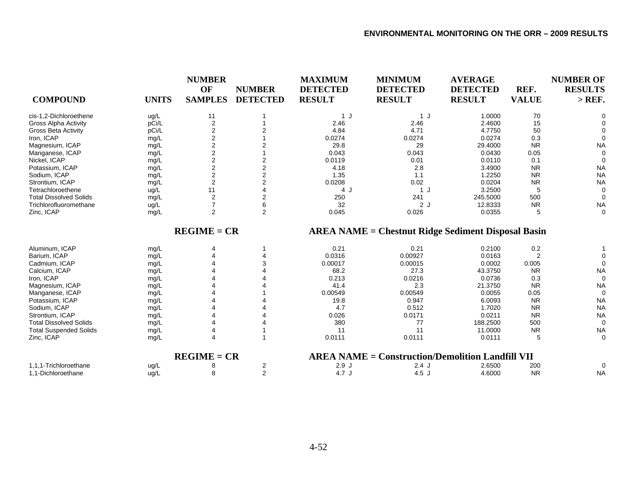|                               |              | <b>NUMBER</b>           |                 | <b>MAXIMUM</b>  | <b>MINIMUM</b>                                            | <b>AVERAGE</b>  |              | <b>NUMBER OF</b> |
|-------------------------------|--------------|-------------------------|-----------------|-----------------|-----------------------------------------------------------|-----------------|--------------|------------------|
|                               |              | OF                      | <b>NUMBER</b>   | <b>DETECTED</b> | <b>DETECTED</b>                                           | <b>DETECTED</b> | REF.         | <b>RESULTS</b>   |
| <b>COMPOUND</b>               | <b>UNITS</b> | <b>SAMPLES</b>          | <b>DETECTED</b> | <b>RESULT</b>   | <b>RESULT</b>                                             | <b>RESULT</b>   | <b>VALUE</b> | $>$ REF.         |
| cis-1.2-Dichloroethene        | ug/L         | 11                      |                 | 1 J             | 1 J                                                       | 1.0000          | 70           |                  |
| <b>Gross Alpha Activity</b>   | pCi/L        | $\overline{\mathbf{c}}$ |                 | 2.46            | 2.46                                                      | 2.4600          | 15           |                  |
| <b>Gross Beta Activity</b>    | pCi/L        | 2                       |                 | 4.84            | 4.71                                                      | 4.7750          | 50           |                  |
| Iron, ICAP                    | mg/L         | 2                       |                 | 0.0274          | 0.0274                                                    | 0.0274          | 0.3          | $\Omega$         |
| Magnesium, ICAP               | mg/L         | $\overline{2}$          |                 | 29.8            | 29                                                        | 29.4000         | <b>NR</b>    | <b>NA</b>        |
| Manganese, ICAP               | mg/L         | $\overline{2}$          |                 | 0.043           | 0.043                                                     | 0.0430          | 0.05         |                  |
| Nickel, ICAP                  | mg/L         | 2                       | 2               | 0.0119          | 0.01                                                      | 0.0110          | 0.1          | $\Omega$         |
| Potassium, ICAP               | mg/L         | $\overline{2}$          | 2               | 4.18            | 2.8                                                       | 3.4900          | <b>NR</b>    | <b>NA</b>        |
| Sodium, ICAP                  | mg/L         | $\overline{2}$          | $\overline{2}$  | 1.35            | 1.1                                                       | 1.2250          | <b>NR</b>    | <b>NA</b>        |
| Strontium, ICAP               | mg/L         | 2                       | 2               | 0.0208          | 0.02                                                      | 0.0204          | <b>NR</b>    | <b>NA</b>        |
| Tetrachloroethene             | ug/L         | 11                      |                 | 4 J             | 1J                                                        | 3.2500          | 5            | $\Omega$         |
| <b>Total Dissolved Solids</b> | mg/L         | $\overline{2}$          | 2               | 250             | 241                                                       | 245.5000        | 500          | $\Omega$         |
| Trichlorofluoromethane        | ug/L         | $\overline{7}$          | 6               | 32              | 2J                                                        | 12.8333         | <b>NR</b>    | <b>NA</b>        |
| Zinc, ICAP                    | mg/L         | 2                       | $\overline{2}$  | 0.045           | 0.026                                                     | 0.0355          | 5            | $\Omega$         |
|                               |              | $REGIME = CR$           |                 |                 | <b>AREA NAME = Chestnut Ridge Sediment Disposal Basin</b> |                 |              |                  |
| Aluminum, ICAP                | mg/L         | 4                       |                 | 0.21            | 0.21                                                      | 0.2100          | 0.2          |                  |
| Barium, ICAP                  | mg/L         |                         |                 | 0.0316          | 0.00927                                                   | 0.0163          | 2            |                  |
| Cadmium, ICAP                 | mg/L         |                         |                 | 0.00017         | 0.00015                                                   | 0.0002          | 0.005        | $\Omega$         |
| Calcium, ICAP                 | mg/L         |                         |                 | 68.2            | 27.3                                                      | 43.3750         | <b>NR</b>    | <b>NA</b>        |
| Iron, ICAP                    | mg/L         |                         |                 | 0.213           | 0.0216                                                    | 0.0736          | 0.3          | 0                |
| Magnesium, ICAP               | mg/L         |                         |                 | 41.4            | 2.3                                                       | 21.3750         | <b>NR</b>    | <b>NA</b>        |
| Manganese, ICAP               | mg/L         |                         |                 | 0.00549         | 0.00549                                                   | 0.0055          | 0.05         | $\Omega$         |
| Potassium, ICAP               | mg/L         |                         |                 | 19.8            | 0.947                                                     | 6.0093          | <b>NR</b>    | <b>NA</b>        |
| Sodium, ICAP                  | mg/L         |                         |                 | 4.7             | 0.512                                                     | 1.7020          | <b>NR</b>    | <b>NA</b>        |
| Strontium, ICAP               | mg/L         |                         |                 | 0.026           | 0.0171                                                    | 0.0211          | <b>NR</b>    | <b>NA</b>        |
| <b>Total Dissolved Solids</b> | mg/L         |                         |                 | 380             | 77                                                        | 188.2500        | 500          | $\Omega$         |
| <b>Total Suspended Solids</b> | mg/L         | 4                       |                 | 11              | 11                                                        | 11.0000         | <b>NR</b>    | <b>NA</b>        |
| Zinc, ICAP                    | mg/L         | 4                       |                 | 0.0111          | 0.0111                                                    | 0.0111          | 5            | $\mathbf 0$      |
|                               |              | $REGIME = CR$           |                 |                 | <b>AREA NAME = Construction/Demolition Landfill VII</b>   |                 |              |                  |
| 1,1,1-Trichloroethane         | ug/L         |                         | 2               | 2.9J            | $2.4$ J                                                   | 2.6500          | 200          | $\Omega$         |
| 1,1-Dichloroethane            | ug/L         | 8                       | $\overline{2}$  | 4.7J            | 4.5J                                                      | 4.6000          | <b>NR</b>    | <b>NA</b>        |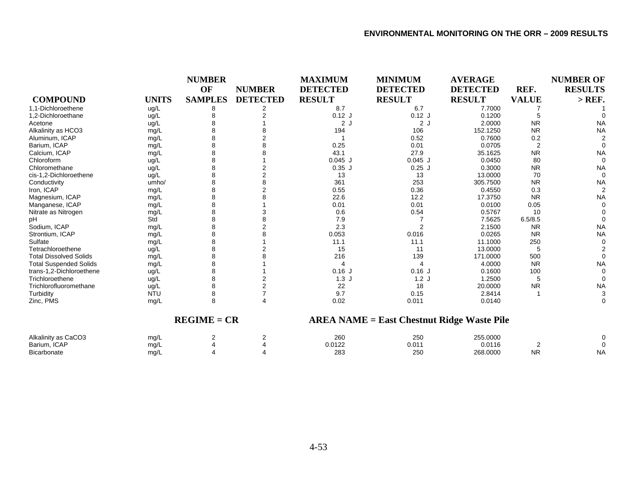|                               |              | <b>NUMBER</b>  |                 | <b>MAXIMUM</b>        | <b>MINIMUM</b>                              | <b>AVERAGE</b>  |              | <b>NUMBER OF</b> |
|-------------------------------|--------------|----------------|-----------------|-----------------------|---------------------------------------------|-----------------|--------------|------------------|
|                               |              | OF             | <b>NUMBER</b>   | <b>DETECTED</b>       | <b>DETECTED</b>                             | <b>DETECTED</b> | REF.         | <b>RESULTS</b>   |
| <b>COMPOUND</b>               | <b>UNITS</b> | <b>SAMPLES</b> | <b>DETECTED</b> | <b>RESULT</b>         | <b>RESULT</b>                               | <b>RESULT</b>   | <b>VALUE</b> | $>$ REF.         |
| 1,1-Dichloroethene            | ug/L         |                |                 | 8.7                   | 6.7                                         | 7.7000          |              |                  |
| 1,2-Dichloroethane            | ug/L         |                |                 | $0.12$ J              | $0.12$ J                                    | 0.1200          |              |                  |
| Acetone                       | ug/L         |                |                 | 2J                    | 2J                                          | 2.0000          | <b>NR</b>    | <b>NA</b>        |
| Alkalinity as HCO3            | mg/L         |                |                 | 194                   | 106                                         | 152.1250        | <b>NR</b>    | <b>NA</b>        |
| Aluminum, ICAP                | mg/L         |                |                 |                       | 0.52                                        | 0.7600          | 0.2          |                  |
| Barium, ICAP                  | mg/L         |                |                 | 0.25                  | 0.01                                        | 0.0705          |              |                  |
| Calcium, ICAP                 | mg/L         |                |                 | 43.1                  | 27.9                                        | 35.1625         | <b>NR</b>    | <b>NA</b>        |
| Chloroform                    | ug/L         |                |                 | $0.045$ J             | $0.045$ J                                   | 0.0450          | 80           | $\Omega$         |
| Chloromethane                 | ug/L         |                |                 | $0.35$ J              | $0.25$ J                                    | 0.3000          | <b>NR</b>    | <b>NA</b>        |
| cis-1,2-Dichloroethene        | ug/L         |                |                 | 13                    | 13                                          | 13.0000         | 70           | $\Omega$         |
| Conductivity                  | umho/        |                |                 | 361                   | 253                                         | 305.7500        | <b>NR</b>    | <b>NA</b>        |
| Iron, ICAP                    | mg/L         |                |                 | 0.55                  | 0.36                                        | 0.4550          | 0.3          |                  |
| Magnesium, ICAP               | mg/L         |                |                 | 22.6                  | 12.2                                        | 17.3750         | <b>NR</b>    | <b>NA</b>        |
| Manganese, ICAP               | mg/L         |                |                 | 0.01                  | 0.01                                        | 0.0100          | 0.05         |                  |
| Nitrate as Nitrogen           | mg/L         |                |                 | 0.6                   | 0.54                                        | 0.5767          | 10           |                  |
| pH                            | Std          |                |                 | 7.9                   |                                             | 7.5625          | 6.5/8.5      |                  |
| Sodium, ICAP                  | mg/L         |                |                 | 2.3                   | $\overline{2}$                              | 2.1500          | <b>NR</b>    | <b>NA</b>        |
| Strontium, ICAP               | mg/L         |                |                 | 0.053                 | 0.016                                       | 0.0265          | <b>NR</b>    | <b>NA</b>        |
| Sulfate                       | mg/L         |                |                 | 11.1                  | 11.1                                        | 11.1000         | 250          |                  |
| Tetrachloroethene             | ug/L         |                |                 | 15                    | 11                                          | 13.0000         | 5            |                  |
| <b>Total Dissolved Solids</b> | mg/L         |                |                 | 216                   | 139                                         | 171.0000        | 500          |                  |
| <b>Total Suspended Solids</b> | mg/L         |                |                 | $\boldsymbol{\Delta}$ | 4                                           | 4.0000          | <b>NR</b>    | <b>NA</b>        |
| trans-1,2-Dichloroethene      | ug/L         |                |                 | $0.16$ J              | $0.16$ J                                    | 0.1600          | 100          |                  |
| Trichloroethene               | ug/L         |                |                 | 1.3J                  | 1.2J                                        | 1.2500          | 5            |                  |
| Trichlorofluoromethane        | ug/L         |                |                 | 22                    | 18                                          | 20.0000         | <b>NR</b>    | <b>NA</b>        |
| Turbidity                     | <b>NTU</b>   | 8              |                 | 9.7                   | 0.15                                        | 2.8414          |              | 3                |
| Zinc, PMS                     | mg/L         | 8              |                 | 0.02                  | 0.011                                       | 0.0140          |              | ∩                |
|                               |              | $REGIME = CR$  |                 |                       | $AREA NAME = East Chestnut Ridge Wave File$ |                 |              |                  |
| Alkalinity as CaCO3           | mg/L         | 2              | 2               | 260                   | 250                                         | 255.0000        |              |                  |
| Barium, ICAP                  | mg/L         |                |                 | 0.0122                | 0.011                                       | 0.0116          | 2            |                  |
| <b>Bicarbonate</b>            | mg/L         |                |                 | 283                   | 250                                         | 268.0000        | <b>NR</b>    | <b>NA</b>        |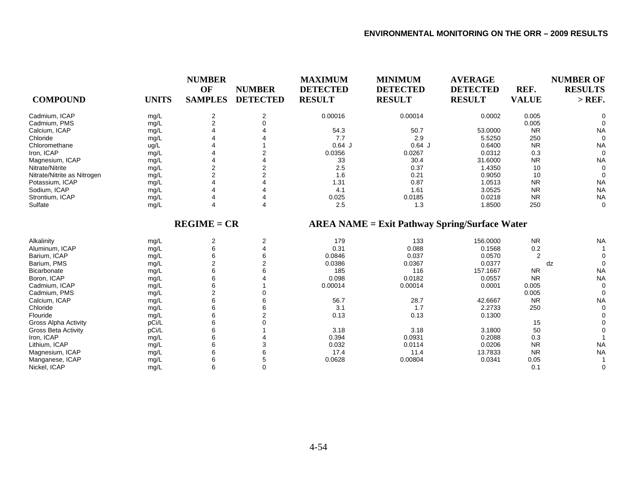| <b>COMPOUND</b>             | <b>UNITS</b> | <b>NUMBER</b><br>OF<br><b>SAMPLES</b> | <b>NUMBER</b><br><b>DETECTED</b> | <b>MAXIMUM</b><br><b>DETECTED</b><br><b>RESULT</b> | <b>MINIMUM</b><br><b>DETECTED</b><br><b>RESULT</b>   | <b>AVERAGE</b><br><b>DETECTED</b><br><b>RESULT</b> | REF.<br><b>VALUE</b> | <b>NUMBER OF</b><br><b>RESULTS</b><br>$>$ REF. |
|-----------------------------|--------------|---------------------------------------|----------------------------------|----------------------------------------------------|------------------------------------------------------|----------------------------------------------------|----------------------|------------------------------------------------|
| Cadmium, ICAP               | mg/L         | 2                                     | 2                                | 0.00016                                            | 0.00014                                              | 0.0002                                             | 0.005                | $\Omega$                                       |
| Cadmium, PMS                | mg/L         | $\overline{2}$                        | $\Omega$                         |                                                    |                                                      |                                                    | 0.005                |                                                |
| Calcium, ICAP               | mg/L         |                                       |                                  | 54.3                                               | 50.7                                                 | 53.0000                                            | <b>NR</b>            | <b>NA</b>                                      |
| Chloride                    | mg/L         |                                       |                                  | 7.7                                                | 2.9                                                  | 5.5250                                             | 250                  | $\Omega$                                       |
| Chloromethane               | ug/L         |                                       |                                  | $0.64$ J                                           | $0.64$ J                                             | 0.6400                                             | <b>NR</b>            | <b>NA</b>                                      |
| Iron, ICAP                  | mg/L         |                                       |                                  | 0.0356                                             | 0.0267                                               | 0.0312                                             | 0.3                  | $\Omega$                                       |
| Magnesium, ICAP             | mg/L         |                                       |                                  | 33                                                 | 30.4                                                 | 31.6000                                            | <b>NR</b>            | <b>NA</b>                                      |
| Nitrate/Nitrite             | mg/L         | $\overline{2}$                        |                                  | 2.5                                                | 0.37                                                 | 1.4350                                             | 10                   | 0                                              |
| Nitrate/Nitrite as Nitrogen | mg/L         | $\mathfrak{p}$                        | 2                                | 1.6                                                | 0.21                                                 | 0.9050                                             | 10                   | 0                                              |
| Potassium, ICAP             | mg/L         |                                       |                                  | 1.31                                               | 0.87                                                 | 1.0513                                             | <b>NR</b>            | <b>NA</b>                                      |
| Sodium, ICAP                | mg/L         |                                       |                                  | 4.1                                                | 1.61                                                 | 3.0525                                             | <b>NR</b>            | <b>NA</b>                                      |
| Strontium, ICAP             | mg/L         |                                       |                                  | 0.025                                              | 0.0185                                               | 0.0218                                             | <b>NR</b>            | <b>NA</b>                                      |
| Sulfate                     | mg/L         |                                       | 4                                | 2.5                                                | 1.3                                                  | 1.8500                                             | 250                  | 0                                              |
|                             |              | $REGIME = CR$                         |                                  |                                                    | <b>AREA NAME = Exit Pathway Spring/Surface Water</b> |                                                    |                      |                                                |
| Alkalinity                  | mg/L         | 2                                     | 2                                | 179                                                | 133                                                  | 156.0000                                           | <b>NR</b>            | <b>NA</b>                                      |
| Aluminum, ICAP              | mg/L         | 6                                     | 4                                | 0.31                                               | 0.088                                                | 0.1568                                             | 0.2                  |                                                |
| Barium, ICAP                | mg/L         | 6                                     | 6                                | 0.0846                                             | 0.037                                                | 0.0570                                             | $\overline{2}$       |                                                |
| Barium, PMS                 | mg/L         | 2                                     | $\overline{2}$                   | 0.0386                                             | 0.0367                                               | 0.0377                                             |                      | $\Omega$<br>dz                                 |
| Bicarbonate                 | mg/L         | 6                                     |                                  | 185                                                | 116                                                  | 157.1667                                           | <b>NR</b>            | <b>NA</b>                                      |
| Boron, ICAP                 | mg/L         | 6                                     |                                  | 0.098                                              | 0.0182                                               | 0.0557                                             | <b>NR</b>            | <b>NA</b>                                      |
| Cadmium, ICAP               | mg/L         | 6                                     |                                  | 0.00014                                            | 0.00014                                              | 0.0001                                             | 0.005                | $\Omega$                                       |
| Cadmium, PMS                | mg/L         | $\overline{2}$                        |                                  |                                                    |                                                      |                                                    | 0.005                | $\Omega$                                       |
| Calcium, ICAP               | mg/L         | 6                                     |                                  | 56.7                                               | 28.7                                                 | 42.6667                                            | <b>NR</b>            | <b>NA</b>                                      |
| Chloride                    | mg/L         | 6                                     | 6                                | 3.1                                                | 1.7                                                  | 2.2733                                             | 250                  | $\Omega$                                       |
| Flouride                    | mg/L         | 6                                     |                                  | 0.13                                               | 0.13                                                 | 0.1300                                             |                      |                                                |
| <b>Gross Alpha Activity</b> | pCi/L        | 6                                     |                                  |                                                    |                                                      |                                                    | 15                   |                                                |
| <b>Gross Beta Activity</b>  | pCi/L        | 6                                     |                                  | 3.18                                               | 3.18                                                 | 3.1800                                             | 50                   |                                                |
| Iron, ICAP                  | mg/L         | 6                                     |                                  | 0.394                                              | 0.0931                                               | 0.2088                                             | 0.3                  |                                                |
| Lithium, ICAP               | mg/L         | 6                                     | 3                                | 0.032                                              | 0.0114                                               | 0.0206                                             | <b>NR</b>            | <b>NA</b>                                      |
| Magnesium, ICAP             | mg/L         | 6                                     | 6                                | 17.4                                               | 11.4                                                 | 13.7833                                            | <b>NR</b>            | <b>NA</b>                                      |
| Manganese, ICAP             | mg/L         | 6                                     | 5                                | 0.0628                                             | 0.00804                                              | 0.0341                                             | 0.05                 |                                                |
| Nickel, ICAP                | mg/L         | 6                                     | $\Omega$                         |                                                    |                                                      |                                                    | 0.1                  | $\Omega$                                       |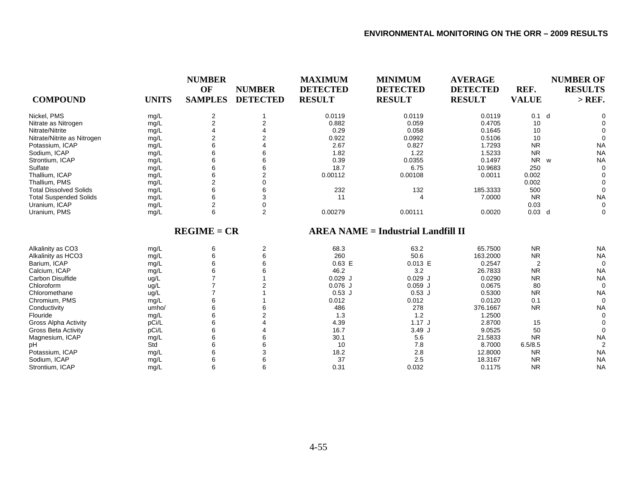|                               |              | <b>NUMBER</b><br>OF | <b>NUMBER</b>   | <b>MAXIMUM</b><br><b>DETECTED</b> | <b>MINIMUM</b><br><b>DETECTED</b>         | <b>AVERAGE</b><br><b>DETECTED</b> | REF.             | <b>NUMBER OF</b><br><b>RESULTS</b> |
|-------------------------------|--------------|---------------------|-----------------|-----------------------------------|-------------------------------------------|-----------------------------------|------------------|------------------------------------|
| <b>COMPOUND</b>               | <b>UNITS</b> | <b>SAMPLES</b>      | <b>DETECTED</b> | <b>RESULT</b>                     | <b>RESULT</b>                             | <b>RESULT</b>                     | <b>VALUE</b>     | $>$ REF.                           |
| Nickel, PMS                   | mg/L         | 2                   |                 | 0.0119                            | 0.0119                                    | 0.0119                            | 0.1 <sub>d</sub> | 0                                  |
| Nitrate as Nitrogen           | mg/L         | $\overline{2}$      |                 | 0.882                             | 0.059                                     | 0.4705                            | 10               |                                    |
| Nitrate/Nitrite               | mg/L         |                     |                 | 0.29                              | 0.058                                     | 0.1645                            | 10               |                                    |
| Nitrate/Nitrite as Nitrogen   | mg/L         | 2                   |                 | 0.922                             | 0.0992                                    | 0.5106                            | 10               | $\Omega$                           |
| Potassium, ICAP               | mg/L         | 6                   |                 | 2.67                              | 0.827                                     | 1.7293                            | <b>NR</b>        | <b>NA</b>                          |
| Sodium, ICAP                  | mg/L         | 6                   |                 | 1.82                              | 1.22                                      | 1.5233                            | <b>NR</b>        | <b>NA</b>                          |
| Strontium, ICAP               | mg/L         | 6                   |                 | 0.39                              | 0.0355                                    | 0.1497                            | N <sub>R</sub>   | <b>NA</b><br>W                     |
| Sulfate                       | mg/L         | 6                   |                 | 18.7                              | 6.75                                      | 10.9683                           | 250              | $\Omega$                           |
| Thallium, ICAP                | mg/L         | 6                   | 2               | 0.00112                           | 0.00108                                   | 0.0011                            | 0.002            | $\Omega$                           |
| Thallium, PMS                 | mg/L         | $\overline{2}$      |                 |                                   |                                           |                                   | 0.002            | $\Omega$                           |
| <b>Total Dissolved Solids</b> | mg/L         | 6                   | 6               | 232                               | 132                                       | 185.3333                          | 500              | $\Omega$                           |
| <b>Total Suspended Solids</b> | mg/L         |                     | 3               | 11                                |                                           | 7.0000                            | <b>NR</b>        | <b>NA</b>                          |
| Uranium, ICAP                 | mg/L         | $\overline{2}$      | 0               |                                   |                                           |                                   | 0.03             | $\Omega$                           |
| Uranium, PMS                  | mg/L         | 6                   | $\overline{2}$  | 0.00279                           | 0.00111                                   | 0.0020                            | $0.03$ d         | 0                                  |
|                               |              | $REGIME = CR$       |                 |                                   | <b>AREA NAME = Industrial Landfill II</b> |                                   |                  |                                    |
| Alkalinity as CO3             | mg/L         | 6                   | 2               | 68.3                              | 63.2                                      | 65.7500                           | <b>NR</b>        | <b>NA</b>                          |
| Alkalinity as HCO3            | mg/L         | 6                   | 6               | 260                               | 50.6                                      | 163.2000                          | <b>NR</b>        | <b>NA</b>                          |
| Barium, ICAP                  | mg/L         | 6                   |                 | $0.63$ E                          | 0.013 E                                   | 0.2547                            | 2                | $\Omega$                           |
| Calcium, ICAP                 | mg/L         |                     |                 | 46.2                              | 3.2                                       | 26.7833                           | <b>NR</b>        | <b>NA</b>                          |
| Carbon Disulfide              | ug/L         |                     |                 | $0.029$ J                         | $0.029$ J                                 | 0.0290                            | <b>NR</b>        | <b>NA</b>                          |
| Chloroform                    | ug/L         |                     |                 | $0.076$ J                         | $0.059$ J                                 | 0.0675                            | 80               | $\Omega$                           |
| Chloromethane                 | ug/L         |                     |                 | $0.53$ J                          | $0.53$ J                                  | 0.5300                            | <b>NR</b>        | <b>NA</b>                          |
| Chromium, PMS                 | mg/L         | 6                   |                 | 0.012                             | 0.012                                     | 0.0120                            | 0.1              | $\Omega$                           |
| Conductivity                  | umho/        | 6                   |                 | 486                               | 278                                       | 376.1667                          | <b>NR</b>        | <b>NA</b>                          |
| Flouride                      | mg/L         | 6                   |                 | 1.3                               | 1.2                                       | 1.2500                            |                  | 0                                  |
| <b>Gross Alpha Activity</b>   | pCi/L        | 6                   |                 | 4.39                              | 1.17J                                     | 2.8700                            | 15               | $\Omega$                           |

Gross Alpha Activity pCi/L 6 4 4.39 1.17 J 2.8700 15 0 Gross Beta Activity pCi/L 6 4 16.7 3.49 J 9.0525 50 0 Magnesium, ICAP mg/L 6 6 30.1 5.6 21.5833 NR NA pH Std 6 6 10 7.8 8.7000 6.5/8.5 2 Potassium, ICAP mg/L 6 3 18.2 2.8 12.8000 NR NA Sodium, ICAP mg/L 6 6 37 2.5 18.3167 NR NA Strontium, ICAP mg/L 6 6 0.31 0.032 0.1175 NR NA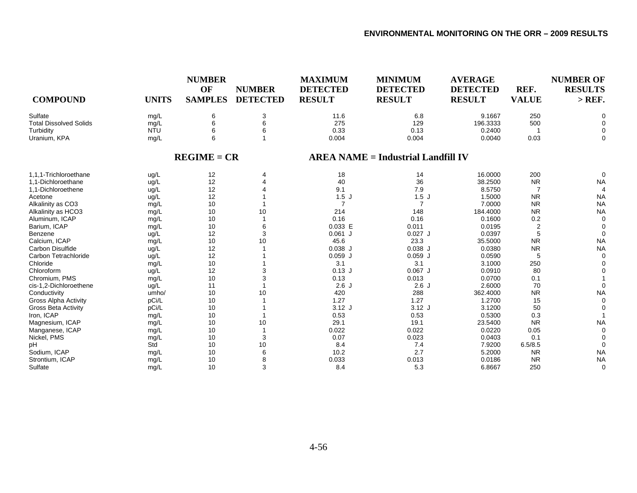| <b>COMPOUND</b>               | <b>UNITS</b> | <b>NUMBER</b><br>OF<br><b>SAMPLES</b> | <b>NUMBER</b><br><b>DETECTED</b> | <b>MAXIMUM</b><br><b>DETECTED</b><br><b>RESULT</b> | <b>MINIMUM</b><br><b>DETECTED</b><br><b>RESULT</b> | <b>AVERAGE</b><br><b>DETECTED</b><br><b>RESULT</b> | REF.<br><b>VALUE</b> | <b>NUMBER OF</b><br><b>RESULTS</b><br>$>$ REF. |
|-------------------------------|--------------|---------------------------------------|----------------------------------|----------------------------------------------------|----------------------------------------------------|----------------------------------------------------|----------------------|------------------------------------------------|
| Sulfate                       | mg/L         | 6                                     | $\mathsf 3$                      | 11.6                                               | 6.8                                                | 9.1667                                             | 250                  | $\Omega$                                       |
| <b>Total Dissolved Solids</b> | mg/L         | 6                                     | 6                                | 275                                                | 129                                                | 196.3333                                           | 500                  | $\Omega$                                       |
| Turbidity                     | <b>NTU</b>   |                                       | 6                                | 0.33                                               | 0.13                                               | 0.2400                                             |                      | 0                                              |
| Uranium, KPA                  | mg/L         | 6                                     |                                  | 0.004                                              | 0.004                                              | 0.0040                                             | 0.03                 | 0                                              |
|                               |              | $REGIME = CR$                         |                                  |                                                    | <b>AREA NAME = Industrial Landfill IV</b>          |                                                    |                      |                                                |
| 1,1,1-Trichloroethane         | ug/L         | 12                                    |                                  | 18                                                 | 14                                                 | 16.0000                                            | 200                  | 0                                              |
| 1,1-Dichloroethane            | ug/L         | 12                                    |                                  | 40                                                 | 36                                                 | 38.2500                                            | <b>NR</b>            | <b>NA</b>                                      |
| 1.1-Dichloroethene            | ug/L         | 12                                    |                                  | 9.1                                                | 7.9                                                | 8.5750                                             | $\overline{7}$       | $\boldsymbol{\Delta}$                          |
| Acetone                       | ug/L         | 12                                    |                                  | 1.5J                                               | 1.5J                                               | 1.5000                                             | <b>NR</b>            | <b>NA</b>                                      |
| Alkalinity as CO3             | mg/L         | 10                                    |                                  | $\overline{7}$                                     | $\overline{7}$                                     | 7.0000                                             | <b>NR</b>            | <b>NA</b>                                      |
| Alkalinity as HCO3            | mg/L         | 10                                    | 10                               | 214                                                | 148                                                | 184.4000                                           | <b>NR</b>            | <b>NA</b>                                      |
| Aluminum, ICAP                | mg/L         | 10                                    |                                  | 0.16                                               | 0.16                                               | 0.1600                                             | 0.2                  | 0                                              |
| Barium, ICAP                  | mg/L         | 10                                    | 6                                | 0.033 E                                            | 0.011                                              | 0.0195                                             | $\overline{2}$       | $\Omega$                                       |
| Benzene                       | ug/L         | 12                                    | 3                                | $0.061$ J                                          | $0.027$ J                                          | 0.0397                                             |                      | $\Omega$                                       |
| Calcium, ICAP                 | mg/L         | 10                                    | 10                               | 45.6                                               | 23.3                                               | 35.5000                                            | <b>NR</b>            | <b>NA</b>                                      |
| Carbon Disulfide              | ug/L         | 12                                    |                                  | $0.038$ J                                          | $0.038$ J                                          | 0.0380                                             | <b>NR</b>            | <b>NA</b>                                      |
| Carbon Tetrachloride          | ug/L         | 12                                    |                                  | $0.059$ J                                          | $0.059$ J                                          | 0.0590                                             | 5                    | $\Omega$                                       |
| Chloride                      | mg/L         | 10                                    |                                  | 3.1                                                | 3.1                                                | 3.1000                                             | 250                  |                                                |
| Chloroform                    | ug/L         | 12                                    |                                  | $0.13$ J                                           | $0.067$ J                                          | 0.0910                                             | 80                   |                                                |
| Chromium, PMS                 | mg/L         | 10                                    | 3                                | 0.13                                               | 0.013                                              | 0.0700                                             | 0.1                  |                                                |
| cis-1,2-Dichloroethene        | ug/L         | 11                                    |                                  | 2.6J                                               | 2.6J                                               | 2.6000                                             | 70                   | 0                                              |
| Conductivity                  | umho/        | 10                                    | 10                               | 420                                                | 288                                                | 362.4000                                           | <b>NR</b>            | <b>NA</b>                                      |
| <b>Gross Alpha Activity</b>   | pCi/L        | 10                                    |                                  | 1.27                                               | 1.27                                               | 1.2700                                             | 15                   | $\Omega$                                       |
| <b>Gross Beta Activity</b>    | pCi/L        | 10                                    |                                  | $3.12$ J                                           | $3.12$ J                                           | 3.1200                                             | 50                   |                                                |
| Iron, ICAP                    | mg/L         | 10                                    |                                  | 0.53                                               | 0.53                                               | 0.5300                                             | 0.3                  |                                                |
| Magnesium, ICAP               | mg/L         | 10                                    | 10                               | 29.1                                               | 19.1                                               | 23.5400                                            | <b>NR</b>            | <b>NA</b>                                      |
| Manganese, ICAP               | mg/L         | 10                                    |                                  | 0.022                                              | 0.022                                              | 0.0220                                             | 0.05                 | $\Omega$                                       |
| Nickel, PMS                   | mg/L         | 10                                    | 3                                | 0.07                                               | 0.023                                              | 0.0403                                             | 0.1                  |                                                |
| pH                            | Std          | 10                                    | 10                               | 8.4                                                | 7.4                                                | 7.9200                                             | 6.5/8.5              | $\Omega$                                       |
| Sodium, ICAP                  | mg/L         | 10                                    | 6                                | 10.2                                               | 2.7                                                | 5.2000                                             | <b>NR</b>            | <b>NA</b>                                      |
| Strontium, ICAP               | mg/L         | 10                                    | 8                                | 0.033                                              | 0.013                                              | 0.0186                                             | <b>NR</b>            | <b>NA</b>                                      |
| Sulfate                       | mg/L         | 10                                    | 3                                | 8.4                                                | 5.3                                                | 6.8667                                             | 250                  | 0                                              |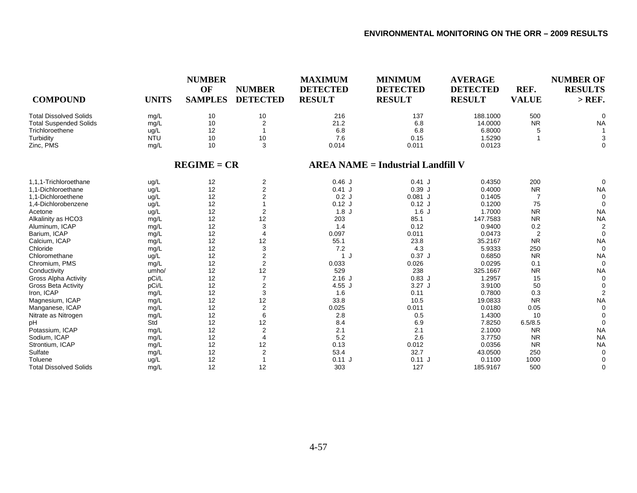| <b>COMPOUND</b>               | <b>UNITS</b> | <b>NUMBER</b><br>OF<br><b>SAMPLES</b> | <b>NUMBER</b><br><b>DETECTED</b> | <b>MAXIMUM</b><br><b>DETECTED</b><br><b>RESULT</b> | <b>MINIMUM</b><br><b>DETECTED</b><br><b>RESULT</b> | <b>AVERAGE</b><br><b>DETECTED</b><br><b>RESULT</b> | REF.<br><b>VALUE</b> | <b>NUMBER OF</b><br><b>RESULTS</b><br>$>$ REF. |
|-------------------------------|--------------|---------------------------------------|----------------------------------|----------------------------------------------------|----------------------------------------------------|----------------------------------------------------|----------------------|------------------------------------------------|
| <b>Total Dissolved Solids</b> | mg/L         | 10                                    | 10                               | 216                                                | 137                                                | 188.1000                                           | 500                  |                                                |
| <b>Total Suspended Solids</b> | mg/L         | 10                                    | $\overline{2}$                   | 21.2                                               | 6.8                                                | 14.0000                                            | <b>NR</b>            | <b>NA</b>                                      |
| Trichloroethene               | ug/L         | 12                                    | $\mathbf{1}$                     | 6.8                                                | 6.8                                                | 6.8000                                             | 5                    |                                                |
| Turbidity                     | <b>NTU</b>   | 10                                    | 10                               | 7.6                                                | 0.15                                               | 1.5290                                             |                      | 3                                              |
| Zinc, PMS                     | mg/L         | 10                                    | 3                                | 0.014                                              | 0.011                                              | 0.0123                                             |                      | $\Omega$                                       |
|                               |              | $REGIME = CR$                         |                                  |                                                    | <b>AREA NAME = Industrial Landfill V</b>           |                                                    |                      |                                                |
| 1.1.1-Trichloroethane         | ug/L         | 12                                    | 2                                | 0.46J                                              | $0.41$ J                                           | 0.4350                                             | 200                  | $\Omega$                                       |
| 1.1-Dichloroethane            | ug/L         | 12                                    | $\overline{2}$                   | $0.41$ J                                           | 0.39J                                              | 0.4000                                             | <b>NR</b>            | <b>NA</b>                                      |
| 1.1-Dichloroethene            | ug/L         | 12                                    | $\overline{2}$                   | 0.2J                                               | $0.081$ J                                          | 0.1405                                             | $\overline{7}$       | $\Omega$                                       |
| 1,4-Dichlorobenzene           | ug/L         | 12                                    | 1                                | $0.12$ J                                           | $0.12$ J                                           | 0.1200                                             | 75                   | $\Omega$                                       |
| Acetone                       | ug/L         | 12                                    | $\overline{2}$                   | 1.8J                                               | 1.6J                                               | 1.7000                                             | <b>NR</b>            | <b>NA</b>                                      |
| Alkalinity as HCO3            | mg/L         | 12                                    | 12                               | 203                                                | 85.1                                               | 147.7583                                           | <b>NR</b>            | <b>NA</b>                                      |
| Aluminum, ICAP                | mg/L         | 12                                    | 3                                | 1.4                                                | 0.12                                               | 0.9400                                             | 0.2                  | 2                                              |
| Barium, ICAP                  | mg/L         | 12                                    | 4                                | 0.097                                              | 0.011                                              | 0.0473                                             | $\overline{2}$       | $\Omega$                                       |
| Calcium, ICAP                 | mg/L         | 12                                    | 12                               | 55.1                                               | 23.8                                               | 35.2167                                            | <b>NR</b>            | <b>NA</b>                                      |
| Chloride                      | mg/L         | 12                                    | 3                                | 7.2                                                | 4.3                                                | 5.9333                                             | 250                  | $\Omega$                                       |
| Chloromethane                 | ug/L         | 12                                    | $\mathbf{2}$                     | 1 J                                                | $0.37$ J                                           | 0.6850                                             | <b>NR</b>            | <b>NA</b>                                      |
| Chromium, PMS                 | mg/L         | 12                                    | $\mathbf 2$                      | 0.033                                              | 0.026                                              | 0.0295                                             | 0.1                  | $\Omega$                                       |
| Conductivity                  | umho/        | 12                                    | 12                               | 529                                                | 238                                                | 325.1667                                           | <b>NR</b>            | <b>NA</b>                                      |
| <b>Gross Alpha Activity</b>   | pCi/L        | 12                                    | $\overline{7}$                   | $2.16$ J                                           | $0.83$ J                                           | 1.2957                                             | 15                   | $\Omega$                                       |
| <b>Gross Beta Activity</b>    | pCi/L        | 12                                    | $\mathbf 2$                      | 4.55J                                              | $3.27$ J                                           | 3.9100                                             | 50                   | $\Omega$                                       |
| Iron, ICAP                    | mg/L         | 12                                    | 3                                | 1.6                                                | 0.11                                               | 0.7800                                             | 0.3                  |                                                |
| Magnesium, ICAP               | mg/L         | 12                                    | 12                               | 33.8                                               | 10.5                                               | 19.0833                                            | <b>NR</b>            | <b>NA</b>                                      |
| Manganese, ICAP               | mg/L         | 12                                    | $\mathbf 2$                      | 0.025                                              | 0.011                                              | 0.0180                                             | 0.05                 | $\Omega$                                       |
| Nitrate as Nitrogen           | mg/L         | 12                                    | 6                                | 2.8                                                | 0.5                                                | 1.4300                                             | 10                   | $\Omega$                                       |
| pH                            | Std          | 12                                    | 12                               | 8.4                                                | 6.9                                                | 7.8250                                             | 6.5/8.5              | $\Omega$                                       |
| Potassium. ICAP               | mg/L         | 12                                    | $\overline{\mathbf{c}}$          | 2.1                                                | 2.1                                                | 2.1000                                             | <b>NR</b>            | <b>NA</b>                                      |
| Sodium, ICAP                  | mg/L         | 12                                    | 4                                | 5.2                                                | 2.6                                                | 3.7750                                             | <b>NR</b>            | <b>NA</b>                                      |
| Strontium, ICAP               | mg/L         | 12                                    | 12                               | 0.13                                               | 0.012                                              | 0.0356                                             | <b>NR</b>            | <b>NA</b>                                      |
| Sulfate                       | mg/L         | 12                                    | $\overline{2}$                   | 53.4                                               | 32.7                                               | 43.0500                                            | 250                  | $\Omega$                                       |
| Toluene                       | ug/L         | 12                                    | $\mathbf{1}$                     | 0.11J                                              | 0.11J                                              | 0.1100                                             | 1000                 | ∩                                              |
| <b>Total Dissolved Solids</b> | mg/L         | 12                                    | 12                               | 303                                                | 127                                                | 185.9167                                           | 500                  | $\Omega$                                       |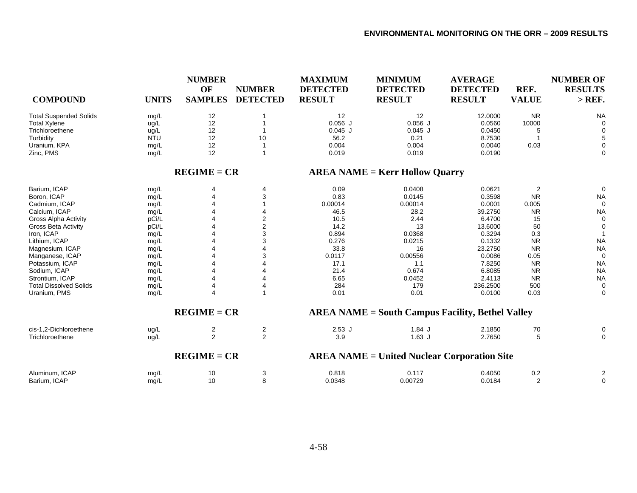| <b>COMPOUND</b>                | <b>UNITS</b> | <b>NUMBER</b><br>OF<br><b>SAMPLES</b> | <b>NUMBER</b><br><b>DETECTED</b> | <b>MAXIMUM</b><br><b>DETECTED</b><br><b>RESULT</b> | <b>MINIMUM</b><br><b>DETECTED</b><br><b>RESULT</b>      | <b>AVERAGE</b><br><b>DETECTED</b><br><b>RESULT</b> | REF.<br><b>VALUE</b>      | <b>NUMBER OF</b><br><b>RESULTS</b><br>$>$ REF. |
|--------------------------------|--------------|---------------------------------------|----------------------------------|----------------------------------------------------|---------------------------------------------------------|----------------------------------------------------|---------------------------|------------------------------------------------|
| <b>Total Suspended Solids</b>  | mg/L         | 12                                    |                                  | 12                                                 | 12                                                      | 12.0000                                            | <b>NR</b>                 | <b>NA</b>                                      |
| <b>Total Xylene</b>            | ug/L         | 12                                    |                                  | $0.056$ J                                          | $0.056$ J                                               | 0.0560                                             | 10000                     | $\Omega$                                       |
| Trichloroethene                | ug/L         | 12                                    |                                  | $0.045$ J                                          | $0.045$ J                                               | 0.0450                                             | 5                         |                                                |
| Turbidity                      | <b>NTU</b>   | 12                                    | 10                               | 56.2                                               | 0.21                                                    | 8.7530                                             |                           |                                                |
| Uranium, KPA                   | mg/L         | 12                                    |                                  | 0.004                                              | 0.004                                                   | 0.0040                                             | 0.03                      | 0                                              |
| Zinc, PMS                      | mg/L         | 12                                    | $\overline{1}$                   | 0.019                                              | 0.019                                                   | 0.0190                                             |                           | 0                                              |
|                                |              | $REGIME = CR$                         |                                  |                                                    | $AREA NAME = Kerr$ Hollow Quarry                        |                                                    |                           |                                                |
| Barium, ICAP                   | mg/L         | 4                                     | 4                                | 0.09                                               | 0.0408                                                  | 0.0621                                             | $\overline{c}$            | $\Omega$                                       |
| Boron, ICAP                    | mg/L         | 4                                     | 3                                | 0.83                                               | 0.0145                                                  | 0.3598                                             | <b>NR</b>                 | <b>NA</b>                                      |
| Cadmium, ICAP                  | mg/L         |                                       |                                  | 0.00014                                            | 0.00014                                                 | 0.0001                                             | 0.005                     |                                                |
| Calcium, ICAP                  | mg/L         |                                       | 4                                | 46.5                                               | 28.2                                                    | 39.2750                                            | <b>NR</b>                 | <b>NA</b>                                      |
| <b>Gross Alpha Activity</b>    | pCi/L        |                                       | 2                                | 10.5                                               | 2.44                                                    | 6.4700                                             | 15                        | 0                                              |
| <b>Gross Beta Activity</b>     | pCi/L        |                                       | 2                                | 14.2                                               | 13                                                      | 13.6000                                            | 50                        | 0                                              |
| Iron, ICAP                     | mg/L         |                                       | 3                                | 0.894                                              | 0.0368                                                  | 0.3294                                             | 0.3                       |                                                |
| Lithium, ICAP                  | mg/L         |                                       | 3                                | 0.276                                              | 0.0215                                                  | 0.1332                                             | <b>NR</b>                 | <b>NA</b>                                      |
| Magnesium, ICAP                | mg/L         |                                       |                                  | 33.8                                               | 16                                                      | 23.2750                                            | <b>NR</b>                 | <b>NA</b>                                      |
| Manganese, ICAP                | mg/L         |                                       | 3                                | 0.0117                                             | 0.00556                                                 | 0.0086                                             | 0.05                      | 0                                              |
| Potassium, ICAP                | mg/L         |                                       | Δ                                | 17.1                                               | 1.1                                                     | 7.8250                                             | <b>NR</b>                 | <b>NA</b>                                      |
| Sodium, ICAP                   | mg/L         |                                       |                                  | 21.4                                               | 0.674                                                   | 6.8085                                             | <b>NR</b>                 | <b>NA</b>                                      |
| Strontium, ICAP                | mg/L         |                                       |                                  | 6.65                                               | 0.0452                                                  | 2.4113                                             | <b>NR</b>                 | <b>NA</b>                                      |
| <b>Total Dissolved Solids</b>  | mg/L         | 4                                     | 4                                | 284                                                | 179                                                     | 236.2500                                           | 500                       | 0                                              |
| Uranium, PMS                   | mg/L         | 4                                     | 1                                | 0.01                                               | 0.01                                                    | 0.0100                                             | 0.03                      | 0                                              |
|                                |              | $REGIME = CR$                         |                                  |                                                    | <b>AREA NAME = South Campus Facility, Bethel Valley</b> |                                                    |                           |                                                |
| cis-1.2-Dichloroethene         | ug/L         | 2                                     | $\overline{c}$                   | $2.53$ J                                           | $1.84$ J                                                | 2.1850                                             | 70                        |                                                |
| Trichloroethene                | ug/L         | $\overline{2}$                        | $\overline{2}$                   | 3.9                                                | $1.63$ J                                                | 2.7650                                             | 5                         | $\Omega$                                       |
|                                |              | $REGIME = CR$                         |                                  |                                                    | <b>AREA NAME = United Nuclear Corporation Site</b>      |                                                    |                           |                                                |
| Aluminum, ICAP<br>Barium, ICAP | mg/L<br>mg/L | 10<br>10                              | 3<br>8                           | 0.818<br>0.0348                                    | 0.117<br>0.00729                                        | 0.4050<br>0.0184                                   | $0.2\,$<br>$\overline{2}$ | 2<br>0                                         |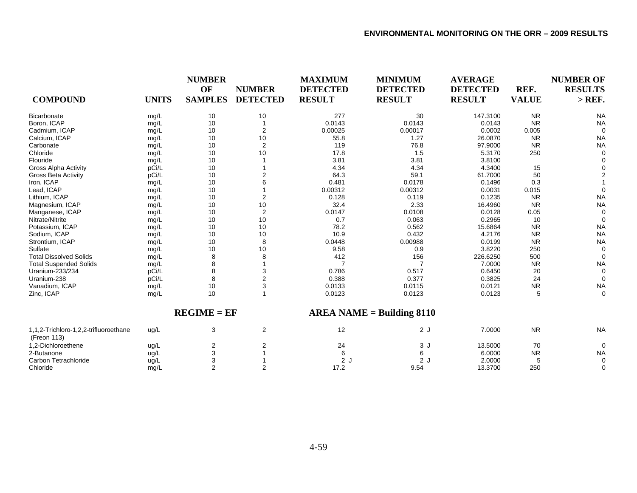|                                                      | <b>NUMBER</b> |                |                 | <b>MAXIMUM</b>  | <b>MINIMUM</b>              | <b>AVERAGE</b>  |              | <b>NUMBER OF</b> |
|------------------------------------------------------|---------------|----------------|-----------------|-----------------|-----------------------------|-----------------|--------------|------------------|
|                                                      |               | OF             | <b>NUMBER</b>   | <b>DETECTED</b> | <b>DETECTED</b>             | <b>DETECTED</b> | REF.         | <b>RESULTS</b>   |
| <b>COMPOUND</b>                                      | <b>UNITS</b>  | <b>SAMPLES</b> | <b>DETECTED</b> | <b>RESULT</b>   | <b>RESULT</b>               | <b>RESULT</b>   | <b>VALUE</b> | $>$ REF.         |
| Bicarbonate                                          | mg/L          | 10             | 10              | 277             | 30                          | 147.3100        | <b>NR</b>    | <b>NA</b>        |
| Boron, ICAP                                          | mg/L          | 10             | 1               | 0.0143          | 0.0143                      | 0.0143          | <b>NR</b>    | <b>NA</b>        |
| Cadmium, ICAP                                        | mg/L          | 10             | 2               | 0.00025         | 0.00017                     | 0.0002          | 0.005        | $\Omega$         |
| Calcium, ICAP                                        | mg/L          | 10             | 10              | 55.8            | 1.27                        | 26.0870         | <b>NR</b>    | <b>NA</b>        |
| Carbonate                                            | mg/L          | 10             | $\overline{2}$  | 119             | 76.8                        | 97.9000         | <b>NR</b>    | <b>NA</b>        |
| Chloride                                             | mg/L          | 10             | 10              | 17.8            | 1.5                         | 5.3170          | 250          | $\Omega$         |
| Flouride                                             | mg/L          | 10             |                 | 3.81            | 3.81                        | 3.8100          |              |                  |
| <b>Gross Alpha Activity</b>                          | pCi/L         | 10             |                 | 4.34            | 4.34                        | 4.3400          | 15           |                  |
| <b>Gross Beta Activity</b>                           | pCi/L         | 10             |                 | 64.3            | 59.1                        | 61.7000         | 50           |                  |
| Iron, ICAP                                           | mg/L          | 10             |                 | 0.481           | 0.0178                      | 0.1496          | 0.3          |                  |
| Lead, ICAP                                           | mg/L          | 10             |                 | 0.00312         | 0.00312                     | 0.0031          | 0.015        | $\Omega$         |
| Lithium, ICAP                                        | mg/L          | 10             | 2               | 0.128           | 0.119                       | 0.1235          | <b>NR</b>    | <b>NA</b>        |
| Magnesium, ICAP                                      | mg/L          | 10             | 10              | 32.4            | 2.33                        | 16.4960         | <b>NR</b>    | <b>NA</b>        |
| Manganese, ICAP                                      | mg/L          | 10             | $\overline{2}$  | 0.0147          | 0.0108                      | 0.0128          | 0.05         | $\Omega$         |
| Nitrate/Nitrite                                      | mg/L          | 10             | 10              | 0.7             | 0.063                       | 0.2965          | 10           | $\Omega$         |
| Potassium, ICAP                                      | mg/L          | 10             | 10              | 78.2            | 0.562                       | 15.6864         | <b>NR</b>    | <b>NA</b>        |
| Sodium, ICAP                                         | mg/L          | 10             | 10              | 10.9            | 0.432                       | 4.2176          | <b>NR</b>    | <b>NA</b>        |
| Strontium, ICAP                                      | mg/L          | 10             | 8               | 0.0448          | 0.00988                     | 0.0199          | <b>NR</b>    | <b>NA</b>        |
| Sulfate                                              | mg/L          | 10             | 10              | 9.58            | 0.9                         | 3.8220          | 250          | $\Omega$         |
| <b>Total Dissolved Solids</b>                        | mg/L          | 8              | 8               | 412             | 156                         | 226.6250        | 500          | $\Omega$         |
| <b>Total Suspended Solids</b>                        | mg/L          |                |                 |                 |                             | 7.0000          | <b>NR</b>    | <b>NA</b>        |
| Uranium-233/234                                      | pCi/L         | 8              | 3               | 0.786           | 0.517                       | 0.6450          | 20           | $\Omega$         |
| Uranium-238                                          | pCi/L         | 8              | 2               | 0.388           | 0.377                       | 0.3825          | 24           | $\Omega$         |
| Vanadium, ICAP                                       | mg/L          | 10             | 3               | 0.0133          | 0.0115                      | 0.0121          | <b>NR</b>    | <b>NA</b>        |
| Zinc, ICAP                                           | mg/L          | 10             |                 | 0.0123          | 0.0123                      | 0.0123          | 5            | $\Omega$         |
|                                                      |               | $REGIME = EF$  |                 |                 | $AREA NAME = Building 8110$ |                 |              |                  |
| 1,1,2-Trichloro-1,2,2-trifluoroethane<br>(Freon 113) | ug/L          | 3              | $\overline{c}$  | 12              | 2J                          | 7.0000          | <b>NR</b>    | <b>NA</b>        |
| 1,2-Dichloroethene                                   | ug/L          | 2              | 2               | 24              | 3J                          | 13.5000         | 70           | 0                |
| 2-Butanone                                           | ug/L          | 3              |                 | 6               | 6                           | 6.0000          | <b>NR</b>    | <b>NA</b>        |
| Carbon Tetrachloride                                 | ug/L          | 3              |                 | 2J              | 2J                          | 2.0000          | 5            | $\mathbf 0$      |
| Chloride                                             | mg/L          | $\overline{2}$ | 2               | 17.2            | 9.54                        | 13.3700         | 250          | 0                |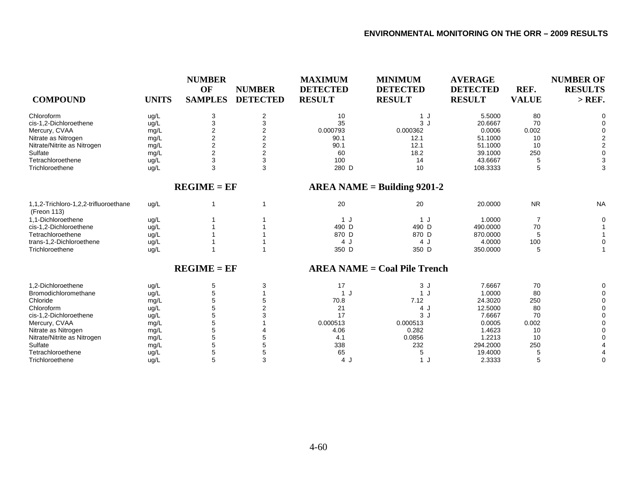| <b>COMPOUND</b>                                      | <b>UNITS</b> | <b>NUMBER</b><br>OF<br><b>SAMPLES</b> | <b>NUMBER</b><br><b>DETECTED</b> | <b>MAXIMUM</b><br><b>DETECTED</b><br><b>RESULT</b> | <b>MINIMUM</b><br><b>DETECTED</b><br><b>RESULT</b> | <b>AVERAGE</b><br><b>DETECTED</b><br><b>RESULT</b> | REF.<br><b>VALUE</b> | <b>NUMBER OF</b><br><b>RESULTS</b><br>$>$ REF. |
|------------------------------------------------------|--------------|---------------------------------------|----------------------------------|----------------------------------------------------|----------------------------------------------------|----------------------------------------------------|----------------------|------------------------------------------------|
| Chloroform                                           | ug/L         | 3                                     | 2                                | 10                                                 | 1J                                                 | 5.5000                                             | 80                   | $\Omega$                                       |
| cis-1,2-Dichloroethene                               | ug/L         | 3                                     | 3                                | 35                                                 | 3J                                                 | 20.6667                                            | 70                   | 0                                              |
| Mercury, CVAA                                        | mg/L         | 2                                     | 2                                | 0.000793                                           | 0.000362                                           | 0.0006                                             | 0.002                |                                                |
| Nitrate as Nitrogen                                  | mg/L         | $\overline{\mathbf{c}}$               | $\overline{2}$                   | 90.1                                               | 12.1                                               | 51.1000                                            | 10                   | 2                                              |
| Nitrate/Nitrite as Nitrogen                          | mg/L         | $\overline{2}$                        | 2                                | 90.1                                               | 12.1                                               | 51.1000                                            | 10                   | 2                                              |
| Sulfate                                              | mg/L         | $\overline{2}$                        | $\overline{2}$                   | 60                                                 | 18.2                                               | 39.1000                                            | 250                  | $\mathbf 0$                                    |
| Tetrachloroethene                                    | ug/L         | 3                                     | 3                                | 100                                                | 14                                                 | 43.6667                                            |                      | 3                                              |
| Trichloroethene                                      | ug/L         | 3                                     | 3                                | 280 D                                              | 10                                                 | 108.3333                                           | 5                    | 3                                              |
|                                                      |              | $REGIME = EF$                         |                                  |                                                    | $AREA NAME = Building 9201-2$                      |                                                    |                      |                                                |
| 1,1,2-Trichloro-1,2,2-trifluoroethane<br>(Freon 113) | ug/L         |                                       | 1                                | 20                                                 | 20                                                 | 20.0000                                            | <b>NR</b>            | <b>NA</b>                                      |
| 1.1-Dichloroethene                                   | ug/L         |                                       |                                  | 1 J                                                | 1J                                                 | 1.0000                                             | 7                    | 0                                              |
| cis-1,2-Dichloroethene                               | ug/L         |                                       |                                  | 490 D                                              | 490 D                                              | 490.0000                                           | 70                   |                                                |
| Tetrachloroethene                                    | ug/L         |                                       |                                  | 870 D                                              | 870 D                                              | 870.0000                                           |                      |                                                |
| trans-1,2-Dichloroethene                             | ug/L         |                                       |                                  | 4 J                                                | 4 J                                                | 4.0000                                             | 100                  | $\Omega$                                       |
| Trichloroethene                                      | ug/L         |                                       |                                  | 350 D                                              | 350 D                                              | 350.0000                                           | 5                    |                                                |
|                                                      |              | $REGIME = EF$                         |                                  |                                                    | <b>AREA NAME = Coal Pile Trench</b>                |                                                    |                      |                                                |
| 1.2-Dichloroethene                                   | ug/L         | 5                                     | 3                                | 17                                                 | 3J                                                 | 7.6667                                             | 70                   | 0                                              |
| Bromodichloromethane                                 | ug/L         | 5                                     |                                  | 1 J                                                | 1J                                                 | 1.0000                                             | 80                   | $\Omega$                                       |
| Chloride                                             | mg/L         | 5                                     | 5                                | 70.8                                               | 7.12                                               | 24.3020                                            | 250                  | 0                                              |
| Chloroform                                           | ug/L         | 5                                     |                                  | 21                                                 | 4 J                                                | 12.5000                                            | 80                   | 0                                              |
| cis-1,2-Dichloroethene                               | ug/L         | 5                                     |                                  | 17                                                 | 3J                                                 | 7.6667                                             | 70                   | 0                                              |
| Mercury, CVAA                                        | mg/L         | 5                                     |                                  | 0.000513                                           | 0.000513                                           | 0.0005                                             | 0.002                |                                                |
| Nitrate as Nitrogen                                  | mg/L         | 5                                     |                                  | 4.06                                               | 0.282                                              | 1.4623                                             | 10                   |                                                |
| Nitrate/Nitrite as Nitrogen                          | mg/L         | 5                                     |                                  | 4.1                                                | 0.0856                                             | 1.2213                                             | 10                   |                                                |
| Sulfate                                              | mg/L         | 5                                     | 5                                | 338                                                | 232                                                | 294.2000                                           | 250                  |                                                |
| Tetrachloroethene                                    | ug/L         | 5                                     | 5                                | 65                                                 | 5                                                  | 19.4000                                            |                      |                                                |
| Trichloroethene                                      | ug/L         | 5                                     | 3                                | 4 J                                                | 1 J                                                | 2.3333                                             | 5                    | $\Omega$                                       |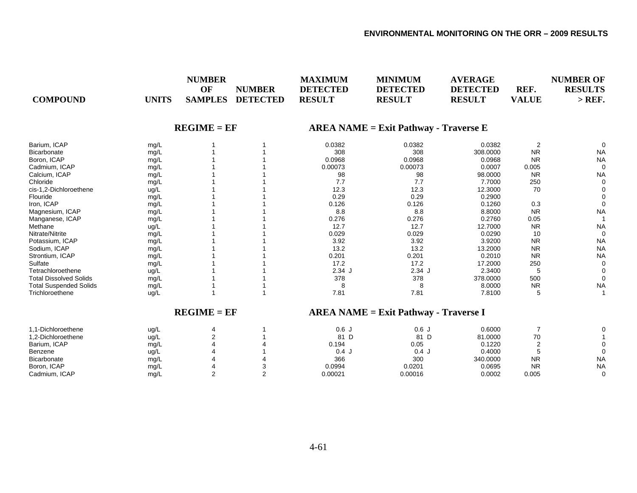| OF<br><b>DETECTED</b><br><b>DETECTED</b><br><b>DETECTED</b><br>REF.<br><b>NUMBER</b><br><b>COMPOUND</b><br><b>UNITS</b><br><b>SAMPLES</b><br><b>DETECTED</b><br><b>RESULT</b><br><b>RESULT</b><br><b>RESULT</b><br><b>VALUE</b> | <b>RESULTS</b><br>$>$ REF.    |
|---------------------------------------------------------------------------------------------------------------------------------------------------------------------------------------------------------------------------------|-------------------------------|
| $REGIME = EF$<br>$AREA NAME = Exist Pathway - Traverse E$                                                                                                                                                                       |                               |
| Barium, ICAP<br>0.0382<br>0.0382<br>0.0382<br>mg/L                                                                                                                                                                              | $\overline{2}$<br>$\mathbf 0$ |
| 308<br>308<br>308.0000<br>Bicarbonate<br>mg/L                                                                                                                                                                                   | <b>NR</b><br><b>NA</b>        |
| Boron, ICAP<br>0.0968<br>0.0968<br>0.0968<br>mg/L                                                                                                                                                                               | <b>NR</b><br><b>NA</b>        |
| 0.00073<br>Cadmium, ICAP<br>0.00073<br>0.0007<br>mg/L                                                                                                                                                                           | 0.005<br>$\mathbf 0$          |
| Calcium, ICAP<br>98<br>98.0000<br>98<br>mg/L                                                                                                                                                                                    | <b>NR</b><br><b>NA</b>        |
| 7.7<br>Chloride<br>7.7<br>7.7000<br>mg/L                                                                                                                                                                                        | 250<br>$\mathbf 0$            |
| cis-1,2-Dichloroethene<br>12.3<br>12.3<br>12.3000<br>ug/L                                                                                                                                                                       | 70<br>$\Omega$                |
| 0.29<br>0.29<br>Flouride<br>0.2900<br>mg/L                                                                                                                                                                                      | $\Omega$                      |
| Iron, ICAP<br>0.126<br>0.126<br>0.1260<br>mg/L                                                                                                                                                                                  | 0.3<br>$\mathbf 0$            |
| Magnesium, ICAP<br>8.8<br>8.8<br>8.8000<br>mg/L                                                                                                                                                                                 | <b>NR</b><br><b>NA</b>        |
| 0.276<br>0.276<br>0.2760<br>Manganese, ICAP<br>mg/L                                                                                                                                                                             | 0.05                          |
| 12.7<br>12.7<br>12.7000<br>Methane<br>ug/L                                                                                                                                                                                      | <b>NR</b><br><b>NA</b>        |
| Nitrate/Nitrite<br>0.029<br>0.029<br>0.0290<br>mg/L                                                                                                                                                                             | 10<br>$\mathbf 0$             |
| 3.92<br>3.9200<br>Potassium, ICAP<br>3.92<br>mg/L                                                                                                                                                                               | <b>NR</b><br><b>NA</b>        |
| 13.2<br>13.2<br>Sodium, ICAP<br>13.2000<br>mg/L                                                                                                                                                                                 | <b>NR</b><br><b>NA</b>        |
| 0.201<br>0.201<br>0.2010<br>Strontium, ICAP<br>mg/L                                                                                                                                                                             | <b>NR</b><br><b>NA</b>        |
| 17.2<br>17.2<br>Sulfate<br>17.2000<br>mg/L                                                                                                                                                                                      | 250<br>$\mathbf 0$            |
| $2.34$ J<br>$2.34$ J<br>Tetrachloroethene<br>2.3400<br>ug/L                                                                                                                                                                     | 5<br>$\mathbf 0$              |
| 378<br>378.0000<br><b>Total Dissolved Solids</b><br>378<br>mg/L                                                                                                                                                                 | 500<br>$\mathbf 0$            |
| 8<br>8<br>8.0000<br><b>Total Suspended Solids</b><br>mg/L                                                                                                                                                                       | <b>NR</b><br><b>NA</b>        |
| 7.81<br>Trichloroethene<br>7.81<br>7.8100<br>ug/L                                                                                                                                                                               | 5                             |
| $REGIME = EF$<br>$AREA NAME = Exist Pathway - Traverse I$                                                                                                                                                                       |                               |
| 0.6J<br>0.6J<br>0.6000<br>1,1-Dichloroethene<br>ug/L<br>4                                                                                                                                                                       | $\overline{7}$<br>$\Omega$    |
| $\overline{2}$<br>81 D<br>81 D<br>81.0000<br>1,2-Dichloroethene<br>ug/L                                                                                                                                                         | 70                            |
| $\overline{4}$<br>0.05<br>0.1220<br>Barium, ICAP<br>0.194<br>mg/L                                                                                                                                                               | $\mathbf 0$                   |
| 0.4J<br>0.4000<br>Benzene<br>4<br>0.4J<br>ug/L                                                                                                                                                                                  | $\mathbf 0$<br>5              |
| 366<br>300<br>340.0000<br>Bicarbonate<br>mg/L                                                                                                                                                                                   | <b>NR</b><br><b>NA</b>        |
| Boron, ICAP<br>0.0994<br>0.0695<br>0.0201<br>mg/L<br>4                                                                                                                                                                          | <b>NR</b><br><b>NA</b>        |
| $\overline{2}$<br>$\overline{2}$<br>Cadmium, ICAP<br>0.00021<br>0.00016<br>0.0002<br>mg/L                                                                                                                                       | 0.005<br>$\mathbf 0$          |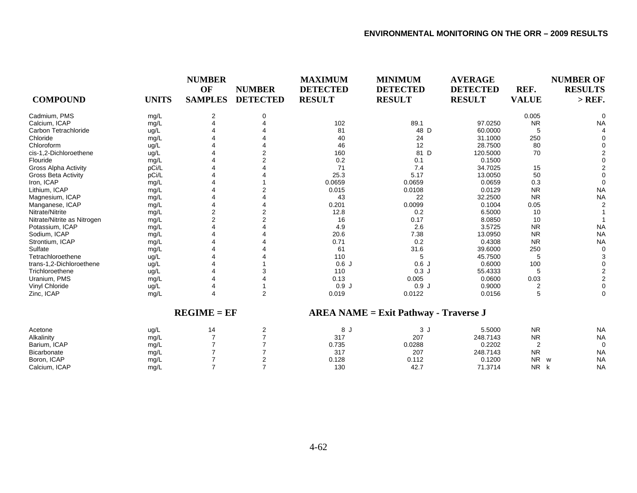| <b>COMPOUND</b>             | <b>UNITS</b>  | <b>NUMBER</b><br>OF<br><b>SAMPLES</b> | <b>NUMBER</b><br><b>DETECTED</b> | <b>MAXIMUM</b><br><b>DETECTED</b><br><b>RESULT</b> | <b>MINIMUM</b><br><b>DETECTED</b><br><b>RESULT</b> | <b>AVERAGE</b><br><b>DETECTED</b><br><b>RESULT</b> | REF.<br><b>VALUE</b> | <b>NUMBER OF</b><br><b>RESULTS</b><br>$>$ REF. |
|-----------------------------|---------------|---------------------------------------|----------------------------------|----------------------------------------------------|----------------------------------------------------|----------------------------------------------------|----------------------|------------------------------------------------|
| Cadmium, PMS                | mg/L          | 2                                     | $\Omega$                         |                                                    |                                                    |                                                    | 0.005                | 0                                              |
| Calcium, ICAP               | mg/L          |                                       |                                  | 102                                                | 89.1                                               | 97.0250                                            | <b>NR</b>            | <b>NA</b>                                      |
| Carbon Tetrachloride        | ug/L          |                                       |                                  | 81                                                 | 48 D                                               | 60.0000                                            | 5                    |                                                |
| Chloride                    | mg/L          |                                       |                                  | 40                                                 | 24                                                 | 31.1000                                            | 250                  |                                                |
| Chloroform                  | ug/L          |                                       |                                  | 46                                                 | 12                                                 | 28.7500                                            | 80                   | $\Omega$                                       |
| cis-1,2-Dichloroethene      | ug/L          |                                       |                                  | 160                                                | 81 D                                               | 120.5000                                           | 70                   | $\overline{2}$                                 |
| Flouride                    | mg/L          |                                       |                                  | 0.2                                                | 0.1                                                | 0.1500                                             |                      | $\Omega$                                       |
| <b>Gross Alpha Activity</b> | pCi/L         |                                       |                                  | 71                                                 | 7.4                                                | 34.7025                                            | 15                   | $\overline{2}$                                 |
| Gross Beta Activity         | pCi/L         |                                       |                                  | 25.3                                               | 5.17                                               | 13.0050                                            | 50                   | $\Omega$                                       |
| Iron, ICAP                  | mg/L          |                                       |                                  | 0.0659                                             | 0.0659                                             | 0.0659                                             | 0.3                  | $\Omega$                                       |
| Lithium, ICAP               | mg/L          |                                       |                                  | 0.015                                              | 0.0108                                             | 0.0129                                             | <b>NR</b>            | <b>NA</b>                                      |
| Magnesium, ICAP             | mg/L          |                                       |                                  | 43                                                 | 22                                                 | 32.2500                                            | <b>NR</b>            | <b>NA</b>                                      |
| Manganese, ICAP             | mg/L          |                                       |                                  | 0.201                                              | 0.0099                                             | 0.1004                                             | 0.05                 | $\overline{2}$                                 |
| Nitrate/Nitrite             | mg/L          | $\overline{\mathbf{c}}$               |                                  | 12.8                                               | 0.2                                                | 6.5000                                             | 10                   |                                                |
| Nitrate/Nitrite as Nitrogen | mg/L          | $\overline{2}$                        |                                  | 16                                                 | 0.17                                               | 8.0850                                             | 10                   |                                                |
| Potassium, ICAP             | mg/L          |                                       |                                  | 4.9                                                | 2.6                                                | 3.5725                                             | <b>NR</b>            | <b>NA</b>                                      |
| Sodium, ICAP                | mg/L          |                                       |                                  | 20.6                                               | 7.38                                               | 13.0950                                            | <b>NR</b>            | <b>NA</b>                                      |
| Strontium, ICAP             | mg/L          |                                       |                                  | 0.71                                               | 0.2                                                | 0.4308                                             | <b>NR</b>            | <b>NA</b>                                      |
| Sulfate                     | mg/L          |                                       |                                  | 61                                                 | 31.6                                               | 39.6000                                            | 250                  | 0                                              |
| Tetrachloroethene           | ug/L          |                                       |                                  | 110                                                | 5                                                  | 45.7500                                            | 5                    | 3                                              |
| trans-1,2-Dichloroethene    | ug/L          |                                       |                                  | 0.6J                                               | 0.6J                                               | 0.6000                                             | 100                  | $\mathbf 0$                                    |
| Trichloroethene             | ug/L          |                                       |                                  | 110                                                | 0.3J                                               | 55.4333                                            | 5                    | $\overline{c}$                                 |
| Uranium, PMS                | mg/L          |                                       |                                  | 0.13                                               | 0.005                                              | 0.0600                                             | 0.03                 | $\overline{2}$                                 |
| Vinyl Chloride              | ug/L          |                                       |                                  | 0.9J                                               | 0.9J                                               | 0.9000                                             | $\overline{2}$       | $\mathbf 0$                                    |
| Zinc, ICAP                  | mg/L          |                                       | 2                                | 0.019                                              | 0.0122                                             | 0.0156                                             | 5                    | $\mathbf 0$                                    |
|                             | $REGIME = EF$ |                                       |                                  | $AREA NAME = Exist Pathway - Traverse J$           |                                                    |                                                    |                      |                                                |
| Acetone                     | ug/L          | 14                                    | 2                                | 8 J                                                | 3 J                                                | 5.5000                                             | <b>NR</b>            | <b>NA</b>                                      |
| Alkalinity                  | mg/L          |                                       |                                  | 317                                                | 207                                                | 248.7143                                           | <b>NR</b>            | <b>NA</b>                                      |
| Barium, ICAP                | mg/L          |                                       |                                  | 0.735                                              | 0.0288                                             | 0.2202                                             | $\overline{2}$       | 0                                              |
| Bicarbonate                 | mg/L          |                                       |                                  | 317                                                | 207                                                | 248.7143                                           | <b>NR</b>            | <b>NA</b>                                      |
| Boron, ICAP                 | mg/L          |                                       | 2                                | 0.128                                              | 0.112                                              | 0.1200                                             | <b>NR</b>            | <b>NA</b><br>W                                 |
| Calcium, ICAP               | mq/L          | $\overline{7}$                        | $\overline{7}$                   | 130                                                | 42.7                                               | 71.3714                                            | <b>NR</b>            | <b>NA</b><br>k                                 |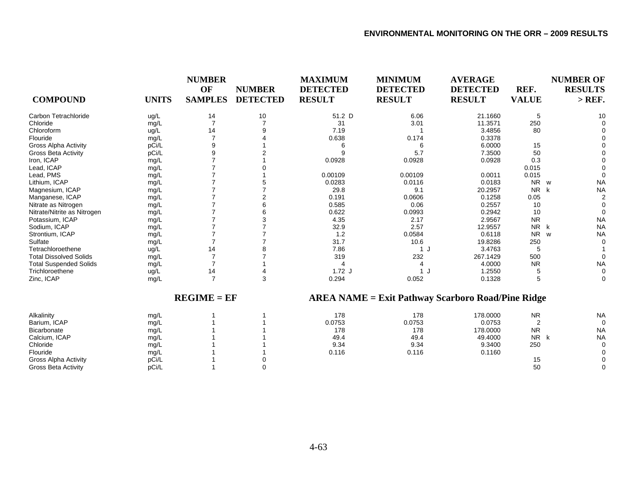| <b>COMPOUND</b>               | <b>UNITS</b> | <b>NUMBER</b><br>OF<br><b>SAMPLES</b> | <b>NUMBER</b><br><b>DETECTED</b> | <b>MAXIMUM</b><br><b>DETECTED</b><br><b>RESULT</b> | <b>MINIMUM</b><br><b>DETECTED</b><br><b>RESULT</b>       | <b>AVERAGE</b><br><b>DETECTED</b><br><b>RESULT</b> | REF.<br><b>VALUE</b> | <b>NUMBER OF</b><br><b>RESULTS</b><br>$>$ REF. |
|-------------------------------|--------------|---------------------------------------|----------------------------------|----------------------------------------------------|----------------------------------------------------------|----------------------------------------------------|----------------------|------------------------------------------------|
| Carbon Tetrachloride          | ug/L         | 14                                    | 10                               | 51.2 D                                             | 6.06                                                     | 21.1660                                            | 5                    | 10                                             |
| Chloride                      | mg/L         |                                       |                                  | 31                                                 | 3.01                                                     | 11.3571                                            | 250                  | $\sqrt{ }$                                     |
| Chloroform                    | ug/L         | 14                                    |                                  | 7.19                                               |                                                          | 3.4856                                             | 80                   |                                                |
| Flouride                      | mg/L         |                                       |                                  | 0.638                                              | 0.174                                                    | 0.3378                                             |                      |                                                |
| <b>Gross Alpha Activity</b>   | pCi/L        |                                       |                                  | 6                                                  | 6                                                        | 6.0000                                             | 15                   |                                                |
| <b>Gross Beta Activity</b>    | pCi/L        |                                       |                                  | 9                                                  | 5.7                                                      | 7.3500                                             | 50                   |                                                |
| Iron, ICAP                    | mg/L         |                                       |                                  | 0.0928                                             | 0.0928                                                   | 0.0928                                             | 0.3                  |                                                |
| Lead, ICAP                    | mg/L         |                                       |                                  |                                                    |                                                          |                                                    | 0.015                |                                                |
| Lead, PMS                     | mg/L         |                                       |                                  | 0.00109                                            | 0.00109                                                  | 0.0011                                             | 0.015                | $\Omega$                                       |
| Lithium, ICAP                 | mg/L         |                                       |                                  | 0.0283                                             | 0.0116                                                   | 0.0183                                             | <b>NR</b>            | <b>NA</b><br>w                                 |
| Magnesium, ICAP               | mg/L         |                                       |                                  | 29.8                                               | 9.1                                                      | 20.2957                                            | <b>NR</b>            | <b>NA</b><br>k                                 |
| Manganese, ICAP               | mg/L         |                                       | 2                                | 0.191                                              | 0.0606                                                   | 0.1258                                             | 0.05                 | $\overline{c}$                                 |
| Nitrate as Nitrogen           | mg/L         |                                       |                                  | 0.585                                              | 0.06                                                     | 0.2557                                             | 10                   | $\Omega$                                       |
| Nitrate/Nitrite as Nitrogen   | mg/L         |                                       |                                  | 0.622                                              | 0.0993                                                   | 0.2942                                             | 10                   | $\Omega$                                       |
| Potassium, ICAP               | mg/L         |                                       |                                  | 4.35                                               | 2.17                                                     | 2.9567                                             | <b>NR</b>            | <b>NA</b>                                      |
| Sodium, ICAP                  | mg/L         |                                       |                                  | 32.9                                               | 2.57                                                     | 12.9557                                            | <b>NR</b>            | <b>NA</b><br>k                                 |
| Strontium, ICAP               | mg/L         |                                       |                                  | 1.2                                                | 0.0584                                                   | 0.6118                                             | <b>NR</b>            | <b>NA</b><br>W                                 |
| Sulfate                       | mg/L         |                                       |                                  | 31.7                                               | 10.6                                                     | 19.8286                                            | 250                  | $\Omega$                                       |
| Tetrachloroethene             | ug/L         | 14                                    |                                  | 7.86                                               | 1J                                                       | 3.4763                                             | 5                    |                                                |
| <b>Total Dissolved Solids</b> | mg/L         |                                       |                                  | 319                                                | 232                                                      | 267.1429                                           | 500                  | $\Omega$                                       |
| <b>Total Suspended Solids</b> | mg/L         | $\overline{7}$                        |                                  | $\overline{4}$                                     | $\overline{4}$                                           | 4.0000                                             | <b>NR</b>            | <b>NA</b>                                      |
| Trichloroethene               | ug/L         | 14                                    |                                  | $1.72$ J                                           | 1                                                        | 1.2550                                             | 5                    | $\Omega$                                       |
| Zinc, ICAP                    | mg/L         | $\overline{7}$                        | 3                                | 0.294                                              | 0.052                                                    | 0.1328                                             | 5                    | $\mathbf 0$                                    |
|                               |              | $REGIME = EF$                         |                                  |                                                    | <b>AREA NAME = Exit Pathway Scarboro Road/Pine Ridge</b> |                                                    |                      |                                                |
| Alkalinity                    | mg/L         |                                       |                                  | 178                                                | 178                                                      | 178,0000                                           | <b>NR</b>            | <b>NA</b>                                      |
| Barium, ICAP                  | mg/L         |                                       |                                  | 0.0753                                             | 0.0753                                                   | 0.0753                                             | 2                    | $\Omega$                                       |
| <b>Bicarbonate</b>            | mg/L         |                                       |                                  | 178                                                | 178                                                      | 178.0000                                           | <b>NR</b>            | <b>NA</b>                                      |
| Calcium, ICAP                 | mg/L         |                                       |                                  | 49.4                                               | 49.4                                                     | 49.4000                                            | NR k                 | <b>NA</b>                                      |
| Chloride                      | mg/L         |                                       |                                  | 9.34                                               | 9.34                                                     | 9.3400                                             | 250                  | $\Omega$                                       |
| Flouride                      | mg/L         |                                       |                                  | 0.116                                              | 0.116                                                    | 0.1160                                             |                      |                                                |
| <b>Gross Alpha Activity</b>   | pCi/L        |                                       |                                  |                                                    |                                                          |                                                    | 15                   |                                                |
| <b>Gross Beta Activity</b>    | pCi/L        |                                       |                                  |                                                    |                                                          |                                                    | 50                   | $\Omega$                                       |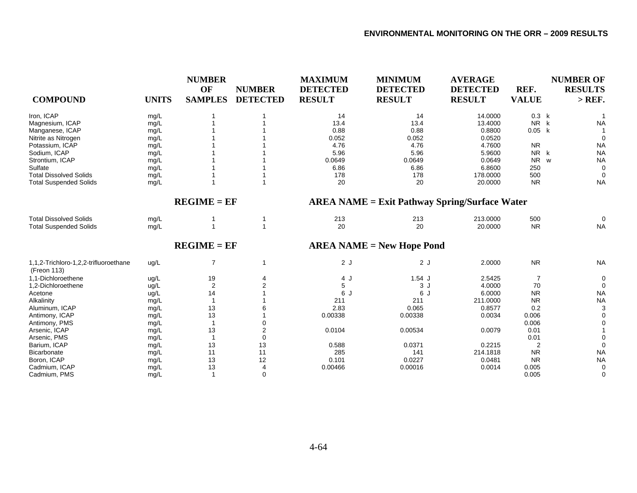| <b>COMPOUND</b>                                      | <b>UNITS</b> | <b>NUMBER</b><br>OF<br><b>SAMPLES</b> | <b>NUMBER</b><br><b>DETECTED</b> | <b>MAXIMUM</b><br><b>DETECTED</b><br><b>RESULT</b> | <b>MINIMUM</b><br><b>DETECTED</b><br><b>RESULT</b>   | <b>AVERAGE</b><br><b>DETECTED</b><br><b>RESULT</b> | REF.<br><b>VALUE</b> | <b>NUMBER OF</b><br><b>RESULTS</b><br>$>$ REF. |
|------------------------------------------------------|--------------|---------------------------------------|----------------------------------|----------------------------------------------------|------------------------------------------------------|----------------------------------------------------|----------------------|------------------------------------------------|
| Iron, ICAP                                           | mg/L         |                                       |                                  | 14                                                 | 14                                                   | 14.0000                                            | 0.3 k                |                                                |
| Magnesium, ICAP                                      | mg/L         |                                       |                                  | 13.4                                               | 13.4                                                 | 13.4000                                            | NR k                 | <b>NA</b>                                      |
| Manganese, ICAP                                      | mg/L         |                                       |                                  | 0.88                                               | 0.88                                                 | 0.8800                                             | 0.05 k               |                                                |
| Nitrite as Nitrogen                                  | mg/L         |                                       |                                  | 0.052                                              | 0.052                                                | 0.0520                                             |                      | $\Omega$                                       |
| Potassium, ICAP                                      | mg/L         |                                       |                                  | 4.76                                               | 4.76                                                 | 4.7600                                             | <b>NR</b>            | <b>NA</b>                                      |
| Sodium, ICAP                                         | mg/L         |                                       |                                  | 5.96                                               | 5.96                                                 | 5.9600                                             | NR k                 | <b>NA</b>                                      |
| Strontium, ICAP                                      | mg/L         |                                       |                                  | 0.0649                                             | 0.0649                                               | 0.0649                                             | <b>NR</b>            | <b>NA</b><br>W                                 |
| Sulfate                                              | mg/L         |                                       |                                  | 6.86                                               | 6.86                                                 | 6.8600                                             | 250                  | $\Omega$                                       |
| <b>Total Dissolved Solids</b>                        | mg/L         |                                       |                                  | 178                                                | 178                                                  | 178.0000                                           | 500                  | $\Omega$                                       |
| <b>Total Suspended Solids</b>                        | mg/L         |                                       |                                  | 20                                                 | 20                                                   | 20.0000                                            | <b>NR</b>            | <b>NA</b>                                      |
|                                                      |              | $REGIME = EF$                         |                                  |                                                    | <b>AREA NAME = Exit Pathway Spring/Surface Water</b> |                                                    |                      |                                                |
| <b>Total Dissolved Solids</b>                        | mg/L         |                                       |                                  | 213                                                | 213                                                  | 213.0000                                           | 500                  | 0                                              |
| <b>Total Suspended Solids</b>                        | mg/L         |                                       | $\overline{\mathbf{1}}$          | 20                                                 | 20                                                   | 20.0000                                            | <b>NR</b>            | <b>NA</b>                                      |
|                                                      |              | $REGIME = EF$                         |                                  |                                                    | $AREA NAME = New Hope$ Pond                          |                                                    |                      |                                                |
| 1,1,2-Trichloro-1,2,2-trifluoroethane<br>(Freon 113) | ug/L         | $\overline{7}$                        | -1                               | 2J                                                 | 2J                                                   | 2.0000                                             | <b>NR</b>            | <b>NA</b>                                      |
| 1.1-Dichloroethene                                   | ug/L         | 19                                    | 4                                | 4 J                                                | $1.54$ J                                             | 2.5425                                             | 7                    | 0                                              |
| 1,2-Dichloroethene                                   | ug/L         | $\overline{\mathbf{c}}$               |                                  | 5                                                  | 3J                                                   | 4.0000                                             | 70                   | $\Omega$                                       |
| Acetone                                              | ug/L         | 14                                    |                                  | 6 J                                                | 6 J                                                  | 6.0000                                             | <b>NR</b>            | <b>NA</b>                                      |
| Alkalinity                                           | mg/L         |                                       |                                  | 211                                                | 211                                                  | 211.0000                                           | <b>NR</b>            | <b>NA</b>                                      |
| Aluminum, ICAP                                       | mg/L         | 13                                    |                                  | 2.83                                               | 0.065                                                | 0.8577                                             | 0.2                  | 3                                              |
| Antimony, ICAP                                       | mg/L         | 13                                    |                                  | 0.00338                                            | 0.00338                                              | 0.0034                                             | 0.006                | 0                                              |
| Antimony, PMS                                        | mg/L         |                                       |                                  |                                                    |                                                      |                                                    | 0.006                | 0                                              |
| Arsenic, ICAP                                        | mg/L         | 13                                    | 2                                | 0.0104                                             | 0.00534                                              | 0.0079                                             | 0.01                 |                                                |
| Arsenic, PMS                                         | mg/L         |                                       | 0                                |                                                    |                                                      |                                                    | 0.01                 | $\Omega$                                       |
| Barium, ICAP                                         | mg/L         | 13                                    | 13                               | 0.588                                              | 0.0371                                               | 0.2215                                             | 2                    | $\mathbf 0$                                    |
| Bicarbonate                                          | mg/L         | 11                                    | 11                               | 285                                                | 141                                                  | 214.1818                                           | <b>NR</b>            | <b>NA</b>                                      |
| Boron, ICAP                                          | mg/L         | 13                                    | 12                               | 0.101                                              | 0.0227                                               | 0.0481                                             | <b>NR</b>            | <b>NA</b>                                      |
| Cadmium, ICAP                                        | mg/L         | 13                                    | 4                                | 0.00466                                            | 0.00016                                              | 0.0014                                             | 0.005                | 0                                              |
| Cadmium, PMS                                         | mq/L         | -1                                    | $\Omega$                         |                                                    |                                                      |                                                    | 0.005                | $\Omega$                                       |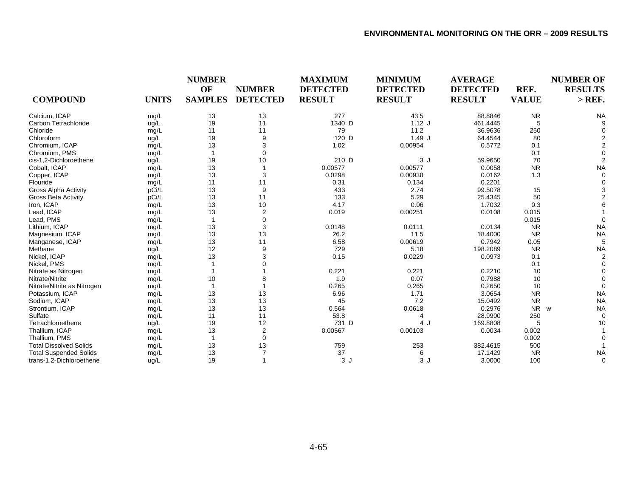| <b>COMPOUND</b>               | <b>UNITS</b> | <b>NUMBER</b><br>OF<br><b>SAMPLES</b> | <b>NUMBER</b><br><b>DETECTED</b> | <b>MAXIMUM</b><br><b>DETECTED</b><br><b>RESULT</b> | <b>MINIMUM</b><br><b>DETECTED</b><br><b>RESULT</b> | <b>AVERAGE</b><br><b>DETECTED</b><br><b>RESULT</b> | REF.<br><b>VALUE</b> | <b>NUMBER OF</b><br><b>RESULTS</b><br>$>$ REF. |
|-------------------------------|--------------|---------------------------------------|----------------------------------|----------------------------------------------------|----------------------------------------------------|----------------------------------------------------|----------------------|------------------------------------------------|
| Calcium, ICAP                 | mg/L         | 13                                    | 13                               | 277                                                | 43.5                                               | 88.8846                                            | <b>NR</b>            | <b>NA</b>                                      |
| Carbon Tetrachloride          | ug/L         | 19                                    | 11                               | 1340 D                                             | $1.12$ J                                           | 461.4445                                           | 5                    |                                                |
| Chloride                      | mg/L         | 11                                    | 11                               | 79                                                 | 11.2                                               | 36.9636                                            | 250                  |                                                |
| Chloroform                    | ug/L         | 19                                    | 9                                | 120 D                                              | 1.49J                                              | 64.4544                                            | 80                   |                                                |
| Chromium, ICAP                | mg/L         | 13                                    | 3                                | 1.02                                               | 0.00954                                            | 0.5772                                             | 0.1                  |                                                |
| Chromium, PMS                 | mg/L         |                                       | $\Omega$                         |                                                    |                                                    |                                                    | 0.1                  |                                                |
| cis-1,2-Dichloroethene        | ug/L         | 19                                    | 10                               | 210 D                                              | 3J                                                 | 59.9650                                            | 70                   |                                                |
| Cobalt, ICAP                  | mg/L         | 13                                    |                                  | 0.00577                                            | 0.00577                                            | 0.0058                                             | <b>NR</b>            | <b>NA</b>                                      |
| Copper, ICAP                  | mg/L         | 13                                    | 3                                | 0.0298                                             | 0.00938                                            | 0.0162                                             | 1.3                  |                                                |
| Flouride                      | mg/L         | 11                                    | 11                               | 0.31                                               | 0.134                                              | 0.2201                                             |                      |                                                |
| <b>Gross Alpha Activity</b>   | pCi/L        | 13                                    | 9                                | 433                                                | 2.74                                               | 99.5078                                            | 15                   |                                                |
| Gross Beta Activity           | pCi/L        | 13                                    | 11                               | 133                                                | 5.29                                               | 25.4345                                            | 50                   |                                                |
| Iron, ICAP                    | mg/L         | 13                                    | 10                               | 4.17                                               | 0.06                                               | 1.7032                                             | 0.3                  |                                                |
| Lead, ICAP                    | mg/L         | 13                                    | $\overline{2}$                   | 0.019                                              | 0.00251                                            | 0.0108                                             | 0.015                |                                                |
| Lead, PMS                     | mg/L         |                                       | $\Omega$                         |                                                    |                                                    |                                                    | 0.015                |                                                |
| Lithium, ICAP                 | mg/L         | 13                                    | 3                                | 0.0148                                             | 0.0111                                             | 0.0134                                             | <b>NR</b>            | <b>NA</b>                                      |
| Magnesium, ICAP               | mg/L         | 13                                    | 13                               | 26.2                                               | 11.5                                               | 18.4000                                            | <b>NR</b>            | <b>NA</b>                                      |
| Manganese, ICAP               | mg/L         | 13                                    | 11                               | 6.58                                               | 0.00619                                            | 0.7942                                             | 0.05                 |                                                |
| Methane                       | ug/L         | 12                                    | 9                                | 729                                                | 5.18                                               | 198.2089                                           | <b>NR</b>            | <b>NA</b>                                      |
| Nickel, ICAP                  | mg/L         | 13                                    | 3                                | 0.15                                               | 0.0229                                             | 0.0973                                             | 0.1                  |                                                |
| Nickel, PMS                   | mg/L         |                                       |                                  |                                                    |                                                    |                                                    | 0.1                  |                                                |
| Nitrate as Nitrogen           | mg/L         |                                       |                                  | 0.221                                              | 0.221                                              | 0.2210                                             | 10                   |                                                |
| Nitrate/Nitrite               | mg/L         | 10                                    | 8                                | 1.9                                                | 0.07                                               | 0.7988                                             | 10                   |                                                |
| Nitrate/Nitrite as Nitrogen   | mg/L         | 1                                     |                                  | 0.265                                              | 0.265                                              | 0.2650                                             | 10                   | $\Omega$                                       |
| Potassium, ICAP               | mg/L         | 13                                    | 13                               | 6.96                                               | 1.71                                               | 3.0654                                             | <b>NR</b>            | <b>NA</b>                                      |
| Sodium, ICAP                  | mg/L         | 13                                    | 13                               | 45                                                 | 7.2                                                | 15.0492                                            | <b>NR</b>            | <b>NA</b>                                      |
| Strontium, ICAP               | mg/L         | 13                                    | 13                               | 0.564                                              | 0.0618                                             | 0.2976                                             | <b>NR</b>            | <b>NA</b><br>W                                 |
| Sulfate                       | mg/L         | 11                                    | 11                               | 53.8                                               | 4                                                  | 28.9900                                            | 250                  |                                                |
| Tetrachloroethene             | ug/L         | 19                                    | 12                               | 731 D                                              | 4 J                                                | 169.8808                                           | 5                    | 10                                             |
| Thallium, ICAP                | mg/L         | 13                                    | 2                                | 0.00567                                            | 0.00103                                            | 0.0034                                             | 0.002                |                                                |
| Thallium, PMS                 | mg/L         | $\overline{1}$                        | 0                                |                                                    |                                                    |                                                    | 0.002                |                                                |
| <b>Total Dissolved Solids</b> | mg/L         | 13                                    | 13                               | 759                                                | 253                                                | 382.4615                                           | 500                  |                                                |
| <b>Total Suspended Solids</b> | mg/L         | 13                                    |                                  | 37                                                 | 6                                                  | 17.1429                                            | <b>NR</b>            | <b>NA</b>                                      |
| trans-1,2-Dichloroethene      | ug/L         | 19                                    |                                  | 3J                                                 | 3J                                                 | 3.0000                                             | 100                  | 0                                              |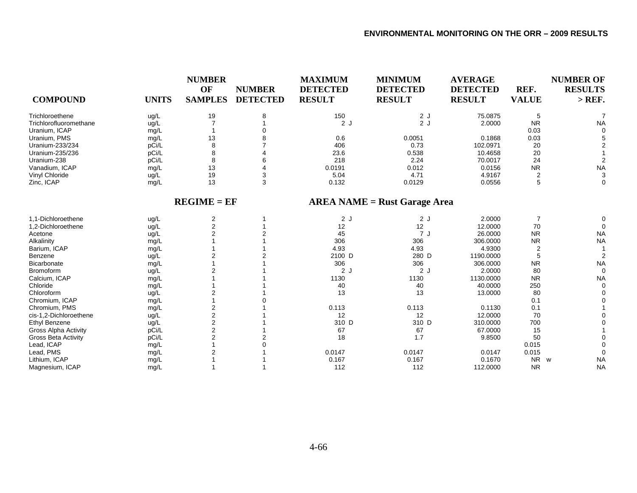| <b>COMPOUND</b>             | <b>UNITS</b> | <b>NUMBER</b><br>OF<br><b>SAMPLES</b> | <b>NUMBER</b><br><b>DETECTED</b> | <b>MAXIMUM</b><br><b>DETECTED</b><br><b>RESULT</b> | <b>MINIMUM</b><br><b>DETECTED</b><br><b>RESULT</b> | <b>AVERAGE</b><br><b>DETECTED</b><br><b>RESULT</b> | REF.<br><b>VALUE</b> | <b>NUMBER OF</b><br><b>RESULTS</b><br>$>$ REF. |
|-----------------------------|--------------|---------------------------------------|----------------------------------|----------------------------------------------------|----------------------------------------------------|----------------------------------------------------|----------------------|------------------------------------------------|
| Trichloroethene             | ug/L         | 19                                    | 8                                | 150                                                | 2J                                                 | 75.0875                                            | 5                    |                                                |
| Trichlorofluoromethane      | ug/L         |                                       |                                  | 2J                                                 | 2J                                                 | 2.0000                                             | <b>NR</b>            | <b>NA</b>                                      |
| Uranium, ICAP               | mg/L         |                                       |                                  |                                                    |                                                    |                                                    | 0.03                 | $\Omega$                                       |
| Uranium, PMS                | mg/L         | 13                                    |                                  | 0.6                                                | 0.0051                                             | 0.1868                                             | 0.03                 |                                                |
| Uranium-233/234             | pCi/L        | 8                                     |                                  | 406                                                | 0.73                                               | 102.0971                                           | 20                   |                                                |
| Uranium-235/236             | pCi/L        | 8                                     |                                  | 23.6                                               | 0.538                                              | 10.4658                                            | 20                   |                                                |
| Uranium-238                 | pCi/L        | 8                                     |                                  | 218                                                | 2.24                                               | 70.0017                                            | 24                   |                                                |
| Vanadium, ICAP              | mg/L         | 13                                    |                                  | 0.0191                                             | 0.012                                              | 0.0156                                             | <b>NR</b>            | <b>NA</b>                                      |
| Vinyl Chloride              | ug/L         | 19                                    | 3                                | 5.04                                               | 4.71                                               | 4.9167                                             | 2                    | 3                                              |
| Zinc, ICAP                  | mg/L         | 13                                    | 3                                | 0.132                                              | 0.0129                                             | 0.0556                                             | 5                    | $\Omega$                                       |
|                             |              | $REGIME = EF$                         |                                  |                                                    | $AREA NAME = Rust Garage Area$                     |                                                    |                      |                                                |
| 1.1-Dichloroethene          | ug/L         | 2                                     |                                  | 2J                                                 | 2J                                                 | 2.0000                                             | $\overline{7}$       |                                                |
| 1,2-Dichloroethene          | ug/L         | $\overline{2}$                        |                                  | 12                                                 | 12                                                 | 12.0000                                            | 70                   | $\Omega$                                       |
| Acetone                     | ug/L         | $\overline{2}$                        |                                  | 45                                                 | 7 J                                                | 26.0000                                            | <b>NR</b>            | <b>NA</b>                                      |
| Alkalinity                  | mg/L         |                                       |                                  | 306                                                | 306                                                | 306.0000                                           | <b>NR</b>            | <b>NA</b>                                      |
| Barium, ICAP                | mg/L         |                                       |                                  | 4.93                                               | 4.93                                               | 4.9300                                             | 2                    |                                                |
| Benzene                     | ug/L         | $\overline{2}$                        |                                  | 2100 D                                             | 280 D                                              | 1190.0000                                          | 5                    |                                                |
| <b>Bicarbonate</b>          | mg/L         |                                       |                                  | 306                                                | 306                                                | 306.0000                                           | <b>NR</b>            | <b>NA</b>                                      |
| <b>Bromoform</b>            | ug/L         | $\overline{2}$                        |                                  | 2J                                                 | 2J                                                 | 2.0000                                             | 80                   | $\Omega$                                       |
| Calcium, ICAP               | mg/L         |                                       |                                  | 1130                                               | 1130                                               | 1130.0000                                          | <b>NR</b>            | <b>NA</b>                                      |
| Chloride                    | mg/L         |                                       |                                  | 40                                                 | 40                                                 | 40.0000                                            | 250                  | $\Omega$                                       |
| Chloroform                  | ug/L         | 2                                     |                                  | 13                                                 | 13                                                 | 13.0000                                            | 80                   |                                                |
| Chromium, ICAP              | mg/L         |                                       |                                  |                                                    |                                                    |                                                    | 0.1                  |                                                |
| Chromium, PMS               | mg/L         | 2                                     |                                  | 0.113                                              | 0.113                                              | 0.1130                                             | 0.1                  |                                                |
| cis-1,2-Dichloroethene      | ug/L         | 2                                     |                                  | 12                                                 | 12                                                 | 12.0000                                            | 70                   |                                                |
| <b>Ethyl Benzene</b>        | ug/L         | 2                                     |                                  | 310 D                                              | 310 D                                              | 310.0000                                           | 700                  |                                                |
| <b>Gross Alpha Activity</b> | pCi/L        | $\overline{2}$                        |                                  | 67                                                 | 67                                                 | 67.0000                                            | 15                   |                                                |
| <b>Gross Beta Activity</b>  | pCi/L        | $\overline{2}$                        |                                  | 18                                                 | 1.7                                                | 9.8500                                             | 50                   |                                                |
| Lead, ICAP                  | mg/L         |                                       |                                  |                                                    |                                                    |                                                    | 0.015                |                                                |
| Lead, PMS                   | mg/L         | $\overline{2}$                        |                                  | 0.0147                                             | 0.0147                                             | 0.0147                                             | 0.015                |                                                |
| Lithium, ICAP               | mg/L         |                                       |                                  | 0.167                                              | 0.167                                              | 0.1670                                             | NR w                 | <b>NA</b>                                      |
| Magnesium, ICAP             | mg/L         |                                       |                                  | 112                                                | 112                                                | 112.0000                                           | <b>NR</b>            | <b>NA</b>                                      |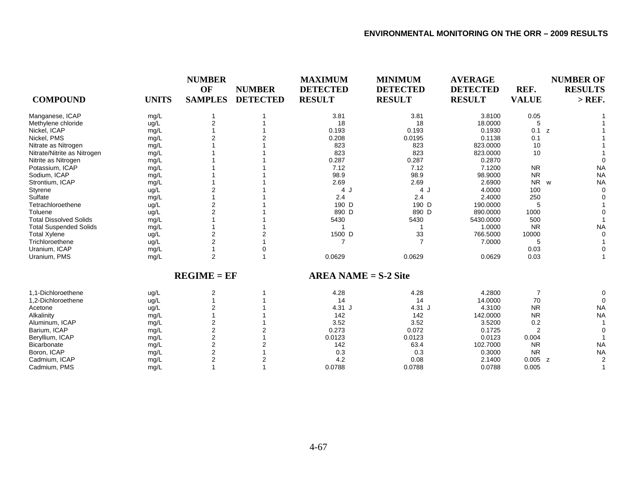| <b>COMPOUND</b>               | <b>UNITS</b> | <b>NUMBER</b><br>OF<br><b>SAMPLES</b> | <b>NUMBER</b><br><b>DETECTED</b> | <b>MAXIMUM</b><br><b>DETECTED</b><br><b>RESULT</b> | <b>MINIMUM</b><br><b>DETECTED</b><br><b>RESULT</b> | <b>AVERAGE</b><br><b>DETECTED</b><br><b>RESULT</b> | REF.<br><b>VALUE</b> | <b>NUMBER OF</b><br><b>RESULTS</b><br>$>$ REF. |
|-------------------------------|--------------|---------------------------------------|----------------------------------|----------------------------------------------------|----------------------------------------------------|----------------------------------------------------|----------------------|------------------------------------------------|
|                               |              |                                       |                                  |                                                    |                                                    |                                                    |                      |                                                |
| Manganese, ICAP               | mg/L         |                                       |                                  | 3.81                                               | 3.81                                               | 3.8100                                             | 0.05                 |                                                |
| Methylene chloride            | ug/L         | 2                                     |                                  | 18                                                 | 18                                                 | 18.0000                                            | 5                    |                                                |
| Nickel, ICAP                  | mg/L         |                                       |                                  | 0.193                                              | 0.193                                              | 0.1930                                             | 0.1 z                |                                                |
| Nickel, PMS                   | mg/L         |                                       |                                  | 0.208                                              | 0.0195                                             | 0.1138                                             | 0.1                  |                                                |
| Nitrate as Nitrogen           | mg/L         |                                       |                                  | 823                                                | 823                                                | 823.0000                                           | 10                   |                                                |
| Nitrate/Nitrite as Nitrogen   | mg/L         |                                       |                                  | 823                                                | 823                                                | 823.0000                                           | 10                   |                                                |
| Nitrite as Nitrogen           | mg/L         |                                       |                                  | 0.287                                              | 0.287                                              | 0.2870                                             |                      |                                                |
| Potassium, ICAP               | mg/L         |                                       |                                  | 7.12                                               | 7.12                                               | 7.1200                                             | <b>NR</b>            | <b>NA</b>                                      |
| Sodium, ICAP                  | mg/L         |                                       |                                  | 98.9                                               | 98.9                                               | 98.9000                                            | <b>NR</b>            | <b>NA</b>                                      |
| Strontium, ICAP               | mg/L         |                                       |                                  | 2.69                                               | 2.69                                               | 2.6900                                             | <b>NR</b><br>W       | <b>NA</b>                                      |
| Styrene                       | ug/L         |                                       |                                  | 4 J                                                | 4 J                                                | 4.0000                                             | 100                  |                                                |
| Sulfate                       | mg/L         |                                       |                                  | 2.4                                                | 2.4                                                | 2.4000                                             | 250                  |                                                |
| Tetrachloroethene             | ug/L         | 2                                     |                                  | 190 D                                              | 190 D                                              | 190.0000                                           | 5                    |                                                |
| Toluene                       | ug/L         | $\overline{2}$                        |                                  | 890 D                                              | 890 D                                              | 890.0000                                           | 1000                 |                                                |
| <b>Total Dissolved Solids</b> | mg/L         |                                       |                                  | 5430                                               | 5430                                               | 5430.0000                                          | 500                  |                                                |
| <b>Total Suspended Solids</b> | mg/L         |                                       |                                  |                                                    |                                                    | 1.0000                                             | <b>NR</b>            | <b>NA</b>                                      |
| <b>Total Xylene</b>           | ug/L         |                                       |                                  | 1500 D                                             | 33                                                 | 766.5000                                           | 10000                |                                                |
| Trichloroethene               | ug/L         | $\overline{2}$                        |                                  | 7                                                  |                                                    | 7.0000                                             | 5                    |                                                |
| Uranium, ICAP                 | mg/L         |                                       |                                  |                                                    |                                                    |                                                    | 0.03                 |                                                |
| Uranium, PMS                  | mg/L         | 2                                     |                                  | 0.0629                                             | 0.0629                                             | 0.0629                                             | 0.03                 |                                                |
|                               |              | $REGIME = EF$                         |                                  | $AREA NAME = S-2 Site$                             |                                                    |                                                    |                      |                                                |
| 1.1-Dichloroethene            | ug/L         | 2                                     |                                  | 4.28                                               | 4.28                                               | 4.2800                                             | 7                    |                                                |
| 1,2-Dichloroethene            | ug/L         |                                       |                                  | 14                                                 | 14                                                 | 14.0000                                            | 70                   |                                                |
| Acetone                       | ug/L         | $\overline{2}$                        |                                  | $4.31$ J                                           | $4.31$ J                                           | 4.3100                                             | <b>NR</b>            | <b>NA</b>                                      |
| Alkalinity                    | mg/L         |                                       |                                  | 142                                                | 142                                                | 142.0000                                           | <b>NR</b>            | <b>NA</b>                                      |
| Aluminum, ICAP                | mg/L         | $\overline{\mathbf{c}}$               |                                  | 3.52                                               | 3.52                                               | 3.5200                                             | 0.2                  |                                                |
| Barium, ICAP                  | mg/L         | 2                                     |                                  | 0.273                                              | 0.072                                              | 0.1725                                             | $\overline{2}$       |                                                |
| Beryllium, ICAP               | mg/L         | $\overline{2}$                        |                                  | 0.0123                                             | 0.0123                                             | 0.0123                                             | 0.004                |                                                |
| <b>Bicarbonate</b>            | mg/L         | 2                                     |                                  | 142                                                | 63.4                                               | 102.7000                                           | <b>NR</b>            | <b>NA</b>                                      |
| Boron, ICAP                   | mg/L         | $\overline{2}$                        |                                  | 0.3                                                | 0.3                                                | 0.3000                                             | <b>NR</b>            | <b>NA</b>                                      |
| Cadmium, ICAP                 | mg/L         | 2                                     |                                  | 4.2                                                | 0.08                                               | 2.1400                                             | $0.005$ z            |                                                |
| Cadmium, PMS                  | mg/L         |                                       |                                  | 0.0788                                             | 0.0788                                             | 0.0788                                             | 0.005                |                                                |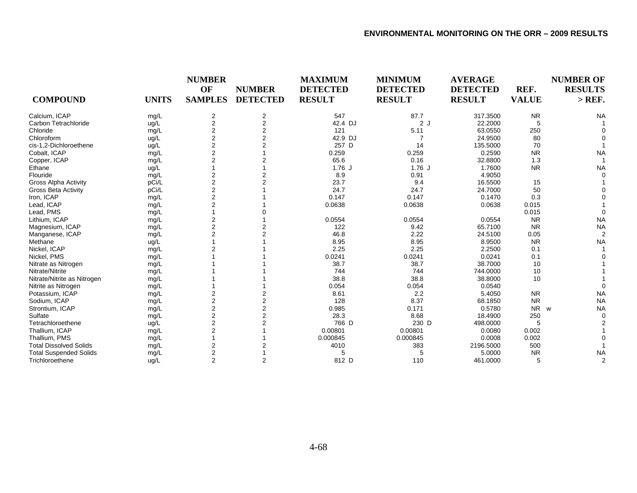|                               |              | <b>NUMBER</b>        |                                  | <b>MAXIMUM</b><br><b>DETECTED</b> | <b>MINIMUM</b><br><b>DETECTED</b> | <b>AVERAGE</b>                   |                      | <b>NUMBER OF</b>           |
|-------------------------------|--------------|----------------------|----------------------------------|-----------------------------------|-----------------------------------|----------------------------------|----------------------|----------------------------|
| <b>COMPOUND</b>               | <b>UNITS</b> | OF<br><b>SAMPLES</b> | <b>NUMBER</b><br><b>DETECTED</b> | <b>RESULT</b>                     | <b>RESULT</b>                     | <b>DETECTED</b><br><b>RESULT</b> | REF.<br><b>VALUE</b> | <b>RESULTS</b><br>$>$ REF. |
| Calcium, ICAP                 | mg/L         | 2                    | 2                                | 547                               | 87.7                              | 317.3500                         | <b>NR</b>            | <b>NA</b>                  |
| Carbon Tetrachloride          | ug/L         | $\overline{c}$       | $\overline{\mathbf{c}}$          | 42.4 DJ                           | 2J                                | 22.2000                          | 5                    |                            |
| Chloride                      | mg/L         | $\overline{2}$       | $\overline{2}$                   | 121                               | 5.11                              | 63.0550                          | 250                  |                            |
| Chloroform                    | ug/L         | $\overline{2}$       | 2                                | 42.9 DJ                           |                                   | 24.9500                          | 80                   |                            |
| cis-1,2-Dichloroethene        | ug/L         | $\overline{2}$       | 2                                | 257 D                             | 14                                | 135.5000                         | 70                   |                            |
| Cobalt, ICAP                  | mg/L         | $\overline{2}$       |                                  | 0.259                             | 0.259                             | 0.2590                           | <b>NR</b>            | <b>NA</b>                  |
| Copper, ICAP                  | mg/L         | $\overline{2}$       |                                  | 65.6                              | 0.16                              | 32.8800                          | 1.3                  |                            |
| Ethane                        | ug/L         |                      |                                  | $1.76$ J                          | $1.76$ J                          | 1.7600                           | <b>NR</b>            | <b>NA</b>                  |
| Flouride                      | mg/L         | 2                    |                                  | 8.9                               | 0.91                              | 4.9050                           |                      |                            |
| <b>Gross Alpha Activity</b>   | pCi/L        | 2                    |                                  | 23.7                              | 9.4                               | 16.5500                          | 15                   |                            |
| <b>Gross Beta Activity</b>    | pCi/L        | 2                    |                                  | 24.7                              | 24.7                              | 24.7000                          | 50                   |                            |
| Iron, ICAP                    | mg/L         | $\overline{2}$       |                                  | 0.147                             | 0.147                             | 0.1470                           | 0.3                  |                            |
| Lead, ICAP                    | mg/L         | $\overline{2}$       |                                  | 0.0638                            | 0.0638                            | 0.0638                           | 0.015                |                            |
| Lead, PMS                     | mg/L         |                      |                                  |                                   |                                   |                                  | 0.015                |                            |
| Lithium, ICAP                 | mg/L         | $\overline{2}$       |                                  | 0.0554                            | 0.0554                            | 0.0554                           | <b>NR</b>            | <b>NA</b>                  |
| Magnesium, ICAP               | mg/L         | $\overline{c}$       |                                  | 122                               | 9.42                              | 65.7100                          | <b>NR</b>            | <b>NA</b>                  |
| Manganese, ICAP               | mg/L         | $\overline{2}$       |                                  | 46.8                              | 2.22                              | 24.5100                          | 0.05                 | 2                          |
| Methane                       | ug/L         |                      |                                  | 8.95                              | 8.95                              | 8.9500                           | <b>NR</b>            | <b>NA</b>                  |
| Nickel, ICAP                  | mg/L         |                      |                                  | 2.25                              | 2.25                              | 2.2500                           | 0.1                  |                            |
| Nickel, PMS                   | mg/L         |                      |                                  | 0.0241                            | 0.0241                            | 0.0241                           | 0.1                  |                            |
| Nitrate as Nitrogen           | mg/L         |                      |                                  | 38.7                              | 38.7                              | 38.7000                          | 10                   |                            |
| Nitrate/Nitrite               | mg/L         |                      |                                  | 744                               | 744                               | 744.0000                         | 10                   |                            |
| Nitrate/Nitrite as Nitrogen   | mg/L         |                      |                                  | 38.8                              | 38.8                              | 38.8000                          | 10                   |                            |
| Nitrite as Nitrogen           | mg/L         |                      |                                  | 0.054                             | 0.054                             | 0.0540                           |                      |                            |
| Potassium, ICAP               | mg/L         | $\overline{2}$       |                                  | 8.61                              | 2.2                               | 5.4050                           | <b>NR</b>            | <b>NA</b>                  |
| Sodium, ICAP                  | mg/L         | 2                    | 2                                | 128                               | 8.37                              | 68.1850                          | <b>NR</b>            | <b>NA</b>                  |
| Strontium, ICAP               | mg/L         | 2                    | 2                                | 0.985                             | 0.171                             | 0.5780                           | <b>NR</b>            | <b>NA</b><br>W             |
| Sulfate                       | mg/L         | $\overline{2}$       | 2                                | 28.3                              | 8.68                              | 18.4900                          | 250                  |                            |
| Tetrachloroethene             | ug/L         | $\overline{2}$       |                                  | 766 D                             | 230 D                             | 498.0000                         | 5                    |                            |
| Thallium, ICAP                | mg/L         | 2                    |                                  | 0.00801                           | 0.00801                           | 0.0080                           | 0.002                |                            |
| Thallium, PMS                 | mg/L         |                      |                                  | 0.000845                          | 0.000845                          | 0.0008                           | 0.002                |                            |
| <b>Total Dissolved Solids</b> | mg/L         | 2                    |                                  | 4010                              | 383                               | 2196.5000                        | 500                  |                            |
| <b>Total Suspended Solids</b> | mg/L         | $\overline{2}$       |                                  | 5                                 | 5                                 | 5.0000                           | <b>NR</b>            | <b>NA</b>                  |
| Trichloroethene               | ug/L         | $\overline{2}$       | 2                                | 812 D                             | 110                               | 461.0000                         | 5                    | $\overline{2}$             |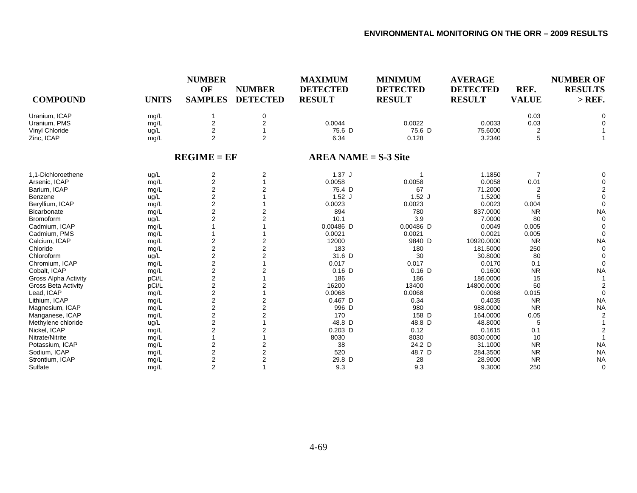| <b>COMPOUND</b>             | <b>UNITS</b> | <b>NUMBER</b><br>OF<br><b>SAMPLES</b> | <b>NUMBER</b><br><b>DETECTED</b> | <b>MAXIMUM</b><br><b>DETECTED</b><br><b>RESULT</b> | <b>MINIMUM</b><br><b>DETECTED</b><br><b>RESULT</b> | <b>AVERAGE</b><br><b>DETECTED</b><br><b>RESULT</b> | REF.<br><b>VALUE</b> | <b>NUMBER OF</b><br><b>RESULTS</b><br>$>$ REF. |
|-----------------------------|--------------|---------------------------------------|----------------------------------|----------------------------------------------------|----------------------------------------------------|----------------------------------------------------|----------------------|------------------------------------------------|
| Uranium, ICAP               | mg/L         |                                       | 0                                |                                                    |                                                    |                                                    | 0.03                 |                                                |
| Uranium, PMS                | mg/L         | 2                                     | $\mathbf 2$                      | 0.0044                                             | 0.0022                                             | 0.0033                                             | 0.03                 | ∩                                              |
| Vinyl Chloride              | ug/L         | $\overline{2}$                        |                                  | 75.6 D                                             | 75.6 D                                             | 75.6000                                            | 2                    |                                                |
| Zinc, ICAP                  | mg/L         | $\overline{2}$                        | $\overline{2}$                   | 6.34                                               | 0.128                                              | 3.2340                                             | 5                    |                                                |
|                             |              | $REGIME = EF$                         |                                  | $AREA NAME = S-3 Site$                             |                                                    |                                                    |                      |                                                |
| 1,1-Dichloroethene          | ug/L         | 2                                     | 2                                | $1.37$ J                                           |                                                    | 1.1850                                             |                      |                                                |
| Arsenic, ICAP               | mg/L         | $\overline{c}$                        | 1                                | 0.0058                                             | 0.0058                                             | 0.0058                                             | 0.01                 |                                                |
| Barium, ICAP                | mg/L         | $\overline{2}$                        | 2                                | 75.4 D                                             | 67                                                 | 71.2000                                            | 2                    |                                                |
| Benzene                     | ug/L         | $\overline{c}$                        |                                  | $1.52$ J                                           | $1.52$ J                                           | 1.5200                                             |                      | $\Omega$                                       |
| Beryllium, ICAP             | mg/L         | $\overline{c}$                        |                                  | 0.0023                                             | 0.0023                                             | 0.0023                                             | 0.004                | $\Omega$                                       |
| <b>Bicarbonate</b>          | mg/L         | $\overline{\mathbf{c}}$               |                                  | 894                                                | 780                                                | 837.0000                                           | <b>NR</b>            | <b>NA</b>                                      |
| <b>Bromoform</b>            | ug/L         | $\overline{2}$                        | $\overline{2}$                   | 10.1                                               | 3.9                                                | 7.0000                                             | 80                   | $\Omega$                                       |
| Cadmium, ICAP               | mg/L         |                                       |                                  | $0.00486$ D                                        | 0.00486 D                                          | 0.0049                                             | 0.005                |                                                |
| Cadmium, PMS                | mg/L         |                                       |                                  | 0.0021                                             | 0.0021                                             | 0.0021                                             | 0.005                | $\Omega$                                       |
| Calcium, ICAP               | mg/L         | 2                                     | 2                                | 12000                                              | 9840 D                                             | 10920.0000                                         | <b>NR</b>            | <b>NA</b>                                      |
| Chloride                    | mg/L         | $\overline{c}$                        | $\overline{2}$                   | 183                                                | 180                                                | 181.5000                                           | 250                  | $\Omega$                                       |
| Chloroform                  | ug/L         | $\overline{c}$                        | $\overline{2}$                   | 31.6 D                                             | 30                                                 | 30.8000                                            | 80                   |                                                |
| Chromium, ICAP              | mg/L         | $\overline{\mathbf{c}}$               |                                  | 0.017                                              | 0.017                                              | 0.0170                                             | 0.1                  | $\Omega$                                       |
| Cobalt, ICAP                | mg/L         | $\overline{\mathbf{c}}$               | $\overline{2}$                   | $0.16$ D                                           | $0.16$ D                                           | 0.1600                                             | <b>NR</b>            | <b>NA</b>                                      |
| <b>Gross Alpha Activity</b> | pCi/L        | $\overline{c}$                        |                                  | 186                                                | 186                                                | 186.0000                                           | 15                   |                                                |
| <b>Gross Beta Activity</b>  | pCi/L        | $\overline{c}$                        |                                  | 16200                                              | 13400                                              | 14800.0000                                         | 50                   |                                                |
| Lead, ICAP                  | mg/L         | $\overline{c}$                        |                                  | 0.0068                                             | 0.0068                                             | 0.0068                                             | 0.015                | $\Omega$                                       |
| Lithium, ICAP               | mg/L         | $\overline{c}$                        | 2                                | $0.467$ D                                          | 0.34                                               | 0.4035                                             | <b>NR</b>            | <b>NA</b>                                      |
| Magnesium, ICAP             | mg/L         | $\overline{\mathbf{c}}$               | $\overline{2}$                   | 996 D                                              | 980                                                | 988.0000                                           | <b>NR</b>            | <b>NA</b>                                      |
| Manganese, ICAP             | mg/L         | $\overline{\mathbf{c}}$               | $\overline{2}$                   | 170                                                | 158 D                                              | 164.0000                                           | 0.05                 | 2                                              |
| Methylene chloride          | ug/L         | $\overline{\mathbf{c}}$               |                                  | 48.8 D                                             | 48.8 D                                             | 48.8000                                            | 5                    |                                                |
| Nickel, ICAP                | mg/L         | 2                                     | $\overline{2}$                   | $0.203$ D                                          | 0.12                                               | 0.1615                                             | 0.1                  |                                                |
| Nitrate/Nitrite             | mg/L         |                                       |                                  | 8030                                               | 8030                                               | 8030.0000                                          | 10                   |                                                |
| Potassium, ICAP             | mg/L         | 2                                     | 2                                | 38                                                 | 24.2 D                                             | 31.1000                                            | <b>NR</b>            | <b>NA</b>                                      |
| Sodium, ICAP                | mg/L         | 2                                     | $\overline{2}$                   | 520                                                | 48.7 D                                             | 284.3500                                           | <b>NR</b>            | <b>NA</b>                                      |
| Strontium, ICAP             | mg/L         | $\overline{2}$                        | $\overline{2}$                   | 29.8 D                                             | 28                                                 | 28.9000                                            | <b>NR</b>            | <b>NA</b>                                      |
| Sulfate                     | mg/L         | $\overline{2}$                        |                                  | 9.3                                                | 9.3                                                | 9.3000                                             | 250                  | $\Omega$                                       |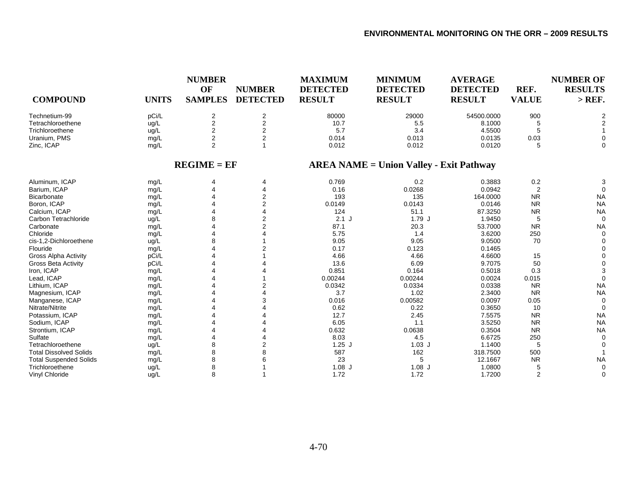| <b>COMPOUND</b>               | <b>UNITS</b> | <b>NUMBER</b><br>OF<br><b>SAMPLES</b> | <b>NUMBER</b><br><b>DETECTED</b> | <b>MAXIMUM</b><br><b>DETECTED</b><br><b>RESULT</b> | <b>MINIMUM</b><br><b>DETECTED</b><br><b>RESULT</b> | <b>AVERAGE</b><br><b>DETECTED</b><br><b>RESULT</b> | REF.<br><b>VALUE</b> | <b>NUMBER OF</b><br><b>RESULTS</b><br>$>$ REF. |
|-------------------------------|--------------|---------------------------------------|----------------------------------|----------------------------------------------------|----------------------------------------------------|----------------------------------------------------|----------------------|------------------------------------------------|
| Technetium-99                 | pCi/L        | $\overline{2}$                        | 2                                | 80000                                              | 29000                                              | 54500.0000                                         | 900                  | 2                                              |
| Tetrachloroethene             | ug/L         | $\mathbf{2}$                          | $\overline{2}$                   | 10.7                                               | 5.5                                                | 8.1000                                             | 5                    |                                                |
| Trichloroethene               | ug/L         | 2                                     | 2                                | 5.7                                                | 3.4                                                | 4.5500                                             | 5                    |                                                |
| Uranium, PMS                  | mg/L         | $\overline{2}$                        | 2                                | 0.014                                              | 0.013                                              | 0.0135                                             | 0.03                 |                                                |
| Zinc, ICAP                    | mg/L         | $\overline{2}$                        |                                  | 0.012                                              | 0.012                                              | 0.0120                                             | 5                    | $\Omega$                                       |
|                               |              | $REGIME = EF$                         |                                  |                                                    | <b>AREA NAME = Union Valley - Exit Pathway</b>     |                                                    |                      |                                                |
| Aluminum, ICAP                | mg/L         |                                       | 4                                | 0.769                                              | 0.2                                                | 0.3883                                             | 0.2                  | З                                              |
| Barium, ICAP                  | mg/L         |                                       | 4                                | 0.16                                               | 0.0268                                             | 0.0942                                             | $\overline{2}$       | $\Omega$                                       |
| Bicarbonate                   | mg/L         |                                       | 2                                | 193                                                | 135                                                | 164.0000                                           | <b>NR</b>            | <b>NA</b>                                      |
| Boron, ICAP                   | mg/L         |                                       | 2                                | 0.0149                                             | 0.0143                                             | 0.0146                                             | <b>NR</b>            | <b>NA</b>                                      |
| Calcium, ICAP                 | mg/L         |                                       |                                  | 124                                                | 51.1                                               | 87.3250                                            | <b>NR</b>            | <b>NA</b>                                      |
| Carbon Tetrachloride          | ug/L         | 8                                     | $\overline{2}$                   | $2.1$ J                                            | 1.79J                                              | 1.9450                                             | 5                    | $\mathbf 0$                                    |
| Carbonate                     | mg/L         |                                       | $\overline{2}$                   | 87.1                                               | 20.3                                               | 53.7000                                            | <b>NR</b>            | <b>NA</b>                                      |
| Chloride                      | mg/L         |                                       |                                  | 5.75                                               | 1.4                                                | 3.6200                                             | 250                  | $\Omega$                                       |
| cis-1,2-Dichloroethene        | ug/L         | 8                                     |                                  | 9.05                                               | 9.05                                               | 9.0500                                             | 70                   |                                                |
| Flouride                      | mg/L         |                                       |                                  | 0.17                                               | 0.123                                              | 0.1465                                             |                      |                                                |
| <b>Gross Alpha Activity</b>   | pCi/L        |                                       |                                  | 4.66                                               | 4.66                                               | 4.6600                                             | 15                   |                                                |
| Gross Beta Activity           | pCi/L        |                                       |                                  | 13.6                                               | 6.09                                               | 9.7075                                             | 50                   | $\Omega$                                       |
| Iron, ICAP                    | mg/L         |                                       |                                  | 0.851                                              | 0.164                                              | 0.5018                                             | 0.3                  |                                                |
| Lead, ICAP                    | mg/L         |                                       |                                  | 0.00244                                            | 0.00244                                            | 0.0024                                             | 0.015                | $\Omega$                                       |
| Lithium, ICAP                 | mg/L         |                                       | 2                                | 0.0342                                             | 0.0334                                             | 0.0338                                             | <b>NR</b>            | <b>NA</b>                                      |
| Magnesium, ICAP               | mg/L         |                                       |                                  | 3.7                                                | 1.02                                               | 2.3400                                             | <b>NR</b>            | <b>NA</b>                                      |
| Manganese, ICAP               | mg/L         |                                       |                                  | 0.016                                              | 0.00582                                            | 0.0097                                             | 0.05                 | $\Omega$                                       |
| Nitrate/Nitrite               | mg/L         |                                       |                                  | 0.62                                               | 0.22                                               | 0.3650                                             | 10                   | $\Omega$                                       |
| Potassium, ICAP               | mg/L         |                                       |                                  | 12.7                                               | 2.45                                               | 7.5575                                             | <b>NR</b>            | <b>NA</b>                                      |
| Sodium, ICAP                  | mg/L         |                                       |                                  | 6.05                                               | 1.1                                                | 3.5250                                             | <b>NR</b>            | <b>NA</b>                                      |
| Strontium, ICAP               | mg/L         |                                       |                                  | 0.632                                              | 0.0638                                             | 0.3504                                             | <b>NR</b>            | <b>NA</b>                                      |
| Sulfate                       | mg/L         |                                       |                                  | 8.03                                               | 4.5                                                | 6.6725                                             | 250                  | $\Omega$                                       |
| Tetrachloroethene             | ug/L         | 8                                     |                                  | $1.25$ J                                           | $1.03$ J                                           | 1.1400                                             | 5                    | $\Omega$                                       |
| <b>Total Dissolved Solids</b> | mg/L         | 8                                     |                                  | 587                                                | 162                                                | 318.7500                                           | 500                  |                                                |
| <b>Total Suspended Solids</b> | mg/L         | 8                                     |                                  | 23                                                 | 5                                                  | 12.1667                                            | <b>NR</b>            | <b>NA</b>                                      |
| Trichloroethene               | ug/L         | 8                                     |                                  | $1.08$ J                                           | $1.08$ J                                           | 1.0800                                             | 5                    | $\Omega$                                       |
| Vinyl Chloride                | ug/L         | 8                                     |                                  | 1.72                                               | 1.72                                               | 1.7200                                             | 2                    | $\Omega$                                       |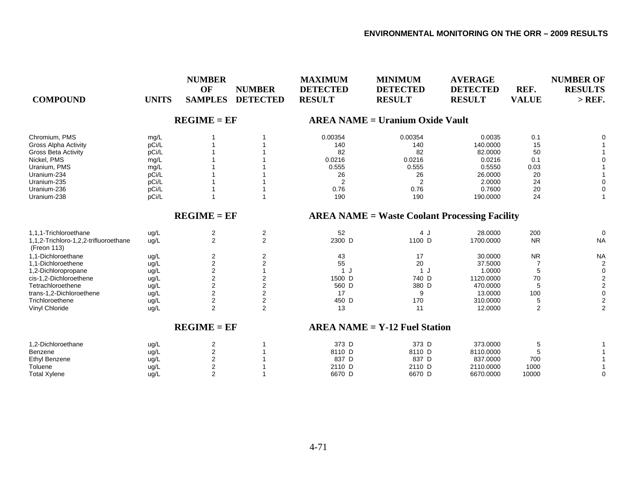| <b>COMPOUND</b>                                      | <b>UNITS</b> | <b>NUMBER</b><br>OF<br><b>SAMPLES</b> | <b>NUMBER</b><br><b>DETECTED</b> | <b>MAXIMUM</b><br><b>DETECTED</b><br><b>RESULT</b> | <b>MINIMUM</b><br><b>DETECTED</b><br><b>RESULT</b>   | <b>AVERAGE</b><br><b>DETECTED</b><br><b>RESULT</b> | REF.<br><b>VALUE</b> | <b>NUMBER OF</b><br><b>RESULTS</b><br>$>$ REF. |
|------------------------------------------------------|--------------|---------------------------------------|----------------------------------|----------------------------------------------------|------------------------------------------------------|----------------------------------------------------|----------------------|------------------------------------------------|
|                                                      |              | $REGIME = EF$                         |                                  |                                                    | <b>AREA NAME = Uranium Oxide Vault</b>               |                                                    |                      |                                                |
| Chromium, PMS                                        | mg/L         |                                       |                                  | 0.00354                                            | 0.00354                                              | 0.0035                                             | 0.1                  | 0                                              |
| <b>Gross Alpha Activity</b>                          | pCi/L        |                                       |                                  | 140                                                | 140                                                  | 140.0000                                           | 15                   |                                                |
| <b>Gross Beta Activity</b>                           | pCi/L        |                                       |                                  | 82                                                 | 82                                                   | 82.0000                                            | 50                   |                                                |
| Nickel, PMS                                          | mg/L         |                                       |                                  | 0.0216                                             | 0.0216                                               | 0.0216                                             | 0.1                  |                                                |
| Uranium, PMS                                         | mg/L         |                                       |                                  | 0.555                                              | 0.555                                                | 0.5550                                             | 0.03                 |                                                |
| Uranium-234                                          | pCi/L        |                                       |                                  | 26                                                 | 26                                                   | 26.0000                                            | 20                   |                                                |
| Uranium-235                                          | pCi/L        |                                       |                                  | $\overline{2}$                                     | $\overline{2}$                                       | 2.0000                                             | 24                   | $\Omega$                                       |
| Uranium-236                                          | pCi/L        |                                       |                                  | 0.76                                               | 0.76                                                 | 0.7600                                             | 20                   | $\mathbf 0$                                    |
| Uranium-238                                          | pCi/L        |                                       |                                  | 190                                                | 190                                                  | 190.0000                                           | 24                   | 1                                              |
|                                                      |              | $REGIME = EF$                         |                                  |                                                    | <b>AREA NAME = Waste Coolant Processing Facility</b> |                                                    |                      |                                                |
| 1,1,1-Trichloroethane                                | ug/L         | 2                                     | $\overline{2}$                   | 52                                                 | 4 J                                                  | 28.0000                                            | 200                  | $\mathbf 0$                                    |
| 1,1,2-Trichloro-1,2,2-trifluoroethane<br>(Freon 113) | ug/L         | 2                                     | 2                                | 2300 D                                             | 1100 D                                               | 1700.0000                                          | <b>NR</b>            | <b>NA</b>                                      |
| 1.1-Dichloroethane                                   | ug/L         | $\overline{2}$                        | $\overline{2}$                   | 43                                                 | 17                                                   | 30.0000                                            | <b>NR</b>            | <b>NA</b>                                      |
| 1,1-Dichloroethene                                   | ug/L         | $\overline{2}$                        | $\overline{2}$                   | 55                                                 | 20                                                   | 37.5000                                            | $\overline{7}$       | $\overline{2}$                                 |
| 1,2-Dichloropropane                                  | ug/L         | $\overline{2}$                        |                                  | 1J                                                 | 1 J                                                  | 1.0000                                             | 5                    | $\mathbf 0$                                    |
| cis-1,2-Dichloroethene                               | ug/L         | $\overline{c}$                        | 2                                | 1500 D                                             | 740 D                                                | 1120.0000                                          | 70                   | $\overline{\mathbf{c}}$                        |
| Tetrachloroethene                                    | ug/L         | 2                                     | 2                                | 560 D                                              | 380 D                                                | 470.0000                                           | 5                    | $\boldsymbol{2}$                               |
| trans-1,2-Dichloroethene                             | ug/L         | $\overline{2}$                        | $\overline{2}$                   | 17                                                 | 9                                                    | 13.0000                                            | 100                  | $\pmb{0}$                                      |
| Trichloroethene                                      | ug/L         | $\boldsymbol{2}$                      | $\overline{\mathbf{c}}$          | 450 D                                              | 170                                                  | 310.0000                                           | 5                    | $\overline{2}$                                 |
| Vinyl Chloride                                       | ug/L         | $\overline{2}$                        | 2                                | 13                                                 | 11                                                   | 12.0000                                            | 2                    | $\overline{2}$                                 |
|                                                      |              | $REGIME = EF$                         |                                  |                                                    | $AREA NAME = Y-12$ Fuel Station                      |                                                    |                      |                                                |
| 1,2-Dichloroethane                                   | ug/L         | 2                                     |                                  | 373 D                                              | 373 D                                                | 373,0000                                           | 5                    |                                                |
| Benzene                                              | ug/L         | $\overline{2}$                        |                                  | 8110 D                                             | 8110 D                                               | 8110.0000                                          | 5                    |                                                |
| <b>Ethyl Benzene</b>                                 | ug/L         | $\overline{2}$                        |                                  | 837 D                                              | 837 D                                                | 837.0000                                           | 700                  |                                                |
| Toluene                                              | ug/L         | $\overline{2}$                        |                                  | 2110 D                                             | 2110 D                                               | 2110.0000                                          | 1000                 |                                                |
| <b>Total Xylene</b>                                  | ug/L         | 2                                     |                                  | 6670 D                                             | 6670 D                                               | 6670.0000                                          | 10000                | $\mathbf 0$                                    |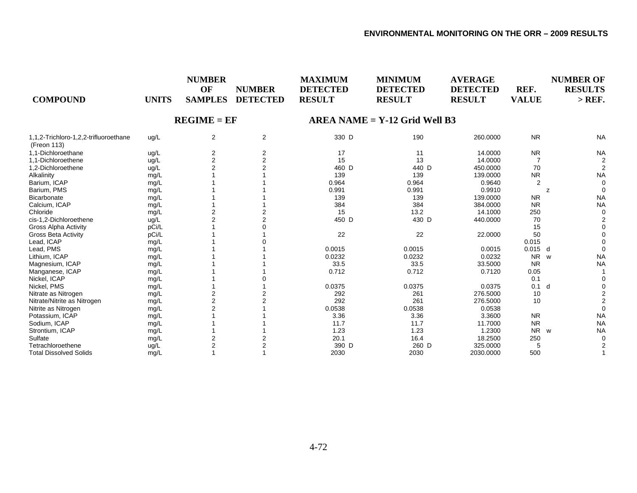| <b>COMPOUND</b>                                      | <b>UNITS</b> | <b>NUMBER</b><br><b>OF</b><br><b>SAMPLES</b> | <b>NUMBER</b><br><b>DETECTED</b> | <b>MAXIMUM</b><br><b>DETECTED</b><br><b>RESULT</b> | <b>MINIMUM</b><br><b>DETECTED</b><br><b>RESULT</b> | <b>AVERAGE</b><br><b>DETECTED</b><br><b>RESULT</b> | REF.<br><b>VALUE</b> | <b>NUMBER OF</b><br><b>RESULTS</b><br>$>$ REF. |
|------------------------------------------------------|--------------|----------------------------------------------|----------------------------------|----------------------------------------------------|----------------------------------------------------|----------------------------------------------------|----------------------|------------------------------------------------|
|                                                      |              | $REGIME = EF$                                |                                  |                                                    | $AREA NAME = Y-12$ Grid Well B3                    |                                                    |                      |                                                |
| 1,1,2-Trichloro-1,2,2-trifluoroethane<br>(Freon 113) | ug/L         | $\overline{2}$                               | 2                                | 330 D                                              | 190                                                | 260.0000                                           | <b>NR</b>            | <b>NA</b>                                      |
| 1.1-Dichloroethane                                   | ug/L         | $\overline{a}$                               | 2                                | 17                                                 | 11                                                 | 14.0000                                            | <b>NR</b>            | <b>NA</b>                                      |
| 1,1-Dichloroethene                                   | ug/L         | $\overline{c}$                               |                                  | 15                                                 | 13                                                 | 14.0000                                            | 7                    |                                                |
| 1,2-Dichloroethene                                   | ug/L         | $\mathfrak{p}$                               |                                  | 460 D                                              | 440 D                                              | 450.0000                                           | 70                   | 2                                              |
| Alkalinity                                           | mg/L         |                                              |                                  | 139                                                | 139                                                | 139.0000                                           | <b>NR</b>            | <b>NA</b>                                      |
| Barium. ICAP                                         | mg/L         |                                              |                                  | 0.964                                              | 0.964                                              | 0.9640                                             | $\overline{2}$       | $\Omega$                                       |
| Barium, PMS                                          | mg/L         |                                              |                                  | 0.991                                              | 0.991                                              | 0.9910                                             |                      | $\Omega$<br>z                                  |
| Bicarbonate                                          | mg/L         |                                              |                                  | 139                                                | 139                                                | 139.0000                                           | <b>NR</b>            | <b>NA</b>                                      |
| Calcium. ICAP                                        | mg/L         |                                              |                                  | 384                                                | 384                                                | 384.0000                                           | <b>NR</b>            | <b>NA</b>                                      |
| Chloride                                             | mg/L         | 2                                            |                                  | 15                                                 | 13.2                                               | 14.1000                                            | 250                  | $\Omega$                                       |
| cis-1,2-Dichloroethene                               | ug/L         | 2                                            |                                  | 450 D                                              | 430 D                                              | 440.0000                                           | 70                   |                                                |
| Gross Alpha Activity                                 | pCi/L        |                                              |                                  |                                                    |                                                    |                                                    | 15                   |                                                |
| <b>Gross Beta Activity</b>                           | pCi/L        |                                              |                                  | 22                                                 | 22                                                 | 22.0000                                            | 50                   |                                                |
| Lead, ICAP                                           | mg/L         |                                              |                                  |                                                    |                                                    |                                                    | 0.015                |                                                |
| Lead, PMS                                            | mg/L         |                                              |                                  | 0.0015                                             | 0.0015                                             | 0.0015                                             | 0.015                | d                                              |
| Lithium, ICAP                                        | mg/L         |                                              |                                  | 0.0232                                             | 0.0232                                             | 0.0232                                             | <b>NR</b>            | <b>NA</b><br><b>W</b>                          |
| Magnesium, ICAP                                      | mg/L         |                                              |                                  | 33.5                                               | 33.5                                               | 33.5000                                            | <b>NR</b>            | <b>NA</b>                                      |
| Manganese, ICAP                                      | mg/L         |                                              |                                  | 0.712                                              | 0.712                                              | 0.7120                                             | 0.05                 |                                                |
| Nickel, ICAP                                         | mg/L         |                                              |                                  |                                                    |                                                    |                                                    | 0.1                  |                                                |
| Nickel, PMS                                          | mg/L         |                                              |                                  | 0.0375                                             | 0.0375                                             | 0.0375                                             | 0.1                  | d                                              |
| Nitrate as Nitrogen                                  | mg/L         | 2                                            |                                  | 292                                                | 261                                                | 276.5000                                           | 10                   |                                                |
| Nitrate/Nitrite as Nitrogen                          | mg/L         | $\overline{2}$                               |                                  | 292                                                | 261                                                | 276.5000                                           | 10                   |                                                |
| Nitrite as Nitrogen                                  | mg/L         | $\overline{2}$                               |                                  | 0.0538                                             | 0.0538                                             | 0.0538                                             |                      |                                                |
| Potassium, ICAP                                      | mg/L         |                                              |                                  | 3.36                                               | 3.36                                               | 3.3600                                             | <b>NR</b>            | <b>NA</b>                                      |
| Sodium, ICAP                                         | mg/L         |                                              |                                  | 11.7                                               | 11.7                                               | 11.7000                                            | <b>NR</b>            | <b>NA</b>                                      |
| Strontium, ICAP                                      | mg/L         |                                              |                                  | 1.23                                               | 1.23                                               | 1.2300                                             | <b>NR</b>            | <b>NA</b><br><b>W</b>                          |
| Sulfate                                              | mg/L         |                                              |                                  | 20.1                                               | 16.4                                               | 18.2500                                            | 250                  | $\Omega$                                       |
| Tetrachloroethene                                    | ug/L         | $\overline{2}$                               |                                  | 390 D                                              | 260 D                                              | 325.0000                                           |                      |                                                |
| <b>Total Dissolved Solids</b>                        | mg/L         |                                              |                                  | 2030                                               | 2030                                               | 2030.0000                                          | 500                  |                                                |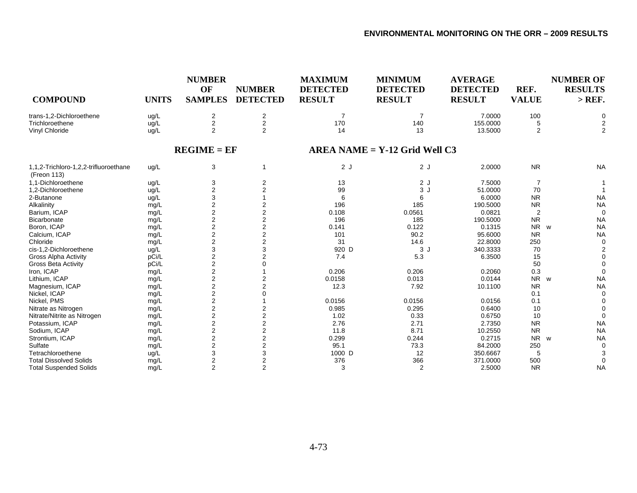| <b>COMPOUND</b>                                      | <b>UNITS</b> | <b>NUMBER</b><br>OF<br><b>SAMPLES</b> | <b>NUMBER</b><br><b>DETECTED</b> | <b>MAXIMUM</b><br><b>DETECTED</b><br><b>RESULT</b> | <b>MINIMUM</b><br><b>DETECTED</b><br><b>RESULT</b> | <b>AVERAGE</b><br><b>DETECTED</b><br><b>RESULT</b> | REF.<br><b>VALUE</b> | <b>NUMBER OF</b><br><b>RESULTS</b><br>$>$ REF. |
|------------------------------------------------------|--------------|---------------------------------------|----------------------------------|----------------------------------------------------|----------------------------------------------------|----------------------------------------------------|----------------------|------------------------------------------------|
| trans-1.2-Dichloroethene                             | ug/L         | $\overline{\mathbf{c}}$               | $\overline{\mathbf{c}}$          | $\overline{7}$                                     | $\overline{7}$                                     | 7.0000                                             | 100                  | $\Omega$                                       |
| Trichloroethene                                      | ug/L         | $\overline{c}$                        | $\overline{c}$                   | 170                                                | 140                                                | 155.0000                                           | 5                    | 2                                              |
| Vinyl Chloride                                       | ug/L         | 2                                     | $\overline{2}$                   | 14                                                 | 13                                                 | 13.5000                                            | $\overline{2}$       | $\overline{2}$                                 |
|                                                      |              | $REGIME = EF$                         |                                  |                                                    | $AREA NAME = Y-12$ Grid Well C3                    |                                                    |                      |                                                |
| 1,1,2-Trichloro-1,2,2-trifluoroethane<br>(Freon 113) | ug/L         | 3                                     | 1                                | 2J                                                 | 2J                                                 | 2.0000                                             | <b>NR</b>            | <b>NA</b>                                      |
| 1.1-Dichloroethene                                   | ug/L         | 3                                     | 2                                | 13                                                 | 2J                                                 | 7.5000                                             | 7                    |                                                |
| 1.2-Dichloroethene                                   | ug/L         | $\overline{2}$                        | $\overline{2}$                   | 99                                                 | 3J                                                 | 51.0000                                            | 70                   |                                                |
| 2-Butanone                                           | ug/L         | 3                                     |                                  | 6                                                  | 6                                                  | 6.0000                                             | <b>NR</b>            | <b>NA</b>                                      |
| Alkalinity                                           | mg/L         | $\overline{2}$                        | 2                                | 196                                                | 185                                                | 190.5000                                           | <b>NR</b>            | <b>NA</b>                                      |
| Barium, ICAP                                         | mg/L         | $\overline{c}$                        | $\overline{2}$                   | 0.108                                              | 0.0561                                             | 0.0821                                             | 2                    | $\Omega$                                       |
| <b>Bicarbonate</b>                                   | mg/L         | $\boldsymbol{2}$                      | $\mathbf 2$                      | 196                                                | 185                                                | 190.5000                                           | <b>NR</b>            | <b>NA</b>                                      |
| Boron, ICAP                                          | mg/L         | $\overline{2}$                        | $\overline{2}$                   | 0.141                                              | 0.122                                              | 0.1315                                             | <b>NR</b>            | <b>NA</b><br><b>W</b>                          |
| Calcium, ICAP                                        | mg/L         | $\overline{2}$                        | $\overline{2}$                   | 101                                                | 90.2                                               | 95.6000                                            | <b>NR</b>            | <b>NA</b>                                      |
| Chloride                                             | mg/L         | $\overline{2}$                        | $\overline{\mathbf{c}}$          | 31                                                 | 14.6                                               | 22.8000                                            | 250                  |                                                |
| cis-1,2-Dichloroethene                               | ug/L         | 3                                     | 3                                | 920 D                                              | 3J                                                 | 340.3333                                           | 70                   |                                                |
| <b>Gross Alpha Activity</b>                          | pCi/L        | $\overline{2}$                        | $\overline{2}$                   | 7.4                                                | 5.3                                                | 6.3500                                             | 15                   |                                                |
| Gross Beta Activity                                  | pCi/L        | $\overline{c}$                        |                                  |                                                    |                                                    |                                                    | 50                   |                                                |
| Iron, ICAP                                           | mg/L         | $\overline{c}$                        |                                  | 0.206                                              | 0.206                                              | 0.2060                                             | 0.3                  | $\Omega$                                       |
| Lithium, ICAP                                        | mg/L         | $\overline{2}$                        | $\overline{2}$                   | 0.0158                                             | 0.013                                              | 0.0144                                             | NR w                 | <b>NA</b>                                      |
| Magnesium, ICAP                                      | mg/L         | $\overline{2}$                        | $\overline{2}$                   | 12.3                                               | 7.92                                               | 10.1100                                            | <b>NR</b>            | <b>NA</b>                                      |
| Nickel. ICAP                                         | mg/L         | $\overline{2}$                        | $\Omega$                         |                                                    |                                                    |                                                    | 0.1                  |                                                |
| Nickel, PMS                                          | mg/L         | $\overline{2}$                        |                                  | 0.0156                                             | 0.0156                                             | 0.0156                                             | 0.1                  |                                                |
| Nitrate as Nitrogen                                  | mg/L         | $\overline{2}$                        | 2                                | 0.985                                              | 0.295                                              | 0.6400                                             | 10                   |                                                |
| Nitrate/Nitrite as Nitrogen                          | mg/L         | $\overline{\mathbf{c}}$               | $\overline{2}$                   | 1.02                                               | 0.33                                               | 0.6750                                             | 10                   | $\Omega$                                       |
| Potassium, ICAP                                      | mg/L         | $\overline{c}$                        | $\mathbf 2$                      | 2.76                                               | 2.71                                               | 2.7350                                             | <b>NR</b>            | <b>NA</b>                                      |
| Sodium, ICAP                                         | mg/L         | $\overline{2}$                        | $\overline{\mathbf{c}}$          | 11.8                                               | 8.71                                               | 10.2550                                            | <b>NR</b>            | <b>NA</b>                                      |
| Strontium, ICAP                                      | mg/L         | $\overline{2}$                        | $\overline{2}$                   | 0.299                                              | 0.244                                              | 0.2715                                             | NR w                 | <b>NA</b>                                      |
| Sulfate                                              | mg/L         | $\overline{2}$                        | $\overline{2}$                   | 95.1                                               | 73.3                                               | 84.2000                                            | 250                  |                                                |
| Tetrachloroethene                                    | ug/L         | 3                                     | 3                                | 1000 D                                             | 12                                                 | 350.6667                                           | 5                    |                                                |
| <b>Total Dissolved Solids</b>                        | mg/L         | $\overline{2}$                        | $\overline{2}$                   | 376                                                | 366                                                | 371.0000                                           | 500                  | $\Omega$                                       |
| <b>Total Suspended Solids</b>                        | mq/L         | $\overline{2}$                        | $\overline{2}$                   | 3                                                  | 2                                                  | 2.5000                                             | <b>NR</b>            | <b>NA</b>                                      |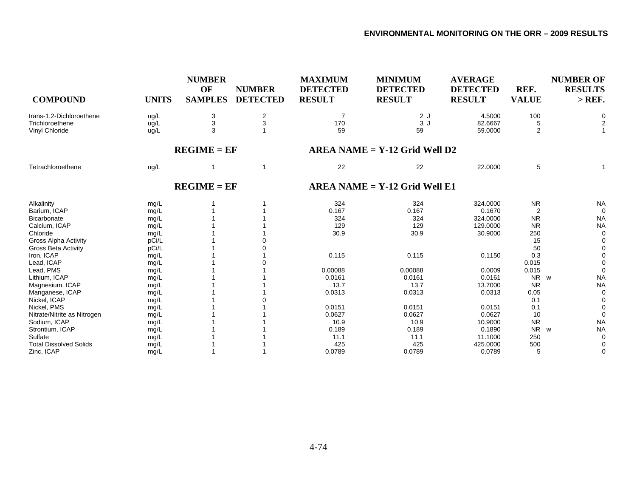| <b>COMPOUND</b>                             | <b>UNITS</b> | <b>NUMBER</b><br>OF<br><b>SAMPLES</b> | <b>NUMBER</b><br><b>DETECTED</b> | <b>MAXIMUM</b><br><b>DETECTED</b><br><b>RESULT</b> | <b>MINIMUM</b><br><b>DETECTED</b><br><b>RESULT</b> | <b>AVERAGE</b><br><b>DETECTED</b><br><b>RESULT</b> | REF.<br><b>VALUE</b> | <b>NUMBER OF</b><br><b>RESULTS</b><br>$>$ REF. |
|---------------------------------------------|--------------|---------------------------------------|----------------------------------|----------------------------------------------------|----------------------------------------------------|----------------------------------------------------|----------------------|------------------------------------------------|
| trans-1,2-Dichloroethene<br>Trichloroethene | ug/L<br>ug/L | 3<br>3                                | 2<br>3                           | 7<br>170                                           | 2J<br>3J                                           | 4.5000<br>82.6667                                  | 100<br>5             | 0                                              |
| Vinyl Chloride                              | ug/L         | 3                                     |                                  | 59                                                 | 59                                                 | 59.0000                                            | $\overline{2}$       |                                                |
|                                             |              | $REGIME = EF$                         |                                  |                                                    | $AREA NAME = Y-12 Grid Well D2$                    |                                                    |                      |                                                |
| Tetrachloroethene                           | ug/L         | 1                                     | $\overline{1}$                   | 22                                                 | 22                                                 | 22.0000                                            | 5                    |                                                |
|                                             |              | $REGIME = EF$                         |                                  |                                                    | $AREA NAME = Y-12 Grid Well E1$                    |                                                    |                      |                                                |
| Alkalinity                                  | mg/L         |                                       |                                  | 324                                                | 324                                                | 324.0000                                           | <b>NR</b>            | <b>NA</b>                                      |
| Barium, ICAP                                | mg/L         |                                       |                                  | 0.167                                              | 0.167                                              | 0.1670                                             | 2                    | $\Omega$                                       |
| <b>Bicarbonate</b>                          | mg/L         |                                       |                                  | 324                                                | 324                                                | 324.0000                                           | <b>NR</b>            | <b>NA</b>                                      |
| Calcium, ICAP                               | mg/L         |                                       |                                  | 129                                                | 129                                                | 129.0000                                           | <b>NR</b>            | <b>NA</b>                                      |
| Chloride                                    | mg/L         |                                       |                                  | 30.9                                               | 30.9                                               | 30.9000                                            | 250                  | $\Omega$                                       |
| <b>Gross Alpha Activity</b>                 | pCi/L        |                                       |                                  |                                                    |                                                    |                                                    | 15                   |                                                |
| Gross Beta Activity                         | pCi/L        |                                       |                                  |                                                    |                                                    |                                                    | 50                   | $\Omega$                                       |
| Iron, ICAP                                  | mg/L         |                                       |                                  | 0.115                                              | 0.115                                              | 0.1150                                             | 0.3                  |                                                |
| Lead, ICAP                                  | mg/L         |                                       |                                  |                                                    |                                                    |                                                    | 0.015                |                                                |
| Lead, PMS                                   | mg/L         |                                       |                                  | 0.00088                                            | 0.00088                                            | 0.0009                                             | 0.015                |                                                |
| Lithium, ICAP                               | mg/L         |                                       |                                  | 0.0161                                             | 0.0161                                             | 0.0161                                             | NR w                 | <b>NA</b>                                      |
| Magnesium, ICAP                             | mg/L         |                                       |                                  | 13.7                                               | 13.7                                               | 13.7000                                            | <b>NR</b>            | <b>NA</b>                                      |
| Manganese, ICAP                             | mg/L         |                                       |                                  | 0.0313                                             | 0.0313                                             | 0.0313                                             | 0.05                 | $\Omega$                                       |
| Nickel, ICAP                                | mg/L         |                                       |                                  |                                                    |                                                    |                                                    | 0.1                  |                                                |
| Nickel, PMS                                 | mg/L         |                                       |                                  | 0.0151                                             | 0.0151                                             | 0.0151                                             | 0.1                  |                                                |
| Nitrate/Nitrite as Nitrogen                 | mg/L         |                                       |                                  | 0.0627                                             | 0.0627                                             | 0.0627                                             | 10                   | $\Omega$                                       |
| Sodium, ICAP                                | mg/L         |                                       |                                  | 10.9                                               | 10.9                                               | 10.9000                                            | <b>NR</b>            | <b>NA</b>                                      |
| Strontium, ICAP                             | mg/L         |                                       |                                  | 0.189                                              | 0.189                                              | 0.1890                                             | <b>NR</b>            | <b>NA</b><br><b>W</b>                          |
| Sulfate                                     | mg/L         |                                       |                                  | 11.1                                               | 11.1                                               | 11.1000                                            | 250                  | $\Omega$                                       |
| <b>Total Dissolved Solids</b>               | mg/L         |                                       |                                  | 425                                                | 425                                                | 425.0000                                           | 500                  | $\Omega$                                       |
| Zinc, ICAP                                  | mg/L         |                                       |                                  | 0.0789                                             | 0.0789                                             | 0.0789                                             | 5                    | 0                                              |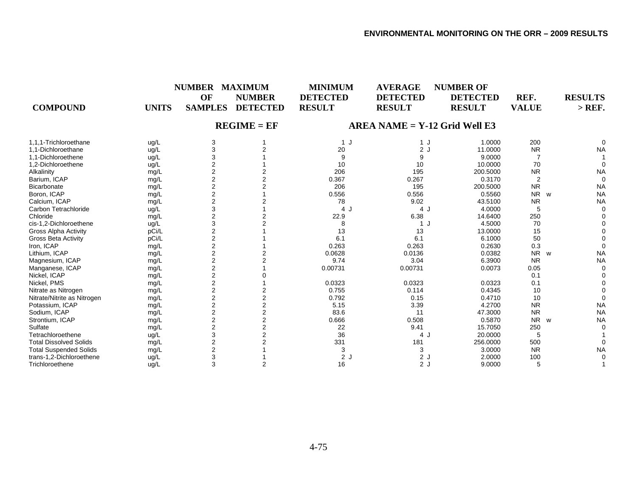| <b>COMPOUND</b>               | <b>UNITS</b> | <b>NUMBER</b><br>OF<br><b>SAMPLES</b> | <b>MAXIMUM</b><br><b>NUMBER</b><br><b>DETECTED</b> | <b>MINIMUM</b><br><b>DETECTED</b><br><b>RESULT</b> | <b>AVERAGE</b><br><b>DETECTED</b><br><b>RESULT</b> | <b>NUMBER OF</b><br><b>DETECTED</b><br><b>RESULT</b> | REF.<br><b>VALUE</b>       | <b>RESULTS</b><br>$>$ REF. |
|-------------------------------|--------------|---------------------------------------|----------------------------------------------------|----------------------------------------------------|----------------------------------------------------|------------------------------------------------------|----------------------------|----------------------------|
|                               |              |                                       | $REGIME = EF$                                      |                                                    | $AREA NAME = Y-12$ Grid Well E3                    |                                                      |                            |                            |
| 1.1.1-Trichloroethane         | ug/L         | 3                                     |                                                    | 1 J                                                | 1 J                                                | 1.0000                                               | 200                        |                            |
| 1,1-Dichloroethane            | ug/L         | 3                                     |                                                    | 20                                                 | 2J                                                 | 11.0000                                              | <b>NR</b>                  | <b>NA</b>                  |
| 1.1-Dichloroethene            | ug/L         | 3                                     |                                                    | 9                                                  | 9                                                  | 9.0000                                               |                            |                            |
| 1,2-Dichloroethene            | ug/L         | 2                                     |                                                    | 10                                                 | 10                                                 | 10.0000                                              | 70                         |                            |
| Alkalinity                    | mg/L         | $\overline{2}$                        |                                                    | 206                                                | 195                                                | 200.5000                                             | <b>NR</b>                  | <b>NA</b>                  |
| Barium, ICAP                  | mg/L         | $\overline{2}$                        |                                                    | 0.367                                              | 0.267                                              | 0.3170                                               | $\overline{2}$             |                            |
| Bicarbonate                   | mg/L         | $\overline{2}$                        |                                                    | 206                                                | 195                                                | 200.5000                                             | <b>NR</b>                  | <b>NA</b>                  |
| Boron, ICAP                   | mg/L         | $\overline{2}$                        |                                                    | 0.556                                              | 0.556                                              | 0.5560                                               | N <sub>R</sub><br><b>W</b> | <b>NA</b>                  |
| Calcium, ICAP                 | mg/L         | $\overline{2}$                        |                                                    | 78                                                 | 9.02                                               | 43.5100                                              | <b>NR</b>                  | <b>NA</b>                  |
| Carbon Tetrachloride          | ug/L         | 3                                     |                                                    | 4 J                                                | 4 J                                                | 4.0000                                               | 5                          |                            |
| Chloride                      | mg/L         | $\overline{2}$                        |                                                    | 22.9                                               | 6.38                                               | 14.6400                                              | 250                        |                            |
| cis-1,2-Dichloroethene        | ug/L         | 3                                     |                                                    | 8                                                  | 1 J                                                | 4.5000                                               | 70                         |                            |
| Gross Alpha Activity          | pCi/L        | 2                                     |                                                    | 13                                                 | 13                                                 | 13.0000                                              | 15                         |                            |
| <b>Gross Beta Activity</b>    | pCi/L        | $\overline{2}$                        |                                                    | 6.1                                                | 6.1                                                | 6.1000                                               | 50                         |                            |
| Iron, ICAP                    | mg/L         | $\overline{2}$                        |                                                    | 0.263                                              | 0.263                                              | 0.2630                                               | 0.3                        |                            |
| Lithium, ICAP                 | mg/L         | $\overline{2}$                        |                                                    | 0.0628                                             | 0.0136                                             | 0.0382                                               | <b>NR</b><br>w             | <b>NA</b>                  |
| Magnesium, ICAP               | mg/L         | $\overline{2}$                        |                                                    | 9.74                                               | 3.04                                               | 6.3900                                               | <b>NR</b>                  | <b>NA</b>                  |
| Manganese, ICAP               | mg/L         | 2                                     |                                                    | 0.00731                                            | 0.00731                                            | 0.0073                                               | 0.05                       |                            |
| Nickel, ICAP                  | mg/L         | $\overline{\mathbf{c}}$               |                                                    |                                                    |                                                    |                                                      | 0.1                        |                            |
| Nickel, PMS                   | mg/L         |                                       |                                                    | 0.0323                                             | 0.0323                                             | 0.0323                                               | 0.1                        |                            |
| Nitrate as Nitrogen           | mg/L         |                                       |                                                    | 0.755                                              | 0.114                                              | 0.4345                                               | 10                         |                            |
| Nitrate/Nitrite as Nitrogen   | mg/L         | $\overline{2}$                        |                                                    | 0.792                                              | 0.15                                               | 0.4710                                               | 10                         |                            |
| Potassium, ICAP               | mg/L         | $\overline{2}$                        |                                                    | 5.15                                               | 3.39                                               | 4.2700                                               | <b>NR</b>                  | <b>NA</b>                  |
| Sodium, ICAP                  | mg/L         | $\overline{2}$                        | $\overline{2}$                                     | 83.6                                               | 11                                                 | 47.3000                                              | <b>NR</b>                  | <b>NA</b>                  |
| Strontium, ICAP               | mg/L         | $\overline{2}$                        | $\overline{2}$                                     | 0.666                                              | 0.508                                              | 0.5870                                               | <b>NR</b><br>W             | <b>NA</b>                  |
| Sulfate                       | mg/L         | $\overline{2}$                        | 2                                                  | 22                                                 | 9.41                                               | 15.7050                                              | 250                        |                            |
| Tetrachloroethene             | ug/L         | 3                                     |                                                    | 36                                                 | 4 J                                                | 20.0000                                              | 5                          |                            |
| <b>Total Dissolved Solids</b> | mg/L         | 2                                     |                                                    | 331                                                | 181                                                | 256.0000                                             | 500                        |                            |
| <b>Total Suspended Solids</b> | mg/L         | 2                                     |                                                    | 3                                                  | 3                                                  | 3.0000                                               | <b>NR</b>                  | <b>NA</b>                  |
| trans-1,2-Dichloroethene      | ug/L         | 3                                     |                                                    | 2J                                                 | 2J                                                 | 2.0000                                               | 100                        |                            |
| Trichloroethene               | uq/L         | 3                                     | 2                                                  | 16                                                 | 2J                                                 | 9.0000                                               | 5                          |                            |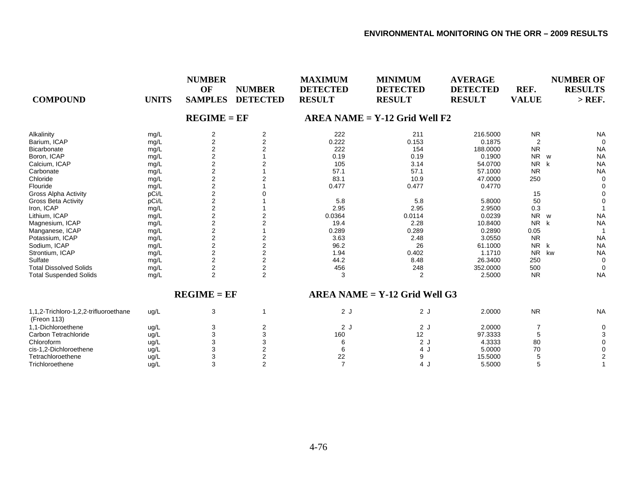| <b>COMPOUND</b>                                      | <b>UNITS</b> | <b>NUMBER</b><br>OF<br><b>SAMPLES</b> | <b>NUMBER</b><br><b>DETECTED</b> | <b>MAXIMUM</b><br><b>DETECTED</b><br><b>RESULT</b> | <b>MINIMUM</b><br><b>DETECTED</b><br><b>RESULT</b> | <b>AVERAGE</b><br><b>DETECTED</b><br><b>RESULT</b> | REF.<br><b>VALUE</b> | <b>NUMBER OF</b><br><b>RESULTS</b><br>$>$ REF. |
|------------------------------------------------------|--------------|---------------------------------------|----------------------------------|----------------------------------------------------|----------------------------------------------------|----------------------------------------------------|----------------------|------------------------------------------------|
|                                                      |              | $REGIME = EF$                         |                                  |                                                    | $AREA NAME = Y-12$ Grid Well F2                    |                                                    |                      |                                                |
| Alkalinity                                           | mg/L         | 2                                     | $\overline{2}$                   | 222                                                | 211                                                | 216.5000                                           | <b>NR</b>            | <b>NA</b>                                      |
| Barium, ICAP                                         | mg/L         | $\overline{2}$                        | $\overline{2}$                   | 0.222                                              | 0.153                                              | 0.1875                                             | $\overline{2}$       | $\Omega$                                       |
| Bicarbonate                                          | mg/L         | 2                                     |                                  | 222                                                | 154                                                | 188.0000                                           | <b>NR</b>            | <b>NA</b>                                      |
| Boron, ICAP                                          | mg/L         | $\overline{2}$                        |                                  | 0.19                                               | 0.19                                               | 0.1900                                             | <b>NR</b>            | <b>NA</b><br><b>W</b>                          |
| Calcium, ICAP                                        | mg/L         | $\overline{\mathbf{c}}$               |                                  | 105                                                | 3.14                                               | 54.0700                                            | <b>NR</b>            | <b>NA</b><br>k                                 |
| Carbonate                                            | mg/L         | $\mathbf 2$                           |                                  | 57.1                                               | 57.1                                               | 57.1000                                            | <b>NR</b>            | <b>NA</b>                                      |
| Chloride                                             | mg/L         | $\boldsymbol{2}$                      |                                  | 83.1                                               | 10.9                                               | 47.0000                                            | 250                  | $\Omega$                                       |
| Flouride                                             | mg/L         | $\mathbf 2$                           |                                  | 0.477                                              | 0.477                                              | 0.4770                                             |                      | $\Omega$                                       |
| <b>Gross Alpha Activity</b>                          | pCi/L        | $\overline{2}$                        |                                  |                                                    |                                                    |                                                    | 15                   |                                                |
| <b>Gross Beta Activity</b>                           | pCi/L        | $\overline{2}$                        |                                  | 5.8                                                | 5.8                                                | 5.8000                                             | 50                   |                                                |
| Iron, ICAP                                           | mg/L         | $\overline{2}$                        |                                  | 2.95                                               | 2.95                                               | 2.9500                                             | 0.3                  |                                                |
| Lithium, ICAP                                        | mg/L         | $\overline{2}$                        | 2                                | 0.0364                                             | 0.0114                                             | 0.0239                                             | <b>NR</b>            | <b>NA</b><br><b>W</b>                          |
| Magnesium, ICAP                                      | mg/L         | $\overline{2}$                        | $\overline{2}$                   | 19.4                                               | 2.28                                               | 10.8400                                            | <b>NR</b>            | <b>NA</b><br>k                                 |
| Manganese, ICAP                                      | mg/L         | $\overline{\mathbf{c}}$               |                                  | 0.289                                              | 0.289                                              | 0.2890                                             | 0.05                 |                                                |
| Potassium, ICAP                                      | mg/L         | $\boldsymbol{2}$                      |                                  | 3.63                                               | 2.48                                               | 3.0550                                             | <b>NR</b>            | <b>NA</b>                                      |
| Sodium, ICAP                                         | mg/L         | $\mathbf 2$                           | $\overline{2}$                   | 96.2                                               | 26                                                 | 61.1000                                            | <b>NR</b>            | k<br><b>NA</b>                                 |
| Strontium, ICAP                                      | mg/L         | $\overline{2}$                        | $\overline{2}$                   | 1.94                                               | 0.402                                              | 1.1710                                             | <b>NR</b>            | kw<br><b>NA</b>                                |
| Sulfate                                              | mg/L         | $\overline{2}$                        | $\overline{2}$                   | 44.2                                               | 8.48                                               | 26.3400                                            | 250                  | $\mathbf 0$                                    |
| <b>Total Dissolved Solids</b>                        | mg/L         | $\mathbf 2$                           | $\overline{\mathbf{c}}$          | 456                                                | 248                                                | 352.0000                                           | 500                  | $\Omega$                                       |
| <b>Total Suspended Solids</b>                        | mg/L         | 2                                     | 2                                | 3                                                  | 2                                                  | 2.5000                                             | <b>NR</b>            | <b>NA</b>                                      |
|                                                      |              | $REGIME = EF$                         |                                  |                                                    | $AREA NAME = Y-12$ Grid Well G3                    |                                                    |                      |                                                |
| 1,1,2-Trichloro-1,2,2-trifluoroethane<br>(Freon 113) | ug/L         | 3                                     | -1                               | 2J                                                 | 2J                                                 | 2.0000                                             | <b>NR</b>            | <b>NA</b>                                      |
| 1,1-Dichloroethene                                   | ug/L         | 3                                     | $\overline{2}$                   | 2J                                                 | 2J                                                 | 2.0000                                             | 7                    | $\Omega$                                       |
| Carbon Tetrachloride                                 | ug/L         | 3                                     |                                  | 160                                                | 12                                                 | 97.3333                                            | 5                    |                                                |
| Chloroform                                           | ug/L         | 3                                     |                                  | 6                                                  | 2J                                                 | 4.3333                                             | 80                   |                                                |
| cis-1,2-Dichloroethene                               | ug/L         | 3                                     |                                  | 6                                                  | 4 J                                                | 5.0000                                             | 70                   |                                                |
| Tetrachloroethene                                    | ug/L         | 3                                     | $\overline{2}$                   | 22                                                 | 9                                                  | 15.5000                                            |                      |                                                |
| Trichloroethene                                      | ug/L         | 3                                     | $\overline{2}$                   | $\overline{7}$                                     | 4 J                                                | 5.5000                                             | 5                    |                                                |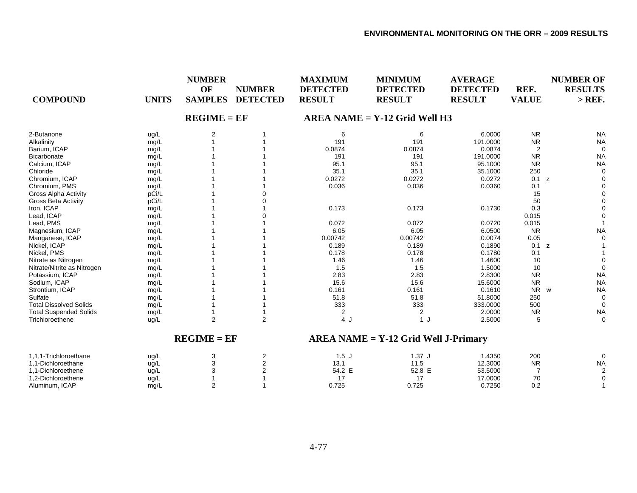| <b>COMPOUND</b>               | <b>UNITS</b> | <b>NUMBER</b><br>OF<br><b>SAMPLES</b> | <b>NUMBER</b><br><b>DETECTED</b> | <b>MAXIMUM</b><br><b>DETECTED</b><br><b>RESULT</b> | <b>MINIMUM</b><br><b>DETECTED</b><br><b>RESULT</b> | <b>AVERAGE</b><br><b>DETECTED</b><br><b>RESULT</b> | REF.<br><b>VALUE</b> | <b>NUMBER OF</b><br><b>RESULTS</b><br>$>$ REF. |
|-------------------------------|--------------|---------------------------------------|----------------------------------|----------------------------------------------------|----------------------------------------------------|----------------------------------------------------|----------------------|------------------------------------------------|
|                               |              | $REGIME = EF$                         |                                  |                                                    | $AREA NAME = Y-12$ Grid Well H3                    |                                                    |                      |                                                |
| 2-Butanone                    | ug/L         | 2                                     |                                  | 6                                                  | 6                                                  | 6.0000                                             | <b>NR</b>            | <b>NA</b>                                      |
| Alkalinity                    | mg/L         |                                       |                                  | 191                                                | 191                                                | 191.0000                                           | <b>NR</b>            | <b>NA</b>                                      |
| Barium, ICAP                  | mg/L         |                                       |                                  | 0.0874                                             | 0.0874                                             | 0.0874                                             | $\overline{2}$       | $\Omega$                                       |
| <b>Bicarbonate</b>            | mg/L         |                                       |                                  | 191                                                | 191                                                | 191.0000                                           | <b>NR</b>            | <b>NA</b>                                      |
| Calcium, ICAP                 | mg/L         |                                       |                                  | 95.1                                               | 95.1                                               | 95.1000                                            | <b>NR</b>            | <b>NA</b>                                      |
| Chloride                      | mg/L         |                                       |                                  | 35.1                                               | 35.1                                               | 35.1000                                            | 250                  | 0                                              |
| Chromium, ICAP                | mg/L         |                                       |                                  | 0.0272                                             | 0.0272                                             | 0.0272                                             | 0.1                  | 0<br>z                                         |
| Chromium, PMS                 | mg/L         |                                       |                                  | 0.036                                              | 0.036                                              | 0.0360                                             | 0.1                  | $\Omega$                                       |
| Gross Alpha Activity          | pCi/L        |                                       |                                  |                                                    |                                                    |                                                    | 15                   | $\Omega$                                       |
| <b>Gross Beta Activity</b>    | pCi/L        |                                       |                                  |                                                    |                                                    |                                                    | 50                   | $\Omega$                                       |
| Iron, ICAP                    | mg/L         |                                       |                                  | 0.173                                              | 0.173                                              | 0.1730                                             | 0.3                  | ∩                                              |
| Lead, ICAP                    | mg/L         |                                       |                                  |                                                    |                                                    |                                                    | 0.015                |                                                |
| Lead, PMS                     | mg/L         |                                       |                                  | 0.072                                              | 0.072                                              | 0.0720                                             | 0.015                |                                                |
| Magnesium, ICAP               | mg/L         |                                       |                                  | 6.05                                               | 6.05                                               | 6.0500                                             | <b>NR</b>            | <b>NA</b>                                      |
| Manganese, ICAP               | mg/L         |                                       |                                  | 0.00742                                            | 0.00742                                            | 0.0074                                             | 0.05                 | $\Omega$                                       |
| Nickel, ICAP                  | mg/L         |                                       |                                  | 0.189                                              | 0.189                                              | 0.1890                                             | 0.1 z                |                                                |
| Nickel, PMS                   | mg/L         |                                       |                                  | 0.178                                              | 0.178                                              | 0.1780                                             | 0.1                  |                                                |
| Nitrate as Nitrogen           | mg/L         |                                       |                                  | 1.46                                               | 1.46                                               | 1.4600                                             | 10                   | $\Omega$                                       |
| Nitrate/Nitrite as Nitrogen   | mg/L         |                                       |                                  | 1.5                                                | 1.5                                                | 1.5000                                             | 10                   | $\Omega$                                       |
| Potassium, ICAP               | mg/L         |                                       |                                  | 2.83                                               | 2.83                                               | 2.8300                                             | <b>NR</b>            | <b>NA</b>                                      |
| Sodium, ICAP                  | mg/L         |                                       |                                  | 15.6                                               | 15.6                                               | 15.6000                                            | <b>NR</b>            | <b>NA</b>                                      |
| Strontium, ICAP               | mg/L         |                                       |                                  | 0.161                                              | 0.161                                              | 0.1610                                             | <b>NR</b>            | <b>NA</b><br>W                                 |
| Sulfate                       | mg/L         |                                       |                                  | 51.8                                               | 51.8                                               | 51.8000                                            | 250                  | $\mathbf 0$                                    |
| <b>Total Dissolved Solids</b> | mg/L         |                                       |                                  | 333                                                | 333                                                | 333.0000                                           | 500                  | $\Omega$                                       |
| <b>Total Suspended Solids</b> | mg/L         |                                       |                                  | $\overline{c}$                                     | 2                                                  | 2.0000                                             | <b>NR</b>            | <b>NA</b>                                      |
| Trichloroethene               | ug/L         | $\overline{2}$                        | $\overline{2}$                   | 4 J                                                | 1 <sub>l</sub>                                     | 2.5000                                             | -5                   | 0                                              |
|                               |              | $REGIME = EF$                         |                                  |                                                    | $AREA NAME = Y-12 Grid Well J-Primary$             |                                                    |                      |                                                |
| 1,1,1-Trichloroethane         | ug/L         | 3                                     | $\overline{2}$                   | 1.5J                                               | $1.37$ J                                           | 1.4350                                             | 200                  | 0                                              |

| - Frichioroethane       | UQ/L |  | $\cdots$                         | ا 31. | l.4350  | ZUU                      |           |
|-------------------------|------|--|----------------------------------|-------|---------|--------------------------|-----------|
| 1.1-Dichloroethane      | ⊔a/∟ |  | $\overline{\phantom{a}}$<br>.ن ۱ | ט. ו  | 12.3000 | <b>NR</b>                | <b>NA</b> |
| 1.1-Dichloroethene      | ua∕∟ |  | 54.2<br>--                       | 52.8  | 53.5000 |                          |           |
| 1,2-Dichloroethene      | ug/L |  |                                  |       | 17.0000 | $\overline{\phantom{a}}$ |           |
| <b>ICAP</b><br>Aluminum | mg/L |  | 0.725                            | 0.725 | 0.7250  | ◡.∠                      |           |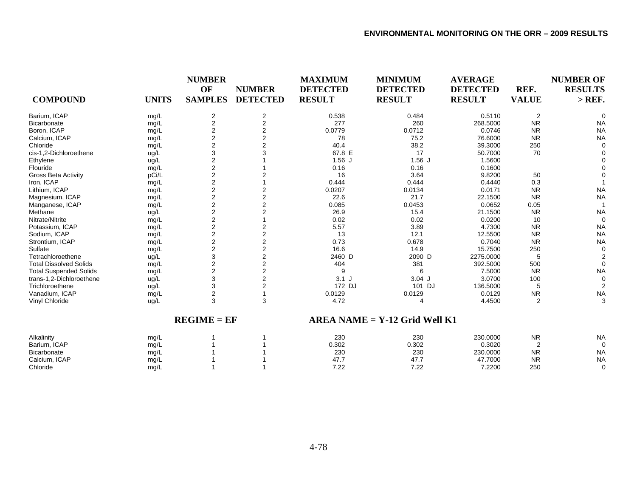| <b>COMPOUND</b>               | <b>UNITS</b> | <b>NUMBER</b><br>OF<br><b>SAMPLES</b> | <b>NUMBER</b><br><b>DETECTED</b> | <b>MAXIMUM</b><br><b>DETECTED</b><br><b>RESULT</b> | <b>MINIMUM</b><br><b>DETECTED</b><br><b>RESULT</b> | <b>AVERAGE</b><br><b>DETECTED</b><br><b>RESULT</b> | REF.<br><b>VALUE</b> | <b>NUMBER OF</b><br><b>RESULTS</b><br>$>$ REF. |
|-------------------------------|--------------|---------------------------------------|----------------------------------|----------------------------------------------------|----------------------------------------------------|----------------------------------------------------|----------------------|------------------------------------------------|
|                               |              |                                       |                                  |                                                    |                                                    |                                                    |                      |                                                |
| Barium, ICAP                  | mg/L         | 2                                     | $\overline{2}$                   | 0.538                                              | 0.484                                              | 0.5110                                             | $\overline{2}$       | $\Omega$                                       |
| Bicarbonate                   | mg/L         | $\overline{2}$                        | $\overline{2}$                   | 277                                                | 260                                                | 268.5000                                           | <b>NR</b>            | <b>NA</b>                                      |
| Boron, ICAP                   | mg/L         | 2                                     | 2                                | 0.0779                                             | 0.0712                                             | 0.0746                                             | <b>NR</b>            | <b>NA</b>                                      |
| Calcium, ICAP                 | mg/L         | $\overline{\mathbf{c}}$               | 2                                | 78                                                 | 75.2                                               | 76.6000                                            | <b>NR</b>            | <b>NA</b>                                      |
| Chloride                      | mg/L         | $\overline{2}$                        | $\overline{2}$                   | 40.4                                               | 38.2                                               | 39.3000                                            | 250                  | $\Omega$                                       |
| cis-1,2-Dichloroethene        | ug/L         | 3                                     |                                  | 67.8 E                                             | 17                                                 | 50.7000                                            | 70                   | $\Omega$                                       |
| Ethylene                      | ug/L         | $\overline{2}$                        |                                  | $1.56$ J                                           | $1.56$ J                                           | 1.5600                                             |                      | $\Omega$                                       |
| Flouride                      | mg/L         | $\overline{2}$                        |                                  | 0.16                                               | 0.16                                               | 0.1600                                             |                      |                                                |
| <b>Gross Beta Activity</b>    | pCi/L        | $\overline{2}$                        |                                  | 16                                                 | 3.64                                               | 9.8200                                             | 50                   |                                                |
| Iron, ICAP                    | mg/L         | $\overline{2}$                        |                                  | 0.444                                              | 0.444                                              | 0.4440                                             | 0.3                  |                                                |
| Lithium, ICAP                 | mg/L         | $\boldsymbol{2}$                      | 2                                | 0.0207                                             | 0.0134                                             | 0.0171                                             | <b>NR</b>            | <b>NA</b>                                      |
| Magnesium, ICAP               | mg/L         | $\overline{\mathbf{c}}$               | $\overline{2}$                   | 22.6                                               | 21.7                                               | 22.1500                                            | <b>NR</b>            | <b>NA</b>                                      |
| Manganese, ICAP               | mg/L         | $\overline{2}$                        | $\overline{2}$                   | 0.085                                              | 0.0453                                             | 0.0652                                             | 0.05                 | 1                                              |
| Methane                       | ug/L         | $\overline{2}$                        | $\overline{2}$                   | 26.9                                               | 15.4                                               | 21.1500                                            | <b>NR</b>            | <b>NA</b>                                      |
| Nitrate/Nitrite               | mg/L         | $\overline{2}$                        |                                  | 0.02                                               | 0.02                                               | 0.0200                                             | 10                   | $\mathbf 0$                                    |
| Potassium, ICAP               | mg/L         | $\overline{2}$                        | 2                                | 5.57                                               | 3.89                                               | 4.7300                                             | <b>NR</b>            | <b>NA</b>                                      |
| Sodium, ICAP                  | mg/L         | $\overline{2}$                        | 2                                | 13                                                 | 12.1                                               | 12.5500                                            | <b>NR</b>            | <b>NA</b>                                      |
| Strontium, ICAP               | mg/L         | $\mathbf 2$                           | $\overline{2}$                   | 0.73                                               | 0.678                                              | 0.7040                                             | <b>NR</b>            | <b>NA</b>                                      |
| Sulfate                       | mg/L         | $\mathbf 2$                           | $\overline{2}$                   | 16.6                                               | 14.9                                               | 15.7500                                            | 250                  | $\mathbf 0$                                    |
| Tetrachloroethene             | ug/L         | 3                                     | $\overline{2}$                   | 2460 D                                             | 2090 D                                             | 2275.0000                                          | 5                    | $\overline{2}$                                 |
| <b>Total Dissolved Solids</b> | mg/L         | $\overline{2}$                        | $\overline{2}$                   | 404                                                | 381                                                | 392.5000                                           | 500                  | $\Omega$                                       |
| <b>Total Suspended Solids</b> | mg/L         | $\overline{2}$                        | $\overline{2}$                   | 9                                                  | 6                                                  | 7.5000                                             | <b>NR</b>            | <b>NA</b>                                      |
| trans-1,2-Dichloroethene      | ug/L         | 3                                     | 2                                | $3.1$ J                                            | $3.04$ J                                           | 3.0700                                             | 100                  | $\Omega$                                       |
| Trichloroethene               | ug/L         | 3                                     | $\overline{2}$                   | 172 DJ                                             | 101 DJ                                             | 136.5000                                           | 5                    | $\overline{2}$                                 |
| Vanadium, ICAP                | mg/L         | 2                                     |                                  | 0.0129                                             | 0.0129                                             | 0.0129                                             | <b>NR</b>            | <b>NA</b>                                      |
| Vinyl Chloride                | ug/L         | 3                                     | 3                                | 4.72                                               | Δ                                                  | 4.4500                                             | $\overline{2}$       | 3                                              |
|                               |              | $REGIME = EF$                         |                                  |                                                    | $AREA NAME = Y-12$ Grid Well K1                    |                                                    |                      |                                                |
| Alkalinity                    | mg/L         |                                       |                                  | 230                                                | 230                                                | 230.0000                                           | <b>NR</b>            | <b>NA</b>                                      |
| Barium, ICAP                  | mg/L         |                                       |                                  | 0.302                                              | 0.302                                              | 0.3020                                             | $\overline{2}$       | $\mathbf 0$                                    |
| Bicarbonate                   | mg/L         |                                       |                                  | 230                                                | 230                                                | 230.0000                                           | <b>NR</b>            | <b>NA</b>                                      |
| Calcium, ICAP                 | mg/L         |                                       |                                  | 47.7                                               | 47.7                                               | 47.7000                                            | <b>NR</b>            | <b>NA</b>                                      |
| Chloride                      | mg/L         |                                       |                                  | 7.22                                               | 7.22                                               | 7.2200                                             | 250                  | $\mathbf 0$                                    |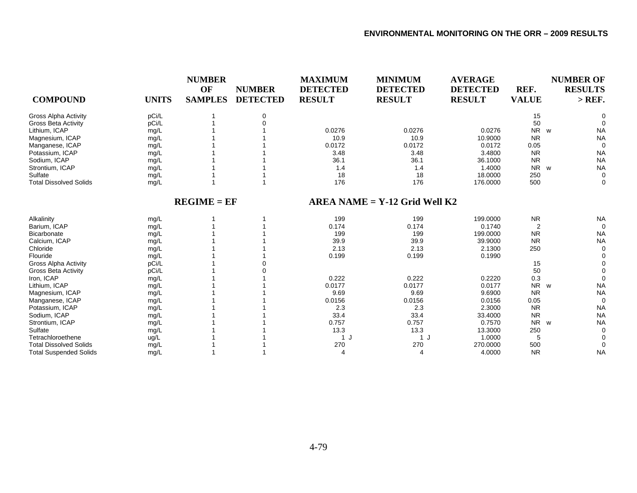| <b>COMPOUND</b>               | <b>UNITS</b> | <b>NUMBER</b><br>OF<br><b>SAMPLES</b> | <b>NUMBER</b><br><b>DETECTED</b> | <b>MAXIMUM</b><br><b>DETECTED</b><br><b>RESULT</b> | <b>MINIMUM</b><br><b>DETECTED</b><br><b>RESULT</b> | <b>AVERAGE</b><br><b>DETECTED</b><br><b>RESULT</b> | REF.<br><b>VALUE</b>  | <b>NUMBER OF</b><br><b>RESULTS</b><br>$>$ REF. |
|-------------------------------|--------------|---------------------------------------|----------------------------------|----------------------------------------------------|----------------------------------------------------|----------------------------------------------------|-----------------------|------------------------------------------------|
| <b>Gross Alpha Activity</b>   | pCi/L        |                                       | 0                                |                                                    |                                                    |                                                    | 15                    |                                                |
| <b>Gross Beta Activity</b>    | pCi/L        |                                       |                                  |                                                    |                                                    |                                                    | 50                    |                                                |
| Lithium, ICAP                 | mg/L         |                                       |                                  | 0.0276                                             | 0.0276                                             | 0.0276                                             | NR w                  | <b>NA</b>                                      |
| Magnesium, ICAP               | mg/L         |                                       |                                  | 10.9                                               | 10.9                                               | 10.9000                                            | <b>NR</b>             | <b>NA</b>                                      |
| Manganese, ICAP               | mg/L         |                                       |                                  | 0.0172                                             | 0.0172                                             | 0.0172                                             | 0.05                  | $\Omega$                                       |
| Potassium, ICAP               | mg/L         |                                       |                                  | 3.48                                               | 3.48                                               | 3.4800                                             | <b>NR</b>             | <b>NA</b>                                      |
| Sodium, ICAP                  | mg/L         |                                       |                                  | 36.1                                               | 36.1                                               | 36.1000                                            | <b>NR</b>             | <b>NA</b>                                      |
| Strontium, ICAP               | mg/L         |                                       |                                  | 1.4                                                | 1.4                                                | 1.4000                                             | <b>NR</b><br><b>W</b> | <b>NA</b>                                      |
| Sulfate                       | mg/L         |                                       |                                  | 18                                                 | 18                                                 | 18.0000                                            | 250                   | $\Omega$                                       |
| <b>Total Dissolved Solids</b> | mg/L         |                                       |                                  | 176                                                | 176                                                | 176.0000                                           | 500                   | $\Omega$                                       |
|                               |              | $REGIME = EF$                         |                                  |                                                    | $AREA NAME = Y-12 Grid Well K2$                    |                                                    |                       |                                                |
| Alkalinity                    | mg/L         |                                       |                                  | 199                                                | 199                                                | 199.0000                                           | <b>NR</b>             | <b>NA</b>                                      |
| Barium, ICAP                  | mg/L         |                                       |                                  | 0.174                                              | 0.174                                              | 0.1740                                             | $\overline{2}$        | $\Omega$                                       |
| <b>Bicarbonate</b>            | mg/L         |                                       |                                  | 199                                                | 199                                                | 199.0000                                           | <b>NR</b>             | <b>NA</b>                                      |
| Calcium, ICAP                 | mg/L         |                                       |                                  | 39.9                                               | 39.9                                               | 39.9000                                            | <b>NR</b>             | <b>NA</b>                                      |
| Chloride                      | mg/L         |                                       |                                  | 2.13                                               | 2.13                                               | 2.1300                                             | 250                   | $\Omega$                                       |
| Flouride                      | mg/L         |                                       |                                  | 0.199                                              | 0.199                                              | 0.1990                                             |                       |                                                |
| <b>Gross Alpha Activity</b>   | pCi/L        |                                       |                                  |                                                    |                                                    |                                                    | 15                    |                                                |
| <b>Gross Beta Activity</b>    | pCi/L        |                                       |                                  |                                                    |                                                    |                                                    | 50                    |                                                |
| Iron, ICAP                    | mg/L         |                                       |                                  | 0.222                                              | 0.222                                              | 0.2220                                             | 0.3                   |                                                |
| Lithium, ICAP                 | mg/L         |                                       |                                  | 0.0177                                             | 0.0177                                             | 0.0177                                             | <b>NR</b>             | <b>NA</b><br>W                                 |
| Magnesium, ICAP               | mg/L         |                                       |                                  | 9.69                                               | 9.69                                               | 9.6900                                             | <b>NR</b>             | <b>NA</b>                                      |
| Manganese, ICAP               | mg/L         |                                       |                                  | 0.0156                                             | 0.0156                                             | 0.0156                                             | 0.05                  | $\Omega$                                       |
| Potassium, ICAP               | mg/L         |                                       |                                  | 2.3                                                | 2.3                                                | 2.3000                                             | <b>NR</b>             | <b>NA</b>                                      |
| Sodium, ICAP                  | mg/L         |                                       |                                  | 33.4                                               | 33.4                                               | 33.4000                                            | <b>NR</b>             | <b>NA</b>                                      |
| Strontium, ICAP               | mg/L         |                                       |                                  | 0.757                                              | 0.757                                              | 0.7570                                             | N <sub>R</sub>        | <b>NA</b><br>W                                 |
| Sulfate                       | mg/L         |                                       |                                  | 13.3                                               | 13.3                                               | 13.3000                                            | 250                   | $\Omega$                                       |
| Tetrachloroethene             | ug/L         |                                       |                                  | 1 J                                                | 1 J                                                | 1.0000                                             | 5                     |                                                |
| <b>Total Dissolved Solids</b> | mg/L         |                                       |                                  | 270                                                | 270                                                | 270.0000                                           | 500                   | $\Omega$                                       |
| <b>Total Suspended Solids</b> | mg/L         |                                       |                                  | $\boldsymbol{\varDelta}$                           | 4                                                  | 4.0000                                             | <b>NR</b>             | <b>NA</b>                                      |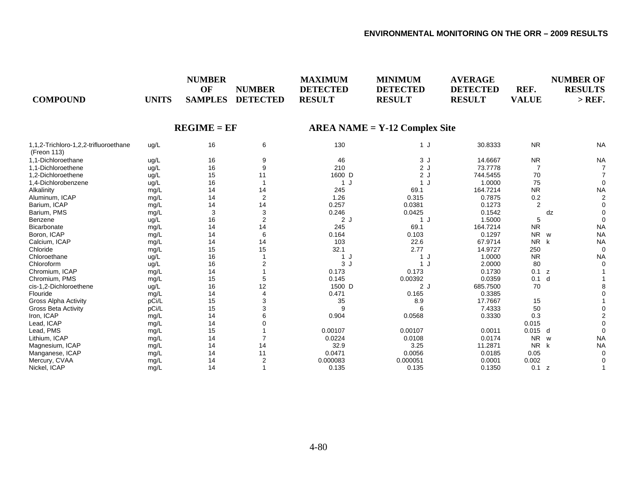| <b>COMPOUND</b>                                      | <b>UNITS</b> | <b>NUMBER</b><br>OF<br><b>SAMPLES</b> | <b>NUMBER</b><br><b>DETECTED</b> | <b>MAXIMUM</b><br><b>DETECTED</b><br><b>RESULT</b> | <b>MINIMUM</b><br><b>DETECTED</b><br><b>RESULT</b> | <b>AVERAGE</b><br><b>DETECTED</b><br><b>RESULT</b> | REF.<br><b>VALUE</b> | <b>NUMBER OF</b><br><b>RESULTS</b><br>$>$ REF. |
|------------------------------------------------------|--------------|---------------------------------------|----------------------------------|----------------------------------------------------|----------------------------------------------------|----------------------------------------------------|----------------------|------------------------------------------------|
|                                                      |              | $REGIME = EF$                         |                                  |                                                    | $AREA NAME = Y-12 Complex Site$                    |                                                    |                      |                                                |
| 1,1,2-Trichloro-1,2,2-trifluoroethane<br>(Freon 113) | ug/L         | 16                                    | 6                                | 130                                                | 1 J                                                | 30.8333                                            | <b>NR</b>            | <b>NA</b>                                      |
| 1.1-Dichloroethane                                   | ug/L         | 16                                    | 9                                | 46                                                 | 3J                                                 | 14.6667                                            | <b>NR</b>            | <b>NA</b>                                      |
| 1,1-Dichloroethene                                   | ug/L         | 16                                    | 9                                | 210                                                | 2J                                                 | 73.7778                                            |                      |                                                |
| 1.2-Dichloroethene                                   | ug/L         | 15                                    | 11                               | 1600 D                                             | 2J                                                 | 744.5455                                           | 70                   |                                                |
| 1,4-Dichlorobenzene                                  | ug/L         | 16                                    |                                  | 1 J                                                | 1 J                                                | 1.0000                                             | 75                   | $\Omega$                                       |
| Alkalinity                                           | mg/L         | 14                                    | 14                               | 245                                                | 69.1                                               | 164.7214                                           | <b>NR</b>            | <b>NA</b>                                      |
| Aluminum, ICAP                                       | mg/L         | 14                                    | 2                                | 1.26                                               | 0.315                                              | 0.7875                                             | 0.2                  | $\overline{2}$                                 |
| Barium, ICAP                                         | mg/L         | 14                                    | 14                               | 0.257                                              | 0.0381                                             | 0.1273                                             | $\overline{2}$       |                                                |
| Barium, PMS                                          | mg/L         | 3                                     | 3                                | 0.246                                              | 0.0425                                             | 0.1542                                             |                      | dz                                             |
| Benzene                                              | ug/L         | 16                                    | $\overline{2}$                   | 2J                                                 | 1J                                                 | 1.5000                                             | 5                    | $\Omega$                                       |
| Bicarbonate                                          | mg/L         | 14                                    | 14                               | 245                                                | 69.1                                               | 164.7214                                           | <b>NR</b>            | <b>NA</b>                                      |
| Boron, ICAP                                          | mg/L         | 14                                    | 6                                | 0.164                                              | 0.103                                              | 0.1297                                             | <b>NR</b>            | <b>NA</b><br>w                                 |
| Calcium, ICAP                                        | mg/L         | 14                                    | 14                               | 103                                                | 22.6                                               | 67.9714                                            | <b>NR</b>            | <b>NA</b><br>k                                 |
| Chloride                                             | mg/L         | 15                                    | 15                               | 32.1                                               | 2.77                                               | 14.9727                                            | 250                  | $\Omega$                                       |
| Chloroethane                                         | ug/L         | 16                                    |                                  | 1 J                                                | 1 J                                                | 1.0000                                             | <b>NR</b>            | <b>NA</b>                                      |
| Chloroform                                           | ug/L         | 16                                    | 2                                | 3J                                                 | 1 J                                                | 2.0000                                             | 80                   | $\Omega$                                       |
| Chromium, ICAP                                       | mg/L         | 14                                    |                                  | 0.173                                              | 0.173                                              | 0.1730                                             | 0.1 z                |                                                |
| Chromium, PMS                                        | mg/L         | 15                                    |                                  | 0.145                                              | 0.00392                                            | 0.0359                                             | 0.1                  | d                                              |
| cis-1,2-Dichloroethene                               | ug/L         | 16                                    | 12                               | 1500 D                                             | 2J                                                 | 685.7500                                           | 70                   |                                                |
| Flouride                                             | mg/L         | 14                                    |                                  | 0.471                                              | 0.165                                              | 0.3385                                             |                      |                                                |
| Gross Alpha Activity                                 | pCi/L        | 15                                    |                                  | 35                                                 | 8.9                                                | 17.7667                                            | 15                   |                                                |
| <b>Gross Beta Activity</b>                           | pCi/L        | 15                                    |                                  | 9                                                  | 6                                                  | 7.4333                                             | 50                   |                                                |
| Iron, ICAP                                           | mg/L         | 14                                    |                                  | 0.904                                              | 0.0568                                             | 0.3330                                             | 0.3                  |                                                |
| Lead, ICAP                                           | mg/L         | 14                                    |                                  |                                                    |                                                    |                                                    | 0.015                |                                                |
| Lead, PMS                                            | mg/L         | 15                                    |                                  | 0.00107                                            | 0.00107                                            | 0.0011                                             | $0.015$ d            | $\Omega$                                       |
| Lithium, ICAP                                        | mg/L         | 14                                    |                                  | 0.0224                                             | 0.0108                                             | 0.0174                                             | <b>NR</b>            | <b>NA</b><br><b>W</b>                          |
| Magnesium, ICAP                                      | mg/L         | 14                                    | 14                               | 32.9                                               | 3.25                                               | 11.2871                                            | <b>NR</b>            | <b>NA</b><br>k                                 |
| Manganese, ICAP                                      | mg/L         | 14                                    | 11                               | 0.0471                                             | 0.0056                                             | 0.0185                                             | 0.05                 |                                                |
| Mercury, CVAA                                        | mg/L         | 14                                    | $\overline{2}$                   | 0.000083                                           | 0.000051                                           | 0.0001                                             | 0.002                |                                                |
| Nickel, ICAP                                         | mq/L         | 14                                    |                                  | 0.135                                              | 0.135                                              | 0.1350                                             | 0.1                  | Z                                              |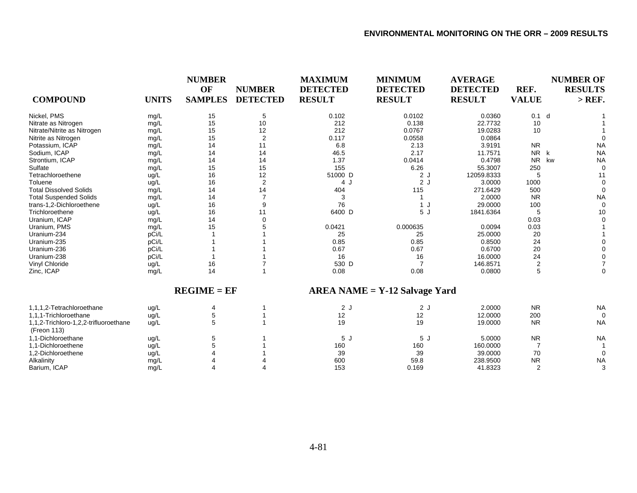|                                                      |              | <b>NUMBER</b><br>OF | <b>NUMBER</b>   | <b>MAXIMUM</b><br><b>DETECTED</b> | <b>MINIMUM</b><br><b>DETECTED</b> | <b>AVERAGE</b><br><b>DETECTED</b> | REF.                      | <b>NUMBER OF</b><br><b>RESULTS</b> |
|------------------------------------------------------|--------------|---------------------|-----------------|-----------------------------------|-----------------------------------|-----------------------------------|---------------------------|------------------------------------|
| <b>COMPOUND</b>                                      | <b>UNITS</b> | <b>SAMPLES</b>      | <b>DETECTED</b> | <b>RESULT</b>                     | <b>RESULT</b>                     | <b>RESULT</b>                     | <b>VALUE</b>              | $>$ REF.                           |
| Nickel, PMS                                          | mg/L         | 15                  | 5               | 0.102                             | 0.0102                            | 0.0360                            | $0.1$ d                   |                                    |
| Nitrate as Nitrogen                                  | mg/L         | 15                  | 10              | 212                               | 0.138                             | 22.7732                           | 10                        |                                    |
| Nitrate/Nitrite as Nitrogen                          | mg/L         | 15                  | 12              | 212                               | 0.0767                            | 19.0283                           | 10                        |                                    |
| Nitrite as Nitrogen                                  | mg/L         | 15                  | $\overline{2}$  | 0.117                             | 0.0558                            | 0.0864                            |                           |                                    |
| Potassium, ICAP                                      | mg/L         | 14                  | 11              | 6.8                               | 2.13                              | 3.9191                            | <b>NR</b>                 | <b>NA</b>                          |
| Sodium, ICAP                                         | mg/L         | 14                  | 14              | 46.5                              | 2.17                              | 11.7571                           | <b>NR</b><br>$\mathsf{k}$ | <b>NA</b>                          |
| Strontium, ICAP                                      | mg/L         | 14                  | 14              | 1.37                              | 0.0414                            | 0.4798                            | <b>NR</b>                 | kw<br><b>NA</b>                    |
| Sulfate                                              | mg/L         | 15                  | 15              | 155                               | 6.26                              | 55.3007                           | 250                       | $\Omega$                           |
| Tetrachloroethene                                    | ug/L         | 16                  | 12              | 51000 D                           | 2J                                | 12059.8333                        | 5                         | 11                                 |
| Toluene                                              | ug/L         | 16                  | $\overline{2}$  | 4 J                               | 2J                                | 3.0000                            | 1000                      |                                    |
| <b>Total Dissolved Solids</b>                        | mg/L         | 14                  | 14              | 404                               | 115                               | 271.6429                          | 500                       | $\Omega$                           |
| <b>Total Suspended Solids</b>                        | mg/L         | 14                  | 7               | 3                                 |                                   | 2.0000                            | <b>NR</b>                 | <b>NA</b>                          |
| trans-1,2-Dichloroethene                             | ug/L         | 16                  | 9               | 76                                | 1J                                | 29.0000                           | 100                       | $\Omega$                           |
| Trichloroethene                                      | ug/L         | 16                  | 11              | 6400 D                            | 5J                                | 1841.6364                         | 5                         | 10                                 |
| Uranium, ICAP                                        | mg/L         | 14                  | $\Omega$        |                                   |                                   |                                   | 0.03                      |                                    |
| Uranium, PMS                                         | mg/L         | 15                  |                 | 0.0421                            | 0.000635                          | 0.0094                            | 0.03                      |                                    |
| Uranium-234                                          | pCi/L        |                     |                 | 25                                | 25                                | 25.0000                           | 20                        |                                    |
| Uranium-235                                          | pCi/L        |                     |                 | 0.85                              | 0.85                              | 0.8500                            | 24                        |                                    |
| Uranium-236                                          | pCi/L        |                     |                 | 0.67                              | 0.67                              | 0.6700                            | 20                        |                                    |
| Uranium-238                                          | pCi/L        |                     |                 | 16                                | 16                                | 16.0000                           | 24                        |                                    |
| Vinyl Chloride                                       | ug/L         | 16                  |                 | 530 D                             | 7                                 | 146.8571                          | 2                         |                                    |
| Zinc, ICAP                                           | mg/L         | 14                  |                 | 0.08                              | 0.08                              | 0.0800                            | 5                         | $\Omega$                           |
|                                                      |              | $REGIME = EF$       |                 |                                   | $AREA NAME = Y-12$ Salvage Yard   |                                   |                           |                                    |
| 1,1,1,2-Tetrachloroethane                            | ug/L         | 4                   |                 | 2J                                | 2J                                | 2.0000                            | <b>NR</b>                 | <b>NA</b>                          |
| 1.1.1-Trichloroethane                                | ug/L         | 5                   |                 | 12                                | 12                                | 12.0000                           | 200                       | $\Omega$                           |
| 1,1,2-Trichloro-1,2,2-trifluoroethane<br>(Freon 113) | ug/L         |                     |                 | 19                                | 19                                | 19.0000                           | <b>NR</b>                 | <b>NA</b>                          |
| 1,1-Dichloroethane                                   | ug/L         | 5                   |                 | 5J                                | 5J                                | 5.0000                            | <b>NR</b>                 | <b>NA</b>                          |
| 1,1-Dichloroethene                                   | ug/L         |                     |                 | 160                               | 160                               | 160,0000                          | 7                         |                                    |
| 1,2-Dichloroethene                                   | ug/L         |                     |                 | 39                                | 39                                | 39.0000                           | 70                        | $\Omega$                           |
| Alkalinity                                           | mg/L         |                     |                 | 600                               | 59.8                              | 238.9500                          | <b>NR</b>                 | <b>NA</b>                          |
| Barium, ICAP                                         | mq/L         |                     |                 | 153                               | 0.169                             | 41.8323                           | $\overline{2}$            | 3                                  |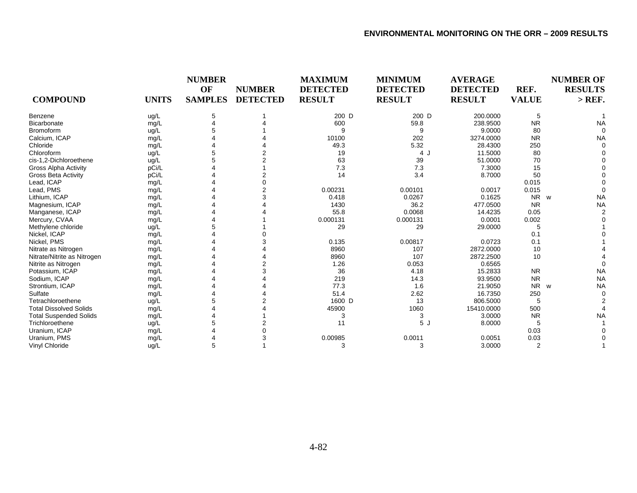| <b>COMPOUND</b>               | <b>UNITS</b> | <b>NUMBER</b><br>OF<br><b>SAMPLES</b> | <b>NUMBER</b><br><b>DETECTED</b> | <b>MAXIMUM</b><br><b>DETECTED</b><br><b>RESULT</b> | <b>MINIMUM</b><br><b>DETECTED</b><br><b>RESULT</b> | <b>AVERAGE</b><br><b>DETECTED</b><br><b>RESULT</b> | REF.<br><b>VALUE</b> | <b>NUMBER OF</b><br><b>RESULTS</b><br>$>$ REF. |
|-------------------------------|--------------|---------------------------------------|----------------------------------|----------------------------------------------------|----------------------------------------------------|----------------------------------------------------|----------------------|------------------------------------------------|
|                               |              |                                       |                                  |                                                    |                                                    |                                                    |                      |                                                |
| Benzene                       | ug/L         |                                       |                                  | 200 D                                              | 200 D                                              | 200.0000                                           | 5                    |                                                |
| <b>Bicarbonate</b>            | mg/L         |                                       |                                  | 600                                                | 59.8                                               | 238.9500                                           | <b>NR</b>            | <b>NA</b>                                      |
| <b>Bromoform</b>              | ug/L         |                                       |                                  | 9                                                  | 9                                                  | 9.0000                                             | 80                   |                                                |
| Calcium, ICAP                 | mg/L         |                                       |                                  | 10100                                              | 202                                                | 3274.0000                                          | <b>NR</b>            | NA                                             |
| Chloride                      | mg/L         |                                       |                                  | 49.3                                               | 5.32                                               | 28.4300                                            | 250                  |                                                |
| Chloroform                    | ug/L         |                                       |                                  | 19                                                 | 4 J                                                | 11.5000                                            | 80                   |                                                |
| cis-1,2-Dichloroethene        | ug/L         |                                       |                                  | 63                                                 | 39                                                 | 51.0000                                            | 70                   |                                                |
| Gross Alpha Activity          | pCi/L        |                                       |                                  | 7.3                                                | 7.3                                                | 7.3000                                             | 15                   |                                                |
| <b>Gross Beta Activity</b>    | pCi/L        |                                       |                                  | 14                                                 | 3.4                                                | 8.7000                                             | 50                   |                                                |
| Lead, ICAP                    | mg/L         |                                       |                                  |                                                    |                                                    |                                                    | 0.015                |                                                |
| Lead, PMS                     | mg/L         |                                       |                                  | 0.00231                                            | 0.00101                                            | 0.0017                                             | 0.015                |                                                |
| Lithium, ICAP                 | mg/L         |                                       |                                  | 0.418                                              | 0.0267                                             | 0.1625                                             | NR w                 | <b>NA</b>                                      |
| Magnesium, ICAP               | mg/L         |                                       |                                  | 1430                                               | 36.2                                               | 477.0500                                           | <b>NR</b>            | <b>NA</b>                                      |
| Manganese, ICAP               | mg/L         |                                       |                                  | 55.8                                               | 0.0068                                             | 14.4235                                            | 0.05                 |                                                |
| Mercury, CVAA                 | mg/L         |                                       |                                  | 0.000131                                           | 0.000131                                           | 0.0001                                             | 0.002                |                                                |
| Methylene chloride            | ug/L         |                                       |                                  | 29                                                 | 29                                                 | 29.0000                                            |                      |                                                |
| Nickel, ICAP                  | mg/L         |                                       |                                  |                                                    |                                                    |                                                    | 0.1                  |                                                |
| Nickel, PMS                   | mg/L         |                                       |                                  | 0.135                                              | 0.00817                                            | 0.0723                                             | 0.1                  |                                                |
| Nitrate as Nitrogen           | mg/L         |                                       |                                  | 8960                                               | 107                                                | 2872.0000                                          | 10                   |                                                |
| Nitrate/Nitrite as Nitrogen   | mg/L         |                                       |                                  | 8960                                               | 107                                                | 2872.2500                                          | 10                   |                                                |
| Nitrite as Nitrogen           | mg/L         |                                       |                                  | 1.26                                               | 0.053                                              | 0.6565                                             |                      |                                                |
| Potassium, ICAP               | mg/L         |                                       |                                  | 36                                                 | 4.18                                               | 15.2833                                            | <b>NR</b>            | <b>NA</b>                                      |
| Sodium, ICAP                  | mg/L         |                                       |                                  | 219                                                | 14.3                                               | 93.9500                                            | <b>NR</b>            | <b>NA</b>                                      |
| Strontium, ICAP               | mg/L         |                                       |                                  | 77.3                                               | 1.6                                                | 21.9050                                            | <b>NR</b>            | <b>NA</b><br><b>W</b>                          |
| Sulfate                       | mg/L         |                                       |                                  | 51.4                                               | 2.62                                               | 16.7350                                            | 250                  | $\Omega$                                       |
| Tetrachloroethene             | ug/L         |                                       |                                  | 1600 D                                             | 13                                                 | 806.5000                                           | 5                    |                                                |
| <b>Total Dissolved Solids</b> | mg/L         |                                       |                                  | 45900                                              | 1060                                               | 15410.0000                                         | 500                  |                                                |
| <b>Total Suspended Solids</b> | mg/L         |                                       |                                  | 3                                                  | 3                                                  | 3.0000                                             | <b>NR</b>            | <b>NA</b>                                      |
| Trichloroethene               | ug/L         |                                       |                                  | 11                                                 | 5J                                                 | 8.0000                                             |                      |                                                |
| Uranium, ICAP                 | mg/L         |                                       |                                  |                                                    |                                                    |                                                    | 0.03                 |                                                |
| Uranium, PMS                  | mg/L         |                                       |                                  | 0.00985                                            | 0.0011                                             | 0.0051                                             | 0.03                 |                                                |
| Vinyl Chloride                | ug/L         |                                       |                                  | 3                                                  | 3                                                  | 3.0000                                             | 2                    |                                                |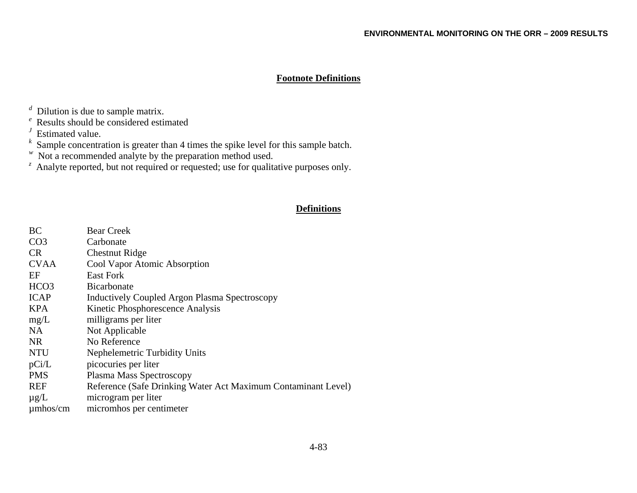## **Footnote Definitions**

*<sup>d</sup>* Dilution is due to sample matrix.

*<sup>e</sup>* Results should be considered estimated

*<sup>J</sup>* Estimated value.

*<sup>k</sup>* Sample concentration is greater than 4 times the spike level for this sample batch.

*w* Not a recommended analyte by the preparation method used.

<sup>z</sup> Analyte reported, but not required or requested; use for qualitative purposes only.

# **Definitions**

| BC               | <b>Bear Creek</b>                                             |
|------------------|---------------------------------------------------------------|
| CO <sub>3</sub>  | Carbonate                                                     |
| CR.              | <b>Chestnut Ridge</b>                                         |
| <b>CVAA</b>      | Cool Vapor Atomic Absorption                                  |
| EF               | East Fork                                                     |
| HCO <sub>3</sub> | <b>Bicarbonate</b>                                            |
| <b>ICAP</b>      | Inductively Coupled Argon Plasma Spectroscopy                 |
| <b>KPA</b>       | Kinetic Phosphorescence Analysis                              |
| mg/L             | milligrams per liter                                          |
| NA.              | Not Applicable                                                |
| NR.              | No Reference                                                  |
| <b>NTU</b>       | Nephelemetric Turbidity Units                                 |
| pCi/L            | picocuries per liter                                          |
| <b>PMS</b>       | Plasma Mass Spectroscopy                                      |
| <b>REF</b>       | Reference (Safe Drinking Water Act Maximum Contaminant Level) |
| $\mu$ g/L        | microgram per liter                                           |
| $\mu$ mhos/cm    | micromhos per centimeter                                      |